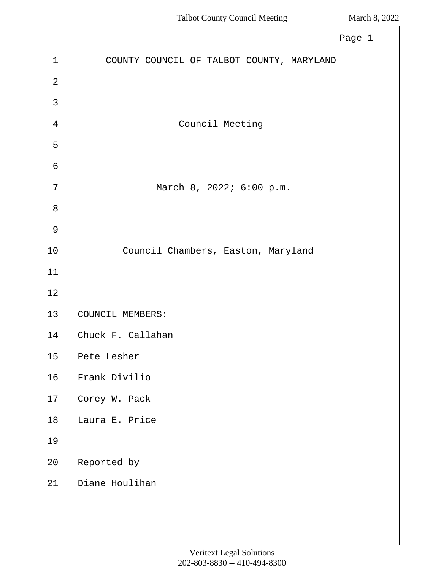|                | Page 1                                    |
|----------------|-------------------------------------------|
| $\mathbf{1}$   | COUNTY COUNCIL OF TALBOT COUNTY, MARYLAND |
| $\overline{2}$ |                                           |
| 3              |                                           |
| $\overline{4}$ | Council Meeting                           |
| 5              |                                           |
| $\epsilon$     |                                           |
| 7              | March 8, 2022; 6:00 p.m.                  |
| 8              |                                           |
| $\mathsf{S}$   |                                           |
| 10             | Council Chambers, Easton, Maryland        |
| 11             |                                           |
| 12             |                                           |
| 13             | COUNCIL MEMBERS:                          |
| 14             | Chuck F. Callahan                         |
| 15             | Pete Lesher                               |
| 16             | Frank Divilio                             |
| 17             | Corey W. Pack                             |
| 18             | Laura E. Price                            |
| 19             |                                           |
| 20             | Reported by                               |
| 21             | Diane Houlihan                            |
|                |                                           |
|                |                                           |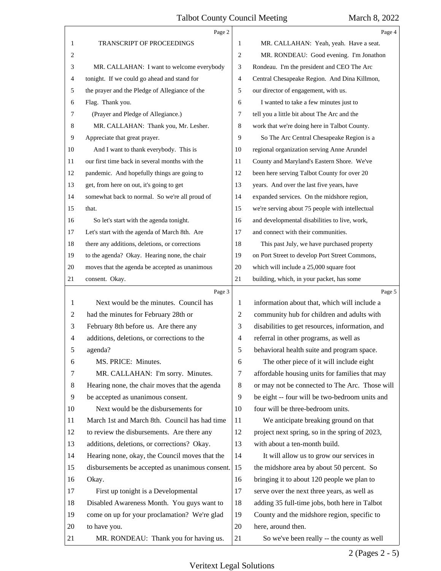|                | Page 2                                          |                | Page 4                                          |
|----------------|-------------------------------------------------|----------------|-------------------------------------------------|
| 1              | <b>TRANSCRIPT OF PROCEEDINGS</b>                | 1              | MR. CALLAHAN: Yeah, yeah. Have a seat.          |
| $\overline{2}$ |                                                 | 2              | MR. RONDEAU: Good evening. I'm Jonathon         |
| 3              | MR. CALLAHAN: I want to welcome everybody       | 3              | Rondeau. I'm the president and CEO The Arc      |
| 4              | tonight. If we could go ahead and stand for     | $\overline{4}$ | Central Chesapeake Region. And Dina Killmon,    |
| 5              | the prayer and the Pledge of Allegiance of the  | 5              | our director of engagement, with us.            |
| 6              | Flag. Thank you.                                | 6              | I wanted to take a few minutes just to          |
| 7              | (Prayer and Pledge of Allegiance.)              | 7              | tell you a little bit about The Arc and the     |
| 8              | MR. CALLAHAN: Thank you, Mr. Lesher.            | 8              | work that we're doing here in Talbot County.    |
| 9              | Appreciate that great prayer.                   | 9              | So The Arc Central Chesapeake Region is a       |
| 10             | And I want to thank everybody. This is          | 10             | regional organization serving Anne Arundel      |
| 11             | our first time back in several months with the  | 11             | County and Maryland's Eastern Shore. We've      |
| 12             | pandemic. And hopefully things are going to     | 12             | been here serving Talbot County for over 20     |
| 13             | get, from here on out, it's going to get        | 13             | years. And over the last five years, have       |
| 14             | somewhat back to normal. So we're all proud of  | 14             | expanded services. On the midshore region,      |
| 15             | that.                                           | 15             | we're serving about 75 people with intellectual |
| 16             | So let's start with the agenda tonight.         | 16             | and developmental disabilities to live, work,   |
| 17             | Let's start with the agenda of March 8th. Are   | 17             | and connect with their communities.             |
| 18             | there any additions, deletions, or corrections  | 18             | This past July, we have purchased property      |
| 19             | to the agenda? Okay. Hearing none, the chair    | 19             | on Port Street to develop Port Street Commons,  |
| 20             | moves that the agenda be accepted as unanimous  | 20             | which will include a 25,000 square foot         |
| 21             | consent. Okay.                                  | 21             | building, which, in your packet, has some       |
|                | Page 3                                          |                | Page 5                                          |
| 1              | Next would be the minutes. Council has          | 1              | information about that, which will include a    |
| 2              | had the minutes for February 28th or            | $\overline{c}$ | community hub for children and adults with      |
| 3              | February 8th before us. Are there any           | 3              | disabilities to get resources, information, and |
| 4              | additions, deletions, or corrections to the     | 4              | referral in other programs, as well as          |
| 5              | agenda?                                         | 5              | behavioral health suite and program space.      |
| 6              | MS. PRICE: Minutes.                             | 6              | The other piece of it will include eight        |
| 7              | MR. CALLAHAN: I'm sorry. Minutes.               | 7              | affordable housing units for families that may  |
| 8              | Hearing none, the chair moves that the agenda   | 8              | or may not be connected to The Arc. Those will  |
| 9              | be accepted as unanimous consent.               | 9              | be eight -- four will be two-bedroom units and  |
| 10             | Next would be the disbursements for             | 10             | four will be three-bedroom units.               |
| 11             | March 1st and March 8th. Council has had time   | 11             | We anticipate breaking ground on that           |
| 12             |                                                 |                |                                                 |
| 13             | to review the disbursements. Are there any      | 12             | project next spring, so in the spring of 2023,  |
|                | additions, deletions, or corrections? Okay.     | 13             | with about a ten-month build.                   |
| 14             | Hearing none, okay, the Council moves that the  | 14             | It will allow us to grow our services in        |
| 15             | disbursements be accepted as unanimous consent. | 15             | the midshore area by about 50 percent. So       |
| 16             | Okay.                                           | 16             | bringing it to about 120 people we plan to      |
| 17             | First up tonight is a Developmental             | 17             | serve over the next three years, as well as     |
| 18             | Disabled Awareness Month. You guys want to      | 18             | adding 35 full-time jobs, both here in Talbot   |
| 19             | come on up for your proclamation? We're glad    | 19             | County and the midshore region, specific to     |
| 20             | to have you.                                    | 20             | here, around then.                              |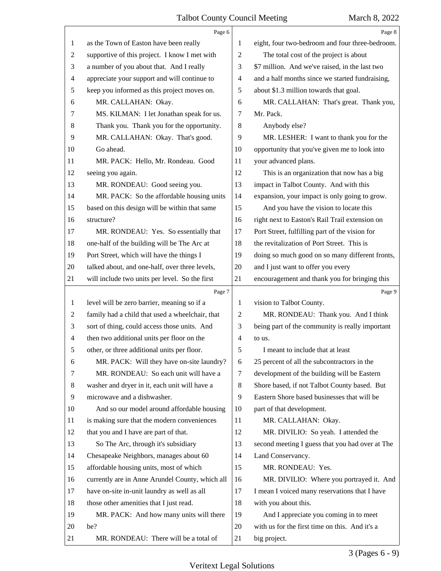|                | Page 6                                          |                | Page 8                                          |
|----------------|-------------------------------------------------|----------------|-------------------------------------------------|
| 1              | as the Town of Easton have been really          | 1              | eight, four two-bedroom and four three-bedroom. |
| $\overline{c}$ | supportive of this project. I know I met with   | $\overline{2}$ | The total cost of the project is about          |
| 3              | a number of you about that. And I really        | 3              | \$7 million. And we've raised, in the last two  |
| $\overline{4}$ | appreciate your support and will continue to    | $\overline{4}$ | and a half months since we started fundraising, |
| 5              | keep you informed as this project moves on.     | 5              | about \$1.3 million towards that goal.          |
| 6              | MR. CALLAHAN: Okay.                             | 6              | MR. CALLAHAN: That's great. Thank you,          |
| 7              | MS. KILMAN: I let Jonathan speak for us.        | 7              | Mr. Pack.                                       |
| 8              | Thank you. Thank you for the opportunity.       | 8              | Anybody else?                                   |
| 9              | MR. CALLAHAN: Okay. That's good.                | 9              | MR. LESHER: I want to thank you for the         |
| 10             | Go ahead.                                       | 10             | opportunity that you've given me to look into   |
| 11             | MR. PACK: Hello, Mr. Rondeau. Good              | 11             | your advanced plans.                            |
| 12             | seeing you again.                               | 12             | This is an organization that now has a big      |
| 13             | MR. RONDEAU: Good seeing you.                   | 13             | impact in Talbot County. And with this          |
| 14             | MR. PACK: So the affordable housing units       | 14             | expansion, your impact is only going to grow.   |
| 15             | based on this design will be within that same   | 15             | And you have the vision to locate this          |
| 16             | structure?                                      | 16             | right next to Easton's Rail Trail extension on  |
| 17             | MR. RONDEAU: Yes. So essentially that           | 17             | Port Street, fulfilling part of the vision for  |
| 18             | one-half of the building will be The Arc at     | 18             | the revitalization of Port Street. This is      |
| 19             | Port Street, which will have the things I       | 19             | doing so much good on so many different fronts, |
| 20             | talked about, and one-half, over three levels,  | 20             | and I just want to offer you every              |
| 21             | will include two units per level. So the first  | 21             | encouragement and thank you for bringing this   |
|                |                                                 |                |                                                 |
|                | Page 7                                          |                | Page 9                                          |
| 1              | level will be zero barrier, meaning so if a     | 1              | vision to Talbot County.                        |
| 2              | family had a child that used a wheelchair, that | $\overline{2}$ | MR. RONDEAU: Thank you. And I think             |
| 3              | sort of thing, could access those units. And    | 3              | being part of the community is really important |
| $\overline{4}$ | then two additional units per floor on the      | $\overline{4}$ | to us.                                          |
| 5              | other, or three additional units per floor.     | 5              | I meant to include that at least                |
| 6              | MR. PACK: Will they have on-site laundry?       | 6              | 25 percent of all the subcontractors in the     |
| 7              | MR. RONDEAU: So each unit will have a           | 7              | development of the building will be Eastern     |
| 8              | washer and dryer in it, each unit will have a   | 8              | Shore based, if not Talbot County based. But    |
| 9              | microwave and a dishwasher.                     | 9              | Eastern Shore based businesses that will be     |
| 10             | And so our model around affordable housing      | 10             | part of that development.                       |
| 11             | is making sure that the modern conveniences     | 11             | MR. CALLAHAN: Okay.                             |
| 12             | that you and I have are part of that.           | 12             | MR. DIVILIO: So yeah. I attended the            |
| 13             | So The Arc, through it's subsidiary             | 13             | second meeting I guess that you had over at The |
| 14             | Chesapeake Neighbors, manages about 60          | 14             | Land Conservancy.                               |
| 15             | affordable housing units, most of which         | 15             | MR. RONDEAU: Yes.                               |
| 16             | currently are in Anne Arundel County, which all | 16             | MR. DIVILIO: Where you portrayed it. And        |
| 17             | have on-site in-unit laundry as well as all     | 17             | I mean I voiced many reservations that I have   |
| 18             | those other amenities that I just read.         | 18             | with you about this.                            |
| 19             | MR. PACK: And how many units will there         | 19             | And I appreciate you coming in to meet          |
| 20             | be?                                             | 20             | with us for the first time on this. And it's a  |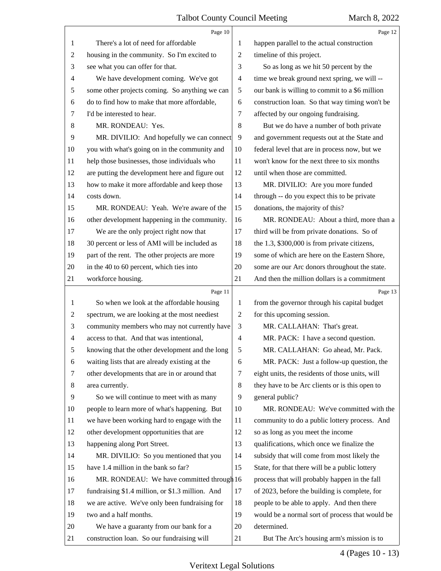|                | Page 10                                          |                          | Page 12                                         |
|----------------|--------------------------------------------------|--------------------------|-------------------------------------------------|
| 1              | There's a lot of need for affordable             | 1                        | happen parallel to the actual construction      |
| 2              | housing in the community. So I'm excited to      | $\overline{c}$           | timeline of this project.                       |
| 3              | see what you can offer for that.                 | 3                        | So as long as we hit 50 percent by the          |
| 4              | We have development coming. We've got            | $\overline{\mathcal{A}}$ | time we break ground next spring, we will --    |
| 5              | some other projects coming. So anything we can   | 5                        | our bank is willing to commit to a \$6 million  |
| 6              | do to find how to make that more affordable,     | 6                        | construction loan. So that way timing won't be  |
| 7              | I'd be interested to hear.                       | 7                        | affected by our ongoing fundraising.            |
| 8              | MR. RONDEAU: Yes.                                | $\,8\,$                  | But we do have a number of both private         |
| 9              | MR. DIVILIO: And hopefully we can connect        | 9                        | and government requests out at the State and    |
| 10             | you with what's going on in the community and    | 10                       | federal level that are in process now, but we   |
| 11             | help those businesses, those individuals who     | 11                       | won't know for the next three to six months     |
| 12             | are putting the development here and figure out  | 12                       | until when those are committed.                 |
| 13             | how to make it more affordable and keep those    | 13                       | MR. DIVILIO: Are you more funded                |
| 14             | costs down.                                      | 14                       | through -- do you expect this to be private     |
| 15             | MR. RONDEAU: Yeah. We're aware of the            | 15                       | donations, the majority of this?                |
| 16             | other development happening in the community.    | 16                       | MR. RONDEAU: About a third, more than a         |
| 17             | We are the only project right now that           | 17                       | third will be from private donations. So of     |
| 18             | 30 percent or less of AMI will be included as    | 18                       | the 1.3, \$300,000 is from private citizens,    |
| 19             | part of the rent. The other projects are more    | 19                       | some of which are here on the Eastern Shore,    |
| 20             | in the 40 to 60 percent, which ties into         | 20                       | some are our Arc donors throughout the state.   |
| 21             | workforce housing.                               | 21                       | And then the million dollars is a commitment    |
|                |                                                  |                          |                                                 |
|                | Page 11                                          |                          | Page 13                                         |
| 1              | So when we look at the affordable housing        | 1                        | from the governor through his capital budget    |
| 2              | spectrum, we are looking at the most neediest    | $\overline{c}$           | for this upcoming session.                      |
| 3              | community members who may not currently have     | 3                        | MR. CALLAHAN: That's great.                     |
| $\overline{4}$ | access to that. And that was intentional,        | 4                        | MR. PACK: I have a second question.             |
| 5              | knowing that the other development and the long  | 5                        | MR. CALLAHAN: Go ahead, Mr. Pack.               |
| 6              | waiting lists that are already existing at the   | 6                        | MR. PACK: Just a follow-up question, the        |
| 7              | other developments that are in or around that    | 7                        | eight units, the residents of those units, will |
| 8              | area currently.                                  | 8                        | they have to be Arc clients or is this open to  |
| 9              | So we will continue to meet with as many         | 9                        | general public?                                 |
| 10             | people to learn more of what's happening. But    | 10                       | MR. RONDEAU: We've committed with the           |
| 11             | we have been working hard to engage with the     | 11                       | community to do a public lottery process. And   |
| 12             | other development opportunities that are         | 12                       | so as long as you meet the income               |
| 13             | happening along Port Street.                     | 13                       | qualifications, which once we finalize the      |
| 14             | MR. DIVILIO: So you mentioned that you           | 14                       | subsidy that will come from most likely the     |
| 15             | have 1.4 million in the bank so far?             | 15                       | State, for that there will be a public lottery  |
| 16             | MR. RONDEAU: We have committed through 16        |                          | process that will probably happen in the fall   |
| 17             | fundraising \$1.4 million, or \$1.3 million. And | 17                       | of 2023, before the building is complete, for   |
| 18             | we are active. We've only been fundraising for   | 18                       | people to be able to apply. And then there      |
| 19             | two and a half months.                           | 19                       | would be a normal sort of process that would be |
| 20             | We have a guaranty from our bank for a           | 20                       | determined.                                     |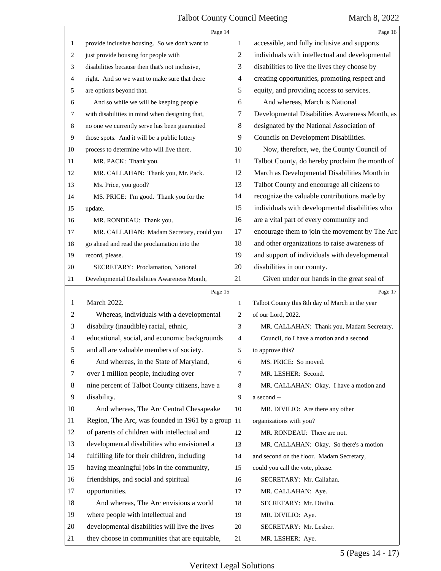|                | Page 14                                         |    | Page 16                                         |
|----------------|-------------------------------------------------|----|-------------------------------------------------|
| $\mathbf{1}$   | provide inclusive housing. So we don't want to  | 1  | accessible, and fully inclusive and supports    |
| 2              | just provide housing for people with            | 2  | individuals with intellectual and developmental |
| 3              | disabilities because then that's not inclusive, | 3  | disabilities to live the lives they choose by   |
| 4              | right. And so we want to make sure that there   | 4  | creating opportunities, promoting respect and   |
| 5              | are options beyond that.                        | 5  | equity, and providing access to services.       |
| 6              | And so while we will be keeping people          | 6  | And whereas, March is National                  |
| $\overline{7}$ | with disabilities in mind when designing that,  | 7  | Developmental Disabilities Awareness Month, as  |
| 8              | no one we currently serve has been guarantied   | 8  | designated by the National Association of       |
| $\overline{9}$ | those spots. And it will be a public lottery    | 9  | Councils on Development Disabilities.           |
| 10             | process to determine who will live there.       | 10 | Now, therefore, we, the County Council of       |
| 11             | MR. PACK: Thank you.                            | 11 | Talbot County, do hereby proclaim the month of  |
| 12             | MR. CALLAHAN: Thank you, Mr. Pack.              | 12 | March as Developmental Disabilities Month in    |
| 13             | Ms. Price, you good?                            | 13 | Talbot County and encourage all citizens to     |
| 14             | MS. PRICE: I'm good. Thank you for the          | 14 | recognize the valuable contributions made by    |
| 15             | update.                                         | 15 | individuals with developmental disabilities who |
| 16             | MR. RONDEAU: Thank you.                         | 16 | are a vital part of every community and         |
| 17             | MR. CALLAHAN: Madam Secretary, could you        | 17 | encourage them to join the movement by The Arc  |
| 18             | go ahead and read the proclamation into the     | 18 | and other organizations to raise awareness of   |
| 19             | record, please.                                 | 19 | and support of individuals with developmental   |
| 20             | SECRETARY: Proclamation, National               | 20 | disabilities in our county.                     |
| 21             | Developmental Disabilities Awareness Month,     | 21 | Given under our hands in the great seal of      |
|                |                                                 |    |                                                 |
|                | Page 15                                         |    | Page 17                                         |
| $\mathbf{1}$   | March 2022.                                     | 1  | Talbot County this 8th day of March in the year |
| $\overline{2}$ | Whereas, individuals with a developmental       | 2  | of our Lord, 2022.                              |
| 3              | disability (inaudible) racial, ethnic,          | 3  | MR. CALLAHAN: Thank you, Madam Secretary.       |
| $\overline{4}$ | educational, social, and economic backgrounds   | 4  | Council, do I have a motion and a second        |
| 5              | and all are valuable members of society.        | 5  | to approve this?                                |
| 6              | And whereas, in the State of Maryland,          | 6  | MS. PRICE: So moved.                            |
| 7              | over 1 million people, including over           | 7  | MR. LESHER: Second.                             |
| 8              | nine percent of Talbot County citizens, have a  | 8  | MR. CALLAHAN: Okay. I have a motion and         |
| 9              | disability.                                     | 9  | a second --                                     |
| 10             | And whereas, The Arc Central Chesapeake         | 10 | MR. DIVILIO: Are there any other                |
| 11             | Region, The Arc, was founded in 1961 by a group | 11 | organizations with you?                         |
| 12             | of parents of children with intellectual and    | 12 | MR. RONDEAU: There are not.                     |
| 13             | developmental disabilities who envisioned a     | 13 | MR. CALLAHAN: Okay. So there's a motion         |
| 14             | fulfilling life for their children, including   | 14 | and second on the floor. Madam Secretary,       |
| 15             | having meaningful jobs in the community,        | 15 | could you call the vote, please.                |
| 16             | friendships, and social and spiritual           | 16 | SECRETARY: Mr. Callahan.                        |
| 17             | opportunities.                                  | 17 | MR. CALLAHAN: Aye.                              |
| 18             | And whereas, The Arc envisions a world          | 18 | SECRETARY: Mr. Divilio.                         |
| 19             | where people with intellectual and              | 19 | MR. DIVILIO: Aye.                               |
| 20             | developmental disabilities will live the lives  | 20 | SECRETARY: Mr. Lesher.                          |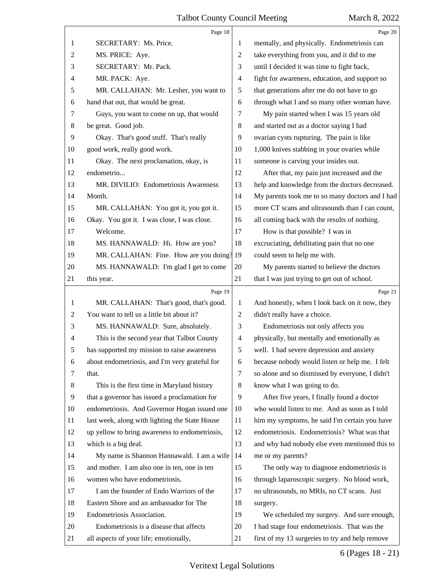|                | Page 18                                        |         | Page 20                                         |
|----------------|------------------------------------------------|---------|-------------------------------------------------|
| 1              | SECRETARY: Ms. Price.                          | 1       | mentally, and physically. Endometriosis can     |
| $\overline{c}$ | MS. PRICE: Aye.                                | 2       | take everything from you, and it did to me      |
| 3              | SECRETARY: Mr. Pack.                           | 3       | until I decided it was time to fight back,      |
| 4              | MR. PACK: Aye.                                 | 4       | fight for awareness, education, and support so  |
| 5              | MR. CALLAHAN: Mr. Lesher, you want to          | 5       | that generations after me do not have to go     |
| 6              | hand that out, that would be great.            | 6       | through what I and so many other woman have.    |
| 7              | Guys, you want to come on up, that would       | 7       | My pain started when I was 15 years old         |
| 8              | be great. Good job.                            | $\,8\,$ | and started out as a doctor saying I had        |
| $\overline{9}$ | Okay. That's good stuff. That's really         | 9       | ovarian cysts rupturing. The pain is like       |
| 10             | good work, really good work.                   | 10      | 1,000 knives stabbing in your ovaries while     |
| 11             | Okay. The next proclamation, okay, is          | 11      | someone is carving your insides out.            |
| 12             | endometrio                                     | 12      | After that, my pain just increased and the      |
| 13             | MR. DIVILIO: Endometriosis Awareness           | 13      | help and knowledge from the doctors decreased.  |
| 14             | Month.                                         | 14      | My parents took me to so many doctors and I had |
| 15             | MR. CALLAHAN: You got it, you got it.          | 15      | more CT scans and ultrasounds than I can count, |
| 16             | Okay. You got it. I was close, I was close.    | 16      | all coming back with the results of nothing.    |
| 17             | Welcome.                                       | 17      | How is that possible? I was in                  |
| 18             | MS. HANNAWALD: Hi. How are you?                | 18      | excruciating, debilitating pain that no one     |
| 19             | MR. CALLAHAN: Fine. How are you doing? 19      |         | could seem to help me with.                     |
| 20             | MS. HANNAWALD: I'm glad I get to come          | 20      | My parents started to believe the doctors       |
| 21             | this year.                                     | 21      | that I was just trying to get out of school.    |
|                | Page 19                                        |         | Page 21                                         |
|                |                                                |         |                                                 |
| 1              | MR. CALLAHAN: That's good, that's good.        | 1       | And honestly, when I look back on it now, they  |
| $\overline{c}$ | You want to tell us a little bit about it?     | 2       | didn't really have a choice.                    |
| 3              | MS. HANNAWALD: Sure, absolutely.               | 3       | Endometriosis not only affects you              |
| 4              | This is the second year that Talbot County     | 4       | physically, but mentally and emotionally as     |
| 5              | has supported my mission to raise awareness    | 5       | well. I had severe depression and anxiety       |
| 6              | about endometriosis, and I'm very grateful for | 6       | because nobody would listen or help me. I felt  |
| 7              | that.                                          | 7       | so alone and so dismissed by everyone, I didn't |
| 8              | This is the first time in Maryland history     | $\,8\,$ | know what I was going to do.                    |
| 9              | that a governor has issued a proclamation for  | 9       | After five years, I finally found a doctor      |
| 10             | endometriosis. And Governor Hogan issued one   | 10      | who would listen to me. And as soon as I told   |
| 11             | last week, along with lighting the State House | 11      | him my symptoms, he said I'm certain you have   |
| 12             | up yellow to bring awareness to endometriosis, | 12      | endometriosis. Endometriosis? What was that     |
| 13             | which is a big deal.                           | 13      | and why had nobody else even mentioned this to  |
| 14             | My name is Shannon Hannawald. I am a wife      | 14      | me or my parents?                               |
| 15             | and mother. I am also one in ten, one in ten   | 15      | The only way to diagnose endometriosis is       |
| 16             | women who have endometriosis.                  | 16      | through laparoscopic surgery. No blood work,    |
| 17             | I am the founder of Endo Warriors of the       | 17      | no ultrasounds, no MRIs, no CT scans. Just      |
| 18             | Eastern Shore and an ambassador for The        | 18      | surgery.                                        |
| 19             | Endometriosis Association.                     | 19      | We scheduled my surgery. And sure enough,       |
| 20             | Endometriosis is a disease that affects        | 20      | I had stage four endometriosis. That was the    |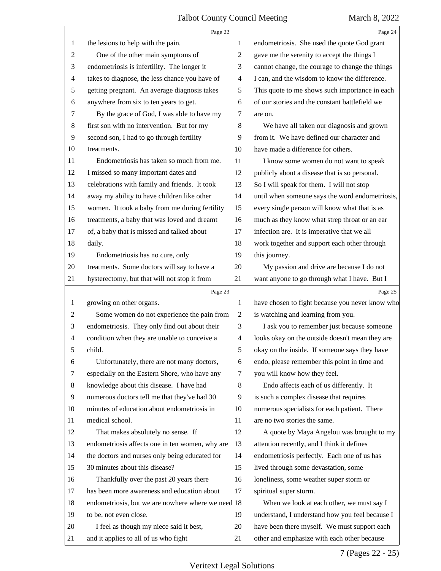|                | Page 22                                            |                | Page 24                                         |
|----------------|----------------------------------------------------|----------------|-------------------------------------------------|
| 1              | the lesions to help with the pain.                 | 1              | endometriosis. She used the quote God grant     |
| $\overline{2}$ | One of the other main symptoms of                  | $\overline{c}$ | gave me the serenity to accept the things I     |
| 3              | endometriosis is infertility. The longer it        | 3              | cannot change, the courage to change the things |
| $\overline{4}$ | takes to diagnose, the less chance you have of     | $\overline{4}$ | I can, and the wisdom to know the difference.   |
| 5              | getting pregnant. An average diagnosis takes       | 5              | This quote to me shows such importance in each  |
| 6              | anywhere from six to ten years to get.             | 6              | of our stories and the constant battlefield we  |
| 7              | By the grace of God, I was able to have my         | 7              | are on.                                         |
| 8              | first son with no intervention. But for my         | 8              | We have all taken our diagnosis and grown       |
| 9              | second son, I had to go through fertility          | 9              | from it. We have defined our character and      |
| 10             | treatments.                                        | 10             | have made a difference for others.              |
| 11             | Endometriosis has taken so much from me.           | 11             | I know some women do not want to speak          |
| 12             | I missed so many important dates and               | 12             | publicly about a disease that is so personal.   |
| 13             | celebrations with family and friends. It took      | 13             | So I will speak for them. I will not stop       |
| 14             | away my ability to have children like other        | 14             | until when someone says the word endometriosis, |
| 15             | women. It took a baby from me during fertility     | 15             | every single person will know what that is as   |
| 16             | treatments, a baby that was loved and dreamt       | 16             | much as they know what strep throat or an ear   |
| 17             | of, a baby that is missed and talked about         | 17             | infection are. It is imperative that we all     |
| 18             | daily.                                             | 18             | work together and support each other through    |
| 19             | Endometriosis has no cure, only                    | 19             | this journey.                                   |
| 20             | treatments. Some doctors will say to have a        | 20             | My passion and drive are because I do not       |
| 21             | hysterectomy, but that will not stop it from       | 21             | want anyone to go through what I have. But I    |
|                | Page 23                                            |                | Page 25                                         |
| 1              | growing on other organs.                           | 1              | have chosen to fight because you never know who |
| 2              | Some women do not experience the pain from         | $\overline{2}$ | is watching and learning from you.              |
| 3              | endometriosis. They only find out about their      | 3              | I ask you to remember just because someone      |
| $\overline{4}$ | condition when they are unable to conceive a       | $\overline{4}$ | looks okay on the outside doesn't mean they are |
| 5              | child.                                             | 5              | okay on the inside. If someone says they have   |
| 6              | Unfortunately, there are not many doctors,         | 6              | endo, please remember this point in time and    |
| 7              | especially on the Eastern Shore, who have any      | 7              | you will know how they feel.                    |
| 8              |                                                    |                |                                                 |
| 9              | knowledge about this disease. I have had           | 8              | Endo affects each of us differently. It         |
|                | numerous doctors tell me that they've had 30       | 9              | is such a complex disease that requires         |
| 10             | minutes of education about endometriosis in        | 10             | numerous specialists for each patient. There    |
| 11             | medical school.                                    | 11             | are no two stories the same.                    |
| 12             | That makes absolutely no sense. If                 | 12             | A quote by Maya Angelou was brought to my       |
| 13             | endometriosis affects one in ten women, why are    | 13             | attention recently, and I think it defines      |
| 14             | the doctors and nurses only being educated for     | 14             | endometriosis perfectly. Each one of us has     |
| 15             | 30 minutes about this disease?                     | 15             | lived through some devastation, some            |
| 16             | Thankfully over the past 20 years there            | 16             | loneliness, some weather super storm or         |
| 17             | has been more awareness and education about        | 17             | spiritual super storm.                          |
| 18             | endometriosis, but we are nowhere where we need 18 |                | When we look at each other, we must say I       |
| 19             | to be, not even close.                             | 19             | understand, I understand how you feel because I |
| 20             | I feel as though my niece said it best,            | 20             | have been there myself. We must support each    |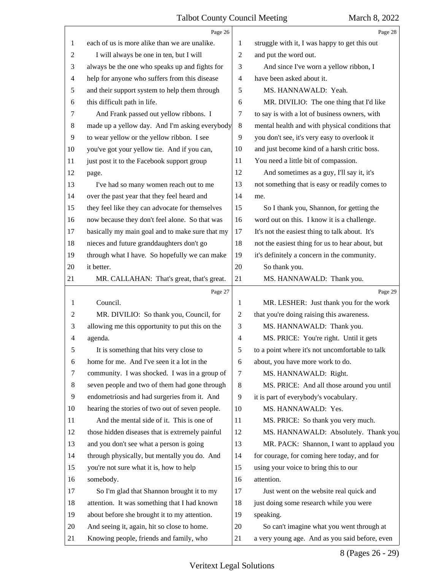|                | Page 26                                         |                | Page 28                                         |
|----------------|-------------------------------------------------|----------------|-------------------------------------------------|
| 1              | each of us is more alike than we are unalike.   | 1              | struggle with it, I was happy to get this out   |
| $\overline{c}$ | I will always be one in ten, but I will         | 2              | and put the word out.                           |
| 3              | always be the one who speaks up and fights for  | 3              | And since I've worn a yellow ribbon, I          |
| 4              | help for anyone who suffers from this disease   | $\overline{4}$ | have been asked about it.                       |
| 5              | and their support system to help them through   | 5              | MS. HANNAWALD: Yeah.                            |
| 6              | this difficult path in life.                    | 6              | MR. DIVILIO: The one thing that I'd like        |
| 7              | And Frank passed out yellow ribbons. I          | 7              | to say is with a lot of business owners, with   |
| 8              | made up a yellow day. And I'm asking everybody  | 8              | mental health and with physical conditions that |
| 9              | to wear yellow or the yellow ribbon. I see      | 9              | you don't see, it's very easy to overlook it    |
| 10             | you've got your yellow tie. And if you can,     | 10             | and just become kind of a harsh critic boss.    |
| 11             | just post it to the Facebook support group      | 11             | You need a little bit of compassion.            |
| 12             | page.                                           | 12             | And sometimes as a guy, I'll say it, it's       |
| 13             | I've had so many women reach out to me          | 13             | not something that is easy or readily comes to  |
| 14             | over the past year that they feel heard and     | 14             | me.                                             |
| 15             | they feel like they can advocate for themselves | 15             | So I thank you, Shannon, for getting the        |
| 16             | now because they don't feel alone. So that was  | 16             | word out on this. I know it is a challenge.     |
| 17             | basically my main goal and to make sure that my | 17             | It's not the easiest thing to talk about. It's  |
| 18             | nieces and future granddaughters don't go       | 18             | not the easiest thing for us to hear about, but |
| 19             | through what I have. So hopefully we can make   | 19             | it's definitely a concern in the community.     |
| 20             | it better.                                      | 20             | So thank you.                                   |
| 21             | MR. CALLAHAN: That's great, that's great.       | 21             | MS. HANNAWALD: Thank you.                       |
|                |                                                 |                |                                                 |
|                | Page 27                                         |                | Page 29                                         |
| 1              | Council.                                        | 1              | MR. LESHER: Just thank you for the work         |
| 2              | MR. DIVILIO: So thank you, Council, for         | $\overline{2}$ | that you're doing raising this awareness.       |
| 3              | allowing me this opportunity to put this on the | 3              | MS. HANNAWALD: Thank you.                       |
| 4              | agenda.                                         | $\overline{4}$ | MS. PRICE: You're right. Until it gets          |
| 5              | It is something that hits very close to         | 5              | to a point where it's not uncomfortable to talk |
| 6              | home for me. And I've seen it a lot in the      | 6              | about, you have more work to do.                |
| 7              | community. I was shocked. I was in a group of   | 7              | MS. HANNAWALD: Right.                           |
| 8              | seven people and two of them had gone through   | 8              | MS. PRICE: And all those around you until       |
| 9              | endometriosis and had surgeries from it. And    | 9              | it is part of everybody's vocabulary.           |
| 10             | hearing the stories of two out of seven people. | 10             | MS. HANNAWALD: Yes.                             |
| 11             | And the mental side of it. This is one of       | 11             | MS. PRICE: So thank you very much.              |
| 12             | those hidden diseases that is extremely painful | 12             | MS. HANNAWALD: Absolutely. Thank you            |
| 13             | and you don't see what a person is going        | 13             | MR. PACK: Shannon, I want to applaud you        |
| 14             | through physically, but mentally you do. And    | 14             | for courage, for coming here today, and for     |
| 15             | you're not sure what it is, how to help         | 15             | using your voice to bring this to our           |
| 16             | somebody.                                       | 16             | attention.                                      |
| 17             | So I'm glad that Shannon brought it to my       | 17             | Just went on the website real quick and         |
| 18             | attention. It was something that I had known    | 18             | just doing some research while you were         |
| 19             | about before she brought it to my attention.    | 19             | speaking.                                       |
| 20             | And seeing it, again, hit so close to home.     | 20             | So can't imagine what you went through at       |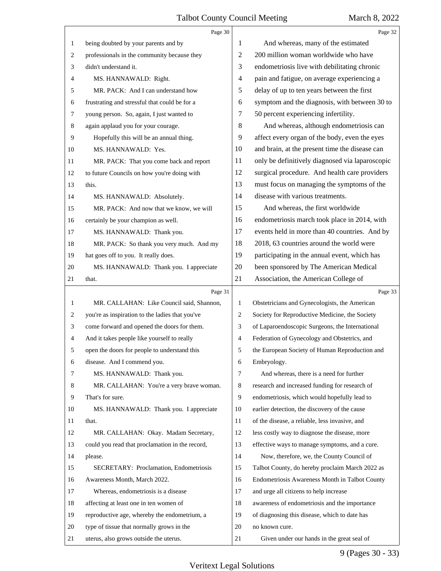|    | Page 30                                         |                | Page 32                                         |
|----|-------------------------------------------------|----------------|-------------------------------------------------|
| 1  | being doubted by your parents and by            | 1              | And whereas, many of the estimated              |
| 2  | professionals in the community because they     | 2              | 200 million woman worldwide who have            |
| 3  | didn't understand it.                           | 3              | endometriosis live with debilitating chronic    |
| 4  | MS. HANNAWALD: Right.                           | 4              | pain and fatigue, on average experiencing a     |
| 5  | MR. PACK: And I can understand how              | 5              | delay of up to ten years between the first      |
| 6  | frustrating and stressful that could be for a   | 6              | symptom and the diagnosis, with between 30 to   |
| 7  | young person. So, again, I just wanted to       | 7              | 50 percent experiencing infertility.            |
| 8  | again applaud you for your courage.             | $\,8\,$        | And whereas, although endometriosis can         |
| 9  | Hopefully this will be an annual thing.         | 9              | affect every organ of the body, even the eyes   |
| 10 | MS. HANNAWALD: Yes.                             | 10             | and brain, at the present time the disease can  |
| 11 | MR. PACK: That you come back and report         | 11             | only be definitively diagnosed via laparoscopic |
| 12 | to future Councils on how you're doing with     | 12             | surgical procedure. And health care providers   |
| 13 | this.                                           | 13             | must focus on managing the symptoms of the      |
| 14 | MS. HANNAWALD: Absolutely.                      | 14             | disease with various treatments.                |
| 15 | MR. PACK: And now that we know, we will         | 15             | And whereas, the first worldwide                |
| 16 | certainly be your champion as well.             | 16             | endometriosis march took place in 2014, with    |
| 17 | MS. HANNAWALD: Thank you.                       | 17             | events held in more than 40 countries. And by   |
| 18 | MR. PACK: So thank you very much. And my        | 18             | 2018, 63 countries around the world were        |
| 19 | hat goes off to you. It really does.            | 19             | participating in the annual event, which has    |
| 20 | MS. HANNAWALD: Thank you. I appreciate          | 20             | been sponsored by The American Medical          |
| 21 | that.                                           | 21             | Association, the American College of            |
|    |                                                 |                |                                                 |
|    | Page 31                                         |                | Page 33                                         |
| 1  | MR. CALLAHAN: Like Council said, Shannon,       | 1              | Obstetricians and Gynecologists, the American   |
| 2  | you're as inspiration to the ladies that you've | 2              | Society for Reproductive Medicine, the Society  |
| 3  | come forward and opened the doors for them.     | 3              | of Laparoendoscopic Surgeons, the International |
| 4  | And it takes people like yourself to really     | $\overline{4}$ | Federation of Gynecology and Obstetrics, and    |
|    | open the doors for people to understand this    | 5              | the European Society of Human Reproduction and  |
| 6  | disease. And I commend you.                     | 6              | Embryology.                                     |
| 7  | MS. HANNAWALD: Thank you.                       | $\overline{7}$ | And whereas, there is a need for further        |
| 8  | MR. CALLAHAN: You're a very brave woman.        | 8              | research and increased funding for research of  |
| 9  | That's for sure.                                | 9              | endometriosis, which would hopefully lead to    |
| 10 | MS. HANNAWALD: Thank you. I appreciate          | 10             | earlier detection, the discovery of the cause   |
| 11 | that.                                           | 11             | of the disease, a reliable, less invasive, and  |
| 12 | MR. CALLAHAN: Okay. Madam Secretary,            | 12             | less costly way to diagnose the disease, more   |
| 13 | could you read that proclamation in the record, | 13             | effective ways to manage symptoms, and a cure.  |
| 14 | please.                                         | 14             | Now, therefore, we, the County Council of       |
| 15 | SECRETARY: Proclamation, Endometriosis          | 15             | Talbot County, do hereby proclaim March 2022 as |
| 16 | Awareness Month, March 2022.                    | 16             | Endometriosis Awareness Month in Talbot County  |
| 17 | Whereas, endometriosis is a disease             | 17             | and urge all citizens to help increase          |
| 18 | affecting at least one in ten women of          | 18             | awareness of endometriosis and the importance   |
| 19 | reproductive age, whereby the endometrium, a    | 19             | of diagnosing this disease, which to date has   |
| 20 | type of tissue that normally grows in the       | 20             | no known cure.                                  |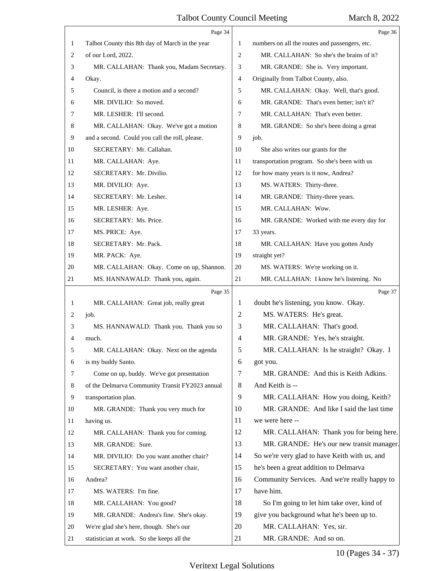|    | Page 34                                         |                | Page 36                                        |
|----|-------------------------------------------------|----------------|------------------------------------------------|
| 1  | Talbot County this 8th day of March in the year | 1              | numbers on all the routes and passengers, etc. |
| 2  | of our Lord, 2022.                              | 2              | MR. CALLAHAN: So she's the brains of it?       |
| 3  | MR. CALLAHAN: Thank you, Madam Secretary.       | 3              | MR. GRANDE: She is. Very important.            |
| 4  | Okay.                                           | $\overline{4}$ | Originally from Talbot County, also.           |
| 5  | Council, is there a motion and a second?        | 5              | MR. CALLAHAN: Okay. Well, that's good.         |
| 6  | MR. DIVILIO: So moved.                          | 6              | MR. GRANDE: That's even better; isn't it?      |
| 7  | MR. LESHER: I'll second.                        | 7              | MR. CALLAHAN: That's even better.              |
| 8  | MR. CALLAHAN: Okay. We've got a motion          | 8              | MR. GRANDE: So she's been doing a great        |
| 9  | and a second. Could you call the roll, please.  | 9              | job.                                           |
| 10 | SECRETARY: Mr. Callahan.                        | 10             | She also writes our grants for the             |
| 11 | MR. CALLAHAN: Aye.                              | 11             | transportation program. So she's been with us  |
| 12 | SECRETARY: Mr. Divilio.                         | 12             | for how many years is it now, Andrea?          |
| 13 | MR. DIVILIO: Aye.                               | 13             | MS. WATERS: Thirty-three.                      |
| 14 | SECRETARY: Mr. Lesher.                          | 14             | MR. GRANDE: Thirty-three years.                |
| 15 | MR. LESHER: Aye.                                | 15             | MR. CALLAHAN: Wow.                             |
| 16 | SECRETARY: Ms. Price.                           | 16             | MR. GRANDE: Worked with me every day for       |
| 17 | MS. PRICE: Aye.                                 | 17             | 33 years.                                      |
| 18 | SECRETARY: Mr. Pack.                            | 18             | MR. CALLAHAN: Have you gotten Andy             |
| 19 | MR. PACK: Aye.                                  | 19             | straight yet?                                  |
| 20 | MR. CALLAHAN: Okay. Come on up, Shannon.        | 20             | MS. WATERS: We're working on it.               |
| 21 | MS. HANNAWALD: Thank you, again.                | 21             | MR. CALLAHAN: I know he's listening. No        |
|    | Page 35                                         |                | Page 37                                        |
| 1  | MR. CALLAHAN: Great job, really great           | 1              | doubt he's listening, you know. Okay.          |
| 2  | job.                                            | 2              | MS. WATERS: He's great.                        |
| 3  | MS. HANNAWALD: Thank you. Thank you so          | 3              | MR. CALLAHAN: That's good.                     |
| 4  | much.                                           | 4              | MR. GRANDE: Yes, he's straight.                |
| 5  | MR. CALLAHAN: Okay. Next on the agenda          | 5              | MR. CALLAHAN: Is he straight? Okay. I          |
| 6  | is my buddy Santo.                              |                |                                                |
| 7  |                                                 | 6              | got you.                                       |
|    | Come on up, buddy. We've got presentation       | 7              | MR. GRANDE: And this is Keith Adkins.          |
| 8  | of the Delmarva Community Transit FY2023 annual | 8              | And Keith is --                                |
| 9  | transportation plan.                            | 9              | MR. CALLAHAN: How you doing, Keith?            |
| 10 | MR. GRANDE: Thank you very much for             | 10             | MR. GRANDE: And like I said the last time      |
| 11 | having us.                                      | 11             | we were here --                                |
| 12 | MR. CALLAHAN: Thank you for coming.             | 12             | MR. CALLAHAN: Thank you for being here.        |
| 13 | MR. GRANDE: Sure.                               | 13             | MR. GRANDE: He's our new transit manager.      |
| 14 | MR. DIVILIO: Do you want another chair?         | 14             | So we're very glad to have Keith with us, and  |
| 15 | SECRETARY: You want another chair,              | 15             | he's been a great addition to Delmarva         |
| 16 | Andrea?                                         | 16             | Community Services. And we're really happy to  |
| 17 | MS. WATERS: I'm fine.                           | 17             | have him.                                      |
| 18 | MR. CALLAHAN: You good?                         | 18             | So I'm going to let him take over, kind of     |
| 19 | MR. GRANDE: Andrea's fine. She's okay.          | 19             | give you background what he's been up to.      |
| 20 | We're glad she's here, though. She's our        | 20             | MR. CALLAHAN: Yes, sir.                        |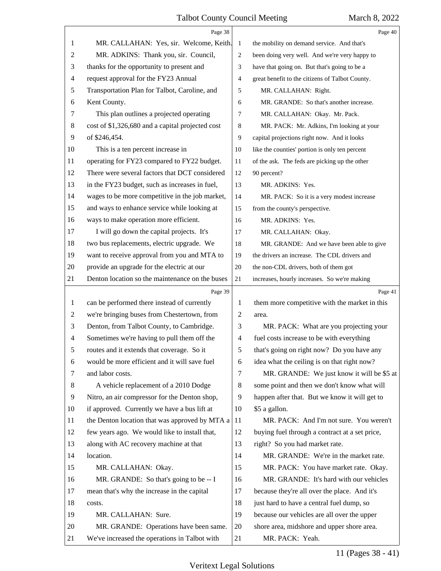|                | Page 38                                          |                | Page 40                                         |
|----------------|--------------------------------------------------|----------------|-------------------------------------------------|
| 1              | MR. CALLAHAN: Yes, sir. Welcome, Keith.          | 1              | the mobility on demand service. And that's      |
| 2              | MR. ADKINS: Thank you, sir. Council,             | $\overline{2}$ | been doing very well. And we're very happy to   |
| 3              | thanks for the opportunity to present and        | 3              | have that going on. But that's going to be a    |
| 4              | request approval for the FY23 Annual             | 4              | great benefit to the citizens of Talbot County. |
| 5              | Transportation Plan for Talbot, Caroline, and    | 5              | MR. CALLAHAN: Right.                            |
| 6              | Kent County.                                     | 6              | MR. GRANDE: So that's another increase.         |
| 7              | This plan outlines a projected operating         | 7              | MR. CALLAHAN: Okay. Mr. Pack.                   |
| 8              | cost of \$1,326,680 and a capital projected cost | 8              | MR. PACK: Mr. Adkins, I'm looking at your       |
| 9              | of \$246,454.                                    | 9              | capital projections right now. And it looks     |
| 10             | This is a ten percent increase in                | 10             | like the counties' portion is only ten percent  |
| 11             | operating for FY23 compared to FY22 budget.      | 11             | of the ask. The feds are picking up the other   |
| 12             | There were several factors that DCT considered   | 12             | 90 percent?                                     |
| 13             | in the FY23 budget, such as increases in fuel,   | 13             | MR. ADKINS: Yes.                                |
| 14             | wages to be more competitive in the job market,  | 14             | MR. PACK: So it is a very modest increase       |
| 15             | and ways to enhance service while looking at     | 15             | from the county's perspective.                  |
| 16             | ways to make operation more efficient.           | 16             | MR. ADKINS: Yes.                                |
| 17             | I will go down the capital projects. It's        | 17             | MR. CALLAHAN: Okay.                             |
| 18             | two bus replacements, electric upgrade. We       | 18             | MR. GRANDE: And we have been able to give       |
| 19             | want to receive approval from you and MTA to     | 19             | the drivers an increase. The CDL drivers and    |
| 20             | provide an upgrade for the electric at our       | $20\,$         | the non-CDL drivers, both of them got           |
| 21             | Denton location so the maintenance on the buses  | 21             | increases, hourly increases. So we're making    |
|                | Page 39                                          |                |                                                 |
|                |                                                  |                | Page 41                                         |
| 1              | can be performed there instead of currently      | 1              | them more competitive with the market in this   |
| 2              | we're bringing buses from Chestertown, from      | 2              | area.                                           |
| 3              | Denton, from Talbot County, to Cambridge.        | 3              | MR. PACK: What are you projecting your          |
| $\overline{4}$ | Sometimes we're having to pull them off the      | $\overline{4}$ | fuel costs increase to be with everything       |
| 5              | routes and it extends that coverage. So it       | 5              | that's going on right now? Do you have any      |
| 6              | would be more efficient and it will save fuel    | 6              | idea what the ceiling is on that right now?     |
| 7              | and labor costs.                                 | 7              | MR. GRANDE: We just know it will be \$5 at      |
| 8              | A vehicle replacement of a 2010 Dodge            | 8              | some point and then we don't know what will     |
| 9              | Nitro, an air compressor for the Denton shop,    | 9              | happen after that. But we know it will get to   |
| 10             | if approved. Currently we have a bus lift at     | 10             | \$5 a gallon.                                   |
| 11             | the Denton location that was approved by MTA a   | 11             | MR. PACK: And I'm not sure. You weren't         |
| 12             | few years ago. We would like to install that,    | 12             | buying fuel through a contract at a set price,  |
| 13             | along with AC recovery machine at that           | 13             | right? So you had market rate.                  |
| 14             | location.                                        | 14             | MR. GRANDE: We're in the market rate.           |
| 15             | MR. CALLAHAN: Okay.                              | 15             | MR. PACK: You have market rate. Okay.           |
| 16             | MR. GRANDE: So that's going to be -- I           | 16             | MR. GRANDE: It's hard with our vehicles         |
| 17             | mean that's why the increase in the capital      | 17             | because they're all over the place. And it's    |
| 18             | costs.                                           | 18             | just hard to have a central fuel dump, so       |
| 19             | MR. CALLAHAN: Sure.                              | 19             | because our vehicles are all over the upper     |
| 20             | MR. GRANDE: Operations have been same.           | 20             | shore area, midshore and upper shore area.      |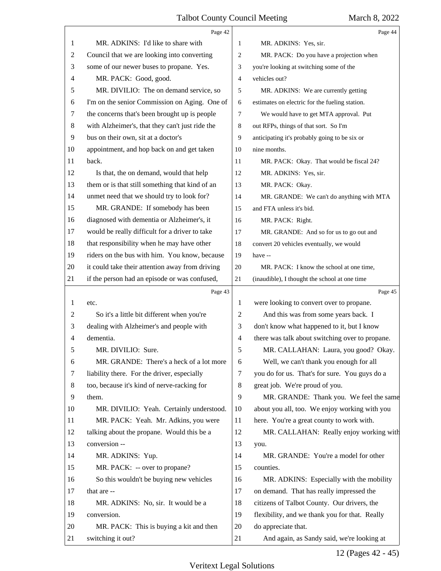|                | Page 42                                         |                | Page 44                                         |
|----------------|-------------------------------------------------|----------------|-------------------------------------------------|
| 1              | MR. ADKINS: I'd like to share with              | 1              | MR. ADKINS: Yes, sir.                           |
| $\overline{c}$ | Council that we are looking into converting     | 2              | MR. PACK: Do you have a projection when         |
| 3              | some of our newer buses to propane. Yes.        | 3              | you're looking at switching some of the         |
| 4              | MR. PACK: Good, good.                           | $\overline{4}$ | vehicles out?                                   |
| 5              | MR. DIVILIO: The on demand service, so          | 5              | MR. ADKINS: We are currently getting            |
| 6              | I'm on the senior Commission on Aging. One of   | 6              | estimates on electric for the fueling station.  |
| 7              | the concerns that's been brought up is people   | 7              | We would have to get MTA approval. Put          |
| 8              | with Alzheimer's, that they can't just ride the | 8              | out RFPs, things of that sort. So I'm           |
| 9              | bus on their own, sit at a doctor's             | 9              | anticipating it's probably going to be six or   |
| 10             | appointment, and hop back on and get taken      | 10             | nine months.                                    |
| 11             | back.                                           | 11             | MR. PACK: Okay. That would be fiscal 24?        |
| 12             | Is that, the on demand, would that help         | 12             | MR. ADKINS: Yes, sir.                           |
| 13             | them or is that still something that kind of an | 13             | MR. PACK: Okay.                                 |
| 14             | unmet need that we should try to look for?      | 14             | MR. GRANDE: We can't do anything with MTA       |
| 15             | MR. GRANDE: If somebody has been                | 15             | and FTA unless it's bid.                        |
| 16             | diagnosed with dementia or Alzheimer's, it      | 16             | MR. PACK: Right.                                |
| 17             | would be really difficult for a driver to take  | 17             | MR. GRANDE: And so for us to go out and         |
| 18             | that responsibility when he may have other      | 18             | convert 20 vehicles eventually, we would        |
| 19             | riders on the bus with him. You know, because   | 19             | have --                                         |
| 20             | it could take their attention away from driving | 20             | MR. PACK: I know the school at one time,        |
| 21             | if the person had an episode or was confused,   | 21             | (inaudible), I thought the school at one time   |
|                | Page 43                                         |                | Page 45                                         |
| 1              | etc.                                            | 1              | were looking to convert over to propane.        |
| 2              | So it's a little bit different when you're      | 2              | And this was from some years back. I            |
| 3              | dealing with Alzheimer's and people with        | 3              | don't know what happened to it, but I know      |
| 4              | dementia.                                       | $\overline{4}$ | there was talk about switching over to propane. |
| 5              | MR. DIVILIO: Sure.                              | 5              | MR. CALLAHAN: Laura, you good? Okay.            |
| 6              | MR. GRANDE: There's a heck of a lot more        | 6              | Well, we can't thank you enough for all         |
| 7              | liability there. For the driver, especially     | 7              | you do for us. That's for sure. You guys do a   |
| 8              | too, because it's kind of nerve-racking for     | 8              | great job. We're proud of you.                  |
| 9              | them.                                           | 9              | MR. GRANDE: Thank you. We feel the same         |
| 10             |                                                 |                |                                                 |
| 11             | MR. DIVILIO: Yeah. Certainly understood.        | 10             | about you all, too. We enjoy working with you   |
|                | MR. PACK: Yeah. Mr. Adkins, you were            | 11             | here. You're a great county to work with.       |
| 12             | talking about the propane. Would this be a      | 12             | MR. CALLAHAN: Really enjoy working with         |
| 13             | conversion --                                   | 13             | you.                                            |
| 14             | MR. ADKINS: Yup.                                | 14             | MR. GRANDE: You're a model for other            |
| 15             | MR. PACK: -- over to propane?                   | 15             | counties.                                       |
| 16             | So this wouldn't be buying new vehicles         | 16             | MR. ADKINS: Especially with the mobility        |
| 17             | that are --                                     | 17             | on demand. That has really impressed the        |
| 18             | MR. ADKINS: No, sir. It would be a              | 18             | citizens of Talbot County. Our drivers, the     |
| 19             | conversion.                                     | 19             | flexibility, and we thank you for that. Really  |
| 20             | MR. PACK: This is buying a kit and then         | 20             | do appreciate that.                             |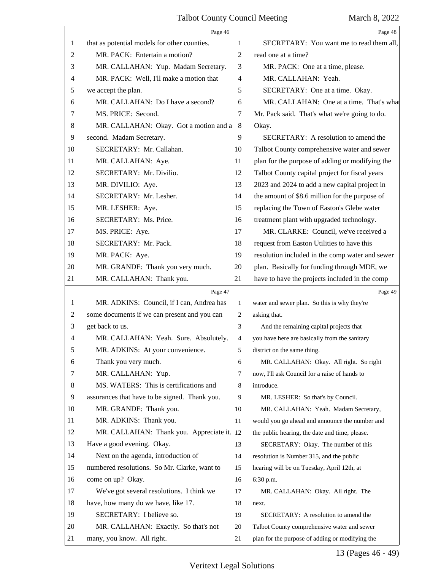|                | Page 46                                       |                | Page 48                                         |
|----------------|-----------------------------------------------|----------------|-------------------------------------------------|
| 1              | that as potential models for other counties.  | 1              | SECRETARY: You want me to read them all,        |
| $\overline{2}$ | MR. PACK: Entertain a motion?                 | $\overline{2}$ | read one at a time?                             |
| 3              | MR. CALLAHAN: Yup. Madam Secretary.           | 3              | MR. PACK: One at a time, please.                |
| $\overline{4}$ | MR. PACK: Well, I'll make a motion that       | 4              | MR. CALLAHAN: Yeah.                             |
| 5              | we accept the plan.                           | 5              | SECRETARY: One at a time. Okay.                 |
| 6              | MR. CALLAHAN: Do I have a second?             | 6              | MR. CALLAHAN: One at a time. That's what        |
| 7              | MS. PRICE: Second.                            | 7              | Mr. Pack said. That's what we're going to do.   |
| 8              | MR. CALLAHAN: Okay. Got a motion and a        | 8              | Okay.                                           |
| 9              | second. Madam Secretary.                      | 9              | SECRETARY: A resolution to amend the            |
| 10             | SECRETARY: Mr. Callahan.                      | 10             | Talbot County comprehensive water and sewer     |
| 11             | MR. CALLAHAN: Aye.                            | 11             | plan for the purpose of adding or modifying the |
| 12             | SECRETARY: Mr. Divilio.                       | 12             | Talbot County capital project for fiscal years  |
| 13             | MR. DIVILIO: Aye.                             | 13             | 2023 and 2024 to add a new capital project in   |
| 14             | SECRETARY: Mr. Lesher.                        | 14             | the amount of \$8.6 million for the purpose of  |
| 15             | MR. LESHER: Aye.                              | 15             | replacing the Town of Easton's Glebe water      |
| 16             | SECRETARY: Ms. Price.                         | 16             | treatment plant with upgraded technology.       |
| 17             | MS. PRICE: Aye.                               | 17             | MR. CLARKE: Council, we've received a           |
| 18             | SECRETARY: Mr. Pack.                          | 18             | request from Easton Utilities to have this      |
| 19             | MR. PACK: Aye.                                | 19             | resolution included in the comp water and sewer |
| 20             | MR. GRANDE: Thank you very much.              | 20             | plan. Basically for funding through MDE, we     |
| 21             | MR. CALLAHAN: Thank you.                      | 21             | have to have the projects included in the comp  |
|                |                                               |                |                                                 |
|                | Page 47                                       |                | Page 49                                         |
| 1              | MR. ADKINS: Council, if I can, Andrea has     | 1              | water and sewer plan. So this is why they're    |
| $\overline{2}$ | some documents if we can present and you can  | $\overline{c}$ | asking that.                                    |
| 3              | get back to us.                               | 3              | And the remaining capital projects that         |
| 4              | MR. CALLAHAN: Yeah. Sure. Absolutely.         | $\overline{4}$ | you have here are basically from the sanitary   |
| 5              | MR. ADKINS: At your convenience.              | 5              | district on the same thing.                     |
| 6              | Thank you very much.                          | 6              | MR. CALLAHAN: Okay. All right. So right         |
| 7              | MR. CALLAHAN: Yup.                            | 7              | now, I'll ask Council for a raise of hands to   |
| 8              | MS. WATERS: This is certifications and        | 8              | introduce.                                      |
| 9              | assurances that have to be signed. Thank you. | 9              | MR. LESHER: So that's by Council.               |
| 10             | MR. GRANDE: Thank you.                        | 10             | MR. CALLAHAN: Yeah. Madam Secretary,            |
| 11             | MR. ADKINS: Thank you.                        | 11             | would you go ahead and announce the number and  |
| 12             | MR. CALLAHAN: Thank you. Appreciate it.       | 12             | the public hearing, the date and time, please.  |
| 13             | Have a good evening. Okay.                    | 13             | SECRETARY: Okay. The number of this             |
| 14             | Next on the agenda, introduction of           | 14             | resolution is Number 315, and the public        |
| 15             | numbered resolutions. So Mr. Clarke, want to  | 15             | hearing will be on Tuesday, April 12th, at      |
| 16             | come on up? Okay.                             | 16             | 6:30 p.m.                                       |
| 17             | We've got several resolutions. I think we     | 17             | MR. CALLAHAN: Okay. All right. The              |
| 18             | have, how many do we have, like 17.           | 18             | next.                                           |
| 19             | SECRETARY: I believe so.                      | 19             | SECRETARY: A resolution to amend the            |
| 20             | MR. CALLAHAN: Exactly. So that's not          | 20             | Talbot County comprehensive water and sewer     |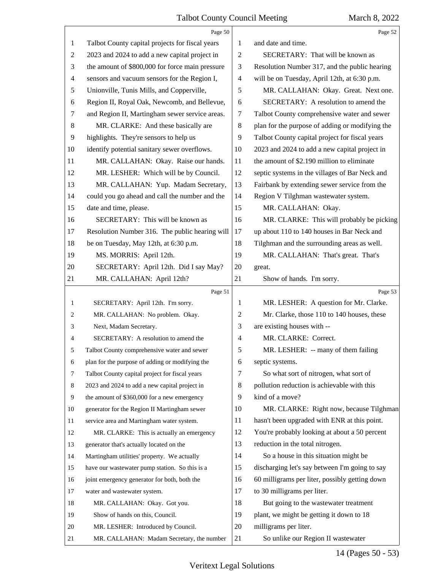$\overline{\phantom{a}}$ 

|              | Page 50                                         |                | Page 52                                         |  |
|--------------|-------------------------------------------------|----------------|-------------------------------------------------|--|
| 1            | Talbot County capital projects for fiscal years | 1              | and date and time.                              |  |
| 2            | 2023 and 2024 to add a new capital project in   | $\overline{2}$ | SECRETARY: That will be known as                |  |
| 3            | the amount of \$800,000 for force main pressure | 3              | Resolution Number 317, and the public hearing   |  |
| 4            | sensors and vacuum sensors for the Region I,    | $\overline{4}$ | will be on Tuesday, April 12th, at 6:30 p.m.    |  |
| 5            | Unionville, Tunis Mills, and Copperville,       | 5              | MR. CALLAHAN: Okay. Great. Next one.            |  |
| 6            | Region II, Royal Oak, Newcomb, and Bellevue,    | 6              | SECRETARY: A resolution to amend the            |  |
| 7            | and Region II, Martingham sewer service areas.  | 7              | Talbot County comprehensive water and sewer     |  |
| 8            | MR. CLARKE: And these basically are             | 8              | plan for the purpose of adding or modifying the |  |
| 9            | highlights. They're sensors to help us          | 9              | Talbot County capital project for fiscal years  |  |
| 10           | identify potential sanitary sewer overflows.    | 10             | 2023 and 2024 to add a new capital project in   |  |
| 11           | MR. CALLAHAN: Okay. Raise our hands.            | 11             | the amount of \$2.190 million to eliminate      |  |
| 12           | MR. LESHER: Which will be by Council.           | 12             | septic systems in the villages of Bar Neck and  |  |
| 13           | MR. CALLAHAN: Yup. Madam Secretary,             | 13             | Fairbank by extending sewer service from the    |  |
| 14           | could you go ahead and call the number and the  | 14             | Region V Tilghman wastewater system.            |  |
| 15           | date and time, please.                          | 15             | MR. CALLAHAN: Okay.                             |  |
| 16           | SECRETARY: This will be known as                | 16             | MR. CLARKE: This will probably be picking       |  |
| 17           | Resolution Number 316. The public hearing will  | 17             | up about 110 to 140 houses in Bar Neck and      |  |
| 18           | be on Tuesday, May 12th, at 6:30 p.m.           | 18             | Tilghman and the surrounding areas as well.     |  |
| 19           | MS. MORRIS: April 12th.                         | 19             | MR. CALLAHAN: That's great. That's              |  |
| 20           | SECRETARY: April 12th. Did I say May?           | 20             | great.                                          |  |
| 21           | MR. CALLAHAN: April 12th?                       | 21             | Show of hands. I'm sorry.                       |  |
|              | Page 51                                         |                | Page 53                                         |  |
| $\mathbf{1}$ | SECRETARY: April 12th. I'm sorry.               | 1              | MR. LESHER: A question for Mr. Clarke.          |  |
| 2            | MR. CALLAHAN: No problem. Okay.                 | $\overline{c}$ | Mr. Clarke, those 110 to 140 houses, these      |  |
| 3            | Next, Madam Secretary.                          | 3              | are existing houses with --                     |  |
| 4            | SECRETARY: A resolution to amend the            | $\overline{4}$ | MR. CLARKE: Correct.                            |  |
| 5            | Talbot County comprehensive water and sewer     | 5              | MR. LESHER: -- many of them failing             |  |
| 6            | plan for the purpose of adding or modifying the | 6              | septic systems.                                 |  |
| 7            | Talbot County capital project for fiscal years  | 7              | So what sort of nitrogen, what sort of          |  |
| 8            | 2023 and 2024 to add a new capital project in   | 8              | pollution reduction is achievable with this     |  |
| 9            | the amount of \$360,000 for a new emergency     | 9              | kind of a move?                                 |  |
| 10           | generator for the Region II Martingham sewer    | 10             | MR. CLARKE: Right now, because Tilghman         |  |
| 11           | service area and Martingham water system.       | 11             | hasn't been upgraded with ENR at this point.    |  |
| 12           | MR. CLARKE: This is actually an emergency       | 12             | You're probably looking at about a 50 percent   |  |
| 13           | generator that's actually located on the        | 13             | reduction in the total nitrogen.                |  |
| 14           | Martingham utilities' property. We actually     | 14             | So a house in this situation might be           |  |
| 15           | have our wastewater pump station. So this is a  | 15             | discharging let's say between I'm going to say  |  |
| 16           | joint emergency generator for both, both the    | 16             | 60 milligrams per liter, possibly getting down  |  |
|              |                                                 |                |                                                 |  |
| 17           | water and wastewater system.                    | 17             | to 30 milligrams per liter.                     |  |
| 18           | MR. CALLAHAN: Okay. Got you.                    | 18             | But going to the wastewater treatment           |  |
| 19           | Show of hands on this, Council.                 | 19             | plant, we might be getting it down to 18        |  |
| 20           | MR. LESHER: Introduced by Council.              | 20             | milligrams per liter.                           |  |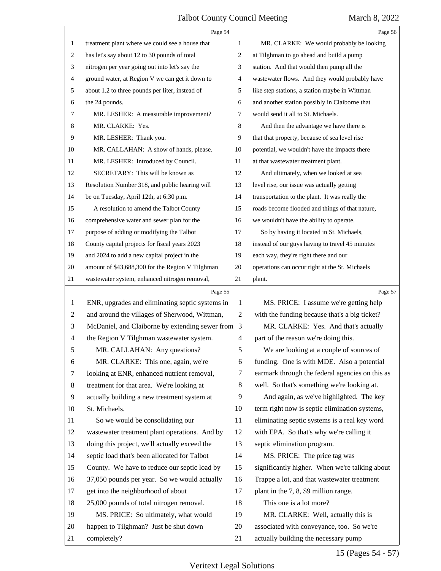|    | Page 54                                          |                | Page 56                                         |
|----|--------------------------------------------------|----------------|-------------------------------------------------|
| 1  | treatment plant where we could see a house that  | 1              | MR. CLARKE: We would probably be looking        |
| 2  | has let's say about 12 to 30 pounds of total     | 2              | at Tilghman to go ahead and build a pump        |
| 3  | nitrogen per year going out into let's say the   | 3              | station. And that would then pump all the       |
| 4  | ground water, at Region V we can get it down to  | 4              | wastewater flows. And they would probably have  |
| 5  | about 1.2 to three pounds per liter, instead of  | 5              | like step stations, a station maybe in Wittman  |
| 6  | the 24 pounds.                                   | 6              | and another station possibly in Claiborne that  |
| 7  | MR. LESHER: A measurable improvement?            | 7              | would send it all to St. Michaels.              |
| 8  | MR. CLARKE: Yes.                                 | 8              | And then the advantage we have there is         |
| 9  | MR. LESHER: Thank you.                           | 9              | that that property, because of sea level rise   |
| 10 | MR. CALLAHAN: A show of hands, please.           | 10             | potential, we wouldn't have the impacts there   |
| 11 | MR. LESHER: Introduced by Council.               | 11             | at that wastewater treatment plant.             |
| 12 | SECRETARY: This will be known as                 | 12             | And ultimately, when we looked at sea           |
| 13 | Resolution Number 318, and public hearing will   | 13             | level rise, our issue was actually getting      |
| 14 | be on Tuesday, April 12th, at 6:30 p.m.          | 14             | transportation to the plant. It was really the  |
| 15 | A resolution to amend the Talbot County          | 15             | roads become flooded and things of that nature, |
| 16 | comprehensive water and sewer plan for the       | 16             | we wouldn't have the ability to operate.        |
| 17 | purpose of adding or modifying the Talbot        | 17             | So by having it located in St. Michaels,        |
| 18 | County capital projects for fiscal years 2023    | 18             | instead of our guys having to travel 45 minutes |
| 19 | and 2024 to add a new capital project in the     | 19             | each way, they're right there and our           |
| 20 | amount of \$43,688,300 for the Region V Tilghman | 20             | operations can occur right at the St. Michaels  |
| 21 | wastewater system, enhanced nitrogen removal,    | 21             | plant.                                          |
|    |                                                  |                |                                                 |
|    | Page 55                                          |                | Page 57                                         |
| 1  | ENR, upgrades and eliminating septic systems in  | 1              | MS. PRICE: I assume we're getting help          |
| 2  | and around the villages of Sherwood, Wittman,    | $\overline{2}$ | with the funding because that's a big ticket?   |
| 3  | McDaniel, and Claiborne by extending sewer from  | 3              | MR. CLARKE: Yes. And that's actually            |
| 4  | the Region V Tilghman wastewater system.         | $\overline{4}$ | part of the reason we're doing this.            |
| 5  | MR. CALLAHAN: Any questions?                     | 5              | We are looking at a couple of sources of        |
| 6  | MR. CLARKE: This one, again, we're               | 6              | funding. One is with MDE. Also a potential      |
| 7  | looking at ENR, enhanced nutrient removal,       | 7              | earmark through the federal agencies on this as |
| 8  | treatment for that area. We're looking at        | 8              | well. So that's something we're looking at.     |
| 9  | actually building a new treatment system at      | 9              | And again, as we've highlighted. The key        |
| 10 | St. Michaels.                                    | 10             | term right now is septic elimination systems,   |
| 11 | So we would be consolidating our                 | 11             | eliminating septic systems is a real key word   |
| 12 | wastewater treatment plant operations. And by    | 12             | with EPA. So that's why we're calling it        |
| 13 | doing this project, we'll actually exceed the    | 13             | septic elimination program.                     |
| 14 | septic load that's been allocated for Talbot     | 14             | MS. PRICE: The price tag was                    |
| 15 | County. We have to reduce our septic load by     | 15             | significantly higher. When we're talking about  |
| 16 | 37,050 pounds per year. So we would actually     | 16             | Trappe a lot, and that wastewater treatment     |
| 17 | get into the neighborhood of about               | 17             | plant in the 7, 8, \$9 million range.           |
| 18 | 25,000 pounds of total nitrogen removal.         | 18             | This one is a lot more?                         |
| 19 | MS. PRICE: So ultimately, what would             | 19             | MR. CLARKE: Well, actually this is              |
| 20 | happen to Tilghman? Just be shut down            | 20             | associated with conveyance, too. So we're       |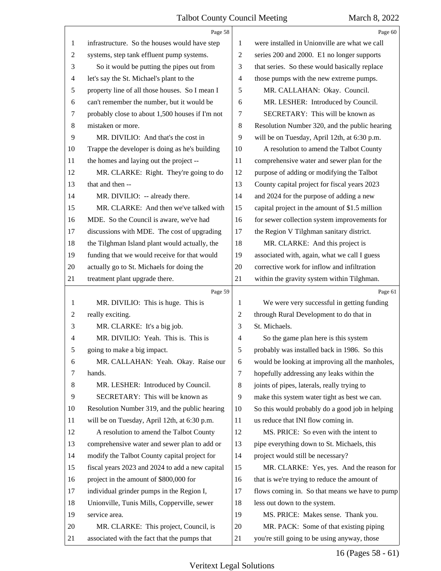|                | Page 58                                         |                | Page 60                                                                                        |
|----------------|-------------------------------------------------|----------------|------------------------------------------------------------------------------------------------|
| 1              | infrastructure. So the houses would have step   | 1              | were installed in Unionville are what we call                                                  |
| $\overline{c}$ | systems, step tank effluent pump systems.       | $\overline{2}$ | series 200 and 2000. E1 no longer supports                                                     |
| 3              | So it would be putting the pipes out from       | 3              | that series. So these would basically replace                                                  |
| 4              | let's say the St. Michael's plant to the        | 4              | those pumps with the new extreme pumps.                                                        |
| 5              | property line of all those houses. So I mean I  | 5              | MR. CALLAHAN: Okay. Council.                                                                   |
| 6              | can't remember the number, but it would be      | 6              | MR. LESHER: Introduced by Council.                                                             |
| 7              | probably close to about 1,500 houses if I'm not | 7              | SECRETARY: This will be known as                                                               |
| 8              | mistaken or more.                               | 8              | Resolution Number 320, and the public hearing                                                  |
| 9              | MR. DIVILIO: And that's the cost in             | 9              | will be on Tuesday, April 12th, at 6:30 p.m.                                                   |
| 10             | Trappe the developer is doing as he's building  | 10             | A resolution to amend the Talbot County                                                        |
| 11             | the homes and laying out the project --         | 11             | comprehensive water and sewer plan for the                                                     |
| 12             | MR. CLARKE: Right. They're going to do          | 12             | purpose of adding or modifying the Talbot                                                      |
| 13             | that and then --                                | 13             | County capital project for fiscal years 2023                                                   |
| 14             | MR. DIVILIO: -- already there.                  | 14             | and 2024 for the purpose of adding a new                                                       |
| 15             | MR. CLARKE: And then we've talked with          | 15             | capital project in the amount of \$1.5 million                                                 |
| 16             | MDE. So the Council is aware, we've had         | 16             | for sewer collection system improvements for                                                   |
| 17             | discussions with MDE. The cost of upgrading     | 17             | the Region V Tilghman sanitary district.                                                       |
| 18             | the Tilghman Island plant would actually, the   | 18             | MR. CLARKE: And this project is                                                                |
| 19             | funding that we would receive for that would    | 19             | associated with, again, what we call I guess                                                   |
| 20             | actually go to St. Michaels for doing the       | 20             | corrective work for inflow and infiltration                                                    |
| 21             | treatment plant upgrade there.                  | 21             | within the gravity system within Tilghman.                                                     |
|                | Page 59                                         |                | Page 61                                                                                        |
|                |                                                 |                |                                                                                                |
| 1              | MR. DIVILIO: This is huge. This is              | $\mathbf{1}$   | We were very successful in getting funding                                                     |
| $\overline{c}$ | really exciting.                                | 2              | through Rural Development to do that in                                                        |
| 3              | MR. CLARKE: It's a big job.                     | 3              | St. Michaels.                                                                                  |
| 4              | MR. DIVILIO: Yeah. This is. This is             | 4              | So the game plan here is this system                                                           |
| 5              | going to make a big impact.                     | 5              | probably was installed back in 1986. So this                                                   |
| 6              | MR. CALLAHAN: Yeah. Okay. Raise our             | 6              | would be looking at improving all the manholes,                                                |
| 7              | hands.                                          | 7              | hopefully addressing any leaks within the                                                      |
| $\,8\,$        | MR. LESHER: Introduced by Council.              | $\,8\,$        | joints of pipes, laterals, really trying to                                                    |
| 9              | SECRETARY: This will be known as                | 9              | make this system water tight as best we can.                                                   |
| 10             | Resolution Number 319, and the public hearing   | 10             | So this would probably do a good job in helping                                                |
| 11             | will be on Tuesday, April 12th, at 6:30 p.m.    | 11             | us reduce that INI flow coming in.                                                             |
| 12             | A resolution to amend the Talbot County         | 12             | MS. PRICE: So even with the intent to                                                          |
| 13             | comprehensive water and sewer plan to add or    | 13             | pipe everything down to St. Michaels, this                                                     |
| 14             | modify the Talbot County capital project for    | 14             |                                                                                                |
| 15             | fiscal years 2023 and 2024 to add a new capital | 15             | project would still be necessary?<br>MR. CLARKE: Yes, yes. And the reason for                  |
| 16             | project in the amount of \$800,000 for          | 16             |                                                                                                |
| 17             | individual grinder pumps in the Region I,       | 17             | that is we're trying to reduce the amount of<br>flows coming in. So that means we have to pump |
| 18             | Unionville, Tunis Mills, Copperville, sewer     | 18             | less out down to the system.                                                                   |
| 19             | service area.                                   | 19             | MS. PRICE: Makes sense. Thank you.                                                             |
| 20             | MR. CLARKE: This project, Council, is           | 20             | MR. PACK: Some of that existing piping                                                         |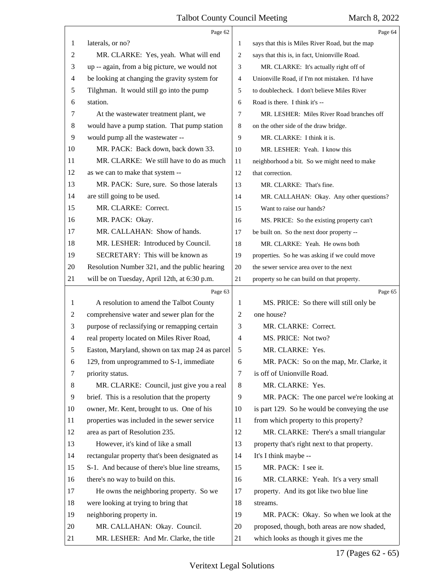|                | Page 62                                         |                | Page 64                                         |  |
|----------------|-------------------------------------------------|----------------|-------------------------------------------------|--|
| 1              | laterals, or no?                                | 1              | says that this is Miles River Road, but the map |  |
| $\overline{2}$ | MR. CLARKE: Yes, yeah. What will end            | 2              | says that this is, in fact, Unionville Road.    |  |
| 3              | up -- again, from a big picture, we would not   | 3              | MR. CLARKE: It's actually right off of          |  |
| $\overline{4}$ | be looking at changing the gravity system for   | $\overline{4}$ | Unionville Road, if I'm not mistaken. I'd have  |  |
| 5              | Tilghman. It would still go into the pump       | 5              | to doublecheck. I don't believe Miles River     |  |
| 6              | station.                                        | 6              | Road is there. I think it's --                  |  |
| 7              | At the wastewater treatment plant, we           | 7              | MR. LESHER: Miles River Road branches off       |  |
| 8              | would have a pump station. That pump station    | 8              | on the other side of the draw bridge.           |  |
| 9              | would pump all the wastewater --                | 9              | MR. CLARKE: I think it is.                      |  |
| 10             | MR. PACK: Back down, back down 33.              | 10             | MR. LESHER: Yeah. I know this                   |  |
| 11             | MR. CLARKE: We still have to do as much         | 11             | neighborhood a bit. So we might need to make    |  |
| 12             | as we can to make that system --                | 12             | that correction.                                |  |
| 13             | MR. PACK: Sure, sure. So those laterals         | 13             | MR. CLARKE: That's fine.                        |  |
| 14             | are still going to be used.                     | 14             | MR. CALLAHAN: Okay. Any other questions?        |  |
| 15             | MR. CLARKE: Correct.                            | 15             | Want to raise our hands?                        |  |
| 16             | MR. PACK: Okay.                                 | 16             | MS. PRICE: So the existing property can't       |  |
| 17             | MR. CALLAHAN: Show of hands.                    | 17             | be built on. So the next door property --       |  |
| 18             | MR. LESHER: Introduced by Council.              | 18             | MR. CLARKE: Yeah. He owns both                  |  |
| 19             | SECRETARY: This will be known as                | 19             | properties. So he was asking if we could move   |  |
| 20             | Resolution Number 321, and the public hearing   | 20             | the sewer service area over to the next         |  |
| 21             | will be on Tuesday, April 12th, at 6:30 p.m.    | 21             | property so he can build on that property.      |  |
|                |                                                 |                |                                                 |  |
|                | Page 63                                         |                | Page 65                                         |  |
| 1              | A resolution to amend the Talbot County         | 1              | MS. PRICE: So there will still only be          |  |
| 2              | comprehensive water and sewer plan for the      | $\overline{2}$ | one house?                                      |  |
| 3              | purpose of reclassifying or remapping certain   | 3              | MR. CLARKE: Correct.                            |  |
| 4              | real property located on Miles River Road,      | $\overline{4}$ | MS. PRICE: Not two?                             |  |
| 5              | Easton, Maryland, shown on tax map 24 as parcel | 5              | MR. CLARKE: Yes.                                |  |
| 6              | 129, from unprogrammed to S-1, immediate        | 6              | MR. PACK: So on the map, Mr. Clarke, it         |  |
| 7              | priority status.                                | 7              | is off of Unionville Road.                      |  |
| 8              | MR. CLARKE: Council, just give you a real       | 8              | MR. CLARKE: Yes.                                |  |
| 9              | brief. This is a resolution that the property   | 9              | MR. PACK: The one parcel we're looking at       |  |
| 10             | owner, Mr. Kent, brought to us. One of his      | 10             | is part 129. So he would be conveying the use   |  |
| 11             | properties was included in the sewer service    | 11             | from which property to this property?           |  |
| 12             | area as part of Resolution 235.                 | 12             | MR. CLARKE: There's a small triangular          |  |
| 13             | However, it's kind of like a small              | 13             | property that's right next to that property.    |  |
| 14             | rectangular property that's been designated as  | 14             | It's I think maybe --                           |  |
| 15             | S-1. And because of there's blue line streams,  | 15             | MR. PACK: I see it.                             |  |
| 16             | there's no way to build on this.                | 16             | MR. CLARKE: Yeah. It's a very small             |  |
| 17             | He owns the neighboring property. So we         | 17             | property. And its got like two blue line        |  |
| 18             | were looking at trying to bring that            | 18             | streams.                                        |  |
| 19             | neighboring property in.                        | 19             | MR. PACK: Okay. So when we look at the          |  |
| 20             | MR. CALLAHAN: Okay. Council.                    | 20             | proposed, though, both areas are now shaded,    |  |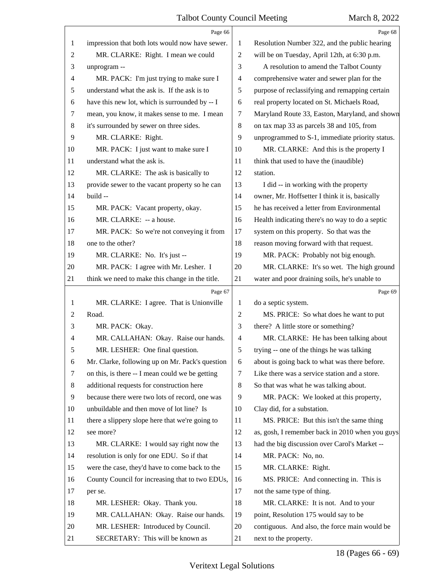|                | Page 66                                         |                          | Page 68                                         |
|----------------|-------------------------------------------------|--------------------------|-------------------------------------------------|
| 1              | impression that both lots would now have sewer. | 1                        | Resolution Number 322, and the public hearing   |
| $\overline{2}$ | MR. CLARKE: Right. I mean we could              | $\mathbf{2}$             | will be on Tuesday, April 12th, at 6:30 p.m.    |
| 3              | unprogram --                                    | 3                        | A resolution to amend the Talbot County         |
| 4              | MR. PACK: I'm just trying to make sure I        | $\overline{\mathcal{A}}$ | comprehensive water and sewer plan for the      |
| 5              | understand what the ask is. If the ask is to    | 5                        | purpose of reclassifying and remapping certain  |
| 6              | have this new lot, which is surrounded by -- I  | 6                        | real property located on St. Michaels Road,     |
| 7              | mean, you know, it makes sense to me. I mean    | 7                        | Maryland Route 33, Easton, Maryland, and shown  |
| $\,8\,$        | it's surrounded by sewer on three sides.        | $\,8\,$                  | on tax map 33 as parcels 38 and 105, from       |
| 9              | MR. CLARKE: Right.                              | 9                        | unprogrammed to S-1, immediate priority status. |
| 10             | MR. PACK: I just want to make sure I            | 10                       | MR. CLARKE: And this is the property I          |
| 11             | understand what the ask is.                     | 11                       | think that used to have the (inaudible)         |
| 12             | MR. CLARKE: The ask is basically to             | 12                       | station.                                        |
| 13             | provide sewer to the vacant property so he can  | 13                       | I did -- in working with the property           |
| 14             | build --                                        | 14                       | owner, Mr. Hoffsetter I think it is, basically  |
| 15             | MR. PACK: Vacant property, okay.                | 15                       | he has received a letter from Environmental     |
| 16             | MR. CLARKE: -- a house.                         | 16                       | Health indicating there's no way to do a septic |
| 17             | MR. PACK: So we're not conveying it from        | 17                       | system on this property. So that was the        |
| 18             | one to the other?                               | 18                       | reason moving forward with that request.        |
| 19             | MR. CLARKE: No. It's just --                    | 19                       | MR. PACK: Probably not big enough.              |
| 20             | MR. PACK: I agree with Mr. Lesher. I            | 20                       | MR. CLARKE: It's so wet. The high ground        |
| 21             | think we need to make this change in the title. | 21                       | water and poor draining soils, he's unable to   |
|                |                                                 |                          |                                                 |
|                | Page 67                                         |                          | Page 69                                         |
| 1              | MR. CLARKE: I agree. That is Unionville         | 1                        | do a septic system.                             |
| 2              | Road.                                           | $\overline{2}$           | MS. PRICE: So what does he want to put          |
| 3              | MR. PACK: Okay.                                 | 3                        | there? A little store or something?             |
| 4              | MR. CALLAHAN: Okay. Raise our hands.            | $\overline{4}$           | MR. CLARKE: He has been talking about           |
| 5              | MR. LESHER: One final question.                 | 5                        | trying -- one of the things he was talking      |
| 6              | Mr. Clarke, following up on Mr. Pack's question | 6                        | about is going back to what was there before.   |
| 7              | on this, is there -- I mean could we be getting | 7                        | Like there was a service station and a store.   |
| 8              | additional requests for construction here       | 8                        | So that was what he was talking about.          |
| 9              | because there were two lots of record, one was  | 9                        | MR. PACK: We looked at this property,           |
| 10             | unbuildable and then move of lot line? Is       | 10                       | Clay did, for a substation.                     |
| 11             | there a slippery slope here that we're going to | 11                       | MS. PRICE: But this isn't the same thing        |
| 12             | see more?                                       | 12                       | as, gosh, I remember back in 2010 when you guys |
| 13             | MR. CLARKE: I would say right now the           | 13                       | had the big discussion over Carol's Market --   |
| 14             | resolution is only for one EDU. So if that      | 14                       | MR. PACK: No, no.                               |
| 15             | were the case, they'd have to come back to the  | 15                       | MR. CLARKE: Right.                              |
| 16             | County Council for increasing that to two EDUs, | 16                       | MS. PRICE: And connecting in. This is           |
| 17             | per se.                                         | 17                       | not the same type of thing.                     |
| 18             | MR. LESHER: Okay. Thank you.                    | 18                       | MR. CLARKE: It is not. And to your              |
| 19             | MR. CALLAHAN: Okay. Raise our hands.            | 19                       | point, Resolution 175 would say to be           |
| 20             | MR. LESHER: Introduced by Council.              | 20                       | contiguous. And also, the force main would be   |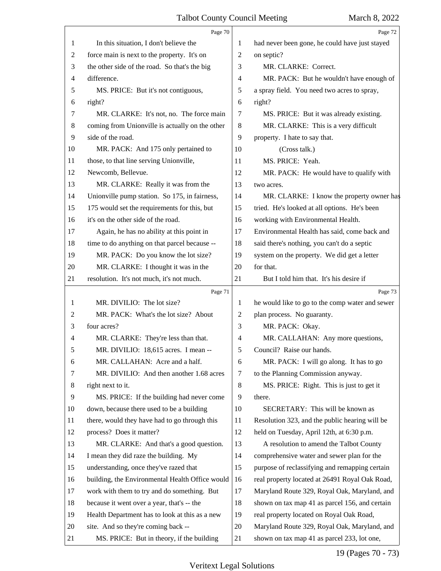|    | Page 70                                         |    | Page 72                                         |
|----|-------------------------------------------------|----|-------------------------------------------------|
| 1  | In this situation, I don't believe the          | 1  | had never been gone, he could have just stayed  |
| 2  | force main is next to the property. It's on     | 2  | on septic?                                      |
| 3  | the other side of the road. So that's the big   | 3  | MR. CLARKE: Correct.                            |
| 4  | difference.                                     | 4  | MR. PACK: But he wouldn't have enough of        |
| 5  | MS. PRICE: But it's not contiguous,             | 5  | a spray field. You need two acres to spray,     |
| 6  | right?                                          | 6  | right?                                          |
| 7  | MR. CLARKE: It's not, no. The force main        | 7  | MS. PRICE: But it was already existing.         |
| 8  | coming from Unionville is actually on the other | 8  | MR. CLARKE: This is a very difficult            |
| 9  | side of the road.                               | 9  | property. I hate to say that.                   |
| 10 | MR. PACK: And 175 only pertained to             | 10 | (Cross talk.)                                   |
| 11 | those, to that line serving Unionville,         | 11 | MS. PRICE: Yeah.                                |
| 12 | Newcomb, Bellevue.                              | 12 | MR. PACK: He would have to qualify with         |
| 13 | MR. CLARKE: Really it was from the              | 13 | two acres.                                      |
| 14 | Unionville pump station. So 175, in fairness,   | 14 | MR. CLARKE: I know the property owner has       |
| 15 | 175 would set the requirements for this, but    | 15 | tried. He's looked at all options. He's been    |
| 16 | it's on the other side of the road.             | 16 | working with Environmental Health.              |
| 17 | Again, he has no ability at this point in       | 17 | Environmental Health has said, come back and    |
| 18 | time to do anything on that parcel because --   | 18 | said there's nothing, you can't do a septic     |
| 19 | MR. PACK: Do you know the lot size?             | 19 | system on the property. We did get a letter     |
| 20 | MR. CLARKE: I thought it was in the             | 20 | for that.                                       |
| 21 | resolution. It's not much, it's not much.       | 21 | But I told him that. It's his desire if         |
|    | Page 71                                         |    | Page 73                                         |
| 1  | MR. DIVILIO: The lot size?                      | 1  | he would like to go to the comp water and sewer |
| 2  | MR. PACK: What's the lot size? About            | 2  | plan process. No guaranty.                      |
| 3  | four acres?                                     | 3  | MR. PACK: Okay.                                 |
| 4  | MR. CLARKE: They're less than that.             | 4  | MR. CALLAHAN: Any more questions,               |
| 5  | MR. DIVILIO: 18,615 acres. I mean --            | 5  | Council? Raise our hands.                       |
| 6  | MR. CALLAHAN: Acre and a half.                  | 6  | MR. PACK: I will go along. It has to go         |
| 7  | MR. DIVILIO: And then another 1.68 acres        | 7  | to the Planning Commission anyway.              |
| 8  | right next to it.                               | 8  | MS. PRICE: Right. This is just to get it        |
| 9  | MS. PRICE: If the building had never come       | 9  | there.                                          |
| 10 | down, because there used to be a building       | 10 | SECRETARY: This will be known as                |
| 11 | there, would they have had to go through this   | 11 | Resolution 323, and the public hearing will be  |
| 12 | process? Does it matter?                        | 12 | held on Tuesday, April 12th, at 6:30 p.m.       |
| 13 | MR. CLARKE: And that's a good question.         | 13 | A resolution to amend the Talbot County         |
| 14 | I mean they did raze the building. My           | 14 | comprehensive water and sewer plan for the      |
| 15 | understanding, once they've razed that          | 15 | purpose of reclassifying and remapping certain  |
| 16 | building, the Environmental Health Office would | 16 | real property located at 26491 Royal Oak Road,  |
| 17 | work with them to try and do something. But     | 17 | Maryland Route 329, Royal Oak, Maryland, and    |
| 18 | because it went over a year, that's -- the      | 18 | shown on tax map 41 as parcel 156, and certain  |
| 19 | Health Department has to look at this as a new  | 19 | real property located on Royal Oak Road,        |
| 20 | site. And so they're coming back --             | 20 | Maryland Route 329, Royal Oak, Maryland, and    |
| 21 | MS. PRICE: But in theory, if the building       | 21 | shown on tax map 41 as parcel 233, lot one,     |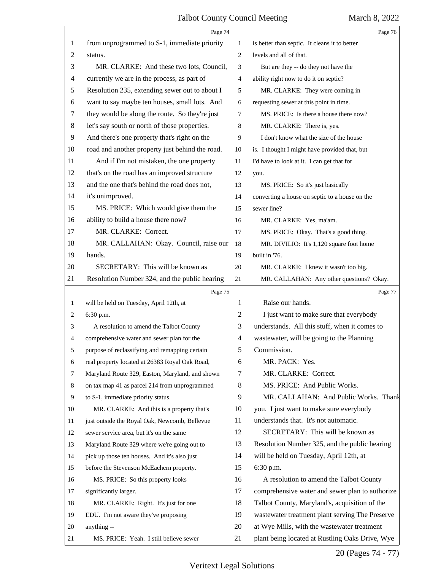|                | Page 74                                         |                | Page 76                                         |
|----------------|-------------------------------------------------|----------------|-------------------------------------------------|
| 1              | from unprogrammed to S-1, immediate priority    | 1              | is better than septic. It cleans it to better   |
| $\overline{c}$ | status.                                         | 2              | levels and all of that.                         |
| 3              | MR. CLARKE: And these two lots, Council,        | 3              | But are they -- do they not have the            |
| 4              | currently we are in the process, as part of     | 4              | ability right now to do it on septic?           |
| 5              | Resolution 235, extending sewer out to about I  | 5              | MR. CLARKE: They were coming in                 |
| 6              | want to say maybe ten houses, small lots. And   | 6              | requesting sewer at this point in time.         |
| 7              | they would be along the route. So they're just  | 7              | MS. PRICE: Is there a house there now?          |
| 8              | let's say south or north of those properties.   | 8              | MR. CLARKE: There is, yes.                      |
| 9              | And there's one property that's right on the    | 9              | I don't know what the size of the house         |
| 10             | road and another property just behind the road. | 10             | is. I thought I might have provided that, but   |
| 11             | And if I'm not mistaken, the one property       | 11             | I'd have to look at it. I can get that for      |
| 12             | that's on the road has an improved structure    | 12             | you.                                            |
| 13             | and the one that's behind the road does not,    | 13             | MS. PRICE: So it's just basically               |
| 14             | it's unimproved.                                | 14             | converting a house on septic to a house on the  |
| 15             | MS. PRICE: Which would give them the            | 15             | sewer line?                                     |
| 16             | ability to build a house there now?             | 16             | MR. CLARKE: Yes, ma'am.                         |
| 17             | MR. CLARKE: Correct.                            | 17             | MS. PRICE: Okay. That's a good thing.           |
| 18             | MR. CALLAHAN: Okay. Council, raise our          | 18             | MR. DIVILIO: It's 1,120 square foot home        |
| 19             | hands.                                          | 19             | built in '76.                                   |
| 20             | SECRETARY: This will be known as                | 20             | MR. CLARKE: I knew it wasn't too big.           |
| 21             | Resolution Number 324, and the public hearing   | 21             | MR. CALLAHAN: Any other questions? Okay.        |
|                | Page 75                                         |                | Page 77                                         |
| $\mathbf{1}$   | will be held on Tuesday, April 12th, at         | 1              | Raise our hands.                                |
| 2              | 6:30 p.m.                                       | 2              | I just want to make sure that everybody         |
| 3              | A resolution to amend the Talbot County         | 3              | understands. All this stuff, when it comes to   |
| 4              | comprehensive water and sewer plan for the      | $\overline{4}$ | wastewater, will be going to the Planning       |
| 5              | purpose of reclassifying and remapping certain  | 5              | Commission.                                     |
| 6              | real property located at 26383 Royal Oak Road,  | 6              | MR. PACK: Yes.                                  |
| 7              | Maryland Route 329, Easton, Maryland, and shown |                |                                                 |
| 8              |                                                 | 7              | MR. CLARKE: Correct.                            |
| 9              | on tax map 41 as parcel 214 from unprogrammed   | 8              | MS. PRICE: And Public Works.                    |
|                | to S-1, immediate priority status.              | 9              | MR. CALLAHAN: And Public Works. Thank           |
| 10             | MR. CLARKE: And this is a property that's       | 10             | you. I just want to make sure everybody         |
| 11             | just outside the Royal Oak, Newcomb, Bellevue   | 11             | understands that. It's not automatic.           |
| 12             | sewer service area, but it's on the same        | 12             | SECRETARY: This will be known as                |
| 13             | Maryland Route 329 where we're going out to     | 13             | Resolution Number 325, and the public hearing   |
| 14             | pick up those ten houses. And it's also just    | 14             | will be held on Tuesday, April 12th, at         |
| 15             | before the Stevenson McEachern property.        | 15             | 6:30 p.m.                                       |
| 16             | MS. PRICE: So this property looks               | 16             | A resolution to amend the Talbot County         |
| 17             | significantly larger.                           | 17             | comprehensive water and sewer plan to authorize |
| 18             | MR. CLARKE: Right. It's just for one            | 18             | Talbot County, Maryland's, acquisition of the   |
| 19             | EDU. I'm not aware they've proposing            | 19             | wastewater treatment plant serving The Preserve |
| 20             | anything --                                     | 20             | at Wye Mills, with the wastewater treatment     |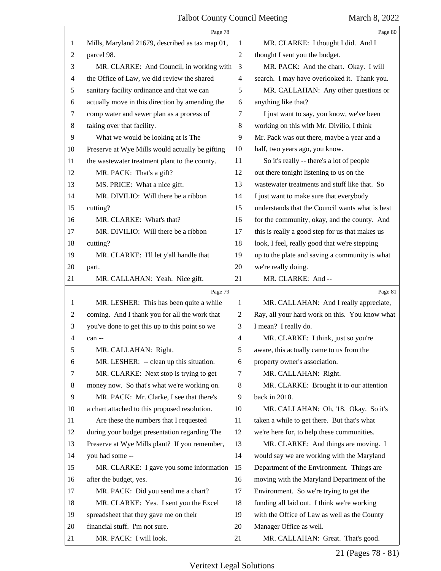|                | Page 78                                         |                | Page 80                                         |
|----------------|-------------------------------------------------|----------------|-------------------------------------------------|
| 1              | Mills, Maryland 21679, described as tax map 01, | 1              | MR. CLARKE: I thought I did. And I              |
| $\overline{c}$ | parcel 98.                                      | $\mathfrak{2}$ | thought I sent you the budget.                  |
| 3              | MR. CLARKE: And Council, in working with        | 3              | MR. PACK: And the chart. Okay. I will           |
| 4              | the Office of Law, we did review the shared     | 4              | search. I may have overlooked it. Thank you.    |
| 5              | sanitary facility ordinance and that we can     | 5              | MR. CALLAHAN: Any other questions or            |
| 6              | actually move in this direction by amending the | 6              | anything like that?                             |
| 7              | comp water and sewer plan as a process of       | 7              | I just want to say, you know, we've been        |
| 8              | taking over that facility.                      | 8              | working on this with Mr. Divilio, I think       |
| 9              | What we would be looking at is The              | 9              | Mr. Pack was out there, maybe a year and a      |
| 10             | Preserve at Wye Mills would actually be gifting | 10             | half, two years ago, you know.                  |
| 11             | the wastewater treatment plant to the county.   | 11             | So it's really -- there's a lot of people       |
| 12             | MR. PACK: That's a gift?                        | 12             | out there tonight listening to us on the        |
| 13             | MS. PRICE: What a nice gift.                    | 13             | wastewater treatments and stuff like that. So   |
| 14             | MR. DIVILIO: Will there be a ribbon             | 14             | I just want to make sure that everybody         |
| 15             | cutting?                                        | 15             | understands that the Council wants what is best |
| 16             | MR. CLARKE: What's that?                        | 16             | for the community, okay, and the county. And    |
| 17             | MR. DIVILIO: Will there be a ribbon             | 17             | this is really a good step for us that makes us |
| 18             | cutting?                                        | 18             | look, I feel, really good that we're stepping   |
| 19             | MR. CLARKE: I'll let y'all handle that          | 19             | up to the plate and saving a community is what  |
| 20             | part.                                           | 20             | we're really doing.                             |
| 21             | MR. CALLAHAN: Yeah. Nice gift.                  | 21             | MR. CLARKE: And --                              |
|                |                                                 |                |                                                 |
|                | Page 79                                         |                | Page 81                                         |
| 1              | MR. LESHER: This has been quite a while         | 1              | MR. CALLAHAN: And I really appreciate,          |
| 2              | coming. And I thank you for all the work that   | 2              | Ray, all your hard work on this. You know what  |
| 3              | you've done to get this up to this point so we  | 3              | I mean? I really do.                            |
| 4              | can --                                          | 4              | MR. CLARKE: I think, just so you're             |
| 5              | MR. CALLAHAN: Right.                            | 5              | aware, this actually came to us from the        |
| 6              | MR. LESHER: -- clean up this situation.         | 6              | property owner's association.                   |
| 7              | MR. CLARKE: Next stop is trying to get          | 7              | MR. CALLAHAN: Right.                            |
| 8              | money now. So that's what we're working on.     | 8              | MR. CLARKE: Brought it to our attention         |
| 9              | MR. PACK: Mr. Clarke, I see that there's        | 9              | back in 2018.                                   |
| 10             | a chart attached to this proposed resolution.   | 10             | MR. CALLAHAN: Oh, '18. Okay. So it's            |
| 11             | Are these the numbers that I requested          | 11             | taken a while to get there. But that's what     |
| 12             | during your budget presentation regarding The   | 12             | we're here for, to help these communities.      |
| 13             | Preserve at Wye Mills plant? If you remember,   | 13             | MR. CLARKE: And things are moving. I            |
| 14             | you had some --                                 | 14             | would say we are working with the Maryland      |
| 15             | MR. CLARKE: I gave you some information         | 15             | Department of the Environment. Things are       |
| 16             | after the budget, yes.                          | 16             | moving with the Maryland Department of the      |
| 17             | MR. PACK: Did you send me a chart?              | 17             | Environment. So we're trying to get the         |
| 18             | MR. CLARKE: Yes. I sent you the Excel           | 18             | funding all laid out. I think we're working     |
| 19             | spreadsheet that they gave me on their          | 19             | with the Office of Law as well as the County    |
| 20             | financial stuff. I'm not sure.                  | 20             | Manager Office as well.                         |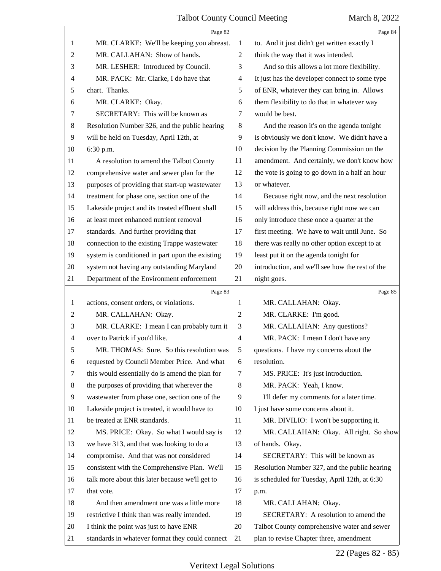|                | Page 82                                         |                | Page 84                                         |
|----------------|-------------------------------------------------|----------------|-------------------------------------------------|
| 1              | MR. CLARKE: We'll be keeping you abreast.       | 1              | to. And it just didn't get written exactly I    |
| 2              | MR. CALLAHAN: Show of hands.                    | $\overline{2}$ | think the way that it was intended.             |
| 3              | MR. LESHER: Introduced by Council.              | 3              | And so this allows a lot more flexibility.      |
| 4              | MR. PACK: Mr. Clarke, I do have that            | 4              | It just has the developer connect to some type  |
| 5              | chart. Thanks.                                  | 5              | of ENR, whatever they can bring in. Allows      |
| 6              | MR. CLARKE: Okay.                               | 6              | them flexibility to do that in whatever way     |
| 7              | SECRETARY: This will be known as                | 7              | would be best.                                  |
| 8              | Resolution Number 326, and the public hearing   | 8              | And the reason it's on the agenda tonight       |
| 9              | will be held on Tuesday, April 12th, at         | 9              | is obviously we don't know. We didn't have a    |
| 10             | 6:30 p.m.                                       | 10             | decision by the Planning Commission on the      |
| 11             | A resolution to amend the Talbot County         | 11             | amendment. And certainly, we don't know how     |
| 12             | comprehensive water and sewer plan for the      | 12             | the vote is going to go down in a half an hour  |
| 13             | purposes of providing that start-up wastewater  | 13             | or whatever.                                    |
| 14             | treatment for phase one, section one of the     | 14             | Because right now, and the next resolution      |
| 15             | Lakeside project and its treated effluent shall | 15             | will address this, because right now we can     |
| 16             | at least meet enhanced nutrient removal         | 16             | only introduce these once a quarter at the      |
| 17             | standards. And further providing that           | 17             | first meeting. We have to wait until June. So   |
| 18             | connection to the existing Trappe wastewater    | 18             | there was really no other option except to at   |
| 19             | system is conditioned in part upon the existing | 19             | least put it on the agenda tonight for          |
| 20             | system not having any outstanding Maryland      | 20             | introduction, and we'll see how the rest of the |
| 21             | Department of the Environment enforcement       | 21             | night goes.                                     |
|                |                                                 |                |                                                 |
|                | Page 83                                         |                | Page 85                                         |
| 1              | actions, consent orders, or violations.         | 1              | MR. CALLAHAN: Okay.                             |
| $\overline{2}$ | MR. CALLAHAN: Okay.                             | $\overline{2}$ | MR. CLARKE: I'm good.                           |
| 3              | MR. CLARKE: I mean I can probably turn it       | 3              | MR. CALLAHAN: Any questions?                    |
| 4              | over to Patrick if you'd like.                  | $\overline{4}$ | MR. PACK: I mean I don't have any               |
| 5              | MR. THOMAS: Sure. So this resolution was        | 5              | questions. I have my concerns about the         |
| 6              | requested by Council Member Price. And what     | 6              | resolution.                                     |
| 7              | this would essentially do is amend the plan for | 7              | MS. PRICE: It's just introduction.              |
| 8              | the purposes of providing that wherever the     | 8              | MR. PACK: Yeah, I know.                         |
| 9              | wastewater from phase one, section one of the   | 9              | I'll defer my comments for a later time.        |
| 10             | Lakeside project is treated, it would have to   | 10             | I just have some concerns about it.             |
| 11             | be treated at ENR standards.                    | 11             | MR. DIVILIO: I won't be supporting it.          |
| 12             | MS. PRICE: Okay. So what I would say is         | 12             | MR. CALLAHAN: Okay. All right. So show          |
| 13             | we have 313, and that was looking to do a       | 13             | of hands. Okay.                                 |
| 14             | compromise. And that was not considered         | 14             | SECRETARY: This will be known as                |
| 15             | consistent with the Comprehensive Plan. We'll   | 15             | Resolution Number 327, and the public hearing   |
| 16             | talk more about this later because we'll get to | 16             | is scheduled for Tuesday, April 12th, at 6:30   |
| 17             | that vote.                                      | 17             | p.m.                                            |
| 18             | And then amendment one was a little more        | 18             | MR. CALLAHAN: Okay.                             |
| 19             | restrictive I think than was really intended.   | 19             | SECRETARY: A resolution to amend the            |
| 20             | I think the point was just to have ENR          | 20             | Talbot County comprehensive water and sewer     |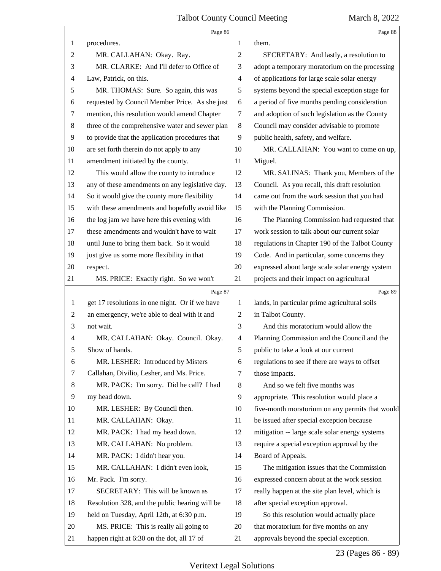|                | Page 86                                         |                | Page 88                                         |
|----------------|-------------------------------------------------|----------------|-------------------------------------------------|
| 1              | procedures.                                     | 1              | them.                                           |
| 2              | MR. CALLAHAN: Okay. Ray.                        | 2              | SECRETARY: And lastly, a resolution to          |
| 3              | MR. CLARKE: And I'll defer to Office of         | 3              | adopt a temporary moratorium on the processing  |
| 4              | Law, Patrick, on this.                          | 4              | of applications for large scale solar energy    |
| 5              | MR. THOMAS: Sure. So again, this was            | 5              | systems beyond the special exception stage for  |
| 6              | requested by Council Member Price. As she just  | 6              | a period of five months pending consideration   |
| 7              | mention, this resolution would amend Chapter    | $\tau$         | and adoption of such legislation as the County  |
| $\,8\,$        | three of the comprehensive water and sewer plan | $\,8\,$        | Council may consider advisable to promote       |
| 9              | to provide that the application procedures that | 9              | public health, safety, and welfare.             |
| 10             | are set forth therein do not apply to any       | 10             | MR. CALLAHAN: You want to come on up,           |
| 11             | amendment initiated by the county.              | 11             | Miguel.                                         |
| 12             | This would allow the county to introduce        | 12             | MR. SALINAS: Thank you, Members of the          |
| 13             | any of these amendments on any legislative day. | 13             | Council. As you recall, this draft resolution   |
| 14             | So it would give the county more flexibility    | 14             | came out from the work session that you had     |
| 15             | with these amendments and hopefully avoid like  | 15             | with the Planning Commission.                   |
| 16             | the log jam we have here this evening with      | 16             | The Planning Commission had requested that      |
| 17             | these amendments and wouldn't have to wait      | 17             | work session to talk about our current solar    |
| 18             | until June to bring them back. So it would      | 18             | regulations in Chapter 190 of the Talbot County |
| 19             | just give us some more flexibility in that      | 19             | Code. And in particular, some concerns they     |
| 20             | respect.                                        | 20             | expressed about large scale solar energy system |
| 21             | MS. PRICE: Exactly right. So we won't           | 21             | projects and their impact on agricultural       |
|                | Page 87                                         |                | Page 89                                         |
| $\mathbf{1}$   | get 17 resolutions in one night. Or if we have  | 1              | lands, in particular prime agricultural soils   |
| $\overline{c}$ | an emergency, we're able to deal with it and    | $\overline{c}$ | in Talbot County.                               |
| 3              | not wait.                                       | 3              | And this moratorium would allow the             |
| 4              | MR. CALLAHAN: Okay. Council. Okay.              | 4              | Planning Commission and the Council and the     |
| 5              | Show of hands.                                  | 5              | public to take a look at our current            |
| 6              | MR. LESHER: Introduced by Misters               | 6              | regulations to see if there are ways to offset  |
| 7              | Callahan, Divilio, Lesher, and Ms. Price.       | 7              | those impacts.                                  |
| 8              | MR. PACK: I'm sorry. Did he call? I had         | 8              | And so we felt five months was                  |
| 9              | my head down.                                   | 9              | appropriate. This resolution would place a      |
| 10             | MR. LESHER: By Council then.                    | 10             | five-month moratorium on any permits that would |
| 11             | MR. CALLAHAN: Okay.                             | 11             | be issued after special exception because       |
| 12             | MR. PACK: I had my head down.                   | 12             | mitigation -- large scale solar energy systems  |
| 13             | MR. CALLAHAN: No problem.                       | 13             | require a special exception approval by the     |
| 14             | MR. PACK: I didn't hear you.                    | 14             | Board of Appeals.                               |
| 15             | MR. CALLAHAN: I didn't even look,               | 15             | The mitigation issues that the Commission       |
| 16             | Mr. Pack. I'm sorry.                            | 16             | expressed concern about at the work session     |
|                |                                                 |                |                                                 |
| 17             | SECRETARY: This will be known as                | 17             | really happen at the site plan level, which is  |
| 18             | Resolution 328, and the public hearing will be  | 18             | after special exception approval.               |
| 19             | held on Tuesday, April 12th, at 6:30 p.m.       | 19             | So this resolution would actually place         |
| 20             | MS. PRICE: This is really all going to          | 20             | that moratorium for five months on any          |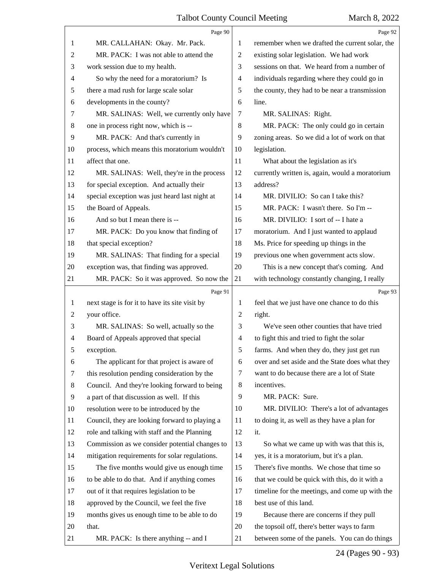|                | Page 90                                        |                | Page 92                                                                                       |
|----------------|------------------------------------------------|----------------|-----------------------------------------------------------------------------------------------|
| 1              | MR. CALLAHAN: Okay. Mr. Pack.                  | 1              | remember when we drafted the current solar, the                                               |
| 2              | MR. PACK: I was not able to attend the         | $\overline{c}$ | existing solar legislation. We had work                                                       |
| 3              | work session due to my health.                 | 3              | sessions on that. We heard from a number of                                                   |
| $\overline{4}$ | So why the need for a moratorium? Is           | $\overline{4}$ | individuals regarding where they could go in                                                  |
| 5              | there a mad rush for large scale solar         | 5              | the county, they had to be near a transmission                                                |
| 6              | developments in the county?                    | 6              | line.                                                                                         |
| 7              | MR. SALINAS: Well, we currently only have      | 7              | MR. SALINAS: Right.                                                                           |
| 8              | one in process right now, which is --          | 8              | MR. PACK: The only could go in certain                                                        |
| 9              | MR. PACK: And that's currently in              | 9              | zoning areas. So we did a lot of work on that                                                 |
| 10             | process, which means this moratorium wouldn't  | 10             | legislation.                                                                                  |
| 11             | affect that one.                               | 11             | What about the legislation as it's                                                            |
| 12             | MR. SALINAS: Well, they're in the process      | 12             | currently written is, again, would a moratorium                                               |
| 13             | for special exception. And actually their      | 13             | address?                                                                                      |
| 14             | special exception was just heard last night at | 14             | MR. DIVILIO: So can I take this?                                                              |
| 15             | the Board of Appeals.                          | 15             | MR. PACK: I wasn't there. So I'm --                                                           |
| 16             | And so but I mean there is --                  | 16             | MR. DIVILIO: I sort of -- I hate a                                                            |
| 17             | MR. PACK: Do you know that finding of          | 17             | moratorium. And I just wanted to applaud                                                      |
| 18             | that special exception?                        | 18             | Ms. Price for speeding up things in the                                                       |
| 19             | MR. SALINAS: That finding for a special        | 19             | previous one when government acts slow.                                                       |
| 20             | exception was, that finding was approved.      | 20             | This is a new concept that's coming. And                                                      |
| 21             | MR. PACK: So it was approved. So now the       | 21             | with technology constantly changing, I really                                                 |
|                | Page 91                                        |                | Page 93                                                                                       |
| 1              | next stage is for it to have its site visit by | 1              | feel that we just have one chance to do this                                                  |
| 2              | your office.                                   | 2              | right.                                                                                        |
| 3              | MR. SALINAS: So well, actually so the          | 3              | We've seen other counties that have tried                                                     |
| 4              | Board of Appeals approved that special         | 4              | to fight this and tried to fight the solar                                                    |
| 5              | exception.                                     | 5              | farms. And when they do, they just get run                                                    |
| 6              | The applicant for that project is aware of     | 6              | over and set aside and the State does what they                                               |
| 7              | this resolution pending consideration by the   | 7              | want to do because there are a lot of State                                                   |
| 8              | Council. And they're looking forward to being  | 8              | incentives.                                                                                   |
| 9              | a part of that discussion as well. If this     | 9              | MR. PACK: Sure.                                                                               |
| 10             | resolution were to be introduced by the        | 10             | MR. DIVILIO: There's a lot of advantages                                                      |
| 11             | Council, they are looking forward to playing a | 11             | to doing it, as well as they have a plan for                                                  |
| 12             | role and talking with staff and the Planning   | 12             | it.                                                                                           |
| 13             | Commission as we consider potential changes to | 13             | So what we came up with was that this is,                                                     |
| 14             | mitigation requirements for solar regulations. |                | yes, it is a moratorium, but it's a plan.                                                     |
|                |                                                | 14             |                                                                                               |
| 15             | The five months would give us enough time      | 15             | There's five months. We chose that time so                                                    |
| 16             | to be able to do that. And if anything comes   | 16             | that we could be quick with this, do it with a                                                |
| 17             | out of it that requires legislation to be      | 17             | timeline for the meetings, and come up with the                                               |
| 18             | approved by the Council, we feel the five      | 18             | best use of this land.                                                                        |
| 19             | months gives us enough time to be able to do   | 19             | Because there are concerns if they pull                                                       |
| 20<br>21       | that.<br>MR. PACK: Is there anything -- and I  | 20<br>21       | the topsoil off, there's better ways to farm<br>between some of the panels. You can do things |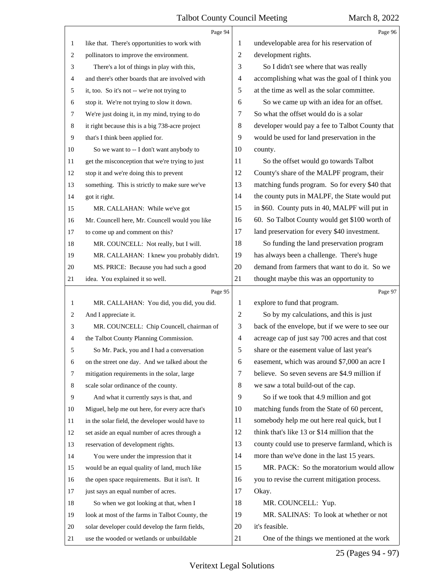|    | Page 94                                         |                | Page 96                                         |
|----|-------------------------------------------------|----------------|-------------------------------------------------|
| 1  | like that. There's opportunities to work with   | 1              | undevelopable area for his reservation of       |
| 2  | pollinators to improve the environment.         | $\overline{2}$ | development rights.                             |
| 3  | There's a lot of things in play with this,      | 3              | So I didn't see where that was really           |
| 4  | and there's other boards that are involved with | 4              | accomplishing what was the goal of I think you  |
| 5  | it, too. So it's not -- we're not trying to     | 5              | at the time as well as the solar committee.     |
| 6  | stop it. We're not trying to slow it down.      | 6              | So we came up with an idea for an offset.       |
| 7  | We're just doing it, in my mind, trying to do   | 7              | So what the offset would do is a solar          |
| 8  | it right because this is a big 738-acre project | 8              | developer would pay a fee to Talbot County that |
| 9  | that's I think been applied for.                | 9              | would be used for land preservation in the      |
| 10 | So we want to -- I don't want anybody to        | 10             | county.                                         |
| 11 | get the misconception that we're trying to just | 11             | So the offset would go towards Talbot           |
| 12 | stop it and we're doing this to prevent         | 12             | County's share of the MALPF program, their      |
| 13 | something. This is strictly to make sure we've  | 13             | matching funds program. So for every \$40 that  |
| 14 | got it right.                                   | 14             | the county puts in MALPF, the State would put   |
| 15 | MR. CALLAHAN: While we've got                   | 15             | in \$60. County puts in 40, MALPF will put in   |
| 16 | Mr. Councell here, Mr. Councell would you like  | 16             | 60. So Talbot County would get \$100 worth of   |
| 17 | to come up and comment on this?                 | 17             | land preservation for every \$40 investment.    |
| 18 | MR. COUNCELL: Not really, but I will.           | 18             | So funding the land preservation program        |
| 19 | MR. CALLAHAN: I knew you probably didn't.       | 19             | has always been a challenge. There's huge       |
| 20 | MS. PRICE: Because you had such a good          | 20             | demand from farmers that want to do it. So we   |
| 21 | idea. You explained it so well.                 | 21             | thought maybe this was an opportunity to        |
|    | Page 95                                         |                | Page 97                                         |
|    |                                                 |                |                                                 |
| 1  | MR. CALLAHAN: You did, you did, you did.        | 1              | explore to fund that program.                   |
| 2  | And I appreciate it.                            | $\overline{2}$ | So by my calculations, and this is just         |
| 3  | MR. COUNCELL: Chip Councell, chairman of        | 3              | back of the envelope, but if we were to see our |
| 4  | the Talbot County Planning Commission.          | $\overline{4}$ | acreage cap of just say 700 acres and that cost |
| 5  | So Mr. Pack, you and I had a conversation       | 5              | share or the easement value of last year's      |
| 6  | on the street one day. And we talked about the  | 6              | easement, which was around \$7,000 an acre I    |
| 7  | mitigation requirements in the solar, large     | 7              | believe. So seven sevens are \$4.9 million if   |
| 8  | scale solar ordinance of the county.            | 8              | we saw a total build-out of the cap.            |
| 9  | And what it currently says is that, and         | 9              | So if we took that 4.9 million and got          |
| 10 | Miguel, help me out here, for every acre that's | 10             | matching funds from the State of 60 percent,    |
| 11 | in the solar field, the developer would have to | 11             | somebody help me out here real quick, but I     |
| 12 | set aside an equal number of acres through a    | 12             | think that's like 13 or \$14 million that the   |
| 13 | reservation of development rights.              | 13             | county could use to preserve farmland, which is |
| 14 | You were under the impression that it           | 14             | more than we've done in the last 15 years.      |
| 15 | would be an equal quality of land, much like    | 15             | MR. PACK: So the moratorium would allow         |
| 16 | the open space requirements. But it isn't. It   | 16             | you to revise the current mitigation process.   |
| 17 | just says an equal number of acres.             | 17             | Okay.                                           |
| 18 | So when we got looking at that, when I          | 18             | MR. COUNCELL: Yup.                              |
| 19 | look at most of the farms in Talbot County, the | 19             | MR. SALINAS: To look at whether or not          |
| 20 | solar developer could develop the farm fields,  | 20             | it's feasible.                                  |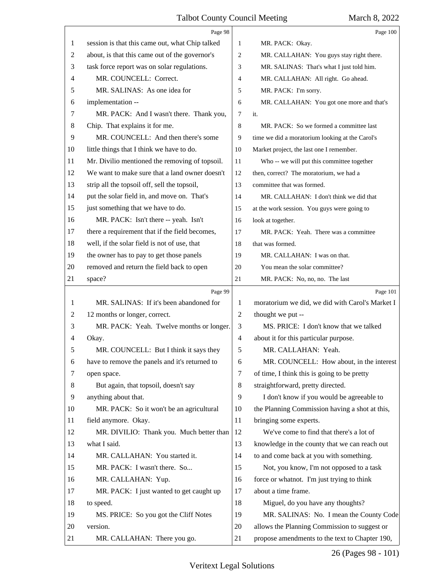|    | Page 98                                         |                | Page 100                                        |
|----|-------------------------------------------------|----------------|-------------------------------------------------|
| 1  | session is that this came out, what Chip talked | 1              | MR. PACK: Okay.                                 |
| 2  | about, is that this came out of the governor's  | $\overline{2}$ | MR. CALLAHAN: You guys stay right there.        |
| 3  | task force report was on solar regulations.     | 3              | MR. SALINAS: That's what I just told him.       |
| 4  | MR. COUNCELL: Correct.                          | 4              | MR. CALLAHAN: All right. Go ahead.              |
| 5  | MR. SALINAS: As one idea for                    | 5              | MR. PACK: I'm sorry.                            |
| 6  | implementation --                               | 6              | MR. CALLAHAN: You got one more and that's       |
| 7  | MR. PACK: And I wasn't there. Thank you,        | $\tau$         | it.                                             |
| 8  | Chip. That explains it for me.                  | 8              | MR. PACK: So we formed a committee last         |
| 9  | MR. COUNCELL: And then there's some             | 9              | time we did a moratorium looking at the Carol's |
| 10 | little things that I think we have to do.       | 10             | Market project, the last one I remember.        |
| 11 | Mr. Divilio mentioned the removing of topsoil.  | 11             | Who -- we will put this committee together      |
| 12 | We want to make sure that a land owner doesn't  | 12             | then, correct? The moratorium, we had a         |
| 13 | strip all the topsoil off, sell the topsoil,    | 13             | committee that was formed.                      |
| 14 | put the solar field in, and move on. That's     | 14             | MR. CALLAHAN: I don't think we did that         |
| 15 | just something that we have to do.              | 15             | at the work session. You guys were going to     |
| 16 | MR. PACK: Isn't there -- yeah. Isn't            | 16             | look at together.                               |
| 17 | there a requirement that if the field becomes,  | 17             | MR. PACK: Yeah. There was a committee           |
| 18 | well, if the solar field is not of use, that    | 18             | that was formed.                                |
| 19 | the owner has to pay to get those panels        | 19             | MR. CALLAHAN: I was on that.                    |
| 20 | removed and return the field back to open       | 20             | You mean the solar committee?                   |
| 21 | space?                                          | 21             | MR. PACK: No, no, no. The last                  |
|    | Page 99                                         |                | Page 101                                        |
| 1  | MR. SALINAS: If it's been abandoned for         | 1              | moratorium we did, we did with Carol's Market I |
| 2  | 12 months or longer, correct.                   | $\overline{2}$ | thought we put --                               |
| 3  | MR. PACK: Yeah. Twelve months or longer.        | 3              | MS. PRICE: I don't know that we talked          |
| 4  | Okay.                                           | $\overline{4}$ | about it for this particular purpose.           |
| 5  | MR. COUNCELL: But I think it says they          | 5              | MR. CALLAHAN: Yeah.                             |
| 6  | have to remove the panels and it's returned to  | 6              | MR. COUNCELL: How about, in the interest        |
| 7  | open space.                                     | 7              | of time, I think this is going to be pretty     |
| 8  | But again, that topsoil, doesn't say            | 8              | straightforward, pretty directed.               |
| 9  | anything about that.                            | 9              | I don't know if you would be agreeable to       |
| 10 | MR. PACK: So it won't be an agricultural        | 10             | the Planning Commission having a shot at this,  |
| 11 | field anymore. Okay.                            | 11             | bringing some experts.                          |
| 12 | MR. DIVILIO: Thank you. Much better than        | 12             | We've come to find that there's a lot of        |
| 13 |                                                 |                |                                                 |
| 14 | what I said.                                    | 13             | knowledge in the county that we can reach out   |
|    | MR. CALLAHAN: You started it.                   | 14             | to and come back at you with something.         |
| 15 | MR. PACK: I wasn't there. So                    | 15             | Not, you know, I'm not opposed to a task        |
| 16 | MR. CALLAHAN: Yup.                              | 16             | force or whatnot. I'm just trying to think      |
| 17 | MR. PACK: I just wanted to get caught up        | 17             | about a time frame.                             |
| 18 | to speed.                                       | 18             | Miguel, do you have any thoughts?               |
| 19 | MS. PRICE: So you got the Cliff Notes           | 19             | MR. SALINAS: No. I mean the County Code         |
| 20 | version.                                        | 20             | allows the Planning Commission to suggest or    |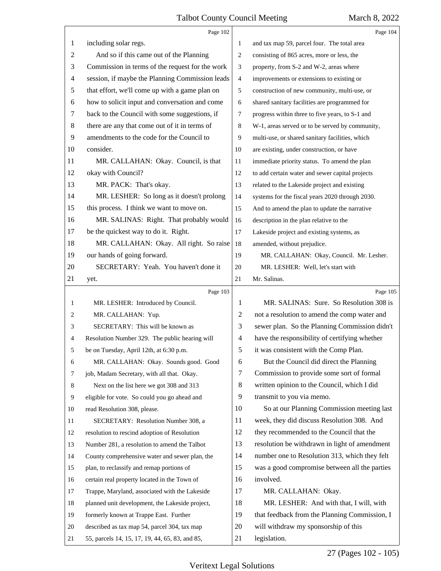|                | Page 102                                        |                | Page 104                                        |
|----------------|-------------------------------------------------|----------------|-------------------------------------------------|
| 1              | including solar regs.                           | 1              | and tax map 59, parcel four. The total area     |
| 2              | And so if this came out of the Planning         | $\overline{c}$ | consisting of 865 acres, more or less, the      |
| 3              | Commission in terms of the request for the work | 3              | property, from S-2 and W-2, areas where         |
| $\overline{4}$ | session, if maybe the Planning Commission leads | $\overline{4}$ | improvements or extensions to existing or       |
| 5              | that effort, we'll come up with a game plan on  | 5              | construction of new community, multi-use, or    |
| 6              | how to solicit input and conversation and come  | 6              | shared sanitary facilities are programmed for   |
| 7              | back to the Council with some suggestions, if   | 7              | progress within three to five years, to S-1 and |
| 8              | there are any that come out of it in terms of   | 8              | W-1, areas served or to be served by community, |
| 9              | amendments to the code for the Council to       | 9              | multi-use, or shared sanitary facilities, which |
| 10             | consider.                                       | 10             | are existing, under construction, or have       |
| 11             | MR. CALLAHAN: Okay. Council, is that            | 11             | immediate priority status. To amend the plan    |
| 12             | okay with Council?                              | 12             | to add certain water and sewer capital projects |
| 13             | MR. PACK: That's okay.                          | 13             | related to the Lakeside project and existing    |
| 14             | MR. LESHER: So long as it doesn't prolong       | 14             | systems for the fiscal years 2020 through 2030. |
| 15             | this process. I think we want to move on.       | 15             | And to amend the plan to update the narrative   |
| 16             | MR. SALINAS: Right. That probably would         | 16             | description in the plan relative to the         |
| 17             | be the quickest way to do it. Right.            | 17             | Lakeside project and existing systems, as       |
| 18             | MR. CALLAHAN: Okay. All right. So raise         | 18             | amended, without prejudice.                     |
| 19             | our hands of going forward.                     | 19             | MR. CALLAHAN: Okay, Council. Mr. Lesher.        |
| 20             | SECRETARY: Yeah. You haven't done it            | 20             | MR. LESHER: Well, let's start with              |
| 21             | yet.                                            | 21             | Mr. Salinas.                                    |
|                |                                                 |                |                                                 |
|                | Page 103                                        |                | Page 105                                        |
| 1              | MR. LESHER: Introduced by Council.              | 1              | MR. SALINAS: Sure. So Resolution 308 is         |
| 2              | MR. CALLAHAN: Yup.                              | $\overline{c}$ | not a resolution to amend the comp water and    |
| 3              | SECRETARY: This will be known as                | 3              | sewer plan. So the Planning Commission didn't   |
| 4              | Resolution Number 329. The public hearing will  | 4              | have the responsibility of certifying whether   |
| 5              | be on Tuesday, April 12th, at 6:30 p.m.         | 5              | it was consistent with the Comp Plan.           |
| 6              | MR. CALLAHAN: Okay. Sounds good. Good           | 6              | But the Council did direct the Planning         |
| 7              | job, Madam Secretary, with all that. Okay.      | 7              | Commission to provide some sort of formal       |
| 8              | Next on the list here we got 308 and 313        | 8              | written opinion to the Council, which I did     |
| 9              | eligible for vote. So could you go ahead and    | 9              | transmit to you via memo.                       |
| 10             | read Resolution 308, please.                    | 10             | So at our Planning Commission meeting last      |
| 11             | SECRETARY: Resolution Number 308, a             | 11             | week, they did discuss Resolution 308. And      |
| 12             | resolution to rescind adoption of Resolution    | 12             | they recommended to the Council that the        |
| 13             | Number 281, a resolution to amend the Talbot    | 13             | resolution be withdrawn in light of amendment   |
| 14             | County comprehensive water and sewer plan, the  | 14             | number one to Resolution 313, which they felt   |
| 15             | plan, to reclassify and remap portions of       | 15             | was a good compromise between all the parties   |
| 16             | certain real property located in the Town of    | 16             | involved.                                       |
| 17             | Trappe, Maryland, associated with the Lakeside  | 17             | MR. CALLAHAN: Okay.                             |
| 18             | planned unit development, the Lakeside project, | 18             | MR. LESHER: And with that, I will, with         |
| 19             | formerly known at Trappe East. Further          | 19             | that feedback from the Planning Commission, I   |
| 20             | described as tax map 54, parcel 304, tax map    | 20             | will withdraw my sponsorship of this            |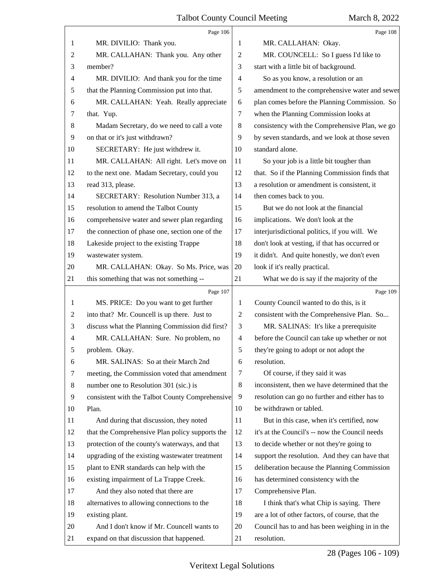|                | Page 106                                        |                | Page 108                                        |
|----------------|-------------------------------------------------|----------------|-------------------------------------------------|
| 1              | MR. DIVILIO: Thank you.                         | 1              | MR. CALLAHAN: Okay.                             |
| $\overline{c}$ | MR. CALLAHAN: Thank you. Any other              | $\overline{c}$ | MR. COUNCELL: So I guess I'd like to            |
| 3              | member?                                         | 3              | start with a little bit of background.          |
| 4              | MR. DIVILIO: And thank you for the time         | $\overline{4}$ | So as you know, a resolution or an              |
| 5              | that the Planning Commission put into that.     | 5              | amendment to the comprehensive water and sewer  |
| 6              | MR. CALLAHAN: Yeah. Really appreciate           | 6              | plan comes before the Planning Commission. So   |
| 7              | that. Yup.                                      | $\tau$         | when the Planning Commission looks at           |
| 8              | Madam Secretary, do we need to call a vote      | 8              | consistency with the Comprehensive Plan, we go  |
| 9              | on that or it's just withdrawn?                 | 9              | by seven standards, and we look at those seven  |
| 10             | SECRETARY: He just withdrew it.                 | 10             | standard alone.                                 |
| 11             | MR. CALLAHAN: All right. Let's move on          | 11             | So your job is a little bit tougher than        |
| 12             | to the next one. Madam Secretary, could you     | 12             | that. So if the Planning Commission finds that  |
| 13             | read 313, please.                               | 13             | a resolution or amendment is consistent, it     |
| 14             | SECRETARY: Resolution Number 313, a             | 14             | then comes back to you.                         |
| 15             | resolution to amend the Talbot County           | 15             | But we do not look at the financial             |
| 16             | comprehensive water and sewer plan regarding    | 16             | implications. We don't look at the              |
| 17             | the connection of phase one, section one of the | 17             | interjurisdictional politics, if you will. We   |
| 18             | Lakeside project to the existing Trappe         | 18             | don't look at vesting, if that has occurred or  |
| 19             | wastewater system.                              | 19             | it didn't. And quite honestly, we don't even    |
| 20             | MR. CALLAHAN: Okay. So Ms. Price, was           | 20             | look if it's really practical.                  |
| 21             | this something that was not something --        | 21             | What we do is say if the majority of the        |
|                | Page 107                                        |                | Page 109                                        |
|                |                                                 |                |                                                 |
| 1              | MS. PRICE: Do you want to get further           | 1              | County Council wanted to do this, is it         |
| 2              | into that? Mr. Councell is up there. Just to    | $\overline{2}$ | consistent with the Comprehensive Plan. So      |
| 3              | discuss what the Planning Commission did first? | 3              | MR. SALINAS: It's like a prerequisite           |
| $\overline{4}$ | MR. CALLAHAN: Sure. No problem, no              | $\overline{4}$ | before the Council can take up whether or not   |
|                | problem. Okay.                                  | 5              | they're going to adopt or not adopt the         |
| 6              | MR. SALINAS: So at their March 2nd              | 6              | resolution.                                     |
| 7              | meeting, the Commission voted that amendment    | 7              | Of course, if they said it was                  |
| 8              | number one to Resolution 301 (sic.) is          | 8              | inconsistent, then we have determined that the  |
| 9              | consistent with the Talbot County Comprehensive | 9              | resolution can go no further and either has to  |
| 10             | Plan.                                           | 10             | be withdrawn or tabled.                         |
| 11             | And during that discussion, they noted          | 11             | But in this case, when it's certified, now      |
| 12             | that the Comprehensive Plan policy supports the | 12             | it's at the Council's -- now the Council needs  |
| 13             | protection of the county's waterways, and that  | 13             | to decide whether or not they're going to       |
| 14             | upgrading of the existing wastewater treatment  | 14             | support the resolution. And they can have that  |
| 15             | plant to ENR standards can help with the        | 15             | deliberation because the Planning Commission    |
| 16             | existing impairment of La Trappe Creek.         | 16             | has determined consistency with the             |
| 17             | And they also noted that there are              | 17             | Comprehensive Plan.                             |
| 18             | alternatives to allowing connections to the     | 18             | I think that's what Chip is saying. There       |
| 19             | existing plant.                                 | 19             | are a lot of other factors, of course, that the |
| 20             | And I don't know if Mr. Councell wants to       | 20             | Council has to and has been weighing in in the  |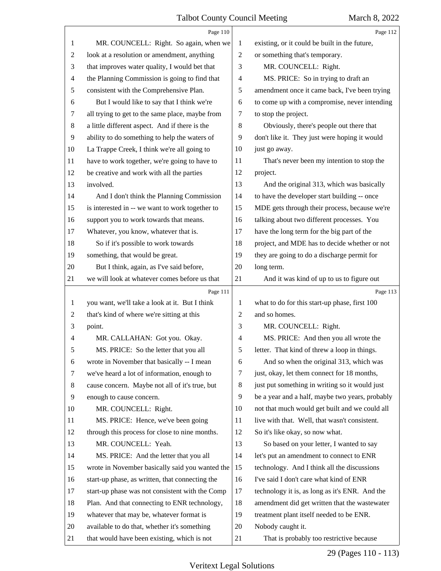|         | Page 110                                        |                | Page 112                                        |
|---------|-------------------------------------------------|----------------|-------------------------------------------------|
| 1       | MR. COUNCELL: Right. So again, when we          | 1              | existing, or it could be built in the future,   |
| 2       | look at a resolution or amendment, anything     | $\overline{c}$ | or something that's temporary.                  |
| 3       | that improves water quality, I would bet that   | 3              | MR. COUNCELL: Right.                            |
| 4       | the Planning Commission is going to find that   | 4              | MS. PRICE: So in trying to draft an             |
| 5       | consistent with the Comprehensive Plan.         | 5              | amendment once it came back, I've been trying   |
| 6       | But I would like to say that I think we're      | 6              | to come up with a compromise, never intending   |
| 7       | all trying to get to the same place, maybe from | 7              | to stop the project.                            |
| $\,8\,$ | a little different aspect. And if there is the  | 8              | Obviously, there's people out there that        |
| 9       | ability to do something to help the waters of   | 9              | don't like it. They just were hoping it would   |
| 10      | La Trappe Creek, I think we're all going to     | 10             | just go away.                                   |
| 11      | have to work together, we're going to have to   | 11             | That's never been my intention to stop the      |
| 12      | be creative and work with all the parties       | 12             | project.                                        |
| 13      | involved.                                       | 13             | And the original 313, which was basically       |
| 14      | And I don't think the Planning Commission       | 14             | to have the developer start building -- once    |
| 15      | is interested in -- we want to work together to | 15             | MDE gets through their process, because we're   |
| 16      | support you to work towards that means.         | 16             | talking about two different processes. You      |
| 17      | Whatever, you know, whatever that is.           | 17             | have the long term for the big part of the      |
| 18      | So if it's possible to work towards             | 18             | project, and MDE has to decide whether or not   |
| 19      | something, that would be great.                 | 19             | they are going to do a discharge permit for     |
| 20      | But I think, again, as I've said before,        | 20             | long term.                                      |
| 21      | we will look at whatever comes before us that   | 21             | And it was kind of up to us to figure out       |
|         |                                                 |                |                                                 |
|         | Page 111                                        |                | Page 113                                        |
| 1       | you want, we'll take a look at it. But I think  | 1              | what to do for this start-up phase, first 100   |
| 2       | that's kind of where we're sitting at this      | 2              | and so homes.                                   |
| 3       | point.                                          | 3              | MR. COUNCELL: Right.                            |
| 4       | MR. CALLAHAN: Got you. Okay.                    | 4              | MS. PRICE: And then you all wrote the           |
|         | MS. PRICE: So the letter that you all           | 5              | letter. That kind of threw a loop in things.    |
| 6       | wrote in November that basically -- I mean      | 6              | And so when the original 313, which was         |
| 7       | we've heard a lot of information, enough to     | 7              | just, okay, let them connect for 18 months,     |
| 8       | cause concern. Maybe not all of it's true, but  | 8              | just put something in writing so it would just  |
| 9       | enough to cause concern.                        | 9              | be a year and a half, maybe two years, probably |
| 10      | MR. COUNCELL: Right.                            | 10             | not that much would get built and we could all  |
| 11      | MS. PRICE: Hence, we've been going              | 11             | live with that. Well, that wasn't consistent.   |
| 12      | through this process for close to nine months.  | 12             | So it's like okay, so now what.                 |
| 13      | MR. COUNCELL: Yeah.                             | 13             | So based on your letter, I wanted to say        |
| 14      | MS. PRICE: And the letter that you all          | 14             | let's put an amendment to connect to ENR        |
| 15      | wrote in November basically said you wanted the | 15             | technology. And I think all the discussions     |
| 16      | start-up phase, as written, that connecting the | 16             | I've said I don't care what kind of ENR         |
| 17      | start-up phase was not consistent with the Comp | 17             | technology it is, as long as it's ENR. And the  |
| 18      | Plan. And that connecting to ENR technology,    | 18             | amendment did get written that the wastewater   |
| 19      | whatever that may be, whatever format is        | 19             | treatment plant itself needed to be ENR.        |
| 20      | available to do that, whether it's something    | 20             | Nobody caught it.                               |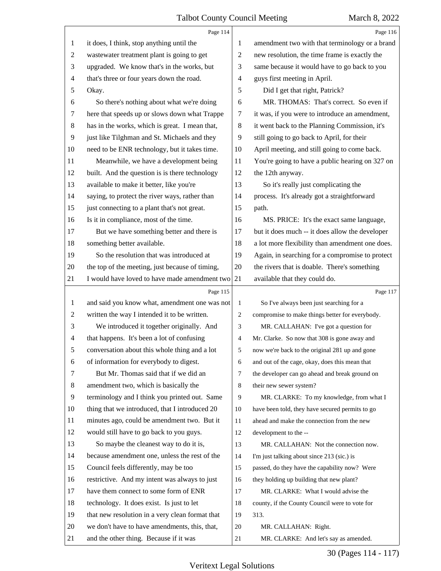|                | Page 114                                        |                | Page 116                                        |
|----------------|-------------------------------------------------|----------------|-------------------------------------------------|
| $\mathbf{1}$   | it does, I think, stop anything until the       | 1              | amendment two with that terminology or a brand  |
| $\overline{c}$ | wastewater treatment plant is going to get      | $\overline{2}$ | new resolution, the time frame is exactly the   |
| 3              | upgraded. We know that's in the works, but      | 3              | same because it would have to go back to you    |
| 4              | that's three or four years down the road.       | $\overline{4}$ | guys first meeting in April.                    |
| 5              | Okay.                                           | 5              | Did I get that right, Patrick?                  |
| 6              | So there's nothing about what we're doing       | 6              | MR. THOMAS: That's correct. So even if          |
| 7              | here that speeds up or slows down what Trappe   | 7              | it was, if you were to introduce an amendment,  |
| $\,8$          | has in the works, which is great. I mean that,  | 8              | it went back to the Planning Commission, it's   |
| $\overline{9}$ | just like Tilghman and St. Michaels and they    | 9              | still going to go back to April, for their      |
| 10             | need to be ENR technology, but it takes time.   | 10             | April meeting, and still going to come back.    |
| 11             | Meanwhile, we have a development being          | 11             | You're going to have a public hearing on 327 on |
| 12             | built. And the question is is there technology  | 12             | the 12th anyway.                                |
| 13             | available to make it better, like you're        | 13             | So it's really just complicating the            |
| 14             | saying, to protect the river ways, rather than  | 14             | process. It's already got a straightforward     |
| 15             | just connecting to a plant that's not great.    | 15             | path.                                           |
| 16             | Is it in compliance, most of the time.          | 16             | MS. PRICE: It's the exact same language,        |
| 17             | But we have something better and there is       | 17             | but it does much -- it does allow the developer |
| 18             | something better available.                     | 18             | a lot more flexibility than amendment one does. |
| 19             | So the resolution that was introduced at        | 19             | Again, in searching for a compromise to protect |
| 20             | the top of the meeting, just because of timing, | 20             | the rivers that is doable. There's something    |
| 21             | I would have loved to have made amendment two   | 21             | available that they could do.                   |
|                |                                                 |                |                                                 |
|                | Page 115                                        |                | Page 117                                        |
| $\mathbf{1}$   | and said you know what, amendment one was not   | $\mathbf{1}$   | So I've always been just searching for a        |
| $\overline{c}$ | written the way I intended it to be written.    | $\mathfrak{2}$ | compromise to make things better for everybody. |
| 3              | We introduced it together originally. And       | 3              | MR. CALLAHAN: I've got a question for           |
| 4              | that happens. It's been a lot of confusing      | 4              | Mr. Clarke. So now that 308 is gone away and    |
| 5              | conversation about this whole thing and a lot   | 5              | now we're back to the original 281 up and gone  |
| 6              | of information for everybody to digest.         | 6              | and out of the cage, okay, does this mean that  |
| 7              | But Mr. Thomas said that if we did an           | 7              | the developer can go ahead and break ground on  |
| 8              | amendment two, which is basically the           | 8              | their new sewer system?                         |
| $\mathbf{9}$   | terminology and I think you printed out. Same   | 9              | MR. CLARKE: To my knowledge, from what I        |
| 10             | thing that we introduced, that I introduced 20  | 10             | have been told, they have secured permits to go |
| 11             | minutes ago, could be amendment two. But it     | 11             | ahead and make the connection from the new      |
| 12             | would still have to go back to you guys.        | 12             | development to the --                           |
| 13             | So maybe the cleanest way to do it is,          | 13             | MR. CALLAHAN: Not the connection now.           |
| 14             | because amendment one, unless the rest of the   | 14             | I'm just talking about since 213 (sic.) is      |
| 15             | Council feels differently, may be too           | 15             | passed, do they have the capability now? Were   |
| 16             | restrictive. And my intent was always to just   | 16             | they holding up building that new plant?        |
| 17             | have them connect to some form of ENR           | 17             | MR. CLARKE: What I would advise the             |
| 18             | technology. It does exist. Is just to let       | 18             | county, if the County Council were to vote for  |
| 19             | that new resolution in a very clean format that | 19             | 313.                                            |
| 20             | we don't have to have amendments, this, that,   | 20             | MR. CALLAHAN: Right.                            |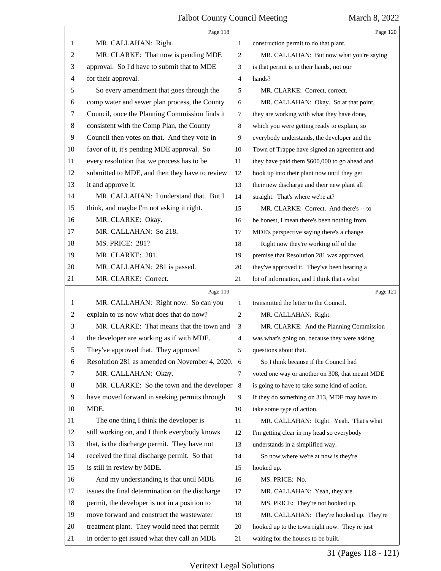|       | Page 118                                        |                | Page 120                                        |
|-------|-------------------------------------------------|----------------|-------------------------------------------------|
| 1     | MR. CALLAHAN: Right.                            | 1              | construction permit to do that plant.           |
| 2     | MR. CLARKE: That now is pending MDE             | 2              | MR. CALLAHAN: But now what you're saying        |
| 3     | approval. So I'd have to submit that to MDE     | 3              | is that permit is in their hands, not our       |
| 4     | for their approval.                             | $\overline{4}$ | hands?                                          |
| 5     | So every amendment that goes through the        | 5              | MR. CLARKE: Correct, correct.                   |
| 6     | comp water and sewer plan process, the County   | 6              | MR. CALLAHAN: Okay. So at that point,           |
| 7     | Council, once the Planning Commission finds it  | 7              | they are working with what they have done,      |
| $\,8$ | consistent with the Comp Plan, the County       | $\,8$          | which you were getting ready to explain, so     |
| 9     | Council then votes on that. And they vote in    | 9              | everybody understands, the developer and the    |
| 10    | favor of it, it's pending MDE approval. So      | 10             | Town of Trappe have signed an agreement and     |
| 11    | every resolution that we process has to be      | 11             | they have paid them \$600,000 to go ahead and   |
| 12    | submitted to MDE, and then they have to review  | 12             | hook up into their plant now until they get     |
| 13    | it and approve it.                              | 13             | their new discharge and their new plant all     |
| 14    | MR. CALLAHAN: I understand that. But I          | 14             | straight. That's where we're at?                |
| 15    | think, and maybe I'm not asking it right.       | 15             | MR. CLARKE: Correct. And there's -- to          |
| 16    | MR. CLARKE: Okay.                               | 16             | be honest, I mean there's been nothing from     |
| 17    | MR. CALLAHAN: So 218.                           | 17             | MDE's perspective saying there's a change.      |
| 18    | <b>MS. PRICE: 281?</b>                          | 18             | Right now they're working off of the            |
| 19    | MR. CLARKE: 281.                                | 19             | premise that Resolution 281 was approved,       |
| 20    | MR. CALLAHAN: 281 is passed.                    | 20             | they've approved it. They've been hearing a     |
| 21    | MR. CLARKE: Correct.                            | 21             | lot of information, and I think that's what     |
|       | Page 119                                        |                | Page 121                                        |
| 1     | MR. CALLAHAN: Right now. So can you             | 1              | transmitted the letter to the Council.          |
| 2     | explain to us now what does that do now?        |                |                                                 |
|       |                                                 | $\overline{c}$ | MR. CALLAHAN: Right.                            |
| 3     | MR. CLARKE: That means that the town and        | 3              | MR. CLARKE: And the Planning Commission         |
| 4     | the developer are working as if with MDE.       | $\overline{4}$ | was what's going on, because they were asking   |
| 5     | They've approved that. They approved            | 5              | questions about that.                           |
| 6     | Resolution 281 as amended on November 4, 2020.  | 6              | So I think because if the Council had           |
| 7     | MR. CALLAHAN: Okay.                             | $\tau$         | voted one way or another on 308, that meant MDE |
| 8     | MR. CLARKE: So the town and the developer       | 8              | is going to have to take some kind of action.   |
| 9     | have moved forward in seeking permits through   | 9              | If they do something on 313, MDE may have to    |
| 10    | MDE.                                            | 10             | take some type of action.                       |
| 11    | The one thing I think the developer is          | 11             | MR. CALLAHAN: Right. Yeah. That's what          |
| 12    | still working on, and I think everybody knows   | 12             | I'm getting clear in my head so everybody       |
| 13    | that, is the discharge permit. They have not    | 13             | understands in a simplified way.                |
| 14    | received the final discharge permit. So that    | 14             | So now where we're at now is they're            |
| 15    | is still in review by MDE.                      | 15             | hooked up.                                      |
| 16    | And my understanding is that until MDE          | 16             | MS. PRICE: No.                                  |
| 17    | issues the final determination on the discharge | 17             | MR. CALLAHAN: Yeah, they are.                   |
| 18    | permit, the developer is not in a position to   | 18             | MS. PRICE: They're not hooked up.               |
| 19    | move forward and construct the wastewater       | 19             | MR. CALLAHAN: They're hooked up. They're        |
| 20    | treatment plant. They would need that permit    | 20             | hooked up to the town right now. They're just   |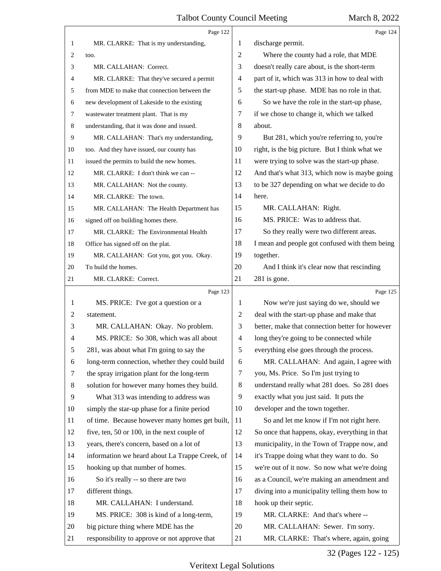|    | Page 122                                       |                | Page 124                                        |
|----|------------------------------------------------|----------------|-------------------------------------------------|
| 1  | MR. CLARKE: That is my understanding,          | 1              | discharge permit.                               |
| 2  | too.                                           | 2              | Where the county had a role, that MDE           |
| 3  | MR. CALLAHAN: Correct.                         | 3              | doesn't really care about, is the short-term    |
| 4  | MR. CLARKE: That they've secured a permit      | 4              | part of it, which was 313 in how to deal with   |
| 5  | from MDE to make that connection between the   | 5              | the start-up phase. MDE has no role in that.    |
| 6  | new development of Lakeside to the existing    | 6              | So we have the role in the start-up phase,      |
| 7  | wastewater treatment plant. That is my         | 7              | if we chose to change it, which we talked       |
| 8  | understanding, that it was done and issued.    | 8              | about.                                          |
| 9  | MR. CALLAHAN: That's my understanding,         | 9              | But 281, which you're referring to, you're      |
| 10 | too. And they have issued, our county has      | 10             | right, is the big picture. But I think what we  |
| 11 | issued the permits to build the new homes.     | 11             | were trying to solve was the start-up phase.    |
| 12 | MR. CLARKE: I don't think we can --            | 12             | And that's what 313, which now is maybe going   |
| 13 | MR. CALLAHAN: Not the county.                  | 13             | to be 327 depending on what we decide to do     |
| 14 | MR. CLARKE: The town.                          | 14             | here.                                           |
| 15 | MR. CALLAHAN: The Health Department has        | 15             | MR. CALLAHAN: Right.                            |
| 16 | signed off on building homes there.            | 16             | MS. PRICE: Was to address that.                 |
| 17 | MR. CLARKE: The Environmental Health           | 17             | So they really were two different areas.        |
| 18 | Office has signed off on the plat.             | 18             | I mean and people got confused with them being  |
| 19 | MR. CALLAHAN: Got you, got you. Okay.          | 19             | together.                                       |
| 20 | To build the homes.                            | 20             | And I think it's clear now that rescinding      |
| 21 | MR. CLARKE: Correct.                           | 21             | 281 is gone.                                    |
|    |                                                |                |                                                 |
|    | Page 123                                       |                | Page 125                                        |
| 1  | MS. PRICE: I've got a question or a            | 1              | Now we're just saying do we, should we          |
| 2  | statement.                                     | $\overline{c}$ | deal with the start-up phase and make that      |
| 3  | MR. CALLAHAN: Okay. No problem.                | 3              | better, make that connection better for however |
| 4  | MS. PRICE: So 308, which was all about         | 4              | long they're going to be connected while        |
|    | 281, was about what I'm going to say the       | 5              | everything else goes through the process.       |
| 6  | long-term connection, whether they could build | 6              | MR. CALLAHAN: And again, I agree with           |
| 7  | the spray irrigation plant for the long-term   | 7              | you, Ms. Price. So I'm just trying to           |
| 8  | solution for however many homes they build.    | 8              | understand really what 281 does. So 281 does    |
| 9  | What 313 was intending to address was          | 9              | exactly what you just said. It puts the         |
| 10 | simply the star-up phase for a finite period   | 10             | developer and the town together.                |
| 11 | of time. Because however many homes get built, | 11             | So and let me know if I'm not right here.       |
| 12 | five, ten, 50 or 100, in the next couple of    | 12             | So once that happens, okay, everything in that  |
| 13 | years, there's concern, based on a lot of      | 13             | municipality, in the Town of Trappe now, and    |
| 14 | information we heard about La Trappe Creek, of | 14             | it's Trappe doing what they want to do. So      |
| 15 | hooking up that number of homes.               | 15             | we're out of it now. So now what we're doing    |
| 16 | So it's really -- so there are two             | 16             | as a Council, we're making an amendment and     |
| 17 | different things.                              | 17             | diving into a municipality telling them how to  |
| 18 | MR. CALLAHAN: I understand.                    | 18             | hook up their septic.                           |
| 19 | MS. PRICE: 308 is kind of a long-term,         | 19             | MR. CLARKE: And that's where --                 |
| 20 | big picture thing where MDE has the            | 20             | MR. CALLAHAN: Sewer. I'm sorry.                 |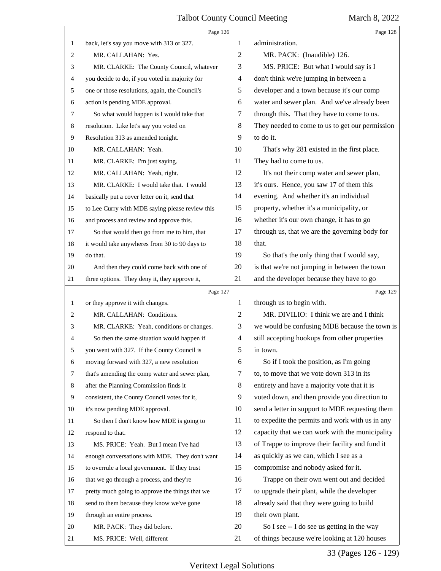|              | Page 126                                        |                | Page 128                                        |
|--------------|-------------------------------------------------|----------------|-------------------------------------------------|
| 1            | back, let's say you move with 313 or 327.       | 1              | administration.                                 |
| 2            | MR. CALLAHAN: Yes.                              | $\overline{2}$ | MR. PACK: (Inaudible) 126.                      |
| 3            | MR. CLARKE: The County Council, whatever        | 3              | MS. PRICE: But what I would say is I            |
| 4            | you decide to do, if you voted in majority for  | 4              | don't think we're jumping in between a          |
| 5            | one or those resolutions, again, the Council's  | 5              | developer and a town because it's our comp      |
| 6            | action is pending MDE approval.                 | 6              | water and sewer plan. And we've already been    |
| 7            | So what would happen is I would take that       | 7              | through this. That they have to come to us.     |
| 8            | resolution. Like let's say you voted on         | 8              | They needed to come to us to get our permission |
| 9            | Resolution 313 as amended tonight.              | 9              | to do it.                                       |
| 10           | MR. CALLAHAN: Yeah.                             | 10             | That's why 281 existed in the first place.      |
| 11           | MR. CLARKE: I'm just saying.                    | 11             | They had to come to us.                         |
| 12           | MR. CALLAHAN: Yeah, right.                      | 12             | It's not their comp water and sewer plan,       |
| 13           | MR. CLARKE: I would take that. I would          | 13             | it's ours. Hence, you saw 17 of them this       |
| 14           | basically put a cover letter on it, send that   | 14             | evening. And whether it's an individual         |
| 15           | to Lee Curry with MDE saying please review this | 15             | property, whether it's a municipality, or       |
| 16           | and process and review and approve this.        | 16             | whether it's our own change, it has to go       |
| 17           | So that would then go from me to him, that      | 17             | through us, that we are the governing body for  |
| 18           | it would take anywheres from 30 to 90 days to   | 18             | that.                                           |
| 19           | do that.                                        | 19             | So that's the only thing that I would say,      |
| 20           | And then they could come back with one of       | $20\,$         | is that we're not jumping in between the town   |
| 21           | three options. They deny it, they approve it,   | 21             | and the developer because they have to go       |
|              |                                                 |                |                                                 |
|              | Page 127                                        |                | Page 129                                        |
| $\mathbf{1}$ | or they approve it with changes.                | 1              | through us to begin with.                       |
| 2            | MR. CALLAHAN: Conditions.                       | $\overline{2}$ | MR. DIVILIO: I think we are and I think         |
| 3            | MR. CLARKE: Yeah, conditions or changes.        | 3              | we would be confusing MDE because the town is   |
| 4            | So then the same situation would happen if      | $\overline{4}$ | still accepting hookups from other properties   |
| 5            | you went with 327. If the County Council is     | 5              | in town.                                        |
| 6            | moving forward with 327, a new resolution       | 6              | So if I took the position, as I'm going         |
| 7            | that's amending the comp water and sewer plan,  | 7              | to, to move that we vote down 313 in its        |
| 8            | after the Planning Commission finds it          | 8              | entirety and have a majority vote that it is    |
| 9            | consistent, the County Council votes for it,    | 9              | voted down, and then provide you direction to   |
| 10           | it's now pending MDE approval.                  | 10             | send a letter in support to MDE requesting them |
| 11           | So then I don't know how MDE is going to        | 11             | to expedite the permits and work with us in any |
| 12           | respond to that.                                | 12             | capacity that we can work with the municipality |
| 13           | MS. PRICE: Yeah. But I mean I've had            | 13             | of Trappe to improve their facility and fund it |
| 14           | enough conversations with MDE. They don't want  | 14             | as quickly as we can, which I see as a          |
| 15           | to overrule a local government. If they trust   | 15             | compromise and nobody asked for it.             |
| 16           | that we go through a process, and they're       | 16             | Trappe on their own went out and decided        |
| 17           | pretty much going to approve the things that we | 17             | to upgrade their plant, while the developer     |
| 18           | send to them because they know we've gone       | 18             | already said that they were going to build      |
| 19           | through an entire process.                      | 19             | their own plant.                                |
| 20           | MR. PACK: They did before.                      | 20             | So I see -- I do see us getting in the way      |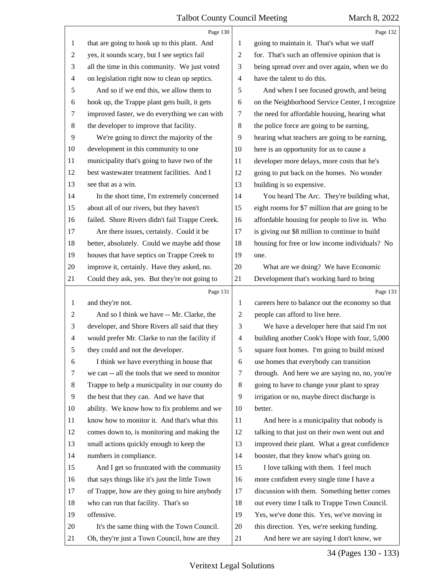|                | Page 130                                        |                          | Page 132                                         |
|----------------|-------------------------------------------------|--------------------------|--------------------------------------------------|
| 1              | that are going to hook up to this plant. And    | 1                        | going to maintain it. That's what we staff       |
| 2              | yes, it sounds scary, but I see septics fail    | $\overline{c}$           | for. That's such an offensive opinion that is    |
| 3              | all the time in this community. We just voted   | 3                        | being spread over and over again, when we do     |
| $\overline{4}$ | on legislation right now to clean up septics.   | $\overline{\mathcal{A}}$ | have the talent to do this.                      |
| 5              | And so if we end this, we allow them to         | 5                        | And when I see focused growth, and being         |
| 6              | hook up, the Trappe plant gets built, it gets   | 6                        | on the Neighborhood Service Center, I recognize  |
| 7              | improved faster, we do everything we can with   | 7                        | the need for affordable housing, hearing what    |
| 8              | the developer to improve that facility.         | $\,8\,$                  | the police force are going to be earning,        |
| 9              | We're going to direct the majority of the       | 9                        | hearing what teachers are going to be earning,   |
| 10             | development in this community to one            | 10                       | here is an opportunity for us to cause a         |
| 11             | municipality that's going to have two of the    | 11                       | developer more delays, more costs that he's      |
| 12             | best wastewater treatment facilities. And I     | 12                       | going to put back on the homes. No wonder        |
| 13             | see that as a win.                              | 13                       | building is so expensive.                        |
| 14             | In the short time, I'm extremely concerned      | 14                       | You heard The Arc. They're building what,        |
| 15             | about all of our rivers, but they haven't       | 15                       | eight rooms for \$7 million that are going to be |
| 16             | failed. Shore Rivers didn't fail Trappe Creek.  | 16                       | affordable housing for people to live in. Who    |
| 17             | Are there issues, certainly. Could it be        | 17                       | is giving out \$8 million to continue to build   |
| 18             | better, absolutely. Could we maybe add those    | 18                       | housing for free or low income individuals? No   |
| 19             | houses that have septics on Trappe Creek to     | 19                       | one.                                             |
| 20             | improve it, certainly. Have they asked, no.     | 20                       | What are we doing? We have Economic              |
| 21             | Could they ask, yes. But they're not going to   | 21                       | Development that's working hard to bring         |
|                |                                                 |                          |                                                  |
|                | Page 131                                        |                          | Page 133                                         |
| 1              | and they're not.                                | 1                        | careers here to balance out the economy so that  |
| 2              | And so I think we have -- Mr. Clarke, the       | $\overline{2}$           | people can afford to live here.                  |
| 3              | developer, and Shore Rivers all said that they  | 3                        | We have a developer here that said I'm not       |
| $\overline{4}$ | would prefer Mr. Clarke to run the facility if  | $\overline{4}$           | building another Cook's Hope with four, 5,000    |
| 5              | they could and not the developer.               | 5                        | square foot homes. I'm going to build mixed      |
| 6              | I think we have everything in house that        | 6                        | use homes that everybody can transition          |
| 7              | we can -- all the tools that we need to monitor | 7                        | through. And here we are saying no, no, you're   |
| 8              | Trappe to help a municipality in our county do  | 8                        | going to have to change your plant to spray      |
| 9              | the best that they can. And we have that        | 9                        | irrigation or no, maybe direct discharge is      |
| 10             | ability. We know how to fix problems and we     | 10                       | better.                                          |
| 11             | know how to monitor it. And that's what this    | 11                       | And here is a municipality that nobody is        |
| 12             | comes down to, is monitoring and making the     | 12                       | talking to that just on their own went out and   |
| 13             | small actions quickly enough to keep the        | 13                       | improved their plant. What a great confidence    |
| 14             | numbers in compliance.                          | 14                       | booster, that they know what's going on.         |
| 15             | And I get so frustrated with the community      | 15                       | I love talking with them. I feel much            |
| 16             | that says things like it's just the little Town | 16                       | more confident every single time I have a        |
| 17             | of Trappe, how are they going to hire anybody   | 17                       | discussion with them. Something better comes     |
| 18             | who can run that facility. That's so            | 18                       | out every time I talk to Trappe Town Council.    |
| 19             | offensive.                                      | 19                       | Yes, we've done this. Yes, we've moving in       |
| 20             | It's the same thing with the Town Council.      | 20                       | this direction. Yes, we're seeking funding.      |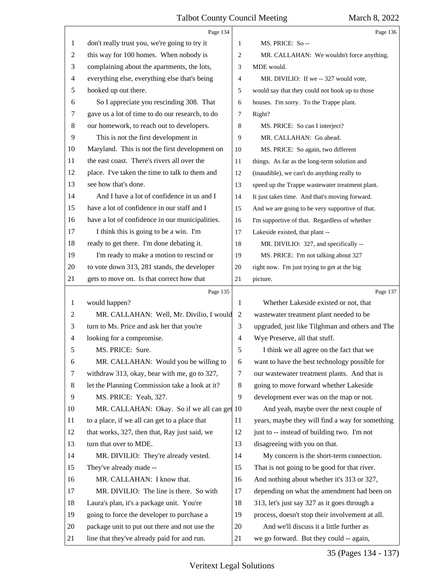#### Talbot County Council Meeting March 8, 2022  $\top$

5

|                | Page 134                                        |                | Page 136                                        |
|----------------|-------------------------------------------------|----------------|-------------------------------------------------|
| 1              | don't really trust you, we're going to try it   | 1              | MS. PRICE: So--                                 |
| $\overline{c}$ | this way for 100 homes. When nobody is          | $\overline{2}$ | MR. CALLAHAN: We wouldn't force anything.       |
| 3              | complaining about the apartments, the lots,     | 3              | MDE would.                                      |
| 4              | everything else, everything else that's being   | 4              | MR. DIVILIO: If we -- 327 would vote,           |
| 5              | hooked up out there.                            | 5              | would say that they could not hook up to those  |
| 6              | So I appreciate you rescinding 308. That        | 6              | houses. I'm sorry. To the Trappe plant.         |
| 7              | gave us a lot of time to do our research, to do | 7              | Right?                                          |
| $\,8\,$        | our homework, to reach out to developers.       | 8              | MS. PRICE: So can I interject?                  |
| 9              | This is not the first development in            | 9              | MR. CALLAHAN: Go ahead.                         |
| 10             | Maryland. This is not the first development on  | 10             | MS. PRICE: So again, two different              |
| 11             | the east coast. There's rivers all over the     | 11             | things. As far as the long-term solution and    |
| 12             | place. I've taken the time to talk to them and  | 12             | (inaudible), we can't do anything really to     |
| 13             | see how that's done.                            | 13             | speed up the Trappe wastewater treatment plant. |
| 14             | And I have a lot of confidence in us and I      | 14             | It just takes time. And that's moving forward.  |
| 15             | have a lot of confidence in our staff and I     | 15             | And we are going to be very supportive of that. |
| 16             | have a lot of confidence in our municipalities. | 16             | I'm supportive of that. Regardless of whether   |
| 17             | I think this is going to be a win. I'm          | 17             | Lakeside existed, that plant --                 |
| 18             | ready to get there. I'm done debating it.       | 18             | MR. DIVILIO: 327, and specifically --           |
| 19             | I'm ready to make a motion to rescind or        | 19             | MS. PRICE: I'm not talking about 327            |
| 20             | to vote down 313, 281 stands, the developer     | 20             | right now. I'm just trying to get at the big    |
| 21             | gets to move on. Is that correct how that       | 21             | picture.                                        |
|                |                                                 |                |                                                 |
|                | Page 135                                        |                | Page 137                                        |
| 1              | would happen?                                   | 1              | Whether Lakeside existed or not, that           |
| $\overline{c}$ | MR. CALLAHAN: Well, Mr. Divilio, I would        | 2              | wastewater treatment plant needed to be         |
| 3              | turn to Ms. Price and ask her that you're       | 3              | upgraded, just like Tilghman and others and The |
| 4              | looking for a compromise.                       | $\overline{4}$ | Wye Preserve, all that stuff.                   |
| 5              | MS. PRICE: Sure.                                | 5              | I think we all agree on the fact that we        |
| 6              | MR. CALLAHAN: Would you be willing to           | 6              | want to have the best technology possible for   |
| 7              | withdraw 313, okay, bear with me, go to 327,    | 7              | our wastewater treatment plants. And that is    |
| 8              | let the Planning Commission take a look at it?  | 8              | going to move forward whether Lakeside          |
| 9              | MS. PRICE: Yeah, 327.                           | 9              | development ever was on the map or not.         |
| 10             | MR. CALLAHAN: Okay. So if we all can get 10     |                | And yeah, maybe over the next couple of         |
| 11             | to a place, if we all can get to a place that   | 11             | years, maybe they will find a way for something |
| 12             | that works, 327, then that, Ray just said, we   | 12             | just to -- instead of building two. I'm not     |
| 13             | turn that over to MDE.                          | 13             | disagreeing with you on that.                   |
| 14             | MR. DIVILIO: They're already vested.            | 14             | My concern is the short-term connection.        |
| 15             | They've already made --                         | 15             | That is not going to be good for that river.    |
| 16             | MR. CALLAHAN: I know that.                      | 16             | And nothing about whether it's 313 or 327,      |
| 17             | MR. DIVILIO: The line is there. So with         | 17             | depending on what the amendment had been on     |
| 18             | Laura's plan, it's a package unit. You're       | 18             | 313, let's just say 327 as it goes through a    |
| 19             | going to force the developer to purchase a      | 19             | process, doesn't stop their involvement at all. |
| 20             | package unit to put out there and not use the   | 20             | And we'll discuss it a little further as        |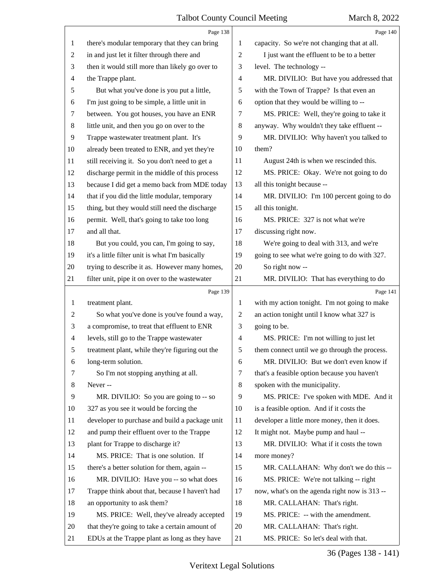|                | Page 138                                        |                | Page 140                                      |
|----------------|-------------------------------------------------|----------------|-----------------------------------------------|
| 1              | there's modular temporary that they can bring   | 1              | capacity. So we're not changing that at all.  |
| $\overline{2}$ | in and just let it filter through there and     | 2              | I just want the effluent to be to a better    |
| 3              | then it would still more than likely go over to | 3              | level. The technology --                      |
| $\overline{4}$ | the Trappe plant.                               | 4              | MR. DIVILIO: But have you addressed that      |
| 5              | But what you've done is you put a little,       | 5              | with the Town of Trappe? Is that even an      |
| 6              | I'm just going to be simple, a little unit in   | 6              | option that they would be willing to --       |
| 7              | between. You got houses, you have an ENR        | 7              | MS. PRICE: Well, they're going to take it     |
| $\,8\,$        | little unit, and then you go on over to the     | 8              | anyway. Why wouldn't they take effluent --    |
| 9              | Trappe wastewater treatment plant. It's         | 9              | MR. DIVILIO: Why haven't you talked to        |
| 10             | already been treated to ENR, and yet they're    | 10             | them?                                         |
| 11             | still receiving it. So you don't need to get a  | 11             | August 24th is when we rescinded this.        |
| 12             | discharge permit in the middle of this process  | 12             | MS. PRICE: Okay. We're not going to do        |
| 13             | because I did get a memo back from MDE today    | 13             | all this tonight because --                   |
| 14             | that if you did the little modular, temporary   | 14             | MR. DIVILIO: I'm 100 percent going to do      |
| 15             | thing, but they would still need the discharge  | 15             | all this tonight.                             |
| 16             | permit. Well, that's going to take too long     | 16             | MS. PRICE: 327 is not what we're              |
| 17             | and all that.                                   | 17             | discussing right now.                         |
| 18             | But you could, you can, I'm going to say,       | 18             | We're going to deal with 313, and we're       |
| 19             | it's a little filter unit is what I'm basically | 19             | going to see what we're going to do with 327. |
| 20             | trying to describe it as. However many homes,   | 20             | So right now --                               |
| 21             | filter unit, pipe it on over to the wastewater  | 21             | MR. DIVILIO: That has everything to do        |
|                |                                                 |                |                                               |
|                | Page 139                                        |                | Page 141                                      |
| $\mathbf{1}$   | treatment plant.                                | 1              | with my action tonight. I'm not going to make |
| $\overline{c}$ | So what you've done is you've found a way,      | 2              | an action tonight until I know what 327 is    |
| 3              | a compromise, to treat that effluent to ENR     | 3              | going to be.                                  |
| $\overline{4}$ | levels, still go to the Trappe wastewater       | $\overline{4}$ | MS. PRICE: I'm not willing to just let        |
| 5              | treatment plant, while they're figuring out the | 5              | them connect until we go through the process. |
| 6              | long-term solution.                             | 6              | MR. DIVILIO: But we don't even know if        |
| 7              | So I'm not stopping anything at all.            | 7              | that's a feasible option because you haven't  |
| 8              | Never-                                          | 8              | spoken with the municipality.                 |
| 9              | MR. DIVILIO: So you are going to -- so          | 9              | MS. PRICE: I've spoken with MDE. And it       |
| 10             | 327 as you see it would be forcing the          | 10             | is a feasible option. And if it costs the     |
| 11             | developer to purchase and build a package unit  | 11             | developer a little more money, then it does.  |
| 12             | and pump their effluent over to the Trappe      | 12             | It might not. Maybe pump and haul --          |
| 13             | plant for Trappe to discharge it?               | 13             | MR. DIVILIO: What if it costs the town        |
| 14             | MS. PRICE: That is one solution. If             | 14             | more money?                                   |
| 15             | there's a better solution for them, again --    | 15             | MR. CALLAHAN: Why don't we do this --         |
| 16             | MR. DIVILIO: Have you -- so what does           | 16             | MS. PRICE: We're not talking -- right         |
| 17             | Trappe think about that, because I haven't had  | 17             | now, what's on the agenda right now is 313 -- |
| 18             | an opportunity to ask them?                     | 18             | MR. CALLAHAN: That's right.                   |
| 19             | MS. PRICE: Well, they've already accepted       | 19             | MS. PRICE: -- with the amendment.             |
| 20             | that they're going to take a certain amount of  | 20             | MR. CALLAHAN: That's right.                   |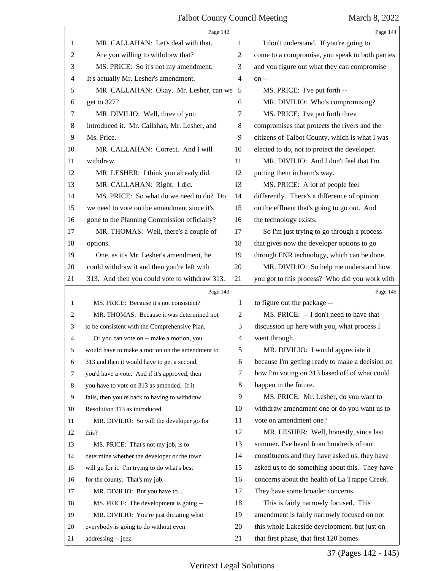<span id="page-36-0"></span>

|                | Page 142                                        |                | Page 144                                        |
|----------------|-------------------------------------------------|----------------|-------------------------------------------------|
| 1              | MR. CALLAHAN: Let's deal with that.             | 1              | I don't understand. If you're going to          |
| $\overline{c}$ | Are you willing to withdraw that?               | 2              | come to a compromise, you speak to both parties |
| 3              | MS. PRICE: So it's not my amendment.            | 3              | and you figure out what they can compromise     |
| 4              | It's actually Mr. Lesher's amendment.           | $\overline{4}$ | $on -$                                          |
| 5              | MR. CALLAHAN: Okay. Mr. Lesher, can we          | 5              | MS. PRICE: I've put forth --                    |
| 6              | get to 327?                                     | 6              | MR. DIVILIO: Who's compromising?                |
| 7              | MR. DIVILIO: Well, three of you                 | 7              | MS. PRICE: I've put forth three                 |
| $\,8\,$        | introduced it. Mr. Callahan, Mr. Lesher, and    | 8              | compromises that protects the rivers and the    |
| 9              | Ms. Price.                                      | 9              | citizens of Talbot County, which is what I was  |
| 10             | MR. CALLAHAN: Correct. And I will               | 10             | elected to do, not to protect the developer.    |
| 11             | withdraw.                                       | 11             | MR. DIVILIO: And I don't feel that I'm          |
| 12             | MR. LESHER: I think you already did.            | 12             | putting them in harm's way.                     |
| 13             | MR. CALLAHAN: Right. I did.                     | 13             | MS. PRICE: A lot of people feel                 |
| 14             | MS. PRICE: So what do we need to do? Do         | 14             | differently. There's a difference of opinion    |
| 15             | we need to vote on the amendment since it's     | 15             | on the effluent that's going to go out. And     |
| 16             | gone to the Planning Commission officially?     | 16             | the technology exists.                          |
| 17             | MR. THOMAS: Well, there's a couple of           | 17             | So I'm just trying to go through a process      |
| 18             | options.                                        | 18             | that gives now the developer options to go      |
| 19             | One, as it's Mr. Lesher's amendment, he         | 19             | through ENR technology, which can be done.      |
| 20             | could withdraw it and then you're left with     | 20             | MR. DIVILIO: So help me understand how          |
| 21             | 313. And then you could vote to withdraw 313.   | 21             | you got to this process? Who did you work with  |
|                |                                                 |                |                                                 |
|                | Page 143                                        |                | Page 145                                        |
| 1              | MS. PRICE: Because it's not consistent?         | 1              | to figure out the package --                    |
| 2              | MR. THOMAS: Because it was determined not       | $\overline{c}$ | MS. PRICE: -- I don't need to have that         |
| 3              | to be consistent with the Comprehensive Plan.   | 3              | discussion up here with you, what process I     |
| 4              | Or you can vote on -- make a motion, you        | $\overline{4}$ | went through.                                   |
| 5              | would have to make a motion on the amendment to | 5              | MR. DIVILIO: I would appreciate it              |
| 6              | 313 and then it would have to get a second,     | 6              | because I'm getting ready to make a decision on |
| 7              | you'd have a vote. And if it's approved, then   | 7              | how I'm voting on 313 based off of what could   |
| 8              | you have to vote on 313 as amended. If it       | 8              | happen in the future.                           |
| 9              | fails, then you're back to having to withdraw   | 9              | MS. PRICE: Mr. Lesher, do you want to           |
| 10             | Resolution 313 as introduced.                   | 10             | withdraw amendment one or do you want us to     |
| 11             | MR. DIVILIO: So will the developer go for       | 11             | vote on amendment one?                          |
| 12             | this?                                           | 12             | MR. LESHER: Well, honestly, since last          |
| 13             | MS. PRICE: That's not my job, is to             | 13             | summer, I've heard from hundreds of our         |
| 14             | determine whether the developer or the town     | 14             | constituents and they have asked us, they have  |
| 15             | will go for it. I'm trying to do what's best    | 15             | asked us to do something about this. They have  |
| 16             | for the county. That's my job.                  | 16             | concerns about the health of La Trappe Creek.   |
| 17             | MR. DIVILIO: But you have to                    | 17             | They have some broader concerns.                |
| 18             | MS. PRICE: The development is going --          | 18             | This is fairly narrowly focused. This           |
| 19             | MR. DIVILIO: You're just dictating what         | 19             | amendment is fairly narrowly focused on not     |
| 20             | everybody is going to do without even           | 20             | this whole Lakeside development, but just on    |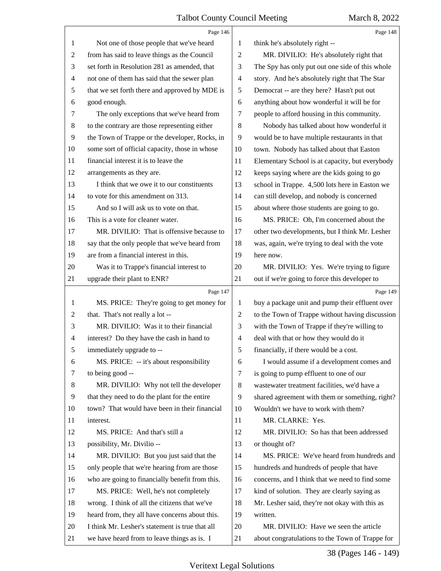<span id="page-37-0"></span>

|                | Page 146                                        |                          | Page 148                                        |
|----------------|-------------------------------------------------|--------------------------|-------------------------------------------------|
| 1              | Not one of those people that we've heard        | 1                        | think he's absolutely right --                  |
| $\overline{c}$ | from has said to leave things as the Council    | $\overline{c}$           | MR. DIVILIO: He's absolutely right that         |
| 3              | set forth in Resolution 281 as amended, that    | 3                        | The Spy has only put out one side of this whole |
| $\overline{4}$ | not one of them has said that the sewer plan    | $\overline{\mathcal{A}}$ | story. And he's absolutely right that The Star  |
| 5              | that we set forth there and approved by MDE is  | 5                        | Democrat -- are they here? Hasn't put out       |
| 6              | good enough.                                    | 6                        | anything about how wonderful it will be for     |
| 7              | The only exceptions that we've heard from       | 7                        | people to afford housing in this community.     |
| 8              | to the contrary are those representing either   | $\,8\,$                  | Nobody has talked about how wonderful it        |
| 9              | the Town of Trappe or the developer, Rocks, in  | 9                        | would be to have multiple restaurants in that   |
| 10             | some sort of official capacity, those in whose  | 10                       | town. Nobody has talked about that Easton       |
| 11             | financial interest it is to leave the           | 11                       | Elementary School is at capacity, but everybody |
| 12             | arrangements as they are.                       | 12                       | keeps saying where are the kids going to go     |
| 13             | I think that we owe it to our constituents      | 13                       | school in Trappe. 4,500 lots here in Easton we  |
| 14             | to vote for this amendment on 313.              | 14                       | can still develop, and nobody is concerned      |
| 15             | And so I will ask us to vote on that.           | 15                       | about where those students are going to go.     |
| 16             | This is a vote for cleaner water.               | 16                       | MS. PRICE: Oh, I'm concerned about the          |
| 17             | MR. DIVILIO: That is offensive because to       | 17                       | other two developments, but I think Mr. Lesher  |
| 18             | say that the only people that we've heard from  | 18                       | was, again, we're trying to deal with the vote  |
| 19             | are from a financial interest in this.          | 19                       | here now.                                       |
| 20             | Was it to Trappe's financial interest to        | 20                       | MR. DIVILIO: Yes. We're trying to figure        |
| 21             | upgrade their plant to ENR?                     | 21                       | out if we're going to force this developer to   |
|                | Page 147                                        |                          | Page 149                                        |
| 1              | MS. PRICE: They're going to get money for       | 1                        | buy a package unit and pump their effluent over |
| $\overline{2}$ | that. That's not really a lot --                | $\overline{c}$           | to the Town of Trappe without having discussion |
| 3              | MR. DIVILIO: Was it to their financial          | 3                        | with the Town of Trappe if they're willing to   |
| $\overline{4}$ | interest? Do they have the cash in hand to      | 4                        | deal with that or how they would do it          |
| 5              | immediately upgrade to --                       | 5                        | financially, if there would be a cost.          |
| 6              | MS. PRICE: -- it's about responsibility         | 6                        | I would assume if a development comes and       |
| 7              | to being good --                                | 7                        | is going to pump effluent to one of our         |
| 8              | MR. DIVILIO: Why not tell the developer         | 8                        | wastewater treatment facilities, we'd have a    |
| 9              | that they need to do the plant for the entire   | 9                        | shared agreement with them or something, right? |
| 10             | town? That would have been in their financial   | 10                       | Wouldn't we have to work with them?             |
| 11             | interest.                                       | 11                       | MR. CLARKE: Yes.                                |
| 12             |                                                 |                          |                                                 |
| 13             | MS. PRICE: And that's still a                   | 12                       | MR. DIVILIO: So has that been addressed         |
|                | possibility, Mr. Divilio --                     | 13                       | or thought of?                                  |
| 14             | MR. DIVILIO: But you just said that the         | 14                       | MS. PRICE: We've heard from hundreds and        |
| 15             | only people that we're hearing from are those   | 15                       | hundreds and hundreds of people that have       |
| 16             | who are going to financially benefit from this. | 16                       | concerns, and I think that we need to find some |
| 17             | MS. PRICE: Well, he's not completely            | 17                       | kind of solution. They are clearly saying as    |
| 18             | wrong. I think of all the citizens that we've   | 18                       | Mr. Lesher said, they're not okay with this as  |
| 19             | heard from, they all have concerns about this.  | 19                       | written.                                        |
| 20             | I think Mr. Lesher's statement is true that all | 20                       | MR. DIVILIO: Have we seen the article           |

38 (Pages 146 - 149)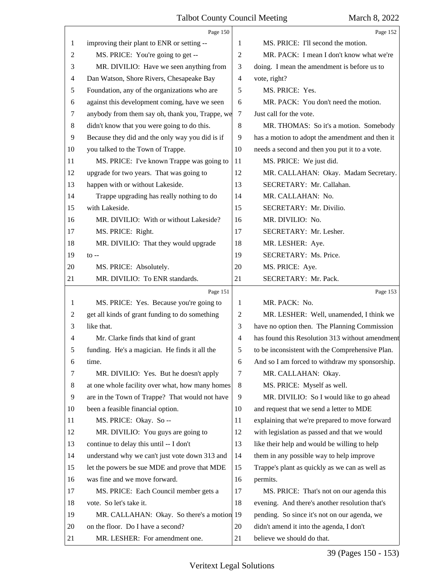<span id="page-38-0"></span>

|    | Page 150                                        |    | Page 152                                        |
|----|-------------------------------------------------|----|-------------------------------------------------|
| 1  | improving their plant to ENR or setting --      | 1  | MS. PRICE: I'll second the motion.              |
| 2  | MS. PRICE: You're going to get --               | 2  | MR. PACK: I mean I don't know what we're        |
| 3  | MR. DIVILIO: Have we seen anything from         | 3  | doing. I mean the amendment is before us to     |
| 4  | Dan Watson, Shore Rivers, Chesapeake Bay        | 4  | vote, right?                                    |
| 5  | Foundation, any of the organizations who are    | 5  | MS. PRICE: Yes.                                 |
| 6  | against this development coming, have we seen   | 6  | MR. PACK: You don't need the motion.            |
| 7  | anybody from them say oh, thank you, Trappe, we | 7  | Just call for the vote.                         |
| 8  | didn't know that you were going to do this.     | 8  | MR. THOMAS: So it's a motion. Somebody          |
| 9  | Because they did and the only way you did is if | 9  | has a motion to adopt the amendment and then it |
| 10 | you talked to the Town of Trappe.               | 10 | needs a second and then you put it to a vote.   |
| 11 | MS. PRICE: I've known Trappe was going to       | 11 | MS. PRICE: We just did.                         |
| 12 | upgrade for two years. That was going to        | 12 | MR. CALLAHAN: Okay. Madam Secretary.            |
| 13 | happen with or without Lakeside.                | 13 | SECRETARY: Mr. Callahan.                        |
| 14 | Trappe upgrading has really nothing to do       | 14 | MR. CALLAHAN: No.                               |
| 15 | with Lakeside.                                  | 15 | SECRETARY: Mr. Divilio.                         |
| 16 | MR. DIVILIO: With or without Lakeside?          | 16 | MR. DIVILIO: No.                                |
| 17 | MS. PRICE: Right.                               | 17 | SECRETARY: Mr. Lesher.                          |
| 18 | MR. DIVILIO: That they would upgrade            | 18 | MR. LESHER: Aye.                                |
| 19 | $to -$                                          | 19 | SECRETARY: Ms. Price.                           |
| 20 | MS. PRICE: Absolutely.                          | 20 | MS. PRICE: Aye.                                 |
| 21 | MR. DIVILIO: To ENR standards.                  | 21 | SECRETARY: Mr. Pack.                            |
|    | Page 151                                        |    | Page 153                                        |
| 1  | MS. PRICE: Yes. Because you're going to         | 1  | MR. PACK: No.                                   |
| 2  | get all kinds of grant funding to do something  | 2  | MR. LESHER: Well, unamended, I think we         |
| 3  | like that.                                      | 3  | have no option then. The Planning Commission    |
| 4  | Mr. Clarke finds that kind of grant             | 4  | has found this Resolution 313 without amendment |
| 5  | funding. He's a magician. He finds it all the   | 5  | to be inconsistent with the Comprehensive Plan. |
| 6  | time.                                           | 6  | And so I am forced to withdraw my sponsorship.  |
| 7  |                                                 |    |                                                 |
| 8  | MR. DIVILIO: Yes. But he doesn't apply          | 7  | MR. CALLAHAN: Okay.                             |
| 9  | at one whole facility over what, how many homes | 8  | MS. PRICE: Myself as well.                      |
|    | are in the Town of Trappe? That would not have  | 9  | MR. DIVILIO: So I would like to go ahead        |
| 10 | been a feasible financial option.               | 10 | and request that we send a letter to MDE        |
| 11 | MS. PRICE: Okay. So --                          | 11 | explaining that we're prepared to move forward  |
| 12 | MR. DIVILIO: You guys are going to              | 12 | with legislation as passed and that we would    |
| 13 | continue to delay this until -- I don't         | 13 | like their help and would be willing to help    |
| 14 | understand why we can't just vote down 313 and  | 14 | them in any possible way to help improve        |
| 15 | let the powers be sue MDE and prove that MDE    | 15 | Trappe's plant as quickly as we can as well as  |
| 16 | was fine and we move forward.                   | 16 | permits.                                        |
| 17 | MS. PRICE: Each Council member gets a           | 17 | MS. PRICE: That's not on our agenda this        |
| 18 | vote. So let's take it.                         | 18 | evening. And there's another resolution that's  |
| 19 | MR. CALLAHAN: Okay. So there's a motion 19      |    | pending. So since it's not on our agenda, we    |
| 20 | on the floor. Do I have a second?               | 20 | didn't amend it into the agenda, I don't        |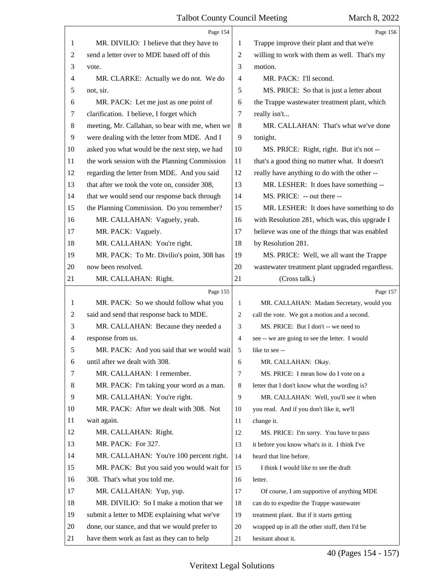<span id="page-39-0"></span>

|                | Page 154                                        |    | Page 156                                        |
|----------------|-------------------------------------------------|----|-------------------------------------------------|
| 1              | MR. DIVILIO: I believe that they have to        | 1  | Trappe improve their plant and that we're       |
| $\overline{2}$ | send a letter over to MDE based off of this     | 2  | willing to work with them as well. That's my    |
| 3              | vote.                                           | 3  | motion.                                         |
| 4              | MR. CLARKE: Actually we do not. We do           | 4  | MR. PACK: I'll second.                          |
| 5              | not, sir.                                       | 5  | MS. PRICE: So that is just a letter about       |
| 6              | MR. PACK: Let me just as one point of           | 6  | the Trappe wastewater treatment plant, which    |
| 7              | clarification. I believe, I forget which        | 7  | really isn't                                    |
| 8              | meeting, Mr. Callahan, so bear with me, when we | 8  | MR. CALLAHAN: That's what we've done            |
| 9              | were dealing with the letter from MDE. And I    | 9  | tonight.                                        |
| 10             | asked you what would be the next step, we had   | 10 | MS. PRICE: Right, right. But it's not --        |
| 11             | the work session with the Planning Commission   | 11 | that's a good thing no matter what. It doesn't  |
| 12             | regarding the letter from MDE. And you said     | 12 | really have anything to do with the other --    |
| 13             | that after we took the vote on, consider 308,   | 13 | MR. LESHER: It does have something --           |
| 14             | that we would send our response back through    | 14 | MS. PRICE: -- out there --                      |
| 15             | the Planning Commission. Do you remember?       | 15 | MR. LESHER: It does have something to do        |
| 16             | MR. CALLAHAN: Vaguely, yeah.                    | 16 | with Resolution 281, which was, this upgrade I  |
| 17             | MR. PACK: Vaguely.                              | 17 | believe was one of the things that was enabled  |
| 18             | MR. CALLAHAN: You're right.                     | 18 | by Resolution 281.                              |
| 19             | MR. PACK: To Mr. Divilio's point, 308 has       | 19 | MS. PRICE: Well, we all want the Trappe         |
| 20             | now been resolved.                              | 20 | wastewater treatment plant upgraded regardless. |
| 21             | MR. CALLAHAN: Right.                            | 21 | (Cross talk.)                                   |
|                |                                                 |    |                                                 |
|                | Page 155                                        |    | Page 157                                        |
| $\mathbf{1}$   | MR. PACK: So we should follow what you          | 1  | MR. CALLAHAN: Madam Secretary, would you        |
| 2              | said and send that response back to MDE.        | 2  | call the vote. We got a motion and a second.    |
| 3              | MR. CALLAHAN: Because they needed a             | 3  | MS. PRICE: But I don't -- we need to            |
| 4              | response from us.                               | 4  | see -- we are going to see the letter. I would  |
| 5              | MR. PACK: And you said that we would wait       | 5  | like to see --                                  |
| 6              | until after we dealt with 308.                  | 6  | MR. CALLAHAN: Okay.                             |
| 7              | MR. CALLAHAN: I remember.                       | 7  | MS. PRICE: I mean how do I vote on a            |
| 8              | MR. PACK: I'm taking your word as a man.        | 8  | letter that I don't know what the wording is?   |
| 9              | MR. CALLAHAN: You're right.                     | 9  | MR. CALLAHAN: Well, you'll see it when          |
| 10             | MR. PACK: After we dealt with 308. Not          | 10 | you read. And if you don't like it, we'll       |
| 11             | wait again.                                     | 11 | change it.                                      |
| 12             | MR. CALLAHAN: Right.                            | 12 | MS. PRICE: I'm sorry. You have to pass          |
| 13             | MR. PACK: For 327.                              | 13 | it before you know what's in it. I think I've   |
| 14             | MR. CALLAHAN: You're 100 percent right.         | 14 | heard that line before.                         |
| 15             | MR. PACK: But you said you would wait for       | 15 | I think I would like to see the draft           |
| 16             | 308. That's what you told me.                   | 16 | letter.                                         |
| 17             | MR. CALLAHAN: Yup, yup.                         | 17 | Of course, I am supportive of anything MDE      |
| 18             | MR. DIVILIO: So I make a motion that we         | 18 | can do to expedite the Trappe wastewater        |
| 19             | submit a letter to MDE explaining what we've    | 19 | treatment plant. But if it starts getting       |
| 20             | done, our stance, and that we would prefer to   | 20 | wrapped up in all the other stuff, then I'd be  |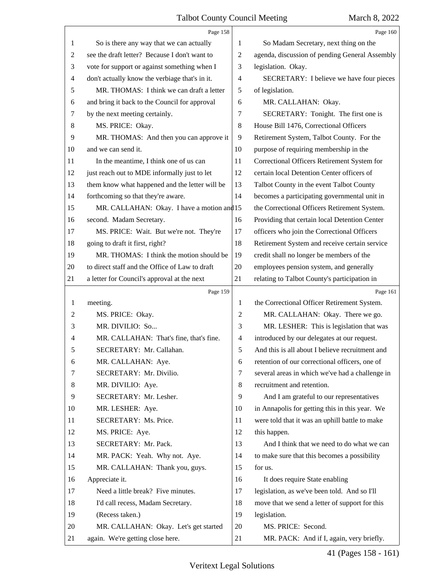<span id="page-40-0"></span>

|                | Page 158                                       |                | Page 160                                        |
|----------------|------------------------------------------------|----------------|-------------------------------------------------|
| 1              | So is there any way that we can actually       | 1              | So Madam Secretary, next thing on the           |
| $\overline{2}$ | see the draft letter? Because I don't want to  | 2              | agenda, discussion of pending General Assembly  |
| 3              | vote for support or against something when I   | 3              | legislation. Okay.                              |
| $\overline{4}$ | don't actually know the verbiage that's in it. | $\overline{4}$ | SECRETARY: I believe we have four pieces        |
| 5              | MR. THOMAS: I think we can draft a letter      | 5              | of legislation.                                 |
| 6              | and bring it back to the Council for approval  | 6              | MR. CALLAHAN: Okay.                             |
| 7              | by the next meeting certainly.                 | 7              | SECRETARY: Tonight. The first one is            |
| 8              | MS. PRICE: Okay.                               | 8              | House Bill 1476, Correctional Officers          |
| 9              | MR. THOMAS: And then you can approve it        | 9              | Retirement System, Talbot County. For the       |
| 10             | and we can send it.                            | 10             | purpose of requiring membership in the          |
| 11             | In the meantime, I think one of us can         | 11             | Correctional Officers Retirement System for     |
| 12             | just reach out to MDE informally just to let   | 12             | certain local Detention Center officers of      |
| 13             | them know what happened and the letter will be | 13             | Talbot County in the event Talbot County        |
| 14             | forthcoming so that they're aware.             | 14             | becomes a participating governmental unit in    |
| 15             | MR. CALLAHAN: Okay. I have a motion and 15     |                | the Correctional Officers Retirement System.    |
| 16             | second. Madam Secretary.                       | 16             | Providing that certain local Detention Center   |
| 17             | MS. PRICE: Wait. But we're not. They're        | 17             | officers who join the Correctional Officers     |
| 18             | going to draft it first, right?                | 18             | Retirement System and receive certain service   |
| 19             | MR. THOMAS: I think the motion should be       | 19             | credit shall no longer be members of the        |
| 20             | to direct staff and the Office of Law to draft | 20             | employees pension system, and generally         |
| 21             | a letter for Council's approval at the next    | 21             | relating to Talbot County's participation in    |
|                |                                                |                |                                                 |
|                | Page 159                                       |                | Page 161                                        |
| 1              | meeting.                                       | 1              | the Correctional Officer Retirement System.     |
| $\overline{c}$ | MS. PRICE: Okay.                               | 2              | MR. CALLAHAN: Okay. There we go.                |
| 3              | MR. DIVILIO: So                                | 3              | MR. LESHER: This is legislation that was        |
| 4              | MR. CALLAHAN: That's fine, that's fine.        | $\overline{4}$ | introduced by our delegates at our request.     |
| 5              | SECRETARY: Mr. Callahan.                       | 5              | And this is all about I believe recruitment and |
| 6              | MR. CALLAHAN: Aye.                             | 6              | retention of our correctional officers, one of  |
| 7              | SECRETARY: Mr. Divilio.                        | 7              | several areas in which we've had a challenge in |
| 8              | MR. DIVILIO: Aye.                              | 8              | recruitment and retention.                      |
| 9              | SECRETARY: Mr. Lesher.                         | 9              | And I am grateful to our representatives        |
| 10             | MR. LESHER: Aye.                               | 10             | in Annapolis for getting this in this year. We  |
| 11             | SECRETARY: Ms. Price.                          | 11             | were told that it was an uphill battle to make  |
| 12             | MS. PRICE: Aye.                                | 12             | this happen.                                    |
| 13             | SECRETARY: Mr. Pack.                           | 13             | And I think that we need to do what we can      |
| 14             | MR. PACK: Yeah. Why not. Aye.                  | 14             | to make sure that this becomes a possibility    |
| 15             | MR. CALLAHAN: Thank you, guys.                 | 15             | for us.                                         |
| 16             | Appreciate it.                                 | 16             | It does require State enabling                  |
| 17             | Need a little break? Five minutes.             | 17             | legislation, as we've been told. And so I'll    |
| 18             | I'd call recess, Madam Secretary.              | 18             | move that we send a letter of support for this  |
| 19             | (Recess taken.)                                | 19             | legislation.                                    |
| 20             | MR. CALLAHAN: Okay. Let's get started          | 20             | MS. PRICE: Second.                              |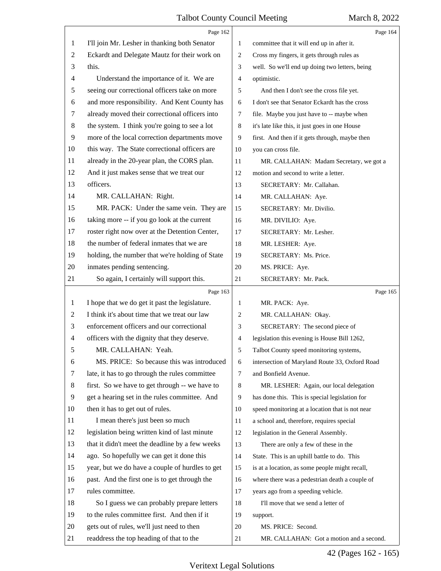<span id="page-41-0"></span>

|                | Page 162                                        |        | Page 164                                        |
|----------------|-------------------------------------------------|--------|-------------------------------------------------|
| $\mathbf{1}$   | I'll join Mr. Lesher in thanking both Senator   | 1      | committee that it will end up in after it.      |
| 2              | Eckardt and Delegate Mautz for their work on    | 2      | Cross my fingers, it gets through rules as      |
| 3              | this.                                           | 3      | well. So we'll end up doing two letters, being  |
| $\overline{4}$ | Understand the importance of it. We are         | 4      | optimistic.                                     |
| 5              | seeing our correctional officers take on more   | 5      | And then I don't see the cross file yet.        |
| 6              | and more responsibility. And Kent County has    | 6      | I don't see that Senator Eckardt has the cross  |
| 7              | already moved their correctional officers into  | $\tau$ | file. Maybe you just have to -- maybe when      |
| $\,8\,$        | the system. I think you're going to see a lot   | 8      | it's late like this, it just goes in one House  |
| 9              | more of the local correction departments move   | 9      | first. And then if it gets through, maybe then  |
| 10             | this way. The State correctional officers are   | 10     | you can cross file.                             |
| 11             | already in the 20-year plan, the CORS plan.     | 11     | MR. CALLAHAN: Madam Secretary, we got a         |
| 12             | And it just makes sense that we treat our       | 12     | motion and second to write a letter.            |
| 13             | officers.                                       | 13     | SECRETARY: Mr. Callahan.                        |
| 14             | MR. CALLAHAN: Right.                            | 14     | MR. CALLAHAN: Aye.                              |
| 15             | MR. PACK: Under the same vein. They are         | 15     | SECRETARY: Mr. Divilio.                         |
| 16             | taking more -- if you go look at the current    | 16     | MR. DIVILIO: Aye.                               |
| 17             | roster right now over at the Detention Center,  | 17     | SECRETARY: Mr. Lesher.                          |
| 18             | the number of federal inmates that we are       | 18     | MR. LESHER: Aye.                                |
| 19             | holding, the number that we're holding of State | 19     | SECRETARY: Ms. Price.                           |
| 20             | inmates pending sentencing.                     | 20     | MS. PRICE: Aye.                                 |
| 21             | So again, I certainly will support this.        | 21     | SECRETARY: Mr. Pack.                            |
|                | Page 163                                        |        | Page 165                                        |
| $\mathbf{1}$   | I hope that we do get it past the legislature.  | 1      | MR. PACK: Aye.                                  |
| 2              | I think it's about time that we treat our law   | 2      | MR. CALLAHAN: Okay.                             |
| 3              | enforcement officers and our correctional       | 3      | SECRETARY: The second piece of                  |
| 4              | officers with the dignity that they deserve.    | 4      | legislation this evening is House Bill 1262,    |
| 5              | MR. CALLAHAN: Yeah.                             | 5      | Talbot County speed monitoring systems,         |
| 6              | MS. PRICE: So because this was introduced       | 6      | intersection of Maryland Route 33, Oxford Road  |
| 7              | late, it has to go through the rules committee  | $\tau$ | and Bonfield Avenue.                            |
| 8              | first. So we have to get through -- we have to  |        |                                                 |
| 9              |                                                 | 8      | MR. LESHER: Again, our local delegation         |
| 10             | get a hearing set in the rules committee. And   | 9      | has done this. This is special legislation for  |
|                | then it has to get out of rules.                | 10     | speed monitoring at a location that is not near |
| 11             | I mean there's just been so much                | 11     | a school and, therefore, requires special       |
| 12             | legislation being written kind of last minute   | 12     | legislation in the General Assembly.            |
| 13             | that it didn't meet the deadline by a few weeks | 13     | There are only a few of these in the            |
| 14             | ago. So hopefully we can get it done this       | 14     | State. This is an uphill battle to do. This     |
| 15             | year, but we do have a couple of hurdles to get | 15     | is at a location, as some people might recall,  |
| 16             | past. And the first one is to get through the   | 16     | where there was a pedestrian death a couple of  |
| 17             | rules committee.                                | 17     | years ago from a speeding vehicle.              |
| 18             | So I guess we can probably prepare letters      | 18     | I'll move that we send a letter of              |
| 19             | to the rules committee first. And then if it    | 19     | support.                                        |
| 20             | gets out of rules, we'll just need to then      | 20     | MS. PRICE: Second.                              |

42 (Pages 162 - 165)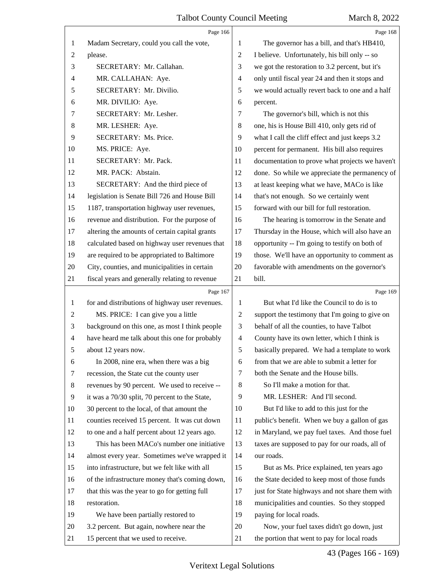<span id="page-42-0"></span>

|                | Page 166                                        |                | Page 168                                                                                    |
|----------------|-------------------------------------------------|----------------|---------------------------------------------------------------------------------------------|
| 1              | Madam Secretary, could you call the vote,       | 1              | The governor has a bill, and that's HB410,<br>I believe. Unfortunately, his bill only -- so |
| 2<br>3         | please.<br>SECRETARY: Mr. Callahan.             | 2<br>3         | we got the restoration to 3.2 percent, but it's                                             |
| 4              | MR. CALLAHAN: Aye.                              | $\overline{4}$ | only until fiscal year 24 and then it stops and                                             |
| 5              | SECRETARY: Mr. Divilio.                         | 5              |                                                                                             |
|                |                                                 |                | we would actually revert back to one and a half                                             |
| 6              | MR. DIVILIO: Aye.<br>SECRETARY: Mr. Lesher.     | 6              | percent.                                                                                    |
| 7              |                                                 | 7              | The governor's bill, which is not this                                                      |
| 8              | MR. LESHER: Aye.                                | $\,8\,$        | one, his is House Bill 410, only gets rid of                                                |
| 9              | SECRETARY: Ms. Price.                           | 9              | what I call the cliff effect and just keeps 3.2                                             |
| 10             | MS. PRICE: Aye.                                 | 10             | percent for permanent. His bill also requires                                               |
| 11             | SECRETARY: Mr. Pack.                            | 11             | documentation to prove what projects we haven't                                             |
| 12             | MR. PACK: Abstain.                              | 12             | done. So while we appreciate the permanency of                                              |
| 13             | SECRETARY: And the third piece of               | 13             | at least keeping what we have, MACo is like                                                 |
| 14             | legislation is Senate Bill 726 and House Bill   | 14             | that's not enough. So we certainly went                                                     |
| 15             | 1187, transportation highway user revenues,     | 15             | forward with our bill for full restoration.                                                 |
| 16             | revenue and distribution. For the purpose of    | 16             | The hearing is tomorrow in the Senate and                                                   |
| 17             | altering the amounts of certain capital grants  | 17             | Thursday in the House, which will also have an                                              |
| 18             | calculated based on highway user revenues that  | 18             | opportunity -- I'm going to testify on both of                                              |
| 19             | are required to be appropriated to Baltimore    | 19             | those. We'll have an opportunity to comment as                                              |
| 20             | City, counties, and municipalities in certain   | 20             | favorable with amendments on the governor's                                                 |
| 21             | fiscal years and generally relating to revenue  | 21             | bill.                                                                                       |
|                | Page 167                                        |                | Page 169                                                                                    |
| $\mathbf{1}$   | for and distributions of highway user revenues. | 1              | But what I'd like the Council to do is to                                                   |
| $\overline{c}$ | MS. PRICE: I can give you a little              | $\overline{c}$ | support the testimony that I'm going to give on                                             |
| 3              | background on this one, as most I think people  | 3              | behalf of all the counties, to have Talbot                                                  |
| $\overline{4}$ | have heard me talk about this one for probably  | $\overline{4}$ | County have its own letter, which I think is                                                |
| 5              | about 12 years now.                             | 5              | basically prepared. We had a template to work                                               |
| 6              | In 2008, nine era, when there was a big         | 6              | from that we are able to submit a letter for                                                |
| 7              | recession, the State cut the county user        | 7              | both the Senate and the House bills.                                                        |
| 8              | revenues by 90 percent. We used to receive --   | 8              | So I'll make a motion for that.                                                             |
| 9              | it was a 70/30 split, 70 percent to the State,  | 9              | MR. LESHER: And I'll second.                                                                |
| 10             | 30 percent to the local, of that amount the     | 10             | But I'd like to add to this just for the                                                    |
| 11             | counties received 15 percent. It was cut down   | 11             | public's benefit. When we buy a gallon of gas                                               |
| 12             | to one and a half percent about 12 years ago.   | 12             | in Maryland, we pay fuel taxes. And those fuel                                              |
| 13             | This has been MACo's number one initiative      | 13             | taxes are supposed to pay for our roads, all of                                             |
| 14             | almost every year. Sometimes we've wrapped it   | 14             | our roads.                                                                                  |
| 15             | into infrastructure, but we felt like with all  | 15             | But as Ms. Price explained, ten years ago                                                   |
| 16             | of the infrastructure money that's coming down, | 16             | the State decided to keep most of those funds                                               |
| 17             | that this was the year to go for getting full   | 17             | just for State highways and not share them with                                             |
| 18             | restoration.                                    | 18             | municipalities and counties. So they stopped                                                |
| 19             | We have been partially restored to              | 19             | paying for local roads.                                                                     |
| 20             | 3.2 percent. But again, nowhere near the        | 20             | Now, your fuel taxes didn't go down, just                                                   |
|                |                                                 |                |                                                                                             |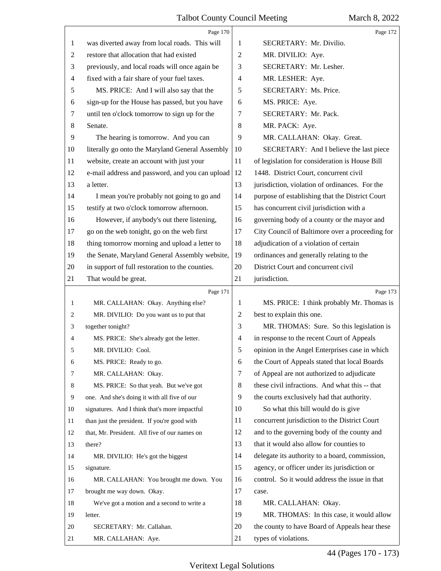<span id="page-43-0"></span>

|    | Page 170                                        |                | Page 172                                        |
|----|-------------------------------------------------|----------------|-------------------------------------------------|
| 1  | was diverted away from local roads. This will   | 1              | SECRETARY: Mr. Divilio.                         |
| 2  | restore that allocation that had existed        | $\mathfrak{2}$ | MR. DIVILIO: Aye.                               |
| 3  | previously, and local roads will once again be  | 3              | SECRETARY: Mr. Lesher.                          |
| 4  | fixed with a fair share of your fuel taxes.     | 4              | MR. LESHER: Aye.                                |
| 5  | MS. PRICE: And I will also say that the         | 5              | SECRETARY: Ms. Price.                           |
| 6  | sign-up for the House has passed, but you have  | 6              | MS. PRICE: Aye.                                 |
| 7  | until ten o'clock tomorrow to sign up for the   | 7              | SECRETARY: Mr. Pack.                            |
| 8  | Senate.                                         | 8              | MR. PACK: Aye.                                  |
| 9  | The hearing is tomorrow. And you can            | 9              | MR. CALLAHAN: Okay. Great.                      |
| 10 | literally go onto the Maryland General Assembly | 10             | SECRETARY: And I believe the last piece         |
| 11 | website, create an account with just your       | 11             | of legislation for consideration is House Bill  |
| 12 | e-mail address and password, and you can upload | 12             | 1448. District Court, concurrent civil          |
| 13 | a letter.                                       | 13             | jurisdiction, violation of ordinances. For the  |
| 14 | I mean you're probably not going to go and      | 14             | purpose of establishing that the District Court |
| 15 | testify at two o'clock tomorrow afternoon.      | 15             | has concurrent civil jurisdiction with a        |
| 16 | However, if anybody's out there listening,      | 16             | governing body of a county or the mayor and     |
| 17 | go on the web tonight, go on the web first      | 17             | City Council of Baltimore over a proceeding for |
| 18 | thing tomorrow morning and upload a letter to   | 18             | adjudication of a violation of certain          |
| 19 | the Senate, Maryland General Assembly website,  | 19             | ordinances and generally relating to the        |
| 20 | in support of full restoration to the counties. | 20             | District Court and concurrent civil             |
| 21 | That would be great.                            | 21             | jurisdiction.                                   |
|    |                                                 |                |                                                 |
|    | Page 171                                        |                | Page 173                                        |
| 1  | MR. CALLAHAN: Okay. Anything else?              | 1              | MS. PRICE: I think probably Mr. Thomas is       |
| 2  | MR. DIVILIO: Do you want us to put that         | 2              | best to explain this one.                       |
| 3  | together tonight?                               | 3              | MR. THOMAS: Sure. So this legislation is        |
| 4  | MS. PRICE: She's already got the letter.        | $\overline{4}$ | in response to the recent Court of Appeals      |
| 5  | MR. DIVILIO: Cool.                              | 5              | opinion in the Angel Enterprises case in which  |
| 6  | MS. PRICE: Ready to go.                         | 6              | the Court of Appeals stated that local Boards   |
| 7  | MR. CALLAHAN: Okay.                             | 7              | of Appeal are not authorized to adjudicate      |
| 8  | MS. PRICE: So that yeah. But we've got          | 8              | these civil infractions. And what this -- that  |
| 9  | one. And she's doing it with all five of our    | 9              | the courts exclusively had that authority.      |
| 10 | signatures. And I think that's more impactful   | 10             | So what this bill would do is give              |
| 11 | than just the president. If you're good with    | 11             | concurrent jurisdiction to the District Court   |
| 12 | that, Mr. President. All five of our names on   | 12             | and to the governing body of the county and     |
| 13 | there?                                          | 13             | that it would also allow for counties to        |
| 14 | MR. DIVILIO: He's got the biggest               | 14             | delegate its authority to a board, commission,  |
| 15 | signature.                                      | 15             | agency, or officer under its jurisdiction or    |
| 16 | MR. CALLAHAN: You brought me down. You          | 16             | control. So it would address the issue in that  |
| 17 | brought me way down. Okay.                      | 17             | case.                                           |
| 18 | We've got a motion and a second to write a      | 18             | MR. CALLAHAN: Okay.                             |
| 19 | letter.                                         | 19             | MR. THOMAS: In this case, it would allow        |
| 20 | SECRETARY: Mr. Callahan.                        | 20             | the county to have Board of Appeals hear these  |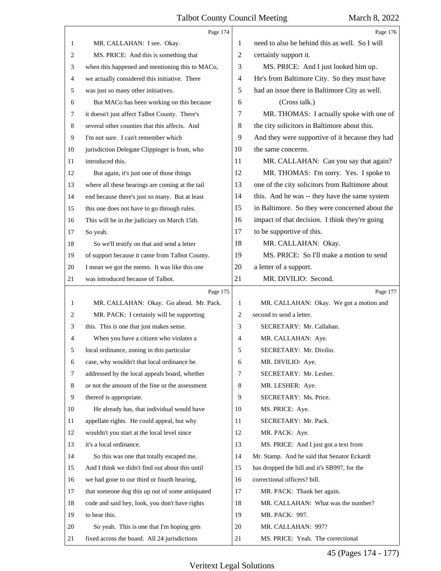<span id="page-44-0"></span>

|                | Page 174                                        |    | Page 176                                        |
|----------------|-------------------------------------------------|----|-------------------------------------------------|
| 1              | MR. CALLAHAN: I see. Okay.                      | 1  | need to also be behind this as well. So I will  |
| 2              | MS. PRICE: And this is something that           | 2  | certainly support it.                           |
| 3              | when this happened and mentioning this to MACo, | 3  | MS. PRICE: And I just looked him up.            |
| $\overline{4}$ | we actually considered this initiative. There   | 4  | He's from Baltimore City. So they must have     |
| 5              | was just so many other initiatives.             | 5  | had an issue there in Baltimore City as well.   |
| 6              | But MACo has been working on this because       | 6  | (Cross talk.)                                   |
| 7              | it doesn't just affect Talbot County. There's   | 7  | MR. THOMAS: I actually spoke with one of        |
| 8              | several other counties that this affects. And   | 8  | the city solicitors in Baltimore about this.    |
| 9              | I'm not sure. I can't remember which            | 9  | And they were supportive of it because they had |
| 10             | jurisdiction Delegate Clippinger is from, who   | 10 | the same concerns.                              |
| 11             | introduced this.                                | 11 | MR. CALLAHAN: Can you say that again?           |
| 12             | But again, it's just one of those things        | 12 | MR. THOMAS: I'm sorry. Yes. I spoke to          |
| 13             | where all these hearings are coming at the tail | 13 | one of the city solicitors from Baltimore about |
| 14             | end because there's just so many. But at least  | 14 | this. And he was -- they have the same system   |
| 15             | this one does not have to go through rules.     | 15 | in Baltimore. So they were concerned about the  |
| 16             | This will be in the judiciary on March 15th.    | 16 | impact of that decision. I think they're going  |
| 17             | So yeah.                                        | 17 | to be supportive of this.                       |
| 18             | So we'll testify on that and send a letter      | 18 | MR. CALLAHAN: Okay.                             |
| 19             | of support because it came from Talbot County.  | 19 | MS. PRICE: So I'll make a motion to send        |
| 20             | I mean we got the memo. It was like this one    | 20 | a letter of a support.                          |
| 21             | was introduced because of Talbot.               | 21 | MR. DIVILIO: Second.                            |
|                | Page 175                                        |    | Page 177                                        |
| 1              | MR. CALLAHAN: Okay. Go ahead. Mr. Pack.         | 1  | MR. CALLAHAN: Okay. We got a motion and         |
| 2              | MR. PACK: I certainly will be supporting        | 2  | second to send a letter.                        |
| 3              | this. This is one that just makes sense.        | 3  | SECRETARY: Mr. Callahan.                        |
| 4              | When you have a citizen who violates a          | 4  | MR. CALLAHAN: Aye.                              |
| 5              | local ordinance, zoning in this particular      | 5  | SECRETARY: Mr. Divilio.                         |
| 6              | case, why wouldn't that local ordinance be      | 6  | MR. DIVILIO: Aye.                               |
| 7              | addressed by the local appeals board, whether   | 7  | SECRETARY: Mr. Lesher.                          |
| 8              | or not the amount of the fine or the assessment | 8  | MR. LESHER: Aye.                                |
| 9              | thereof is appropriate.                         | 9  | SECRETARY: Ms. Price.                           |
| 10             | He already has, that individual would have      | 10 | MS. PRICE: Aye.                                 |
| 11             | appellate rights. He could appeal, but why      | 11 | SECRETARY: Mr. Pack.                            |
| 12             |                                                 |    |                                                 |
| 13             | wouldn't you start at the local level since     | 12 | MR. PACK: Aye.                                  |
|                | it's a local ordinance.                         | 13 | MS. PRICE: And I just got a text from           |
| 14             | So this was one that totally escaped me.        | 14 | Mr. Stamp. And he said that Senator Eckardt     |
| 15             | And I think we didn't find out about this until | 15 | has dropped the bill and it's SB997, for the    |
| 16             | we had gone to our third or fourth hearing,     | 16 | correctional officers? bill.                    |
| 17             | that someone dug this up out of some antiquated | 17 | MR. PACK: Thank her again.                      |
| 18             | code and said hey, look, you don't have rights  | 18 | MR. CALLAHAN: What was the number?              |
| 19             | to hear this.                                   | 19 | MR. PACK: 997.                                  |
| 20             | So yeah. This is one that I'm hoping gets       | 20 | MR. CALLAHAN: 997?                              |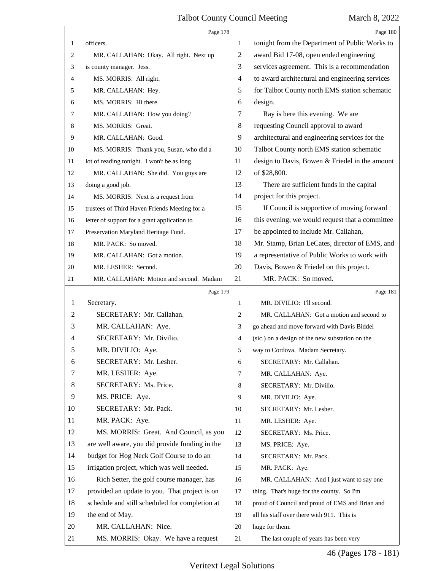<span id="page-45-0"></span>

|    | Page 178                                       |                          | Page 180                                        |
|----|------------------------------------------------|--------------------------|-------------------------------------------------|
| 1  | officers.                                      | 1                        | tonight from the Department of Public Works to  |
| 2  | MR. CALLAHAN: Okay. All right. Next up         | 2                        | award Bid 17-08, open ended engineering         |
| 3  | is county manager. Jess.                       | 3                        | services agreement. This is a recommendation    |
| 4  | MS. MORRIS: All right.                         | $\overline{\mathcal{A}}$ | to award architectural and engineering services |
| 5  | MR. CALLAHAN: Hey.                             | 5                        | for Talbot County north EMS station schematic   |
| 6  | MS. MORRIS: Hi there.                          | 6                        | design.                                         |
| 7  | MR. CALLAHAN: How you doing?                   | 7                        | Ray is here this evening. We are                |
| 8  | MS. MORRIS: Great.                             | 8                        | requesting Council approval to award            |
| 9  | MR. CALLAHAN: Good.                            | 9                        | architectural and engineering services for the  |
| 10 | MS. MORRIS: Thank you, Susan, who did a        | 10                       | Talbot County north EMS station schematic       |
| 11 | lot of reading tonight. I won't be as long.    | 11                       | design to Davis, Bowen & Friedel in the amount  |
| 12 | MR. CALLAHAN: She did. You guys are            | 12                       | of \$28,800.                                    |
| 13 | doing a good job.                              | 13                       | There are sufficient funds in the capital       |
| 14 | MS. MORRIS: Next is a request from             | 14                       | project for this project.                       |
| 15 | trustees of Third Haven Friends Meeting for a  | 15                       | If Council is supportive of moving forward      |
| 16 | letter of support for a grant application to   | 16                       | this evening, we would request that a committee |
| 17 | Preservation Maryland Heritage Fund.           | 17                       | be appointed to include Mr. Callahan,           |
| 18 | MR. PACK: So moved.                            | 18                       | Mr. Stamp, Brian LeCates, director of EMS, and  |
| 19 | MR. CALLAHAN: Got a motion.                    | 19                       | a representative of Public Works to work with   |
| 20 | MR. LESHER: Second.                            | 20                       | Davis, Bowen & Friedel on this project.         |
| 21 | MR. CALLAHAN: Motion and second. Madam         | 21                       | MR. PACK: So moved.                             |
|    | Page 179                                       |                          | Page 181                                        |
| 1  | Secretary.                                     | 1                        | MR. DIVILIO: I'll second.                       |
|    |                                                |                          |                                                 |
| 2  | SECRETARY: Mr. Callahan.                       | 2                        | MR. CALLAHAN: Got a motion and second to        |
| 3  | MR. CALLAHAN: Aye.                             | 3                        | go ahead and move forward with Davis Biddel     |
| 4  | SECRETARY: Mr. Divilio.                        | $\overline{4}$           | (sic.) on a design of the new substation on the |
| 5  | MR. DIVILIO: Aye.                              | 5                        | way to Cordova. Madam Secretary.                |
| 6  | SECRETARY: Mr. Lesher.                         | 6                        | SECRETARY: Mr. Callahan.                        |
| 7  | MR. LESHER: Aye.                               | 7                        | MR. CALLAHAN: Aye.                              |
| 8  | SECRETARY: Ms. Price.                          | 8                        | SECRETARY: Mr. Divilio.                         |
| 9  | MS. PRICE: Aye.                                | 9                        | MR. DIVILIO: Aye.                               |
| 10 | SECRETARY: Mr. Pack.                           | 10                       | SECRETARY: Mr. Lesher.                          |
| 11 | MR. PACK: Aye.                                 | 11                       | MR. LESHER: Aye.                                |
| 12 | MS. MORRIS: Great. And Council, as you         | 12                       | SECRETARY: Ms. Price.                           |
| 13 | are well aware, you did provide funding in the | 13                       | MS. PRICE: Aye.                                 |
| 14 | budget for Hog Neck Golf Course to do an       | 14                       | SECRETARY: Mr. Pack.                            |
| 15 | irrigation project, which was well needed.     | 15                       | MR. PACK: Aye.                                  |
| 16 | Rich Setter, the golf course manager, has      | 16                       | MR. CALLAHAN: And I just want to say one        |
| 17 | provided an update to you. That project is on  | 17                       | thing. That's huge for the county. So I'm       |
| 18 | schedule and still scheduled for completion at | 18                       | proud of Council and proud of EMS and Brian and |
| 19 | the end of May.                                | 19                       | all his staff over there with 911. This is      |
| 20 | MR. CALLAHAN: Nice.                            | 20                       | huge for them.                                  |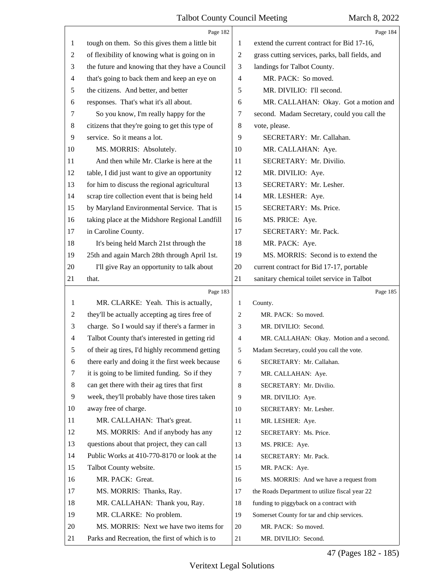<span id="page-46-0"></span>

|    | Page 182                                        |                | Page 184                                        |
|----|-------------------------------------------------|----------------|-------------------------------------------------|
| 1  | tough on them. So this gives them a little bit  | 1              | extend the current contract for Bid 17-16,      |
| 2  | of flexibility of knowing what is going on in   | $\overline{2}$ | grass cutting services, parks, ball fields, and |
| 3  | the future and knowing that they have a Council | 3              | landings for Talbot County.                     |
| 4  | that's going to back them and keep an eye on    | $\overline{4}$ | MR. PACK: So moved.                             |
| 5  | the citizens. And better, and better            | 5              | MR. DIVILIO: I'll second.                       |
| 6  | responses. That's what it's all about.          | 6              | MR. CALLAHAN: Okay. Got a motion and            |
| 7  | So you know, I'm really happy for the           | 7              | second. Madam Secretary, could you call the     |
| 8  | citizens that they're going to get this type of | 8              | vote, please.                                   |
| 9  | service. So it means a lot.                     | 9              | SECRETARY: Mr. Callahan.                        |
| 10 | MS. MORRIS: Absolutely.                         | 10             | MR. CALLAHAN: Aye.                              |
| 11 | And then while Mr. Clarke is here at the        | 11             | SECRETARY: Mr. Divilio.                         |
| 12 | table, I did just want to give an opportunity   | 12             | MR. DIVILIO: Aye.                               |
| 13 | for him to discuss the regional agricultural    | 13             | SECRETARY: Mr. Lesher.                          |
| 14 | scrap tire collection event that is being held  | 14             | MR. LESHER: Aye.                                |
| 15 | by Maryland Environmental Service. That is      | 15             | SECRETARY: Ms. Price.                           |
| 16 | taking place at the Midshore Regional Landfill  | 16             | MS. PRICE: Aye.                                 |
| 17 | in Caroline County.                             | 17             | SECRETARY: Mr. Pack.                            |
| 18 | It's being held March 21st through the          | 18             | MR. PACK: Aye.                                  |
| 19 | 25th and again March 28th through April 1st.    | 19             | MS. MORRIS: Second is to extend the             |
| 20 | I'll give Ray an opportunity to talk about      | 20             | current contract for Bid 17-17, portable        |
| 21 | that.                                           | 21             | sanitary chemical toilet service in Talbot      |
|    |                                                 |                |                                                 |
|    | Page 183                                        |                | Page 185                                        |
| 1  | MR. CLARKE: Yeah. This is actually,             | $\mathbf{1}$   | County.                                         |
| 2  | they'll be actually accepting ag tires free of  | 2              | MR. PACK: So moved.                             |
| 3  | charge. So I would say if there's a farmer in   | 3              | MR. DIVILIO: Second.                            |
| 4  | Talbot County that's interested in getting rid  | $\overline{4}$ | MR. CALLAHAN: Okay. Motion and a second.        |
| 5  | of their ag tires, I'd highly recommend getting | 5              | Madam Secretary, could you call the vote.       |
| 6  | there early and doing it the first week because | 6              | SECRETARY: Mr. Callahan.                        |
| 7  | it is going to be limited funding. So if they   | $\tau$         | MR. CALLAHAN: Aye.                              |
| 8  | can get there with their ag tires that first    | 8              | SECRETARY: Mr. Divilio.                         |
| 9  | week, they'll probably have those tires taken   | 9              | MR. DIVILIO: Aye.                               |
| 10 | away free of charge.                            | 10             | SECRETARY: Mr. Lesher.                          |
| 11 | MR. CALLAHAN: That's great.                     | 11             | MR. LESHER: Aye.                                |
| 12 | MS. MORRIS: And if anybody has any              | 12             | SECRETARY: Ms. Price.                           |
| 13 | questions about that project, they can call     | 13             | MS. PRICE: Aye.                                 |
| 14 | Public Works at 410-770-8170 or look at the     | 14             | SECRETARY: Mr. Pack.                            |
| 15 | Talbot County website.                          | 15             | MR. PACK: Aye.                                  |
| 16 | MR. PACK: Great.                                | 16             | MS. MORRIS: And we have a request from          |
| 17 | MS. MORRIS: Thanks, Ray.                        | 17             | the Roads Department to utilize fiscal year 22  |
| 18 | MR. CALLAHAN: Thank you, Ray.                   | 18             | funding to piggyback on a contract with         |
| 19 | MR. CLARKE: No problem.                         | 19             | Somerset County for tar and chip services.      |
| 20 | MS. MORRIS: Next we have two items for          | 20             | MR. PACK: So moved.                             |

47 (Pages 182 - 185)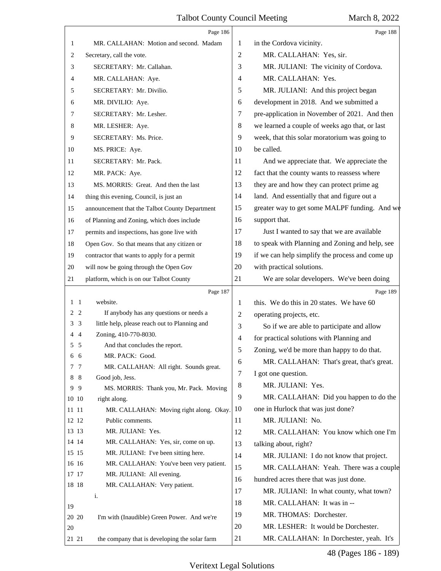<span id="page-47-0"></span>

|               |                                         | Page 186                                       |                          | Page 188                                        |
|---------------|-----------------------------------------|------------------------------------------------|--------------------------|-------------------------------------------------|
| 1             |                                         | MR. CALLAHAN: Motion and second. Madam         | 1                        | in the Cordova vicinity.                        |
| 2             | Secretary, call the vote.               |                                                | $\overline{2}$           | MR. CALLAHAN: Yes, sir.                         |
| 3             |                                         | SECRETARY: Mr. Callahan.                       | 3                        | MR. JULIANI: The vicinity of Cordova.           |
| 4             | MR. CALLAHAN: Aye.                      |                                                | 4                        | MR. CALLAHAN: Yes.                              |
| 5             | SECRETARY: Mr. Divilio.                 |                                                | 5                        | MR. JULIANI: And this project began             |
| 6             | MR. DIVILIO: Aye.                       |                                                | 6                        | development in 2018. And we submitted a         |
| 7             | SECRETARY: Mr. Lesher.                  |                                                | 7                        | pre-application in November of 2021. And then   |
| 8             | MR. LESHER: Aye.                        |                                                | $\,8\,$                  | we learned a couple of weeks ago that, or last  |
| 9             | SECRETARY: Ms. Price.                   |                                                | 9                        | week, that this solar moratorium was going to   |
| 10            | MS. PRICE: Aye.                         |                                                | 10                       | be called.                                      |
| 11            | SECRETARY: Mr. Pack.                    |                                                | 11                       | And we appreciate that. We appreciate the       |
| 12            | MR. PACK: Aye.                          |                                                | 12                       | fact that the county wants to reassess where    |
| 13            |                                         | MS. MORRIS: Great. And then the last           | 13                       | they are and how they can protect prime ag      |
| 14            |                                         | thing this evening, Council, is just an        | 14                       | land. And essentially that and figure out a     |
| 15            |                                         | announcement that the Talbot County Department | 15                       | greater way to get some MALPF funding. And we   |
| 16            |                                         | of Planning and Zoning, which does include     | 16                       | support that.                                   |
| 17            |                                         | permits and inspections, has gone live with    | 17                       | Just I wanted to say that we are available      |
| 18            |                                         | Open Gov. So that means that any citizen or    | 18                       | to speak with Planning and Zoning and help, see |
| 19            |                                         | contractor that wants to apply for a permit    | 19                       | if we can help simplify the process and come up |
| 20            |                                         | will now be going through the Open Gov         | 20                       | with practical solutions.                       |
| 21            |                                         | platform, which is on our Talbot County        | 21                       | We are solar developers. We've been doing       |
|               |                                         |                                                |                          |                                                 |
|               |                                         |                                                |                          |                                                 |
|               | $1\quad1$<br>website.                   | Page 187                                       |                          | Page 189                                        |
|               | 2 <sub>2</sub>                          | If anybody has any questions or needs a        | 1                        | this. We do this in 20 states. We have 60       |
|               | 3 <sup>3</sup>                          | little help, please reach out to Planning and  | 2                        | operating projects, etc.                        |
| 4             | Zoning, 410-770-8030.<br>$\overline{4}$ |                                                | 3                        | So if we are able to participate and allow      |
|               | 55                                      | And that concludes the report.                 | $\overline{\mathcal{L}}$ | for practical solutions with Planning and       |
|               | MR. PACK: Good.<br>66                   |                                                | 5                        | Zoning, we'd be more than happy to do that.     |
| 7             | -7                                      | MR. CALLAHAN: All right. Sounds great.         | 6                        | MR. CALLAHAN: That's great, that's great.       |
| 8             | -8<br>Good job, Jess.                   |                                                | 7                        | I got one question.                             |
|               | 99                                      | MS. MORRIS: Thank you, Mr. Pack. Moving        | 8                        | MR. JULIANI: Yes.                               |
| 10 10         | right along.                            |                                                | 9                        | MR. CALLAHAN: Did you happen to do the          |
| 11 11         |                                         | MR. CALLAHAN: Moving right along. Okay.        | 10                       | one in Hurlock that was just done?              |
| 12 12         | Public comments.                        |                                                | 11                       | MR. JULIANI: No.                                |
| 13 13         |                                         | MR. JULIANI: Yes.                              | 12                       | MR. CALLAHAN: You know which one I'm            |
| 14 14         |                                         | MR. CALLAHAN: Yes, sir, come on up.            | 13                       | talking about, right?                           |
| 15 15         |                                         | MR. JULIANI: I've been sitting here.           | 14                       | MR. JULIANI: I do not know that project.        |
| 16 16         |                                         | MR. CALLAHAN: You've been very patient.        | 15                       | MR. CALLAHAN: Yeah. There was a couple          |
| 17 17         |                                         | MR. JULIANI: All evening.                      | 16                       | hundred acres there that was just done.         |
| 18 18         | i.                                      | MR. CALLAHAN: Very patient.                    | 17                       | MR. JULIANI: In what county, what town?         |
| 19            |                                         |                                                | 18                       | MR. CALLAHAN: It was in --                      |
| $20\,$ $20\,$ |                                         | I'm with (Inaudible) Green Power. And we're    | 19                       | MR. THOMAS: Dorchester.                         |
| 20            |                                         |                                                | 20                       | MR. LESHER: It would be Dorchester.             |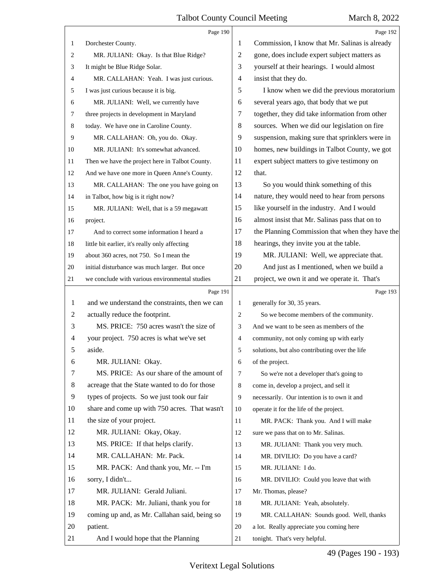<span id="page-48-0"></span>

|                          | Page 190                                               |                | Page 192                                                      |  |
|--------------------------|--------------------------------------------------------|----------------|---------------------------------------------------------------|--|
| 1                        | Dorchester County.                                     | 1              | Commission, I know that Mr. Salinas is already                |  |
| 2                        | MR. JULIANI: Okay. Is that Blue Ridge?                 | 2              | gone, does include expert subject matters as                  |  |
| 3                        | It might be Blue Ridge Solar.                          | 3              | yourself at their hearings. I would almost                    |  |
| 4                        | MR. CALLAHAN: Yeah. I was just curious.                | $\overline{4}$ | insist that they do.                                          |  |
| 5                        | I was just curious because it is big.                  | 5              | I know when we did the previous moratorium                    |  |
| 6                        | MR. JULIANI: Well, we currently have                   | 6              | several years ago, that body that we put                      |  |
| 7                        | three projects in development in Maryland              | 7              | together, they did take information from other                |  |
| 8                        | today. We have one in Caroline County.                 | 8              | sources. When we did our legislation on fire                  |  |
| 9                        | MR. CALLAHAN: Oh, you do. Okay.                        | 9              | suspension, making sure that sprinklers were in               |  |
| 10                       | MR. JULIANI: It's somewhat advanced.                   | 10             | homes, new buildings in Talbot County, we got                 |  |
| 11                       | Then we have the project here in Talbot County.        | 11             | expert subject matters to give testimony on                   |  |
| 12                       | And we have one more in Queen Anne's County.           | 12             | that.                                                         |  |
| 13                       | MR. CALLAHAN: The one you have going on                | 13             | So you would think something of this                          |  |
| 14                       | in Talbot, how big is it right now?                    | 14             | nature, they would need to hear from persons                  |  |
| 15                       | MR. JULIANI: Well, that is a 59 megawatt               | 15             | like yourself in the industry. And I would                    |  |
| 16                       | project.                                               | 16             | almost insist that Mr. Salinas pass that on to                |  |
| 17                       | And to correct some information I heard a              | 17             | the Planning Commission that when they have the               |  |
| 18                       | little bit earlier, it's really only affecting         | 18             | hearings, they invite you at the table.                       |  |
| 19                       | about 360 acres, not 750. So I mean the                | 19             | MR. JULIANI: Well, we appreciate that.                        |  |
| 20                       | initial disturbance was much larger. But once          | 20             | And just as I mentioned, when we build a                      |  |
| 21                       | we conclude with various environmental studies         | 21             | project, we own it and we operate it. That's                  |  |
|                          |                                                        |                |                                                               |  |
|                          | Page 191                                               |                | Page 193                                                      |  |
| $\mathbf{1}$             | and we understand the constraints, then we can         | $\mathbf{1}$   | generally for 30, 35 years.                                   |  |
| 2                        | actually reduce the footprint.                         | $\overline{2}$ | So we become members of the community.                        |  |
| 3                        | MS. PRICE: 750 acres wasn't the size of                | 3              | And we want to be seen as members of the                      |  |
| $\overline{\mathcal{A}}$ | your project. 750 acres is what we've set              | $\overline{4}$ | community, not only coming up with early                      |  |
| 5                        | aside.                                                 | 5              | solutions, but also contributing over the life                |  |
| 6                        | MR. JULIANI: Okay.                                     | 6              | of the project.                                               |  |
| 7                        | MS. PRICE: As our share of the amount of               | 7              | So we're not a developer that's going to                      |  |
| 8                        | acreage that the State wanted to do for those          | 8              | come in, develop a project, and sell it                       |  |
| 9                        | types of projects. So we just took our fair            | 9              | necessarily. Our intention is to own it and                   |  |
| 10                       | share and come up with 750 acres. That wasn't          | 10             | operate it for the life of the project.                       |  |
| 11                       | the size of your project.                              | 11             | MR. PACK: Thank you. And I will make                          |  |
| 12                       | MR. JULIANI: Okay, Okay.                               | 12             | sure we pass that on to Mr. Salinas.                          |  |
| 13                       | MS. PRICE: If that helps clarify.                      | 13             | MR. JULIANI: Thank you very much.                             |  |
| 14                       | MR. CALLAHAN: Mr. Pack.                                | 14             | MR. DIVILIO: Do you have a card?                              |  |
| 15                       |                                                        | 15             | MR. JULIANI: I do.                                            |  |
| 16                       | MR. PACK: And thank you, Mr. -- I'm<br>sorry, I didn't | 16             |                                                               |  |
| 17                       | MR. JULIANI: Gerald Juliani.                           | 17             | MR. DIVILIO: Could you leave that with<br>Mr. Thomas, please? |  |
| 18                       | MR. PACK: Mr. Juliani, thank you for                   | 18             | MR. JULIANI: Yeah, absolutely.                                |  |
| 19                       | coming up and, as Mr. Callahan said, being so          | 19             | MR. CALLAHAN: Sounds good. Well, thanks                       |  |
| 20                       | patient.                                               | 20             | a lot. Really appreciate you coming here                      |  |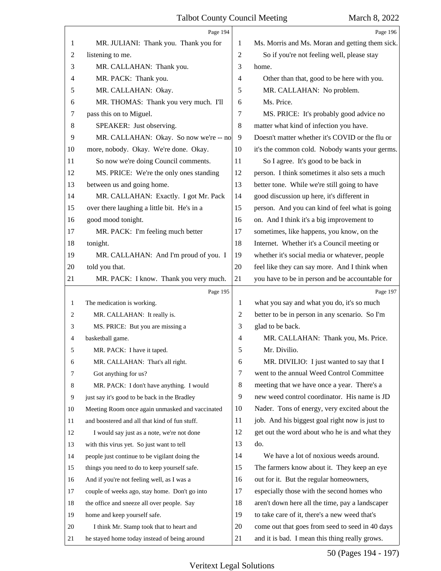<span id="page-49-0"></span>

|                | Page 194                                        |    | Page 196                                        |
|----------------|-------------------------------------------------|----|-------------------------------------------------|
| 1              | MR. JULIANI: Thank you. Thank you for           | 1  | Ms. Morris and Ms. Moran and getting them sick. |
| $\overline{c}$ | listening to me.                                | 2  | So if you're not feeling well, please stay      |
| 3              | MR. CALLAHAN: Thank you.                        | 3  | home.                                           |
| 4              | MR. PACK: Thank you.                            | 4  | Other than that, good to be here with you.      |
| 5              | MR. CALLAHAN: Okay.                             | 5  | MR. CALLAHAN: No problem.                       |
| 6              | MR. THOMAS: Thank you very much. I'll           | 6  | Ms. Price.                                      |
| 7              | pass this on to Miguel.                         | 7  | MS. PRICE: It's probably good advice no         |
| 8              | SPEAKER: Just observing.                        | 8  | matter what kind of infection you have.         |
| 9              | MR. CALLAHAN: Okay. So now we're -- no          | 9  | Doesn't matter whether it's COVID or the flu or |
| 10             | more, nobody. Okay. We're done. Okay.           | 10 | it's the common cold. Nobody wants your germs.  |
| 11             | So now we're doing Council comments.            | 11 | So I agree. It's good to be back in             |
| 12             | MS. PRICE: We're the only ones standing         | 12 | person. I think sometimes it also sets a much   |
| 13             | between us and going home.                      | 13 | better tone. While we're still going to have    |
| 14             | MR. CALLAHAN: Exactly. I got Mr. Pack           | 14 | good discussion up here, it's different in      |
| 15             | over there laughing a little bit. He's in a     | 15 | person. And you can kind of feel what is going  |
| 16             | good mood tonight.                              | 16 | on. And I think it's a big improvement to       |
| 17             | MR. PACK: I'm feeling much better               | 17 | sometimes, like happens, you know, on the       |
| 18             | tonight.                                        | 18 | Internet. Whether it's a Council meeting or     |
| 19             | MR. CALLAHAN: And I'm proud of you. I           | 19 | whether it's social media or whatever, people   |
| 20             | told you that.                                  | 20 | feel like they can say more. And I think when   |
| 21             | MR. PACK: I know. Thank you very much.          | 21 | you have to be in person and be accountable for |
|                |                                                 |    |                                                 |
|                | Page 195                                        |    | Page 197                                        |
| 1              | The medication is working.                      | 1  | what you say and what you do, it's so much      |
| 2              | MR. CALLAHAN: It really is.                     | 2  | better to be in person in any scenario. So I'm  |
| 3              | MS. PRICE: But you are missing a                | 3  | glad to be back.                                |
| 4              | basketball game.                                | 4  | MR. CALLAHAN: Thank you, Ms. Price.             |
| 5              | MR. PACK: I have it taped.                      | 5  | Mr. Divilio.                                    |
| 6              | MR. CALLAHAN: That's all right.                 | 6  | MR. DIVILIO: I just wanted to say that I        |
| 7              | Got anything for us?                            | 7  | went to the annual Weed Control Committee       |
| 8              | MR. PACK: I don't have anything. I would        | 8  | meeting that we have once a year. There's a     |
| 9              | just say it's good to be back in the Bradley    | 9  | new weed control coordinator. His name is JD    |
| 10             | Meeting Room once again unmasked and vaccinated | 10 | Nader. Tons of energy, very excited about the   |
| 11             | and boostered and all that kind of fun stuff.   | 11 | job. And his biggest goal right now is just to  |
| 12             | I would say just as a note, we're not done      | 12 | get out the word about who he is and what they  |
| 13             | with this virus yet. So just want to tell       | 13 | do.                                             |
| 14             | people just continue to be vigilant doing the   | 14 | We have a lot of noxious weeds around.          |
| 15             | things you need to do to keep yourself safe.    | 15 | The farmers know about it. They keep an eye     |
| 16             | And if you're not feeling well, as I was a      | 16 | out for it. But the regular homeowners,         |
| 17             | couple of weeks ago, stay home. Don't go into   | 17 | especially those with the second homes who      |
| 18             | the office and sneeze all over people. Say      | 18 | aren't down here all the time, pay a landscaper |
| 19             | home and keep yourself safe.                    | 19 | to take care of it, there's a new weed that's   |
| 20             | I think Mr. Stamp took that to heart and        | 20 | come out that goes from seed to seed in 40 days |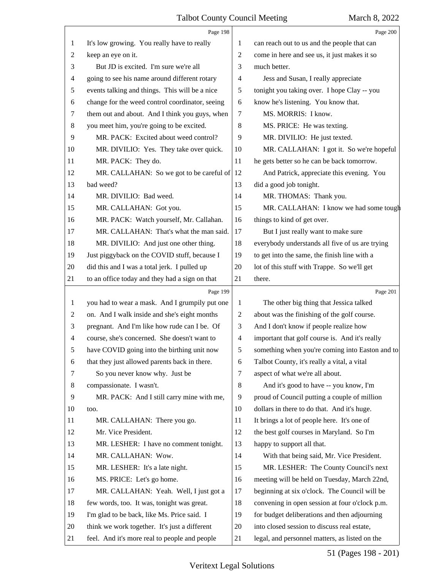<span id="page-50-0"></span>

|                | Page 198                                        |                | Page 200                                        |
|----------------|-------------------------------------------------|----------------|-------------------------------------------------|
| 1              | It's low growing. You really have to really     | 1              | can reach out to us and the people that can     |
| $\overline{c}$ | keep an eye on it.                              | $\overline{c}$ | come in here and see us, it just makes it so    |
| 3              | But JD is excited. I'm sure we're all           | 3              | much better.                                    |
| 4              | going to see his name around different rotary   | 4              | Jess and Susan, I really appreciate             |
| 5              | events talking and things. This will be a nice  | 5              | tonight you taking over. I hope Clay -- you     |
| 6              | change for the weed control coordinator, seeing | 6              | know he's listening. You know that.             |
| 7              | them out and about. And I think you guys, when  | 7              | MS. MORRIS: I know.                             |
| $\,8\,$        | you meet him, you're going to be excited.       | $\,8\,$        | MS. PRICE: He was texting.                      |
| 9              | MR. PACK: Excited about weed control?           | 9              | MR. DIVILIO: He just texted.                    |
| 10             | MR. DIVILIO: Yes. They take over quick.         | 10             | MR. CALLAHAN: I got it. So we're hopeful        |
| 11             | MR. PACK: They do.                              | 11             | he gets better so he can be back tomorrow.      |
| 12             | MR. CALLAHAN: So we got to be careful of        | 12             | And Patrick, appreciate this evening. You       |
| 13             | bad weed?                                       | 13             | did a good job tonight.                         |
| 14             | MR. DIVILIO: Bad weed.                          | 14             | MR. THOMAS: Thank you.                          |
| 15             | MR. CALLAHAN: Got you.                          | 15             | MR. CALLAHAN: I know we had some tough          |
| 16             | MR. PACK: Watch yourself, Mr. Callahan.         | 16             | things to kind of get over.                     |
| 17             | MR. CALLAHAN: That's what the man said.         | 17             | But I just really want to make sure             |
| 18             | MR. DIVILIO: And just one other thing.          | 18             | everybody understands all five of us are trying |
| 19             | Just piggyback on the COVID stuff, because I    | 19             | to get into the same, the finish line with a    |
| 20             | did this and I was a total jerk. I pulled up    | 20             | lot of this stuff with Trappe. So we'll get     |
| 21             | to an office today and they had a sign on that  | 21             | there.                                          |
|                | Page 199                                        |                | Page 201                                        |
| $\mathbf{1}$   | you had to wear a mask. And I grumpily put one  | 1              | The other big thing that Jessica talked         |
| 2              | on. And I walk inside and she's eight months    | 2              | about was the finishing of the golf course.     |
| 3              | pregnant. And I'm like how rude can I be. Of    | 3              | And I don't know if people realize how          |
| $\overline{4}$ | course, she's concerned. She doesn't want to    | 4              | important that golf course is. And it's really  |
| 5              | have COVID going into the birthing unit now     | 5              | something when you're coming into Easton and to |
| 6              | that they just allowed parents back in there.   | 6              |                                                 |
| 7              |                                                 |                | Talbot County, it's really a vital, a vital     |
| 8              | So you never know why. Just be                  | 7              | aspect of what we're all about.                 |
|                | compassionate. I wasn't.                        | $\,8\,$        | And it's good to have -- you know, I'm          |
| 9              | MR. PACK: And I still carry mine with me,       | 9              | proud of Council putting a couple of million    |
| 10             | too.                                            | 10             | dollars in there to do that. And it's huge.     |
| 11             | MR. CALLAHAN: There you go.                     | 11             | It brings a lot of people here. It's one of     |
| 12             | Mr. Vice President.                             | 12             | the best golf courses in Maryland. So I'm       |
| 13             | MR. LESHER: I have no comment tonight.          | 13             | happy to support all that.                      |
| 14             | MR. CALLAHAN: Wow.                              | 14             | With that being said, Mr. Vice President.       |
| 15             | MR. LESHER: It's a late night.                  | 15             | MR. LESHER: The County Council's next           |
| 16             | MS. PRICE: Let's go home.                       | 16             | meeting will be held on Tuesday, March 22nd,    |
| 17             | MR. CALLAHAN: Yeah. Well, I just got a          | 17             | beginning at six o'clock. The Council will be   |
| 18             | few words, too. It was, tonight was great.      | 18             | convening in open session at four o'clock p.m.  |
| 19             | I'm glad to be back, like Ms. Price said. I     | 19             | for budget deliberations and then adjourning    |
| 20             | think we work together. It's just a different   | 20             | into closed session to discuss real estate,     |

51 (Pages 198 - 201)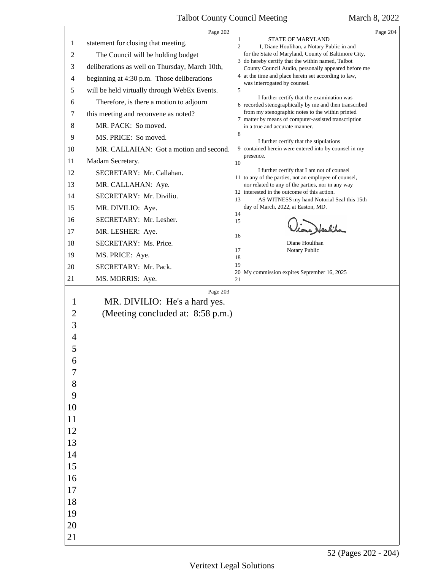<span id="page-51-0"></span>

|                | Page 202                                       |                                |                                                                                                          | Page 204 |
|----------------|------------------------------------------------|--------------------------------|----------------------------------------------------------------------------------------------------------|----------|
| 1              | statement for closing that meeting.            | $\mathbf{1}$<br>$\overline{2}$ | STATE OF MARYLAND<br>I, Diane Houlihan, a Notary Public in and                                           |          |
| $\overline{c}$ | The Council will be holding budget             |                                | for the State of Maryland, County of Baltimore City,                                                     |          |
| 3              | deliberations as well on Thursday, March 10th, |                                | 3 do hereby certify that the within named, Talbot<br>County Council Audio, personally appeared before me |          |
| 4              | beginning at 4:30 p.m. Those deliberations     |                                | 4 at the time and place herein set according to law,<br>was interrogated by counsel.                     |          |
| 5              | will be held virtually through WebEx Events.   | 5                              |                                                                                                          |          |
| 6              | Therefore, is there a motion to adjourn        |                                | I further certify that the examination was<br>6 recorded stenographically by me and then transcribed     |          |
| 7              | this meeting and reconvene as noted?           |                                | from my stenographic notes to the within printed<br>7 matter by means of computer-assisted transcription |          |
| 8              | MR. PACK: So moved.                            |                                | in a true and accurate manner.                                                                           |          |
| 9              | MS. PRICE: So moved.                           | 8                              | I further certify that the stipulations                                                                  |          |
| 10             | MR. CALLAHAN: Got a motion and second.         |                                | 9 contained herein were entered into by counsel in my                                                    |          |
| 11             | Madam Secretary.                               | 10                             | presence.                                                                                                |          |
| 12             | SECRETARY: Mr. Callahan.                       |                                | I further certify that I am not of counsel<br>11 to any of the parties, not an employee of counsel,      |          |
| 13             | MR. CALLAHAN: Aye.                             |                                | nor related to any of the parties, nor in any way                                                        |          |
| 14             | SECRETARY: Mr. Divilio.                        | 13                             | 12 interested in the outcome of this action.<br>AS WITNESS my hand Notorial Seal this 15th               |          |
| 15             | MR. DIVILIO: Aye.                              |                                | day of March, 2022, at Easton, MD.                                                                       |          |
| 16             | SECRETARY: Mr. Lesher.                         | 14<br>15                       |                                                                                                          |          |
| 17             | MR. LESHER: Aye.                               | 16                             | Alaufich                                                                                                 |          |
| 18             | SECRETARY: Ms. Price.                          |                                | Diane Houlihan                                                                                           |          |
| 19             | MS. PRICE: Aye.                                | 17<br>18                       | Notary Public                                                                                            |          |
| 20             | SECRETARY: Mr. Pack.                           | 19                             | 20 My commission expires September 16, 2025                                                              |          |
| 21             | MS. MORRIS: Aye.                               | 21                             |                                                                                                          |          |
|                | Page 203                                       |                                |                                                                                                          |          |
| 1              | MR. DIVILIO: He's a hard yes.                  |                                |                                                                                                          |          |
| $\overline{c}$ | (Meeting concluded at: 8:58 p.m.)              |                                |                                                                                                          |          |
| 3              |                                                |                                |                                                                                                          |          |
|                |                                                |                                |                                                                                                          |          |
|                |                                                |                                |                                                                                                          |          |
| 6              |                                                |                                |                                                                                                          |          |
| 7              |                                                |                                |                                                                                                          |          |
| 8              |                                                |                                |                                                                                                          |          |
| 9              |                                                |                                |                                                                                                          |          |
| 10             |                                                |                                |                                                                                                          |          |
| 11             |                                                |                                |                                                                                                          |          |
| 12             |                                                |                                |                                                                                                          |          |
| 13             |                                                |                                |                                                                                                          |          |
| 14             |                                                |                                |                                                                                                          |          |
| 15             |                                                |                                |                                                                                                          |          |
| 16             |                                                |                                |                                                                                                          |          |
| 17             |                                                |                                |                                                                                                          |          |
| 18             |                                                |                                |                                                                                                          |          |
| 19             |                                                |                                |                                                                                                          |          |
| 20             |                                                |                                |                                                                                                          |          |
| 21             |                                                |                                |                                                                                                          |          |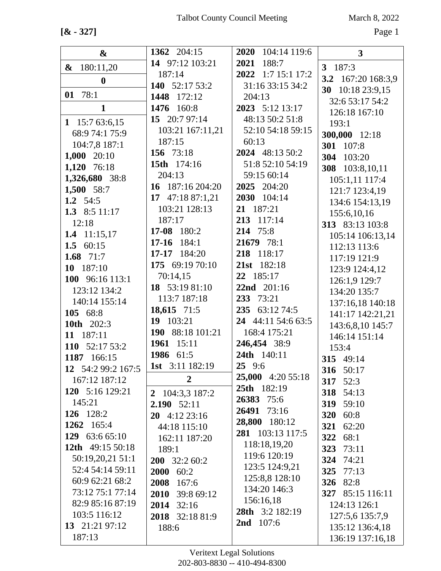**[& - 327]** Page 1

| $\boldsymbol{\&}$              | 1362 204:15            | 2020 104:14 119:6      | $\overline{\mathbf{3}}$ |
|--------------------------------|------------------------|------------------------|-------------------------|
| 180:11,20<br>$\boldsymbol{\&}$ | 14 97:12 103:21        | 2021<br>188:7          | 3 187:3                 |
| $\boldsymbol{0}$               | 187:14                 | 2022 1:7 15:1 17:2     | 3.2 167:20 168:3,9      |
|                                | 140 52:17 53:2         | 31:16 33:15 34:2       | 10:18 23:9,15<br>30     |
| 01 78:1                        | 1448 172:12            | 204:13                 | 32:6 53:17 54:2         |
| $\mathbf{1}$                   | 1476 160:8             | 2023 5:12 13:17        | 126:18 167:10           |
| 1 15:7 63:6,15                 | 15 20:7 97:14          | 48:13 50:2 51:8        | 193:1                   |
| 68:9 74:1 75:9                 | 103:21 167:11,21       | 52:10 54:18 59:15      | 300,000 12:18           |
| 104:7,8 187:1                  | 187:15                 | 60:13                  | 301 107:8               |
| 1,000 $20:10$                  | 156 73:18              | 2024 48:13 50:2        | 304<br>103:20           |
| 1,120 76:18                    | 15th 174:16            | 51:8 52:10 54:19       | 308 103:8,10,11         |
| 1,326,680 38:8                 | 204:13                 | 59:15 60:14            | 105:1,11 117:4          |
| 1,500 58:7                     | 16 187:16 204:20       | 2025 204:20            | 121:7 123:4,19          |
| 1.2 $54:5$                     | 17 $47:1887:1,21$      | 2030 104:14            | 134:6 154:13,19         |
| 1.3 8:5 11:17                  | 103:21 128:13          | 21 187:21              | 155:6,10,16             |
| 12:18                          | 187:17                 | 213<br>117:14          | 313 83:13 103:8         |
| 1.4 $11:15,17$                 | 17-08 180:2            | 214 75:8               | 105:14 106:13,14        |
| 1.5 $60:15$                    | 184:1<br>$17 - 16$     | 21679 78:1             | 112:13 113:6            |
| 1.68 $71:7$                    | $17 - 17$<br>184:20    | 218 118:17             | 117:19 121:9            |
| 10 187:10                      | 175 69:19 70:10        | 21st 182:18            | 123:9 124:4,12          |
| 100 96:16 113:1                | 70:14,15               | 22 185:17              | 126:1,9 129:7           |
| 123:12 134:2                   | 18 53:19 81:10         | 22nd 201:16            | 134:20 135:7            |
| 140:14 155:14                  | 113:7 187:18           | 233 73:21              | 137:16,18 140:18        |
| 105 68:8                       | 18,615 71:5            | 235 63:12 74:5         | 141:17 142:21,21        |
| 10th 202:3                     | 19 103:21              | 24 44:11 54:6 63:5     | 143:6,8,10 145:7        |
| 11 187:11                      | 190 88:18 101:21       | 168:4 175:21           | 146:14 151:14           |
| 110 52:17 53:2                 | 1961 15:11             | 246,454 38:9           | 153:4                   |
| 1187 166:15                    | 1986 61:5              | 24th 140:11            | 315 49:14               |
| 12 54:2 99:2 167:5             | <b>1st</b> 3:11 182:19 | 25 9:6                 | 316 50:17               |
| 167:12 187:12                  | $\overline{2}$         | 25,000 4:20 55:18      | 317<br>52:3             |
| 120 5:16 129:21                | 2 104:3,3 187:2        | 25th 182:19            | 318 54:13               |
| 145:21                         | 2.190 52:11            | 26383 75:6             | 319<br>59:10            |
| 126 128:2                      | $20 \quad 4:12\;23:16$ | 26491 73:16            | 320<br>60:8             |
| 1262 165:4                     | 44:18 115:10           | 28,800 180:12          | 62:20<br>321            |
| 129 63:6 65:10                 | 162:11 187:20          | 281 103:13 117:5       | 322<br>68:1             |
| 12th 49:15 50:18               | 189:1                  | 118:18,19,20           | 323<br>73:11            |
| 50:19,20,21 51:1               | 200 32:2 60:2          | 119:6 120:19           | 324<br>74:21            |
| 52:4 54:14 59:11               | 2000 60:2              | 123:5 124:9,21         | 325<br>77:13            |
| 60:9 62:21 68:2                | 2008 167:6             | 125:8,8 128:10         | 326<br>82:8             |
| 73:12 75:1 77:14               | 2010 39:8 69:12        | 134:20 146:3           | 327 85:15 116:11        |
| 82:9 85:16 87:19               | 2014 32:16             | 156:16,18              | 124:13 126:1            |
| 103:5 116:12                   | 2018 32:18 81:9        | <b>28th</b> 3:2 182:19 | 127:5,6 135:7,9         |
| 13 21:21 97:12                 | 188:6                  | 2nd 107:6              | 135:12 136:4,18         |
| 187:13                         |                        |                        | 136:19 137:16,18        |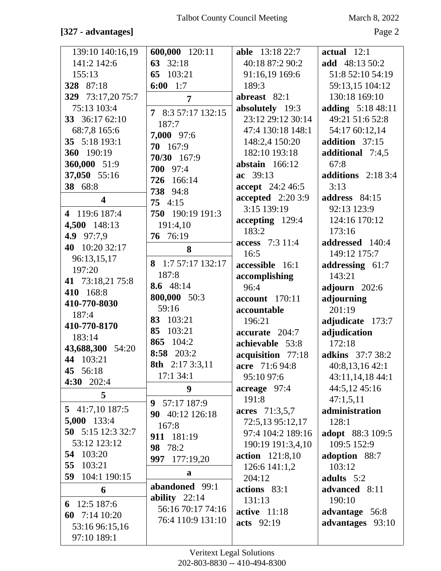## [327 - advantages]

March 8, 2022

| 139:10 140:16,19        | 600,000 120:11         | <b>able</b> 13:18 22:7   | $actual$ 12:1           |
|-------------------------|------------------------|--------------------------|-------------------------|
| 141:2 142:6             | 63 32:18               | 40:18 87:2 90:2          | add 48:13 50:2          |
| 155:13                  | 65 103:21              | 91:16,19 169:6           | 51:8 52:10 54:19        |
| 328 87:18               | $6:00$ 1:7             | 189:3                    | 59:13,15 104:12         |
| 329 73:17,20 75:7       | $\overline{7}$         | abreast $82:1$           | 130:18 169:10           |
| 75:13 103:4             |                        | absolutely 19:3          | adding 5:18 48:11       |
| 33 36:17 62:10          | 7 8:3 57:17 132:15     | 23:12 29:12 30:14        | 49:21 51:6 52:8         |
| 68:7,8 165:6            | 187:7                  | 47:4 130:18 148:1        | 54:17 60:12,14          |
| 35 5:18 193:1           | 7,000 97:6             | 148:2,4 150:20           | addition 37:15          |
| 360 190:19              | 70 167:9               | 182:10 193:18            | additional 7:4,5        |
| 360,000 51:9            | 70/30 167:9            | abstain $166:12$         | 67:8                    |
| 37,050 55:16            | 700 97:4               | ac 39:13                 | additions $2:183:4$     |
| 38 68:8                 | 726 166:14             | <b>accept</b> $24:246:5$ | 3:13                    |
| $\overline{\mathbf{4}}$ | 738 94:8               | $accepted \quad 2:203:9$ | address $84:15$         |
|                         | $75 \quad 4:15$        | 3:15 139:19              | 92:13 123:9             |
| 4 119:6 187:4           | 750 190:19 191:3       | accepting 129:4          | 124:16 170:12           |
| 4,500 148:13            | 191:4,10               | 183:2                    | 173:16                  |
| 4.9 97:7,9              | 76 76:19               | access 7:3 11:4          | addressed 140:4         |
| 40 10:20 32:17          | 8                      | 16:5                     | 149:12 175:7            |
| 96:13,15,17             | 8 1:7 57:17 132:17     | accessible 16:1          | addressing 61:7         |
| 197:20                  | 187:8                  | accomplishing            | 143:21                  |
| 41 73:18,21 75:8        | 8.6 48:14              | 96:4                     | adjourn 202:6           |
| 410 168:8               | 800,000 50:3           | account 170:11           | adjourning              |
| 410-770-8030            | 59:16                  | accountable              | 201:19                  |
| 187:4                   | 83 103:21              | 196:21                   | adjudicate 173:7        |
| 410-770-8170            | 85 103:21              | accurate 204:7           | adjudication            |
| 183:14                  | 865 104:2              | achievable 53:8          | 172:18                  |
| 43,688,300 54:20        | 8:58 203:2             | acquisition 77:18        | <b>adkins</b> 37:7 38:2 |
| 44 103:21               | <b>8th</b> 2:17 3:3,11 | acre 71:6 94:8           | 40:8,13,1642:1          |
| 45 56:18                | 17:1 34:1              | 95:10 97:6               | 43:11,14,18 44:1        |
| 4:30 202:4              | 9                      | $acreage$ 97:4           | 44:5,12 45:16           |
| 5                       | 9 57:17 187:9          | 191:8                    | 47:1,5,11               |
| 5 $41:7,10187:5$        | 90 40:12 126:18        | acres 71:3,5,7           | administration          |
| 5,000 133:4             | 167:8                  | 72:5,13 95:12,17         | 128:1                   |
| 50 5:15 12:3 32:7       | 911 181:19             | 97:4 104:2 189:16        | adopt 88:3 109:5        |
| 53:12 123:12            | <b>98</b> 78:2         | 190:19 191:3,4,10        | 109:5 152:9             |
| 54 103:20               | 997 177:19,20          | action 121:8,10          | adoption 88:7           |
| 103:21<br>55            |                        | 126:6 141:1,2            | 103:12                  |
| 104:1 190:15<br>59      | a                      | 204:12                   | adults 5:2              |
| 6                       | abandoned 99:1         | actions 83:1             | advanced 8:11           |
| 6 12:5 187:6            | ability $22:14$        | 131:13                   | 190:10                  |
| 60 7:14 10:20           | 56:16 70:17 74:16      | $active$ 11:18           | advantage 56:8          |
| 53:16 96:15,16          | 76:4 110:9 131:10      | acts 92:19               | advantages 93:10        |
|                         |                        |                          |                         |
| 97:10 189:1             |                        |                          |                         |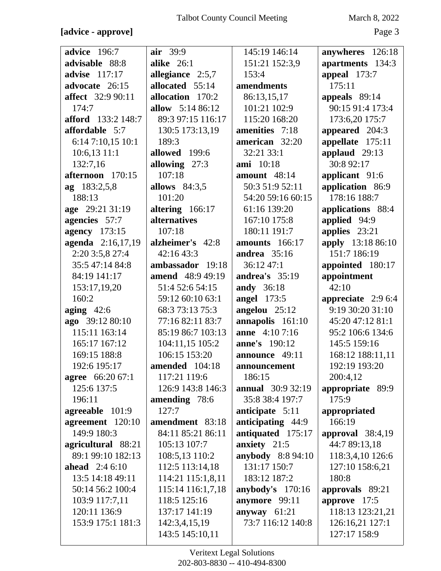## [advice - approve]

March 8, 2022

| <b>advice</b> 196:7       | air $39:9$              | 145:19 146:14            | anywheres 126:18    |
|---------------------------|-------------------------|--------------------------|---------------------|
| advisable 88:8            | alike $26:1$            | 151:21 152:3,9           | apartments 134:3    |
| <b>advise</b> 117:17      | allegiance 2:5,7        | 153:4                    | appeal 173:7        |
| advocate 26:15            | allocated 55:14         | amendments               | 175:11              |
| <b>affect</b> 32:9 90:11  | allocation 170:2        | 86:13,15,17              | appeals $89:14$     |
| 174:7                     | <b>allow</b> 5:14 86:12 | 101:21 102:9             | 90:15 91:4 173:4    |
| <b>afford</b> 133:2 148:7 | 89:3 97:15 116:17       | 115:20 168:20            | 173:6,20 175:7      |
| affordable 5:7            | 130:5 173:13,19         | amenities 7:18           | appeared 204:3      |
| 6:14 7:10,15 10:1         | 189:3                   | american 32:20           | appellate 175:11    |
| 10:6,131:1                | allowed 199:6           | 32:21 33:1               | applaud 29:13       |
| 132:7,16                  | allowing 27:3           | ami 10:18                | 30:8 92:17          |
| afternoon 170:15          | 107:18                  | amount $48:14$           | applicant 91:6      |
| ag 183:2,5,8              | <b>allows</b> 84:3,5    | 50:3 51:9 52:11          | application 86:9    |
| 188:13                    | 101:20                  | 54:20 59:16 60:15        | 178:16 188:7        |
| age 29:21 31:19           | altering 166:17         | 61:16 139:20             | applications 88:4   |
| agencies 57:7             | alternatives            | 167:10 175:8             | applied 94:9        |
| agency 173:15             | 107:18                  | 180:11 191:7             | applies 23:21       |
| agenda 2:16,17,19         | alzheimer's 42:8        | <b>amounts</b> 166:17    | apply 13:18 86:10   |
| 2:20 3:5,8 27:4           | 42:16 43:3              | andrea $35:16$           | 151:7 186:19        |
| 35:5 47:14 84:8           | ambassador 19:18        | 36:12 47:1               | appointed 180:17    |
| 84:19 141:17              | <b>amend</b> 48:9 49:19 | andrea's $35:19$         | appointment         |
| 153:17,19,20              | 51:4 52:6 54:15         | andy 36:18               | 42:10               |
| 160:2                     | 59:12 60:10 63:1        | <b>angel</b> 173:5       | appreciate $2:96:4$ |
| aging $42:6$              | 68:3 73:13 75:3         | angelou 25:12            | 9:19 30:20 31:10    |
| ago 39:12 80:10           | 77:16 82:11 83:7        | annapolis 161:10         | 45:20 47:12 81:1    |
| 115:11 163:14             | 85:19 86:7 103:13       | anne 4:10 7:16           | 95:2 106:6 134:6    |
| 165:17 167:12             | 104:11,15 105:2         | <b>anne's</b> 190:12     | 145:5 159:16        |
| 169:15 188:8              | 106:15 153:20           | announce 49:11           | 168:12 188:11,11    |
| 192:6 195:17              | amended 104:18          | announcement             | 192:19 193:20       |
| <b>agree</b> 66:20 67:1   | 117:21 119:6            | 186:15                   | 200:4,12            |
| 125:6 137:5               | 126:9 143:8 146:3       | <b>annual</b> 30:9 32:19 | appropriate 89:9    |
| 196:11                    | amending 78:6           | 35:8 38:4 197:7          | 175:9               |
| agreeable 101:9           | 127:7                   | anticipate 5:11          | appropriated        |
| agreement 120:10          | amendment 83:18         | anticipating 44:9        | 166:19              |
| 149:9 180:3               | 84:11 85:21 86:11       | antiquated 175:17        | approval $38:4,19$  |
| agricultural 88:21        | 105:13 107:7            | anxiety 21:5             | 44:7 89:13,18       |
| 89:1 99:10 182:13         | 108:5,13 110:2          | <b>anybody</b> 8:8 94:10 | 118:3,4,10 126:6    |
| <b>ahead</b> $2:46:10$    | 112:5 113:14,18         | 131:17 150:7             | 127:10 158:6,21     |
| 13:5 14:18 49:11          | 114:21 115:1,8,11       | 183:12 187:2             | 180:8               |
| 50:14 56:2 100:4          | 115:14 116:1,7,18       | anybody's $170:16$       | approvals 89:21     |
| 103:9 117:7,11            | 118:5 125:16            | anymore 99:11            | approve $17:5$      |
| 120:11 136:9              | 137:17 141:19           | anyway $61:21$           | 118:13 123:21,21    |
| 153:9 175:1 181:3         | 142:3,4,15,19           | 73:7 116:12 140:8        | 126:16,21 127:1     |
|                           | 143:5 145:10,11         |                          | 127:17 158:9        |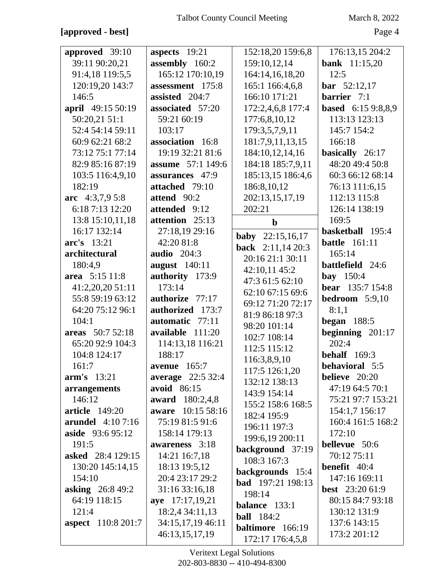## **[approved - best]** Page 4

| approved 39:10            | aspects $19:21$          | 152:18,20 159:6,8        | 176:13,15 204:2                         |
|---------------------------|--------------------------|--------------------------|-----------------------------------------|
| 39:11 90:20,21            | assembly 160:2           | 159:10,12,14             | <b>bank</b> 11:15,20                    |
| 91:4,18 119:5,5           | 165:12 170:10,19         | 164:14,16,18,20          | 12:5                                    |
| 120:19,20 143:7           | assessment 175:8         | 165:1 166:4,6,8          | <b>bar</b> $52:12,17$                   |
| 146:5                     | assisted 204:7           | 166:10 171:21            | barrier 7:1                             |
| <b>april</b> 49:15 50:19  | associated 57:20         | 172:2,4,6,8 177:4        | <b>based</b> 6:15 9:8,8,9               |
| 50:20,21 51:1             | 59:21 60:19              | 177:6,8,10,12            | 113:13 123:13                           |
| 52:4 54:14 59:11          | 103:17                   | 179:3,5,7,9,11           | 145:7 154:2                             |
| 60:9 62:21 68:2           | association 16:8         | 181:7,9,11,13,15         | 166:18                                  |
| 73:12 75:1 77:14          | 19:19 32:21 81:6         | 184:10,12,14,16          | basically 26:17                         |
| 82:9 85:16 87:19          | <b>assume</b> 57:1 149:6 | 184:18 185:7,9,11        | 48:20 49:4 50:8                         |
| 103:5 116:4,9,10          | assurances 47:9          | 185:13,15 186:4,6        | 60:3 66:12 68:14                        |
| 182:19                    | attached 79:10           | 186:8,10,12              | 76:13 111:6,15                          |
| arc $4:3,7,95:8$          | attend 90:2              | 202:13,15,17,19          | 112:13 115:8                            |
| 6:18 7:13 12:20           | attended 9:12            | 202:21                   | 126:14 138:19                           |
| 13:8 15:10,11,18          | attention 25:13          | $\mathbf b$              | 169:5                                   |
| 16:17 132:14              | 27:18,19 29:16           |                          | basketball 195:4                        |
| arc's 13:21               | 42:20 81:8               | <b>baby</b> 22:15,16,17  | <b>battle</b> 161:11                    |
| architectural             | <b>audio</b> 204:3       | <b>back</b> 2:11,14 20:3 | 165:14                                  |
| 180:4,9                   | august 140:11            | 20:16 21:1 30:11         | battlefield 24:6                        |
| area 5:15 11:8            | authority 173:9          | 42:10,11 45:2            | <b>bay</b> 150:4                        |
| 41:2,20,20 51:11          | 173:14                   | 47:3 61:5 62:10          | bear 135:7 154:8                        |
| 55:8 59:19 63:12          | authorize 77:17          | 62:10 67:15 69:6         | bedroom $5:9,10$                        |
| 64:20 75:12 96:1          | authorized 173:7         | 69:12 71:20 72:17        | 8:1,1                                   |
| 104:1                     | automatic<br>77:11       | 81:9 86:18 97:3          | began $188:5$                           |
| areas 50:7 52:18          | available 111:20         | 98:20 101:14             | beginning $201:17$                      |
| 65:20 92:9 104:3          | 114:13,18 116:21         | 102:7 108:14             | 202:4                                   |
| 104:8 124:17              | 188:17                   | 112:5 115:12             | <b>behalf</b> 169:3                     |
| 161:7                     | avenue $165:7$           | 116:3,8,9,10             | <b>behavioral</b> 5:5                   |
| $arm's$ 13:21             | <b>average</b> 22:5 32:4 | 117:5 126:1,20           | believe 20:20                           |
| arrangements              | avoid 86:15              | 132:12 138:13            | 47:19 64:5 70:1                         |
| 146:12                    | award 180:2,4,8          | 143:9 154:14             | 75:21 97:7 153:21                       |
| <b>article</b> 149:20     | aware 10:15 58:16        | 155:2 158:6 168:5        | 154:1,7 156:17                          |
| <b>arundel</b> 4:10 7:16  | 75:19 81:5 91:6          | 182:4 195:9              | 160:4 161:5 168:2                       |
| aside 93:6 95:12          | 158:14 179:13            | 196:11 197:3             | 172:10                                  |
| 191:5                     | awareness 3:18           | 199:6,19 200:11          | <b>bellevue</b> 50:6                    |
| asked 28:4 129:15         | 14:21 16:7,18            | background 37:19         | 70:12 75:11                             |
|                           |                          | 108:3 167:3              | benefit 40:4                            |
| 130:20 145:14,15          | 18:13 19:5,12            | backgrounds 15:4         |                                         |
| 154:10                    | 20:4 23:17 29:2          | <b>bad</b> 197:21 198:13 | 147:16 169:11<br><b>best</b> 23:20 61:9 |
| <b>asking</b> 26:8 49:2   | 31:16 33:16,18           | 198:14                   |                                         |
| 64:19 118:15              | aye 17:17,19,21          | <b>balance</b> 133:1     | 80:15 84:7 93:18                        |
| 121:4                     | 18:2,4 34:11,13          | <b>ball</b> 184:2        | 130:12 131:9                            |
| <b>aspect</b> 110:8 201:7 | 34:15,17,19 46:11        | <b>baltimore</b> 166:19  | 137:6 143:15                            |
|                           | 46:13,15,17,19           | 172:17 176:4,5,8         | 173:2 201:12                            |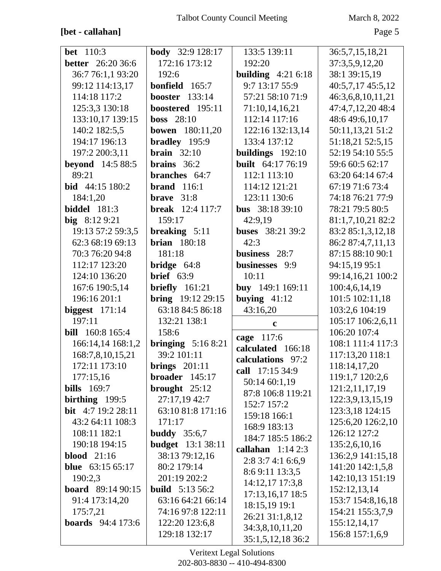# [bet - callahan]

March 8, 2022

Page 5

| <b>bet</b> 110:3          | <b>body</b> 32:9 128:17   | 133:5 139:11             | 36:5,7,15,18,21   |
|---------------------------|---------------------------|--------------------------|-------------------|
| <b>better</b> 26:20 36:6  | 172:16 173:12             | 192:20                   | 37:3,5,9,12,20    |
| 36:7 76:1,1 93:20         | 192:6                     | building $4:216:18$      | 38:1 39:15,19     |
| 99:12 114:13,17           | bonfield 165:7            | 9:7 13:17 55:9           | 40:5,7,17 45:5,12 |
| 114:18 117:2              | <b>booster</b> 133:14     | 57:21 58:10 71:9         | 46:3,6,8,10,11,21 |
| 125:3,3 130:18            | boostered 195:11          | 71:10,14,16,21           | 47:4,7,12,20 48:4 |
| 133:10,17 139:15          | <b>boss</b> 28:10         | 112:14 117:16            | 48:6 49:6,10,17   |
| 140:2 182:5,5             | <b>bowen</b> 180:11,20    | 122:16 132:13,14         | 50:11,13,21 51:2  |
| 194:17 196:13             | bradley 195:9             | 133:4 137:12             | 51:18,21 52:5,15  |
| 197:2 200:3,11            | <b>brain</b> $32:10$      | buildings $192:10$       | 52:19 54:10 55:5  |
| <b>beyond</b> 14:5 88:5   | brains $36:2$             | <b>built</b> 64:17 76:19 | 59:6 60:5 62:17   |
| 89:21                     | branches 64:7             | 112:1 113:10             | 63:20 64:14 67:4  |
| bid 44:15 180:2           | brand $116:1$             | 114:12 121:21            | 67:19 71:6 73:4   |
| 184:1,20                  | brave $31:8$              | 123:11 130:6             | 74:18 76:21 77:9  |
| <b>biddel</b> 181:3       | <b>break</b> 12:4 117:7   | bus 38:18 39:10          | 78:21 79:5 80:5   |
| big $8:129:21$            | 159:17                    | 42:9,19                  | 81:1,7,10,21 82:2 |
| 19:13 57:2 59:3,5         | breaking 5:11             | <b>buses</b> 38:21 39:2  | 83:2 85:1,3,12,18 |
| 62:3 68:19 69:13          | <b>brian</b> 180:18       | 42:3                     | 86:2 87:4,7,11,13 |
| 70:3 76:20 94:8           | 181:18                    | business 28:7            | 87:15 88:10 90:1  |
| 112:17 123:20             | bridge $64:8$             | businesses 9:9           | 94:15,19 95:1     |
| 124:10 136:20             | brief $63:9$              | 10:11                    | 99:14,16,21 100:2 |
| 167:6 190:5,14            | briefly $161:21$          | buy 149:1 169:11         | 100:4,6,14,19     |
| 196:16 201:1              | <b>bring</b> 19:12 29:15  | buying $41:12$           | 101:5 102:11,18   |
| biggest $171:14$          | 63:18 84:5 86:18          | 43:16,20                 | 103:2,6 104:19    |
| 197:11                    | 132:21 138:1              | $\mathbf c$              | 105:17 106:2,6,11 |
| <b>bill</b> 160:8 165:4   | 158:6                     | cage 117:6               | 106:20 107:4      |
| 166:14,14 168:1,2         | bringing $5:168:21$       | calculated 166:18        | 108:1 111:4 117:3 |
| 168:7,8,10,15,21          | 39:2 101:11               | calculations 97:2        | 117:13,20 118:1   |
| 172:11 173:10             | brings $201:11$           | call 17:15 34:9          | 118:14,17,20      |
| 177:15,16                 | broader $145:17$          | 50:14 60:1,19            | 119:1,7 120:2,6   |
| <b>bills</b> 169:7        | brought $25:12$           | 87:8 106:8 119:21        | 121:2,11,17,19    |
| birthing $199:5$          | 27:17,19 42:7             | 152:7 157:2              | 122:3,9,13,15,19  |
| <b>bit</b> 4:7 19:2 28:11 | 63:10 81:8 171:16         | 159:18 166:1             | 123:3,18 124:15   |
| 43:2 64:11 108:3          | 171:17                    | 168:9 183:13             | 125:6,20 126:2,10 |
| 108:11 182:1              | buddy $35:6,7$            | 184:7 185:5 186:2        | 126:12 127:2      |
| 190:18 194:15             | <b>budget</b> 13:1 38:11  | callahan $1:142:3$       | 135:2,6,10,16     |
| blood $21:16$             | 38:13 79:12,16            | 2:83:74:16:69            | 136:2,9 141:15,18 |
| <b>blue</b> $63:1565:17$  | 80:2 179:14               | 8:6 9:11 13:3,5          | 141:20 142:1,5,8  |
| 190:2,3                   | 201:19 202:2              | 14:12,17 17:3,8          | 142:10,13 151:19  |
| <b>board</b> 89:14 90:15  | <b>build</b> $5:13\,56:2$ | 17:13,16,17 18:5         | 152:12,13,14      |
| 91:4 173:14,20            | 63:16 64:21 66:14         | 18:15,19 19:1            | 153:7 154:8,16,18 |
| 175:7,21                  | 74:16 97:8 122:11         | 26:21 31:1,8,12          | 154:21 155:3,7,9  |
| <b>boards</b> 94:4 173:6  | 122:20 123:6,8            | 34:3,8,10,11,20          | 155:12,14,17      |
|                           | 129:18 132:17             | 35:1,5,12,18 36:2        | 156:8 157:1,6,9   |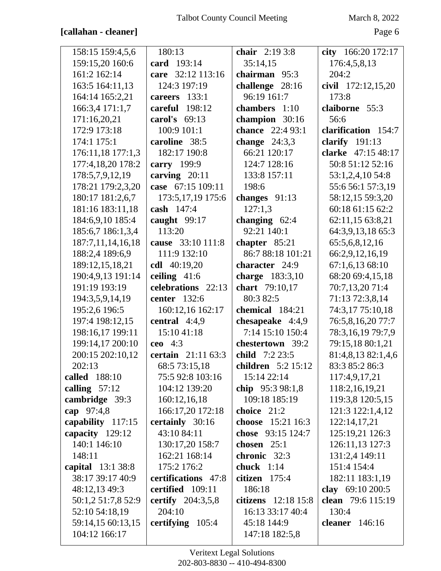# [callahan - cleaner]

March 8, 2022

| 158:15 159:4,5,6   | 180:13                     | chair $2:193:8$         | city 166:20 172:17  |
|--------------------|----------------------------|-------------------------|---------------------|
| 159:15,20 160:6    | card 193:14                | 35:14,15                | 176:4,5,8,13        |
| 161:2 162:14       | care 32:12 113:16          | chairman 95:3           | 204:2               |
| 163:5 164:11,13    | 124:3 197:19               | challenge 28:16         | civil 172:12,15,20  |
| 164:14 165:2,21    | careers 133:1              | 96:19 161:7             | 173:8               |
| 166:3,4 171:1,7    | careful 198:12             | chambers 1:10           | claiborne 55:3      |
| 171:16,20,21       | carol's $69:13$            | champion 30:16          | 56:6                |
| 172:9 173:18       | 100:9 101:1                | <b>chance</b> 22:4 93:1 | clarification 154:7 |
| 174:1 175:1        | caroline 38:5              | change $24:3,3$         | clarify $191:13$    |
| 176:11,18 177:1,3  | 182:17 190:8               | 66:21 120:17            | clarke 47:15 48:17  |
| 177:4,18,20 178:2  | carry 199:9                | 124:7 128:16            | 50:8 51:12 52:16    |
| 178:5,7,9,12,19    | carving $20:11$            | 133:8 157:11            | 53:1,2,4,10 54:8    |
| 178:21 179:2,3,20  | case 67:15 109:11          | 198:6                   | 55:656:157:3,19     |
| 180:17 181:2,6,7   | 173:5, 17, 19 175: 6       | changes $91:13$         | 58:12,15 59:3,20    |
| 181:16 183:11,18   | cash $147:4$               | 127:1,3                 | 60:18 61:15 62:2    |
| 184:6,9,10 185:4   | caught $99:17$             | changing $62:4$         | 62:11,15 63:8,21    |
| 185:6,7 186:1,3,4  | 113:20                     | 92:21 140:1             | 64:3,9,13,18 65:3   |
| 187:7,11,14,16,18  | cause 33:10 111:8          | chapter 85:21           | 65:5,6,8,12,16      |
| 188:2,4 189:6,9    | 111:9 132:10               | 86:7 88:18 101:21       | 66:2,9,12,16,19     |
| 189:12,15,18,21    | <b>cdl</b> 40:19,20        | character 24:9          | 67:1,6,13 68:10     |
| 190:4,9,13 191:14  | ceiling $41:6$             | charge 183:3,10         | 68:20 69:4,15,18    |
| 191:19 193:19      | celebrations 22:13         | chart 79:10,17          | 70:7,13,20 71:4     |
| 194:3,5,9,14,19    | center 132:6               | 80:3 82:5               | 71:13 72:3,8,14     |
| 195:2,6 196:5      | 160:12,16 162:17           | chemical 184:21         | 74:3,17 75:10,18    |
| 197:4 198:12,15    | central $4:4,9$            | chesapeake $4:4,9$      | 76:5,8,16,20 77:7   |
| 198:16,17 199:11   | 15:10 41:18                | 7:14 15:10 150:4        | 78:3,16,19 79:7,9   |
| 199:14,17 200:10   | ceo $4:3$                  | chestertown 39:2        | 79:15,18 80:1,21    |
| 200:15 202:10,12   | certain $21:1163:3$        | child 7:2 23:5          | 81:4,8,13 82:1,4,6  |
| 202:13             | 68:5 73:15,18              | children 5:2 15:12      | 83:3 85:2 86:3      |
| called 188:10      | 75:5 92:8 103:16           | 15:14 22:14             | 117:4,9,17,21       |
| calling $57:12$    | 104:12 139:20              | chip $95:398:1,8$       | 118:2, 16, 19, 21   |
| cambridge 39:3     | 160:12,16,18               | 109:18 185:19           | 119:3,8 120:5,15    |
| cap 97:4,8         | 166:17,20 172:18           | choice $21:2$           | 121:3 122:1,4,12    |
| capability 117:15  | certainly 30:16            | choose 15:21 16:3       | 122:14,17,21        |
| capacity 129:12    | 43:10 84:11                | chose 93:15 124:7       | 125:19,21 126:3     |
| 140:1 146:10       | 130:17,20 158:7            | chosen $25:1$           | 126:11,13 127:3     |
| 148:11             | 162:21 168:14              | chronic 32:3            | 131:2,4 149:11      |
| capital 13:1 38:8  | 175:2 176:2                | chuck $1:14$            | 151:4 154:4         |
| 38:17 39:17 40:9   | certifications 47:8        | citizen 175:4           | 182:11 183:1,19     |
| 48:12,13 49:3      | certified 109:11           | 186:18                  | clay 69:10 200:5    |
| 50:1,2 51:7,8 52:9 | <b>certify</b> $204:3,5,8$ | citizens 12:18 15:8     | clean 79:6 115:19   |
| 52:10 54:18,19     | 204:10                     | 16:13 33:17 40:4        | 130:4               |
| 59:14,15 60:13,15  | certifying 105:4           | 45:18 144:9             | cleaner 146:16      |
| 104:12 166:17      |                            | 147:18 182:5,8          |                     |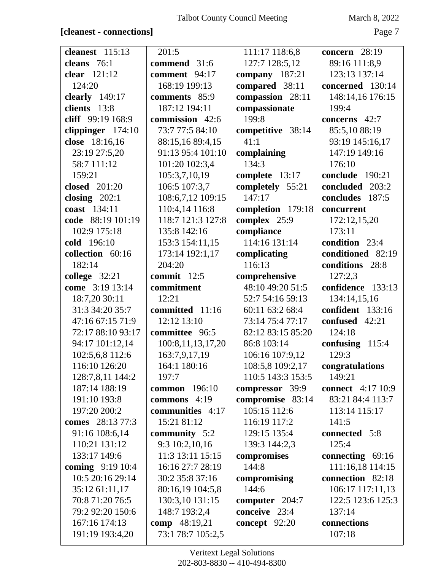## [cleanest - connections]

March 8, 2022

| cleanest 115:13      | 201:5             | 111:17 118:6,8    | concern $28:19$   |
|----------------------|-------------------|-------------------|-------------------|
| cleans 76:1          | commend 31:6      | 127:7 128:5,12    | 89:16 111:8,9     |
| clear 121:12         | comment 94:17     | company 187:21    | 123:13 137:14     |
| 124:20               | 168:19 199:13     | compared 38:11    | concerned 130:14  |
| clearly $149:17$     | comments 85:9     | compassion 28:11  | 148:14,16 176:15  |
| clients 13:8         | 187:12 194:11     | compassionate     | 199:4             |
| cliff 99:19 168:9    | commission 42:6   | 199:8             | concerns 42:7     |
| clippinger $174:10$  | 73:7 77:5 84:10   | competitive 38:14 | 85:5,10 88:19     |
| close 18:16,16       | 88:15,16 89:4,15  | 41:1              | 93:19 145:16,17   |
| 23:19 27:5,20        | 91:13 95:4 101:10 | complaining       | 147:19 149:16     |
| 58:7 111:12          | 101:20 102:3,4    | 134:3             | 176:10            |
| 159:21               | 105:3,7,10,19     | complete 13:17    | conclude 190:21   |
| <b>closed</b> 201:20 | 106:5 107:3,7     | completely 55:21  | concluded 203:2   |
| closing $202:1$      | 108:6,7,12 109:15 | 147:17            | concludes 187:5   |
| coast 134:11         | 110:4,14 116:8    | completion 179:18 | concurrent        |
| code 88:19 101:19    | 118:7 121:3 127:8 | complex 25:9      | 172:12,15,20      |
| 102:9 175:18         | 135:8 142:16      | compliance        | 173:11            |
| cold 196:10          | 153:3 154:11,15   | 114:16 131:14     | condition 23:4    |
| collection 60:16     | 173:14 192:1,17   | complicating      | conditioned 82:19 |
| 182:14               | 204:20            | 116:13            | conditions 28:8   |
| college $32:21$      | commit 12:5       | comprehensive     | 127:2,3           |
| come 3:19 13:14      | commitment        | 48:10 49:20 51:5  | confidence 133:13 |
| 18:7,20 30:11        | 12:21             | 52:7 54:16 59:13  | 134:14,15,16      |
| 31:3 34:20 35:7      | committed 11:16   | 60:11 63:2 68:4   | confident 133:16  |
| 47:16 67:15 71:9     | 12:12 13:10       | 73:14 75:4 77:17  | confused 42:21    |
| 72:17 88:10 93:17    | committee 96:5    | 82:12 83:15 85:20 | 124:18            |
| 94:17 101:12,14      | 100:8,11,13,17,20 | 86:8 103:14       | confusing $115:4$ |
| 102:5,6,8 112:6      | 163:7,9,17,19     | 106:16 107:9,12   | 129:3             |
| 116:10 126:20        | 164:1 180:16      | 108:5,8 109:2,17  | congratulations   |
| 128:7,8,11 144:2     | 197:7             | 110:5 143:3 153:5 | 149:21            |
| 187:14 188:19        | common 196:10     | compressor 39:9   | connect 4:17 10:9 |
| 191:10 193:8         | commons $4:19$    | compromise 83:14  | 83:21 84:4 113:7  |
| 197:20 200:2         | communities 4:17  | 105:15 112:6      | 113:14 115:17     |
| comes 28:13 77:3     | 15:21 81:12       | 116:19 117:2      | 141:5             |
| 91:16 108:6,14       | community $5:2$   | 129:15 135:4      | connected 5:8     |
| 110:21 131:12        | 9:3 10:2,10,16    | 139:3 144:2,3     | 125:4             |
| 133:17 149:6         | 11:3 13:11 15:15  | compromises       | connecting 69:16  |
| coming 9:19 10:4     | 16:16 27:7 28:19  | 144:8             | 111:16,18 114:15  |
| 10:5 20:16 29:14     | 30:2 35:8 37:16   | compromising      | connection 82:18  |
| 35:12 61:11,17       | 80:16,19 104:5,8  | 144:6             | 106:17 117:11,13  |
| 70:8 71:20 76:5      | 130:3,10 131:15   | computer 204:7    | 122:5 123:6 125:3 |
| 79:2 92:20 150:6     | 148:7 193:2,4     | conceive 23:4     | 137:14            |
| 167:16 174:13        | comp 48:19,21     | concept $92:20$   | connections       |
| 191:19 193:4,20      | 73:1 78:7 105:2,5 |                   | 107:18            |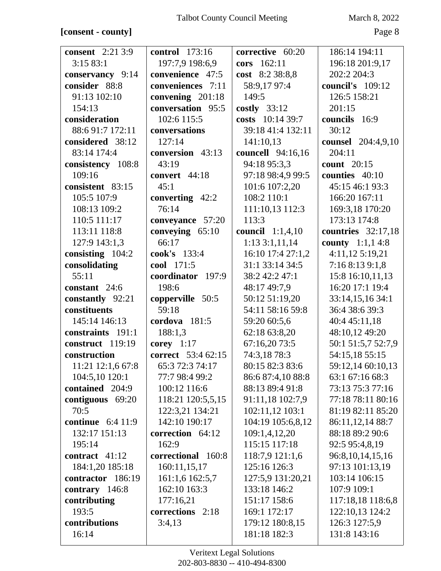# **[consent - county]** Page 8

| <b>consent</b> 2:21 3:9 | control $173:16$   | corrective 60:20        | 186:14 194:11           |
|-------------------------|--------------------|-------------------------|-------------------------|
| 3:1583:1                | 197:7,9 198:6,9    | cors 162:11             | 196:18 201:9,17         |
| conservancy 9:14        | convenience 47:5   | cost 8:2 38:8,8         | 202:2 204:3             |
| consider 88:8           | conveniences 7:11  | 58:9,17 97:4            | council's 109:12        |
| 91:13 102:10            | convening 201:18   | 149:5                   | 126:5 158:21            |
| 154:13                  | conversation 95:5  | costly $33:12$          | 201:15                  |
| consideration           | 102:6 115:5        | costs 10:14 39:7        | councils 16:9           |
| 88:691:7172:11          | conversations      | 39:18 41:4 132:11       | 30:12                   |
| considered 38:12        | 127:14             | 141:10,13               | counsel 204:4,9,10      |
| 83:14 174:4             | conversion 43:13   | councell 94:16,16       | 204:11                  |
| consistency 108:8       | 43:19              | 94:18 95:3,3            | <b>count</b> 20:15      |
| 109:16                  | convert 44:18      | 97:18 98:4,9 99:5       | counties 40:10          |
| consistent 83:15        | 45:1               | 101:6 107:2,20          | 45:15 46:1 93:3         |
| 105:5 107:9             | converting 42:2    | 108:2 110:1             | 166:20 167:11           |
| 108:13 109:2            | 76:14              | 111:10,13 112:3         | 169:3,18 170:20         |
| 110:5 111:17            | conveyance 57:20   | 113:3                   | 173:13 174:8            |
| 113:11 118:8            | conveying 65:10    | <b>council</b> 1:1,4,10 | countries 32:17,18      |
| 127:9 143:1,3           | 66:17              | 1:133:1,11,14           | <b>county</b> 1:1,1 4:8 |
| consisting 104:2        | cook's 133:4       | 16:10 17:4 27:1,2       | 4:11,12 5:19,21         |
| consolidating           | cool 171:5         | 31:1 33:14 34:5         | 7:16 8:13 9:1,8         |
| 55:11                   | coordinator 197:9  | 38:2 42:2 47:1          | 15:8 16:10,11,13        |
| constant 24:6           | 198:6              | 48:17 49:7,9            | 16:20 17:1 19:4         |
| constantly 92:21        | copperville 50:5   | 50:12 51:19,20          | 33:14,15,16 34:1        |
| constituents            | 59:18              | 54:11 58:16 59:8        | 36:4 38:6 39:3          |
| 145:14 146:13           | cordova 181:5      | 59:20 60:5,6            | 40:4 45:11,18           |
| constraints 191:1       | 188:1,3            | 62:18 63:8,20           | 48:10,12 49:20          |
| construct 119:19        | corey $1:17$       | 67:16,20 73:5           | 50:1 51:5,7 52:7,9      |
| construction            | correct 53:4 62:15 | 74:3,18 78:3            | 54:15,18 55:15          |
| 11:21 12:1,6 67:8       | 65:3 72:3 74:17    | 80:15 82:3 83:6         | 59:12,14 60:10,13       |
| 104:5,10 120:1          | 77:7 98:4 99:2     | 86:6 87:4,10 88:8       | 63:1 67:16 68:3         |
| contained 204:9         | 100:12 116:6       | 88:13 89:4 91:8         | 73:13 75:3 77:16        |
| contiguous 69:20        | 118:21 120:5,5,15  | 91:11,18 102:7,9        | 77:18 78:11 80:16       |
| 70:5                    | 122:3,21 134:21    | 102:11,12 103:1         | 81:19 82:11 85:20       |
| continue 6:4 11:9       | 142:10 190:17      | 104:19 105:6,8,12       | 86:11,12,14 88:7        |
| 132:17 151:13           | correction 64:12   | 109:1,4,12,20           | 88:18 89:2 90:6         |
| 195:14                  | 162:9              | 115:15 117:18           | 92:5 95:4,8,19          |
| contract $41:12$        | correctional 160:8 | 118:7,9 121:1,6         | 96:8,10,14,15,16        |
| 184:1,20 185:18         | 160:11,15,17       | 125:16 126:3            | 97:13 101:13,19         |
| contractor 186:19       | 161:1,6 162:5,7    | 127:5,9 131:20,21       | 103:14 106:15           |
| contrary 146:8          | 162:10 163:3       | 133:18 146:2            | 107:9 109:1             |
| contributing            | 177:16,21          | 151:17 158:6            | 117:18,18 118:6,8       |
| 193:5                   | corrections 2:18   | 169:1 172:17            | 122:10,13 124:2         |
| contributions           | 3:4,13             | 179:12 180:8,15         | 126:3 127:5,9           |
| 16:14                   |                    | 181:18 182:3            | 131:8 143:16            |
|                         |                    |                         |                         |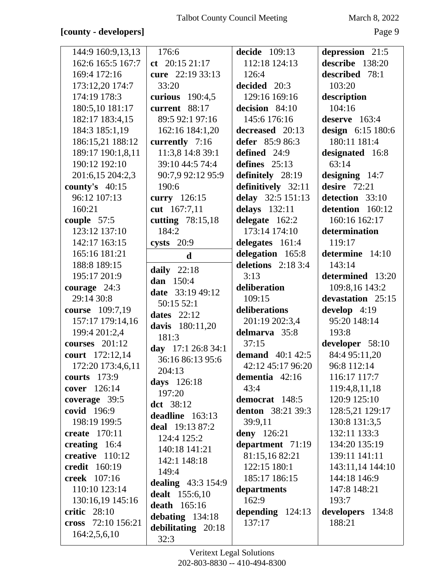# **[county - developers]** Page 9

| 144:9 160:9,13,13    | 176:6                      | decide $109:13$          | depression 21:5   |
|----------------------|----------------------------|--------------------------|-------------------|
| 162:6 165:5 167:7    | ct 20:15 21:17             | 112:18 124:13            | describe 138:20   |
| 169:4 172:16         | cure 22:19 33:13           | 126:4                    | described 78:1    |
| 173:12,20 174:7      | 33:20                      | decided 20:3             | 103:20            |
| 174:19 178:3         | curious $190:4,5$          | 129:16 169:16            | description       |
| 180:5,10 181:17      | current 88:17              | decision 84:10           | 104:16            |
| 182:17 183:4,15      | 89:5 92:1 97:16            | 145:6 176:16             | deserve 163:4     |
| 184:3 185:1,19       | 162:16 184:1,20            | decreased 20:13          | design 6:15 180:6 |
| 186:15,21 188:12     | currently 7:16             | defer 85:9 86:3          | 180:11 181:4      |
| 189:17 190:1,8,11    | 11:3,8 14:8 39:1           | defined 24:9             | designated 16:8   |
| 190:12 192:10        | 39:10 44:5 74:4            | defines $25:13$          | 63:14             |
| 201:6,15 204:2,3     | 90:7,9 92:12 95:9          | definitely 28:19         | designing 14:7    |
| county's $40:15$     | 190:6                      | definitively 32:11       | desire $72:21$    |
| 96:12 107:13         | curry 126:15               | delay 32:5 151:13        | detection 33:10   |
| 160:21               | cut 167:7,11               | delays 132:11            | detention 160:12  |
| couple $57:5$        | cutting 78:15,18           | delegate 162:2           | 160:16 162:17     |
| 123:12 137:10        | 184:2                      | 173:14 174:10            | determination     |
| 142:17 163:15        | cysts $20:9$               | delegates 161:4          | 119:17            |
| 165:16 181:21        | $\mathbf d$                | delegation 165:8         | determine 14:10   |
| 188:8 189:15         | daily $22:18$              | deletions $2:183:4$      | 143:14            |
| 195:17 201:9         | dan 150:4                  | 3:13                     | determined 13:20  |
| courage 24:3         | date 33:19 49:12           | deliberation             | 109:8,16 143:2    |
| 29:14 30:8           | 50:15 52:1                 | 109:15                   | devastation 25:15 |
| course 109:7,19      | dates $22:12$              | deliberations            | develop $4:19$    |
| 157:17 179:14,16     | <b>davis</b> 180:11,20     | 201:19 202:3,4           | 95:20 148:14      |
| 199:4 201:2,4        | 181:3                      | delmarva 35:8            | 193:8             |
| courses $201:12$     | day $17:126:834:1$         | 37:15                    | developer 58:10   |
| court 172:12,14      | 36:16 86:13 95:6           | <b>demand</b> $40:142:5$ | 84:4 95:11,20     |
| 172:20 173:4,6,11    | 204:13                     | 42:12 45:17 96:20        | 96:8 112:14       |
| courts $173:9$       | days 126:18                | dementia 42:16           | 116:17 117:7      |
| cover 126:14         | 197:20                     | 43:4                     | 119:4,8,11,18     |
| coverage 39:5        | dct 38:12                  | democrat 148:5           | 120:9 125:10      |
| covid 196:9          |                            | <b>denton</b> 38:21 39:3 | 128:5,21 129:17   |
| 198:19 199:5         |                            |                          |                   |
|                      | deadline 163:13            | 39:9,11                  | 130:8 131:3,5     |
| create 170:11        | deal 19:13 87:2            | deny 126:21              | 132:11 133:3      |
| creating $16:4$      | 124:4 125:2                | department 71:19         | 134:20 135:19     |
| creative 110:12      | 140:18 141:21              | 81:15,1682:21            | 139:11 141:11     |
| <b>credit</b> 160:19 | 142:1 148:18               | 122:15 180:1             | 143:11,14 144:10  |
| creek 107:16         | 149:4                      | 185:17 186:15            | 144:18 146:9      |
| 110:10 123:14        | dealing $43:3 154:9$       | departments              | 147:8 148:21      |
| 130:16,19 145:16     | dealt 155:6,10             | 162:9                    | 193:7             |
| critic 28:10         | death $165:16$             | depending 124:13         | developers 134:8  |
| cross 72:10 156:21   | debating $134:18$          | 137:17                   | 188:21            |
| 164:2,5,6,10         | debilitating 20:18<br>32:3 |                          |                   |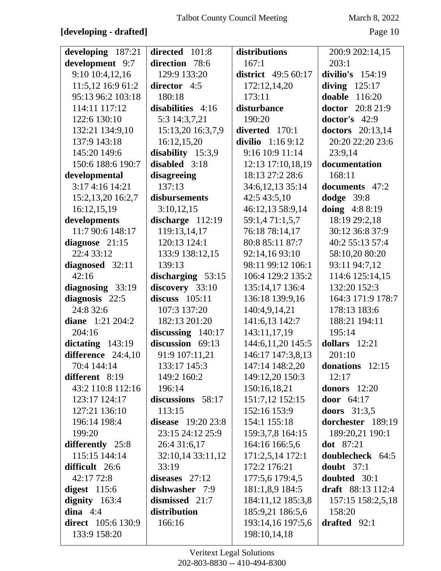# [developing - drafted]

March 8, 2022

| developing 187:21         | directed<br>101:8   | distributions              | 200:9 202:14,15         |
|---------------------------|---------------------|----------------------------|-------------------------|
| development 9:7           | direction 78:6      | 167:1                      | 203:1                   |
| 9:10 10:4,12,16           | 129:9 133:20        | <b>district</b> 49:5 60:17 | divilio's $154:19$      |
| 11:5,12 16:9 61:2         | director 4:5        | 172:12,14,20               | diving $125:17$         |
| 95:13 96:2 103:18         | 180:18              | 173:11                     | <b>doable</b> 116:20    |
| 114:11 117:12             | disabilities 4:16   | disturbance                | <b>doctor</b> 20:8 21:9 |
| 122:6 130:10              | 5:3 14:3,7,21       | 190:20                     | doctor's $42:9$         |
| 132:21 134:9,10           | 15:13,20 16:3,7,9   | diverted 170:1             | doctors 20:13,14        |
| 137:9 143:18              | 16:12,15,20         | divilio $1:169:12$         | 20:20 22:20 23:6        |
| 145:20 149:6              | disability 15:3,9   | 9:16 10:9 11:14            | 23:9,14                 |
| 150:6 188:6 190:7         | disabled $3:18$     | 12:13 17:10,18,19          | documentation           |
| developmental             | disagreeing         | 18:13 27:2 28:6            | 168:11                  |
| 3:17 4:16 14:21           | 137:13              | 34:6, 12, 13 35:14         | documents 47:2          |
| 15:2,13,20 16:2,7         | disbursements       | 42:5 43:5,10               | dodge 39:8              |
| 16:12,15,19               | 3:10,12,15          | 46:12,13 58:9,14           | doing $4:88:19$         |
| developments              | discharge 112:19    | 59:1,4 71:1,5,7            | 18:19 29:2,18           |
| 11:7 90:6 148:17          | 119:13,14,17        | 76:18 78:14,17             | 30:12 36:8 37:9         |
| diagnose $21:15$          | 120:13 124:1        | 80:8 85:11 87:7            | 40:2 55:13 57:4         |
| 22:4 33:12                | 133:9 138:12,15     | 92:14,16 93:10             | 58:10,20 80:20          |
| diagnosed 32:11           | 139:13              | 98:11 99:12 106:1          | 93:11 94:7,12           |
| 42:16                     | discharging 53:15   | 106:4 129:2 135:2          | 114:6 125:14,15         |
| diagnosing 33:19          | discovery 33:10     | 135:14,17 136:4            | 132:20 152:3            |
| diagnosis 22:5            | discuss $105:11$    | 136:18 139:9,16            | 164:3 171:9 178:7       |
| 24:8 32:6                 | 107:3 137:20        | 140:4,9,14,21              | 178:13 183:6            |
| diane 1:21 204:2          | 182:13 201:20       | 141:6,13 142:7             | 188:21 194:11           |
| 204:16                    | discussing 140:17   | 143:11,17,19               | 195:14                  |
| dictating $143:19$        | discussion 69:13    | 144:6,11,20 145:5          | dollars 12:21           |
| difference 24:4,10        | 91:9 107:11,21      | 146:17 147:3,8,13          | 201:10                  |
| 70:4 144:14               | 133:17 145:3        | 147:14 148:2,20            | donations 12:15         |
| different 8:19            | 149:2 160:2         | 149:12,20 150:3            | 12:17                   |
| 43:2 110:8 112:16         | 196:14              | 150:16,18,21               | donors $12:20$          |
| 123:17 124:17             | discussions 58:17   | 151:7,12 152:15            | door $64:17$            |
| 127:21 136:10             | 113:15              | 152:16 153:9               | doors 31:3.5            |
| 196:14 198:4              | disease $19:2023:8$ | 154:1 155:18               | dorchester 189:19       |
| 199:20                    | 23:15 24:12 25:9    | 159:3,7,8 164:15           | 189:20,21 190:1         |
| differently 25:8          | 26:4 31:6,17        | 164:16 166:5,6             | <b>dot</b> 87:21        |
| 115:15 144:14             | 32:10,14 33:11,12   | 171:2,5,14 172:1           | doublecheck 64:5        |
| difficult 26:6            | 33:19               | 172:2 176:21               | doubt $37:1$            |
| 42:17 72:8                | diseases $27:12$    | 177:5,6 179:4,5            | doubted 30:1            |
| digest $115:6$            | dishwasher 7:9      | 181:1,8,9 184:5            | draft $88:13$ 112:4     |
| dignity $163:4$           | dismissed 21:7      | 184:11,12 185:3,8          | 157:15 158:2,5,18       |
| dina $4:4$                | distribution        | 185:9,21 186:5,6           | 158:20                  |
| <b>direct</b> 105:6 130:9 | 166:16              | 193:14,16 197:5,6          | drafted 92:1            |
| 133:9 158:20              |                     | 198:10,14,18               |                         |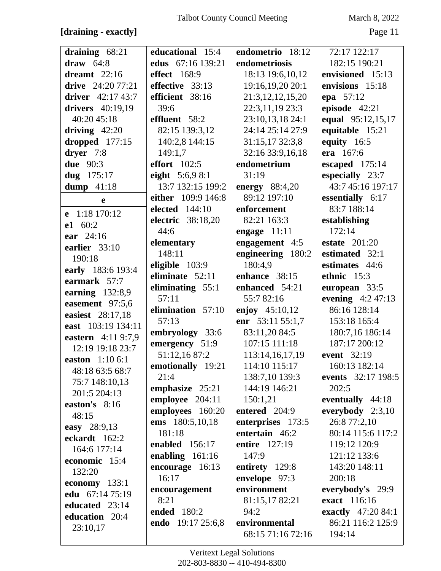## **[draining - exactly]** Page 11

| draining $68:21$   | educational 15:4         | endometrio 18:12     | 72:17 122:17              |
|--------------------|--------------------------|----------------------|---------------------------|
| draw $64:8$        | <b>edus</b> 67:16 139:21 | endometriosis        | 182:15 190:21             |
| dreamt $22:16$     | <b>effect</b> 168:9      | 18:13 19:6,10,12     | envisioned 15:13          |
|                    |                          |                      |                           |
| drive 24:20 77:21  | effective 33:13          | 19:16,19,20 20:1     | envisions 15:18           |
| driver 42:17 43:7  | efficient 38:16          | 21:3, 12, 12, 15, 20 | epa 57:12                 |
| drivers 40:19,19   | 39:6                     | 22:3,11,19 23:3      | episode 42:21             |
| 40:20 45:18        | effluent 58:2            | 23:10,13,18 24:1     | equal 95:12,15,17         |
| driving $42:20$    | 82:15 139:3,12           | 24:14 25:14 27:9     | equitable 15:21           |
| dropped $177:15$   | 140:2,8 144:15           | 31:15,17 32:3,8      | equity 16:5               |
| $\bf{dryer}$ 7:8   | 149:1,7                  | 32:16 33:9,16,18     | era 167:6                 |
| <b>due</b> 90:3    | <b>effort</b> 102:5      | endometrium          | escaped 175:14            |
| dug 175:17         | eight $5:6,98:1$         | 31:19                | especially 23:7           |
| dump $41:18$       | 13:7 132:15 199:2        | energy $88:4,20$     | 43:7 45:16 197:17         |
|                    | either 109:9 146:8       | 89:12 197:10         | essentially 6:17          |
| e                  | <b>elected</b> 144:10    | enforcement          | 83:7 188:14               |
| e 1:18 170:12      |                          | 82:21 163:3          |                           |
| e1 60:2            | <b>electric</b> 38:18,20 |                      | establishing              |
| ear 24:16          | 44:6                     | engage 11:11         | 172:14                    |
| earlier $33:10$    | elementary               | engagement 4:5       | <b>estate</b> 201:20      |
| 190:18             | 148:11                   | engineering 180:2    | estimated 32:1            |
| early 183:6 193:4  | eligible 103:9           | 180:4,9              | estimates 44:6            |
| earmark 57:7       | eliminate 52:11          | enhance 38:15        | ethnic 15:3               |
| earning 132:8,9    | eliminating 55:1         | enhanced 54:21       | european 33:5             |
|                    | 57:11                    | 55:782:16            | evening $4:2,47:13$       |
| easement 97:5,6    | elimination 57:10        | enjoy $45:10,12$     | 86:16 128:14              |
| easiest 28:17,18   | 57:13                    | enr 53:11 55:1,7     | 153:18 165:4              |
| east 103:19 134:11 | embryology 33:6          | 83:11,20 84:5        | 180:7,16 186:14           |
| eastern 4:11 9:7,9 | emergency 51:9           | 107:15 111:18        | 187:17 200:12             |
| 12:19 19:18 23:7   | 51:12,1687:2             | 113:14,16,17,19      | event 32:19               |
| easton 1:10 6:1    |                          |                      |                           |
| 48:18 63:5 68:7    | emotionally 19:21        | 114:10 115:17        | 160:13 182:14             |
| 75:7 148:10,13     | 21:4                     | 138:7,10 139:3       | events 32:17 198:5        |
| 201:5 204:13       | emphasize 25:21          | 144:19 146:21        | 202:5                     |
| easton's 8:16      | employee 204:11          | 150:1,21             | eventually 44:18          |
| 48:15              | employees 160:20         | entered 204:9        | everybody $2:3,10$        |
| easy 28:9,13       | ems 180:5,10,18          | enterprises 173:5    | 26:8 77:2,10              |
| eckardt 162:2      | 181:18                   | entertain 46:2       | 80:14 115:6 117:2         |
| 164:6 177:14       | <b>enabled</b> 156:17    | <b>entire</b> 127:19 | 119:12 120:9              |
|                    | enabling $161:16$        | 147:9                | 121:12 133:6              |
| economic 15:4      | encourage 16:13          | entirety 129:8       | 143:20 148:11             |
| 132:20             | 16:17                    | envelope 97:3        | 200:18                    |
| economy 133:1      | encouragement            | environment          | everybody's 29:9          |
| edu 67:14 75:19    | 8:21                     | 81:15,17 82:21       | exact 116:16              |
| educated 23:14     | 180:2                    | 94:2                 |                           |
| education 20:4     | ended                    |                      | <b>exactly</b> 47:20 84:1 |
| 23:10,17           | endo 19:17 25:6,8        | environmental        | 86:21 116:2 125:9         |
|                    |                          | 68:15 71:16 72:16    | 194:14                    |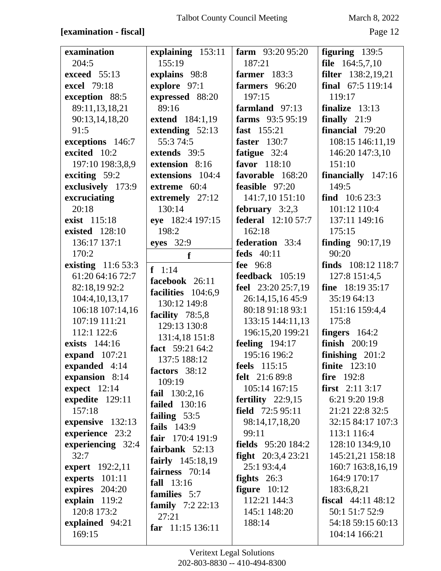## **[examination - fiscal]** Page 12

| examination            | explaining 153:11                    | farm $93:2095:20$          | figuring $139:5$              |
|------------------------|--------------------------------------|----------------------------|-------------------------------|
| 204:5                  | 155:19                               | 187:21                     | file $164:5,7,10$             |
| exceed 55:13           | explains 98:8                        | farmer $183:3$             | <b>filter</b> 138:2,19,21     |
| excel 79:18            | explore 97:1                         | farmers 96:20              | final $67:5$ 119:14           |
| exception 88:5         | expressed 88:20                      | 197:15                     | 119:17                        |
| 89:11,13,18,21         | 89:16                                | farmland 97:13             | finalize $13:13$              |
| 90:13,14,18,20         | <b>extend</b> 184:1,19               | farms 93:5 95:19           | finally $21:9$                |
| 91:5                   | extending 52:13                      | fast 155:21                | financial 79:20               |
| exceptions 146:7       | 55:3 74:5                            | <b>faster</b> 130:7        | 108:15 146:11,19              |
| excited 10:2           | extends 39:5                         | fatigue 32:4               | 146:20 147:3,10               |
| 197:10 198:3,8,9       | extension 8:16                       | favor 118:10               | 151:10                        |
| exciting 59:2          | extensions 104:4                     | favorable 168:20           | financially 147:16            |
| exclusively 173:9      | extreme 60:4                         | feasible 97:20             | 149:5                         |
| excruciating           | extremely 27:12                      | 141:7,10 151:10            | <b>find</b> $10:623:3$        |
| 20:18                  | 130:14                               | february 3:2,3             | 101:12 110:4                  |
| exist 115:18           | eye 182:4 197:15                     | <b>federal</b> 12:10 57:7  | 137:11 149:16                 |
| <b>existed</b> 128:10  | 198:2                                | 162:18                     | 175:15                        |
| 136:17 137:1           | eyes 32:9                            | federation 33:4            | <b>finding</b> $90:17,19$     |
| 170:2                  | f                                    | <b>feds</b> 40:11          | 90:20                         |
| existing 11:6 53:3     |                                      | fee 96:8                   | finds 108:12 118:7            |
| 61:20 64:16 72:7       | $f \ 1:14$                           | feedback 105:19            | 127:8 151:4,5                 |
| 82:18,19 92:2          | facebook 26:11                       | feel 23:20 25:7,19         | fine 18:19 35:17              |
| 104:4,10,13,17         | facilities 104:6,9                   | 26:14,15,16 45:9           | 35:19 64:13                   |
| 106:18 107:14,16       | 130:12 149:8                         | 80:18 91:18 93:1           | 151:16 159:4,4                |
| 107:19 111:21          | facility 78:5,8                      | 133:15 144:11,13           | 175:8                         |
| 112:1 122:6            | 129:13 130:8                         | 196:15,20 199:21           | fingers $164:2$               |
| exists 144:16          | 131:4,18 151:8                       | feeling 194:17             | finish $200:19$               |
| expand $107:21$        | fact 59:21 64:2                      | 195:16 196:2               | finishing $201:2$             |
| expanded 4:14          | 137:5 188:12                         | feels 115:15               | finite $123:10$               |
| expansion 8:14         | factors 38:12                        | <b>felt</b> 21:6 89:8      | <b>fire</b> 192:8             |
| expect $12:14$         | 109:19                               | 105:14 167:15              | first $2:11\,3:17$            |
| expedite 129:11        | fail 130:2,16                        | fertility $22:9,15$        | 6:21 9:20 19:8                |
| 157:18                 | <b>failed</b> 130:16                 | <b>field</b> 72:5 95:11    | 21:21 22:8 32:5               |
| expensive 132:13       | failing $53:5$                       | 98:14,17,18,20             | 32:15 84:17 107:3             |
| experience 23:2        | fails $143:9$                        | 99:11                      | 113:1 116:4                   |
| experiencing 32:4      | fair 170:4 191:9                     | <b>fields</b> 95:20 184:2  | 128:10 134:9,10               |
| 32:7                   | fairbank $52:13$                     | <b>fight</b> $20:3,423:21$ | 145:21,21 158:18              |
| <b>expert</b> 192:2,11 | fairly $145:18,19$<br>fairness 70:14 | 25:1 93:4,4                | 160:7 163:8,16,19             |
| experts $101:11$       | fall 13:16                           | fights $26:3$              | 164:9 170:17                  |
| expires 204:20         |                                      | figure $10:12$             | 183:6,8,21                    |
| explain 119:2          | families 5:7                         | 112:21 144:3               | <b>fiscal</b> $44:11$ $48:12$ |
| 120:8 173:2            | <b>family</b> $7:222:13$<br>27:21    | 145:1 148:20               | 50:1 51:7 52:9                |
| explained 94:21        | far $11:15$ 136:11                   | 188:14                     | 54:18 59:15 60:13             |
| 169:15                 |                                      |                            | 104:14 166:21                 |
|                        |                                      |                            |                               |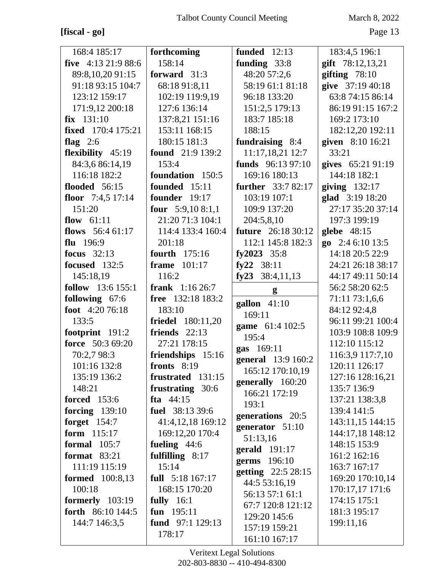# [fiscal - go]

| 168:4 185:17              | forthcoming        | <b>funded</b> 12:13       | 183:4,5 196:1     |
|---------------------------|--------------------|---------------------------|-------------------|
| five 4:13 21:9 88:6       | 158:14             | funding 33:8              | gift 78:12,13,21  |
| 89:8,10,20 91:15          | forward 31:3       | 48:20 57:2,6              | gifting $78:10$   |
| 91:18 93:15 104:7         | 68:18 91:8,11      | 58:19 61:1 81:18          | give 37:19 40:18  |
| 123:12 159:17             | 102:19 119:9,19    | 96:18 133:20              | 63:8 74:15 86:14  |
| 171:9,12 200:18           | 127:6 136:14       | 151:2,5 179:13            | 86:19 91:15 167:2 |
| $fix$ 131:10              | 137:8,21 151:16    | 183:7 185:18              | 169:2 173:10      |
| <b>fixed</b> 170:4 175:21 | 153:11 168:15      | 188:15                    | 182:12,20 192:11  |
| flag $2:6$                | 180:15 181:3       | fundraising 8:4           | given 8:10 16:21  |
| flexibility 45:19         | found 21:9 139:2   | 11:17,18,21 12:7          | 33:21             |
| 84:3,6 86:14,19           | 153:4              | <b>funds</b> 96:13 97:10  | gives 65:21 91:19 |
| 116:18 182:2              | foundation 150:5   | 169:16 180:13             | 144:18 182:1      |
| flooded 56:15             | founded 15:11      | <b>further</b> 33:7 82:17 | giving $132:17$   |
| floor $7:4,5$ 17:14       | founder $19:17$    | 103:19 107:1              | glad 3:19 18:20   |
| 151:20                    | four $5:9,108:1,1$ | 109:9 137:20              | 27:17 35:20 37:14 |
| flow $61:11$              | 21:20 71:3 104:1   | 204:5,8,10                | 197:3 199:19      |
| flows $56:461:17$         | 114:4 133:4 160:4  | <b>future</b> 26:18 30:12 | glebe 48:15       |
| $flu$ 196:9               | 201:18             | 112:1 145:8 182:3         | go $2:46:1013:5$  |
| focus $32:13$             | fourth 175:16      | fy2023 $35:8$             | 14:18 20:5 22:9   |
| focused 132:5             | frame $101:17$     | fy22 38:11                | 24:21 26:18 38:17 |
| 145:18,19                 | 116:2              | fy23 $38:4,11,13$         | 44:17 49:11 50:14 |
| follow 13:6 155:1         | frank 1:16 26:7    | g                         | 56:2 58:20 62:5   |
| following 67:6            | free 132:18 183:2  | gallon $41:10$            | 71:11 73:1,6,6    |
| foot 4:20 76:18           | 183:10             | 169:11                    | 84:12 92:4,8      |
| 133:5                     | friedel 180:11,20  | game 61:4 102:5           | 96:11 99:21 100:4 |
| footprint $191:2$         | friends 22:13      | 195:4                     | 103:9 108:8 109:9 |
| force 50:3 69:20          | 27:21 178:15       | gas 169:11                | 112:10 115:12     |
| 70:2,7 98:3               | friendships 15:16  | general 13:9 160:2        | 116:3,9 117:7,10  |
| 101:16 132:8              | fronts $8:19$      | 165:12 170:10,19          | 120:11 126:17     |
| 135:19 136:2              | frustrated 131:15  | generally 160:20          | 127:16 128:16,21  |
| 148:21                    | frustrating 30:6   | 166:21 172:19             | 135:7 136:9       |
| <b>forced</b> 153:6       | fta $44:15$        | 193:1                     | 137:21 138:3,8    |
| forcing $139:10$          | fuel 38:13 39:6    | generations 20:5          | 139:4 141:5       |
| forget $154:7$            | 41:4,12,18 169:12  | generator 51:10           | 143:11,15 144:15  |
| form 115:17               | 169:12,20 170:4    | 51:13,16                  | 144:17,18 148:12  |
| formal $105:7$            | fueling $44:6$     | gerald $191:17$           | 148:15 153:9      |
| format $83:21$            | fulfilling $8:17$  | germs 196:10              | 161:2 162:16      |
| 111:19 115:19             | 15:14              | getting 22:5 28:15        | 163:7 167:17      |
| <b>formed</b> 100:8,13    | full $5:18$ 167:17 | 44:5 53:16,19             | 169:20 170:10,14  |
| 100:18                    | 168:15 170:20      | 56:13 57:1 61:1           | 170:17,17 171:6   |
| formerly $103:19$         | fully $16:1$       | 67:7 120:8 121:12         | 174:15 175:1      |
| forth 86:10 144:5         | fun 195:11         | 129:20 145:6              | 181:3 195:17      |
| 144:7 146:3,5             | fund $97:1129:13$  | 157:19 159:21             | 199:11,16         |
|                           | 178:17             | 161:10 167:17             |                   |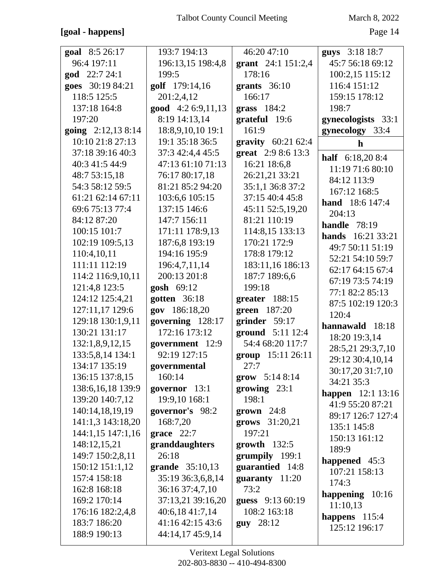## **[goal - happens]** Page 14

| goal 8:5 26:17      | 193:7 194:13       | 46:20 47:10                        | guys 3:18 18:7             |
|---------------------|--------------------|------------------------------------|----------------------------|
| 96:4 197:11         | 196:13,15 198:4,8  | grant $24:1 151:2,4$               | 45:7 56:18 69:12           |
| god 22:7 24:1       | 199:5              | 178:16                             | 100:2,15 115:12            |
| goes 30:19 84:21    | golf 179:14,16     | grants $36:10$                     | 116:4 151:12               |
| 118:5 125:5         | 201:2,4,12         | 166:17                             | 159:15 178:12              |
| 137:18 164:8        | good 4:2 6:9,11,13 | grass $184:2$                      | 198:7                      |
| 197:20              | 8:19 14:13,14      | grateful 19:6                      | gynecologists 33:1         |
| going 2:12,13 8:14  | 18:8,9,10,10 19:1  | 161:9                              | gynecology 33:4            |
| 10:10 21:8 27:13    | 19:1 35:18 36:5    | <b>gravity</b> $60:2162:4$         | $\mathbf h$                |
| 37:18 39:16 40:3    | 37:3 42:4,4 45:5   | great 2:9 8:6 13:3                 | half 6:18,20 8:4           |
| 40:3 41:5 44:9      | 47:13 61:10 71:13  | 16:21 18:6,8                       | 11:19 71:6 80:10           |
| 48:7 53:15,18       | 76:17 80:17,18     | 26:21,21 33:21                     | 84:12 113:9                |
| 54:3 58:12 59:5     | 81:21 85:2 94:20   | 35:1,1 36:8 37:2                   | 167:12 168:5               |
| 61:21 62:14 67:11   | 103:6,6 105:15     | 37:15 40:4 45:8                    | hand 18:6 147:4            |
| 69:6 75:13 77:4     | 137:15 146:6       | 45:11 52:5,19,20                   | 204:13                     |
| 84:12 87:20         | 147:7 156:11       | 81:21 110:19                       | handle $78:19$             |
| 100:15 101:7        | 171:11 178:9,13    | 114:8,15 133:13                    | hands 16:21 33:21          |
| 102:19 109:5,13     | 187:6,8 193:19     | 170:21 172:9                       | 49:7 50:11 51:19           |
| 110:4,10,11         | 194:16 195:9       | 178:8 179:12                       | 52:21 54:10 59:7           |
| 111:11 112:19       | 196:4,7,11,14      | 183:11,16 186:13                   | 62:17 64:15 67:4           |
| 114:2 116:9,10,11   | 200:13 201:8       | 187:7 189:6,6                      | 67:19 73:5 74:19           |
| 121:4,8 123:5       | gosh 69:12         | 199:18                             | 77:1 82:2 85:13            |
| 124:12 125:4,21     | gotten 36:18       | greater 188:15                     | 87:5 102:19 120:3          |
| 127:11,17 129:6     | gov 186:18,20      | green 187:20                       | 120:4                      |
| 129:18 130:1,9,11   | governing 128:17   | grinder 59:17                      | hannawald 18:18            |
| 130:21 131:17       | 172:16 173:12      | ground 5:11 12:4                   | 18:20 19:3,14              |
| 132:1,8,9,12,15     | government 12:9    | 54:4 68:20 117:7                   | 28:5,21 29:3,7,10          |
| 133:5,8,14 134:1    | 92:19 127:15       | group 15:11 26:11                  | 29:12 30:4,10,14           |
| 134:17 135:19       | governmental       | 27:7                               | 30:17,20 31:7,10           |
| 136:15 137:8,15     | 160:14             | grow $5:148:14$                    | 34:21 35:3                 |
| 138:6, 16, 18 139:9 | governor 13:1      | growing $23:1$                     | <b>happen</b> $12:1 13:16$ |
| 139:20 140:7,12     | 19:9,10 168:1      | 198:1                              | 41:9 55:20 87:21           |
| 140:14,18,19,19     | governor's 98:2    | $\boldsymbol{\mathsf{grown}}$ 24:8 | 89:17 126:7 127:4          |
| 141:1,3 143:18,20   | 168:7,20           | grows $31:20,21$                   | 135:1 145:8                |
| 144:1,15 147:1,16   | grace $22:7$       | 197:21                             | 150:13 161:12              |
| 148:12,15,21        | granddaughters     | $growth$ 132:5                     | 189:9                      |
| 149:7 150:2,8,11    | 26:18              | grumpily 199:1                     | happened $45:3$            |
| 150:12 151:1,12     | grande 35:10,13    | guarantied 14:8                    | 107:21 158:13              |
| 157:4 158:18        | 35:19 36:3,6,8,14  | guaranty $11:20$                   | 174:3                      |
| 162:8 168:18        | 36:16 37:4,7,10    | 73:2                               | happening $10:16$          |
| 169:2 170:14        | 37:13,21 39:16,20  | guess 9:13 60:19                   | 11:10,13                   |
| 176:16 182:2,4,8    | 40:6,18 41:7,14    | 108:2 163:18                       | happens 115:4              |
| 183:7 186:20        | 41:16 42:15 43:6   | guy 28:12                          | 125:12 196:17              |
| 188:9 190:13        | 44:14,17 45:9,14   |                                    |                            |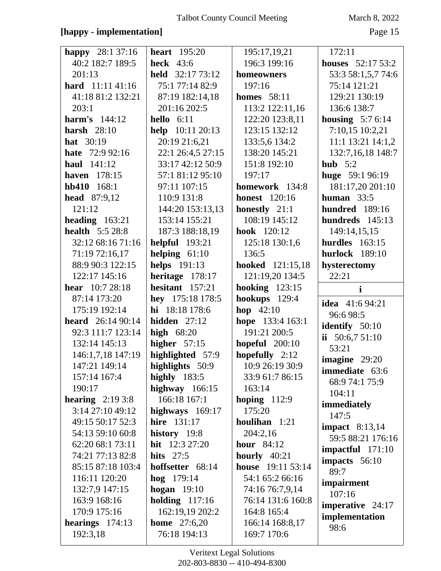## [happy - implementation]

March 8, 2022

Page 15

| happy $28:137:16$             | heart $195:20$                      | 195:17,19,21                   | 172:11                   |
|-------------------------------|-------------------------------------|--------------------------------|--------------------------|
| 40:2 182:7 189:5              | heck $43:6$                         | 196:3 199:16                   | <b>houses</b> 52:17 53:2 |
| 201:13                        | held 32:17 73:12                    | homeowners                     | 53:3 58:1,5,7 74:6       |
| <b>hard</b> $11:1141:16$      | 75:1 77:14 82:9                     | 197:16                         | 75:14 121:21             |
| 41:18 81:2 132:21             | 87:19 182:14,18                     | <b>homes</b> 58:11             | 129:21 130:19            |
| 203:1                         | 201:16 202:5                        | 113:2 122:11,16                | 136:6 138:7              |
| <b>harm's</b> $144:12$        | hello $6:11$                        | 122:20 123:8,11                | housing $5:76:14$        |
| harsh $28:10$                 | help $10:11$ $20:13$                | 123:15 132:12                  | 7:10,15 10:2,21          |
| <b>hat</b> 30:19              | 20:19 21:6,21                       | 133:5,6 134:2                  | 11:1 13:21 14:1,2        |
| <b>hate</b> 72:9 92:16        | 22:1 26:4,5 27:15                   | 138:20 145:21                  | 132:7, 16, 18 148:7      |
| haul 141:12                   | 33:17 42:12 50:9                    | 151:8 192:10                   | hub $5:2$                |
| <b>haven</b> 178:15           | 57:1 81:12 95:10                    | 197:17                         | huge 59:1 96:19          |
| $hb410$ 168:1                 | 97:11 107:15                        | homework 134:8                 | 181:17,20 201:10         |
| <b>head</b> 87:9,12           | 110:9 131:8                         | <b>honest</b> 120:16           | human $33:5$             |
| 121:12                        | 144:20 153:13,13                    | honestly 21:1                  | hundred 189:16           |
| heading $163:21$              | 153:14 155:21                       | 108:19 145:12                  | hundreds 145:13          |
| health $5:528:8$              | 187:3 188:18,19                     | <b>hook</b> 120:12             | 149:14,15,15             |
| 32:12 68:16 71:16             | $helpful$ 193:21                    | 125:18 130:1,6                 | hurdles $163:15$         |
| 71:19 72:16,17                | helping $61:10$                     | 136:5                          | <b>hurlock</b> 189:10    |
| 88:9 90:3 122:15              | <b>helps</b> 191:13                 | <b>hooked</b> 121:15,18        | hysterectomy             |
| 122:17 145:16                 | heritage $178:17$                   | 121:19,20 134:5                | 22:21                    |
| <b>hear</b> $10:728:18$       | hesitant $157:21$                   | hooking $123:15$               | $\mathbf{i}$             |
| 87:14 173:20                  | hey 175:18 178:5                    | hookups 129:4                  | <b>idea</b> 41:6 94:21   |
| 175:19 192:14                 | hi 18:18 178:6                      | <b>hop</b> $42:10$             | 96:6 98:5                |
| <b>heard</b> 26:14 90:14      | hidden $27:12$                      | hope 133:4 163:1               | <b>identify</b> 50:10    |
| 92:3 111:7 123:14             | high $68:20$                        | 191:21 200:5                   | ii $50:6,751:10$         |
| 132:14 145:13                 | higher $57:15$                      | hopeful $200:10$               | 53:21                    |
| 146:1,7,18 147:19             | highlighted 57:9                    | hopefully $2:12$               | imagine 29:20            |
| 147:21 149:14                 | highlights 50:9                     | 10:9 26:19 30:9                | <b>immediate</b> 63:6    |
| 157:14 167:4                  | highly $183:5$                      | 33:9 61:7 86:15                | 68:9 74:1 75:9           |
| 190:17                        | highway $166:15$                    | 163:14                         | 104:11                   |
| hearing $2:193:8$             | 166:18 167:1                        | hoping $112:9$                 | immediately              |
| 3:14 27:10 49:12              | highways 169:17                     | 175:20                         | 147:5                    |
| 49:15 50:17 52:3              | <b>hire</b> 131:17                  | houlihan 1:21                  | impact $8:13,14$         |
| 54:13 59:10 60:8              | history 19:8                        | 204:2,16                       | 59:5 88:21 176:16        |
| 62:20 68:1 73:11              | hit 12:3 27:20                      | hour $84:12$                   | impactful $171:10$       |
| 74:21 77:13 82:8              | hits $27:5$                         | hourly $40:21$                 | impacts 56:10            |
| 85:15 87:18 103:4             | hoffsetter 68:14                    | <b>house</b> 19:11 53:14       | 89:7                     |
| 116:11 120:20                 | $\log$ 179:14                       | 54:1 65:2 66:16                | impairment               |
| 132:7,9 147:15                | hogan $19:10$                       | 74:16 76:7,9,14                | 107:16                   |
| 163:9 168:16                  |                                     | 76:14 131:6 160:8              |                          |
|                               | holding $117:16$                    |                                | imperative 24:17         |
| 170:9 175:16                  | 162:19,19 202:2                     | 164:8 165:4                    | implementation           |
| hearings $174:13$<br>192:3,18 | <b>home</b> 27:6,20<br>76:18 194:13 | 166:14 168:8,17<br>169:7 170:6 | 98:6                     |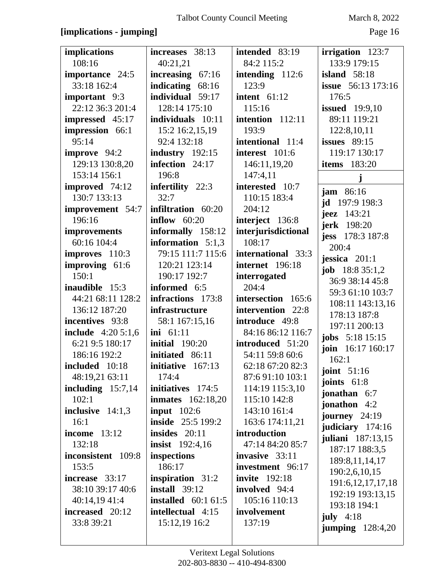## **[implications - jumping]** Page 16

| <i>implications</i>        | increases 38:13             | intended 83:19       | <b>irrigation</b> 123:7   |
|----------------------------|-----------------------------|----------------------|---------------------------|
| 108:16                     | 40:21,21                    | 84:2 115:2           | 133:9 179:15              |
| importance 24:5            | increasing 67:16            | intending $112:6$    | island $58:18$            |
| 33:18 162:4                | indicating 68:16            | 123:9                | <b>issue</b> 56:13 173:16 |
| important 9:3              | individual 59:17            | intent $61:12$       | 176:5                     |
| 22:12 36:3 201:4           | 128:14 175:10               | 115:16               | <b>issued</b> 19:9,10     |
| impressed 45:17            | individuals 10:11           | intention $112:11$   | 89:11 119:21              |
| impression 66:1            | 15:2 16:2,15,19             | 193:9                | 122:8,10,11               |
| 95:14                      | 92:4 132:18                 | intentional 11:4     | issues $89:15$            |
| improve 94:2               | industry $192:15$           | interest 101:6       | 119:17 130:17             |
| 129:13 130:8,20            | infection 24:17             | 146:11,19,20         | <b>items</b> 183:20       |
| 153:14 156:1               | 196:8                       | 147:4,11             |                           |
|                            |                             | interested 10:7      | j                         |
| <b>improved</b> $74:12$    | infertility 22:3            |                      | jam $86:16$               |
| 130:7 133:13               | 32:7                        | 110:15 183:4         | jd $197:9198:3$           |
| improvement 54:7           | infiltration 60:20          | 204:12               | jeez $143:21$             |
| 196:16                     | inflow $60:20$              | interject 136:8      | jerk 198:20               |
| improvements               | informally 158:12           | interjurisdictional  | jess 178:3 187:8          |
| 60:16 104:4                | information $5:1,3$         | 108:17               | 200:4                     |
| improves 110:3             | 79:15 111:7 115:6           | international 33:3   | jessica $201:1$           |
| improving 61:6             | 120:21 123:14               | internet 196:18      | <b>job</b> $18:835:1,2$   |
| 150:1                      | 190:17 192:7                | interrogated         | 36:9 38:14 45:8           |
| inaudible 15:3             | informed 6:5                | 204:4                | 59:3 61:10 103:7          |
| 44:21 68:11 128:2          | infractions 173:8           | intersection 165:6   | 108:11 143:13,16          |
| 136:12 187:20              | infrastructure              | intervention 22:8    | 178:13 187:8              |
| incentives 93:8            | 58:1 167:15,16              | introduce 49:8       | 197:11 200:13             |
| <b>include</b> $4:205:1,6$ | $\text{ini} \quad 61:11$    | 84:16 86:12 116:7    | <b>jobs</b> $5:1815:15$   |
| 6:21 9:5 180:17            | <b>initial</b> 190:20       | introduced 51:20     | join 16:17 160:17         |
| 186:16 192:2               | initiated 86:11             | 54:11 59:8 60:6      | 162:1                     |
| included 10:18             | initiative 167:13           | 62:18 67:20 82:3     |                           |
| 48:19,21 63:11             | 174:4                       | 87:6 91:10 103:1     | joint $51:16$             |
| including $15:7,14$        | initiatives 174:5           | 114:19 115:3,10      | joints $61:8$             |
| 102:1                      | <b>inmates</b> 162:18,20    | 115:10 142:8         | jonathan $6:7$            |
| inclusive $14:1,3$         | input $102:6$               | 143:10 161:4         | jonathon $4:2$            |
| 16:1                       | <b>inside</b> 25:5 199:2    | 163:6 174:11,21      | journey $24:19$           |
| income $13:12$             | insides $20:11$             | introduction         | judiciary $174:16$        |
| 132:18                     | <b>insist</b> 192:4,16      | 47:14 84:20 85:7     | juliani 187:13,15         |
| inconsistent 109:8         | inspections                 | invasive 33:11       | 187:17 188:3,5            |
| 153:5                      | 186:17                      | investment 96:17     | 189:8, 11, 14, 17         |
| increase 33:17             | inspiration 31:2            | <b>invite</b> 192:18 | 190:2,6,10,15             |
| 38:10 39:17 40:6           | install 39:12               | involved 94:4        | 191:6, 12, 17, 17, 18     |
| 40:14,19 41:4              | <b>installed</b> $60:161:5$ | 105:16 110:13        | 192:19 193:13,15          |
| increased 20:12            | intellectual 4:15           | involvement          | 193:18 194:1              |
| 33:8 39:21                 | 15:12,19 16:2               | 137:19               | july $4:18$               |
|                            |                             |                      | jumping $128:4,20$        |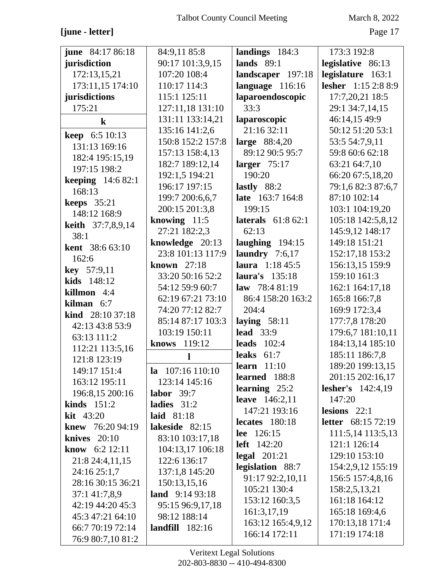# [june - letter]

March 8, 2022

| <b>june</b> 84:17 86:18               | 84:9,11 85:8      | landings $184:3$       | 173:3 192:8                |
|---------------------------------------|-------------------|------------------------|----------------------------|
| jurisdiction                          | 90:17 101:3,9,15  | lands $89:1$           | legislative 86:13          |
| 172:13,15,21                          | 107:20 108:4      | landscaper 197:18      | legislature 163:1          |
| 173:11,15 174:10                      | 110:17 114:3      | language 116:16        | lesher 1:15 2:8 8:9        |
| jurisdictions                         | 115:1 125:11      | laparoendoscopic       | 17:7,20,21 18:5            |
| 175:21                                | 127:11,18 131:10  | 33:3                   | 29:1 34:7,14,15            |
| $\bf k$                               | 131:11 133:14,21  | laparoscopic           | 46:14,15 49:9              |
| <b>keep</b> 6:5 10:13                 | 135:16 141:2,6    | 21:16 32:11            | 50:12 51:20 53:1           |
| 131:13 169:16                         | 150:8 152:2 157:8 | large 88:4,20          | 53:5 54:7,9,11             |
| 182:4 195:15,19                       | 157:13 158:4,13   | 89:12 90:5 95:7        | 59:8 60:6 62:18            |
| 197:15 198:2                          | 182:7 189:12,14   | larger $75:17$         | 63:21 64:7,10              |
| <b>keeping</b> 14:6 82:1              | 192:1,5 194:21    | 190:20                 | 66:20 67:5,18,20           |
| 168:13                                | 196:17 197:15     | lastly $88:2$          | 79:1,6 82:3 87:6,7         |
| keeps $35:21$                         | 199:7 200:6,6,7   | late 163:7 164:8       | 87:10 102:14               |
| 148:12 168:9                          | 200:15 201:3,8    | 199:15                 | 103:1 104:19,20            |
| keith 37:7,8,9,14                     | knowing $11:5$    | laterals $61:862:1$    | 105:18 142:5,8,12          |
| 38:1                                  | 27:21 182:2,3     | 62:13                  | 145:9,12 148:17            |
| kent 38:6 63:10                       | knowledge 20:13   | laughing $194:15$      | 149:18 151:21              |
| 162:6                                 | 23:8 101:13 117:9 | laundry $7:6,17$       | 152:17,18 153:2            |
| key 57:9,11                           | known 27:18       | laura 1:18 45:5        | 156:13,15 159:9            |
| kids 148:12                           | 33:20 50:16 52:2  | <b>laura's</b> 135:18  | 159:10 161:3               |
| killmon 4:4                           | 54:12 59:9 60:7   | law 78:4 81:19         | 162:1 164:17,18            |
| kilman 6:7                            | 62:19 67:21 73:10 | 86:4 158:20 163:2      | 165:8 166:7,8              |
| kind 28:10 37:18                      | 74:20 77:12 82:7  | 204:4                  | 169:9 172:3,4              |
| 42:13 43:8 53:9                       | 85:14 87:17 103:3 | laying $58:11$         | 177:7,8 178:20             |
| 63:13 111:2                           | 103:19 150:11     | <b>lead</b> 33:9       | 179:6,7 181:10,11          |
| 112:21 113:5,16                       | knows 119:12      | leads $102:4$          | 184:13,14 185:10           |
| 121:8 123:19                          | $\mathbf{l}$      | leaks $61:7$           | 185:11 186:7,8             |
| 149:17 151:4                          | la $107:16110:10$ | learn $11:10$          | 189:20 199:13,15           |
| 163:12 195:11                         | 123:14 145:16     | learned 188:8          | 201:15 202:16,17           |
| 196:8,15 200:16                       | labor $39:7$      | learning $25:2$        | <b>lesher's</b> $142:4,19$ |
| kinds 151:2                           | ladies $31:2$     | <b>leave</b> 146:2,11  | 147:20                     |
| <b>kit</b> $43:20$                    | laid 81:18        | 147:21 193:16          | lesions $22:1$             |
| <b>knew</b> $76:2094:19$              | lakeside $82:15$  | lecates $180:18$       | <b>letter</b> 68:15 72:19  |
| knives $20:10$                        | 83:10 103:17,18   | lee 126:15             | 111:5,14 113:5,13          |
| <b>know</b> $6:2 12:11$               | 104:13,17 106:18  | <b>left</b> $142:20$   | 121:1 126:14               |
| 21:8 24:4,11,15                       | 122:6 136:17      | $\text{legal } 201:21$ | 129:10 153:10              |
| 24:16 25:1,7                          | 137:1,8 145:20    | legislation 88:7       | 154:2,9,12 155:19          |
| 28:16 30:15 36:21                     | 150:13,15,16      | 91:17 92:2,10,11       | 156:5 157:4,8,16           |
| 37:1 41:7,8,9                         | land $9:1493:18$  | 105:21 130:4           | 158:2,5,13,21              |
| 42:19 44:20 45:3                      | 95:15 96:9,17,18  | 153:12 160:3,5         | 161:18 164:12              |
| 45:3 47:21 64:10                      | 98:12 188:14      | 161:3,17,19            | 165:18 169:4,6             |
|                                       |                   | 163:12 165:4,9,12      | 170:13,18 171:4            |
|                                       |                   | 166:14 172:11          | 171:19 174:18              |
| 66:7 70:19 72:14<br>76:9 80:7,10 81:2 | landfill $182:16$ |                        |                            |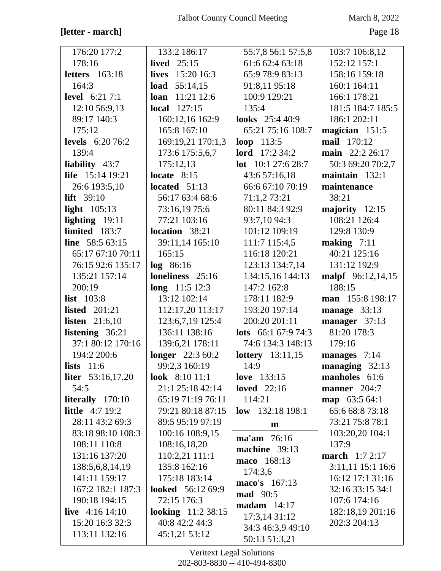# **[letter - march]** Page 18

| 176:20 177:2               | 133:2 186:17              | 55:7,8 56:1 57:5,8         | 103:7 106:8,12        |
|----------------------------|---------------------------|----------------------------|-----------------------|
| 178:16                     | lived $25:15$             | 61:6 62:4 63:18            | 152:12 157:1          |
| <b>letters</b> 163:18      | lives $15:2016:3$         | 65:9 78:9 83:13            | 158:16 159:18         |
| 164:3                      | load $55:14,15$           | 91:8,11 95:18              | 160:1 164:11          |
| <b>level</b> 6:21 7:1      | <b>loan</b> $11:21$ 12:6  | 100:9 129:21               | 166:1 178:21          |
| 12:10 56:9,13              | <b>local</b> 127:15       | 135:4                      | 181:5 184:7 185:5     |
| 89:17 140:3                | 160:12,16 162:9           | <b>looks</b> 25:4 40:9     | 186:1 202:11          |
| 175:12                     | 165:8 167:10              | 65:21 75:16 108:7          | magician 151:5        |
| <b>levels</b> 6:20 76:2    | 169:19,21 170:1,3         | <b>loop</b> $113:5$        | mail 170:12           |
| 139:4                      | 173:6 175:5,6,7           | <b>lord</b> 17:2 34:2      | main 22:2 26:17       |
| <b>liability</b> 43:7      | 175:12,13                 | <b>lot</b> $10:127:628:7$  | 50:3 69:20 70:2,7     |
| life 15:14 19:21           | locate $8:15$             | 43:6 57:16,18              | maintain 132:1        |
| 26:6 193:5,10              | located $51:13$           | 66:6 67:10 70:19           | maintenance           |
| <b>lift</b> $39:10$        | 56:17 63:4 68:6           | 71:1,2 73:21               | 38:21                 |
| light $105:13$             | 73:16,19 75:6             | 80:11 84:3 92:9            | majority $12:15$      |
| lighting $19:11$           | 77:21 103:16              | 93:7,10 94:3               | 108:21 126:4          |
| limited 183:7              | location 38:21            | 101:12 109:19              | 129:8 130:9           |
| line $58:563:15$           | 39:11,14 165:10           | 111:7 115:4,5              | making $7:11$         |
| 65:17 67:10 70:11          | 165:15                    | 116:18 120:21              | 40:21 125:16          |
| 76:15 92:6 135:17          | $log$ 86:16               | 123:13 134:7,14            | 131:12 192:9          |
| 135:21 157:14              | loneliness 25:16          | 134:15,16 144:13           | malpf 96:12,14,15     |
| 200:19                     | long 11:5 12:3            | 147:2 162:8                | 188:15                |
| <b>list</b> 103:8          | 13:12 102:14              | 178:11 182:9               | man 155:8 198:17      |
| listed $201:21$            | 112:17,20 113:17          | 193:20 197:14              | manage 33:13          |
| listen $21:6,10$           | 123:6,7,19 125:4          | 200:20 201:11              | manager 37:13         |
| listening 36:21            | 136:11 138:16             | <b>lots</b> 66:1 67:9 74:3 | 81:20 178:3           |
| 37:1 80:12 170:16          | 139:6,21 178:11           | 74:6 134:3 148:13          | 179:16                |
| 194:2 200:6                | <b>longer</b> $22:360:2$  | lottery $13:11,15$         | manages $7:14$        |
| lists $11:6$               | 99:2,3 160:19             | 14:9                       | managing 32:13        |
| <b>liter</b> $53:16,17,20$ | look $8:1011:1$           | <b>love</b> $133:15$       | manholes 61:6         |
| 54:5                       | 21:1 25:18 42:14          | loved $22:16$              | manner $204:7$        |
| literally 170:10           | 65:19 71:19 76:11         | 114:21                     | map 63:5 64:1         |
| <b>little</b> 4:7 19:2     | 79:21 80:18 87:15         | low $132:18198:1$          | 65:6 68:8 73:18       |
| 28:11 43:2 69:3            | 89:5 95:19 97:19          | m                          | 73:21 75:8 78:1       |
| 83:18 98:10 108:3          | 100:16 108:9,15           | ma'am 76:16                | 103:20,20 104:1       |
| 108:11 110:8               | 108:16,18,20              | machine 39:13              | 137:9                 |
| 131:16 137:20              | 110:2,21 111:1            | maco 168:13                | <b>march</b> 1:7 2:17 |
| 138:5,6,8,14,19            | 135:8 162:16              | 174:3,6                    | 3:11,11 15:1 16:6     |
| 141:11 159:17              | 175:18 183:14             | maco's 167:13              | 16:12 17:1 31:16      |
| 167:2 182:1 187:3          | <b>looked</b> 56:12 69:9  | <b>mad</b> 90:5            | 32:16 33:15 34:1      |
| 190:18 194:15              | 72:15 176:3               | <b>madam</b> 14:17         | 107:6 174:16          |
| live $4:16$ 14:10          | <b>looking</b> 11:2 38:15 | 17:3,14 31:12              | 182:18,19 201:16      |
| 15:20 16:3 32:3            | 40:8 42:2 44:3            | 34:3 46:3,9 49:10          | 202:3 204:13          |
| 113:11 132:16              | 45:1,21 53:12             | 50:13 51:3,21              |                       |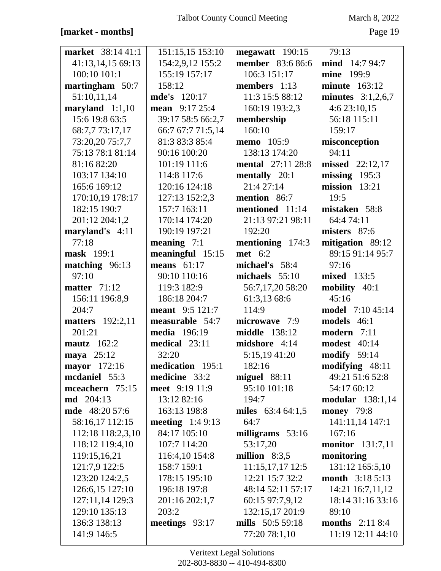## [market - months]

March 8, 2022

| <b>market</b> 38:14 41:1 | 151:15,15 153:10       | megawatt 190:15          | 79:13                   |
|--------------------------|------------------------|--------------------------|-------------------------|
| 41:13,14,15 69:13        | 154:2,9,12 155:2       | <b>member</b> 83:6 86:6  | mind 14:7 94:7          |
| 100:10 101:1             | 155:19 157:17          | 106:3 151:17             | mine 199:9              |
| martingham $50:7$        | 158:12                 | members 1:13             | minute $163:12$         |
| 51:10,11,14              | <b>mde's</b> 120:17    | 11:3 15:5 88:12          | minutes $3:1,2,6,7$     |
| maryland $1:1,10$        | mean 9:17 25:4         | 160:19 193:2,3           | 4:6 23:10,15            |
| 15:6 19:8 63:5           | 39:17 58:5 66:2,7      | membership               | 56:18 115:11            |
| 68:7,7 73:17,17          | 66:7 67:7 71:5,14      | 160:10                   | 159:17                  |
| 73:20,20 75:7,7          | 81:3 83:3 85:4         | <b>memo</b> 105:9        | misconception           |
| 75:13 78:1 81:14         | 90:16 100:20           | 138:13 174:20            | 94:11                   |
| 81:16 82:20              | 101:19 111:6           | <b>mental</b> 27:11 28:8 | missed 22:12,17         |
| 103:17 134:10            | 114:8 117:6            | mentally 20:1            | missing $195:3$         |
| 165:6 169:12             | 120:16 124:18          | 21:4 27:14               | mission $13:21$         |
| 170:10,19 178:17         | 127:13 152:2,3         | mention 86:7             | 19:5                    |
| 182:15 190:7             | 157:7 163:11           | mentioned 11:14          | mistaken 58:8           |
| 201:12 204:1,2           | 170:14 174:20          | 21:13 97:21 98:11        | 64:4 74:11              |
| maryland's 4:11          | 190:19 197:21          | 192:20                   | misters 87:6            |
| 77:18                    | meaning $7:1$          | mentioning 174:3         | mitigation 89:12        |
| mask 199:1               | meaningful $15:15$     | <b>met</b> 6:2           | 89:15 91:14 95:7        |
| matching 96:13           | means $61:17$          | michael's 58:4           | 97:16                   |
| 97:10                    | 90:10 110:16           | michaels $55:10$         | <b>mixed</b> 133:5      |
| <b>matter</b> 71:12      | 119:3 182:9            | 56:7,17,20 58:20         | mobility $40:1$         |
| 156:11 196:8,9           | 186:18 204:7           | 61:3,13 68:6             | 45:16                   |
| 204:7                    | <b>meant</b> 9:5 121:7 | 114:9                    | <b>model</b> 7:10 45:14 |
| <b>matters</b> 192:2,11  | measurable 54:7        | microwave 7:9            | models 46:1             |
| 201:21                   | <b>media</b> 196:19    | <b>middle</b> 138:12     | modern $7:11$           |
| mautz $162:2$            | medical $23:11$        | midshore 4:14            | <b>modest</b> 40:14     |
| maya 25:12               | 32:20                  | 5:15,19 41:20            | <b>modify</b> 59:14     |
| <b>mayor</b> 172:16      | medication 195:1       | 182:16                   | modifying 48:11         |
| mcdaniel 55:3            | medicine 33:2          | miguel $88:11$           | 49:21 51:6 52:8         |
| mceachern 75:15          | meet 9:19 11:9         | 95:10 101:18             | 54:17 60:12             |
| <b>md</b> 204:13         | 13:12 82:16            | 194:7                    | <b>modular</b> 138:1,14 |
| mde 48:20 57:6           | 163:13 198:8           | miles $63:464:1,5$       | <b>money</b> 79:8       |
| 58:16,17 112:15          | meeting $1:49:13$      | 64:7                     | 141:11,14 147:1         |
| 112:18 118:2,3,10        | 84:17 105:10           | milligrams 53:16         | 167:16                  |
| 118:12 119:4,10          | 107:7 114:20           | 53:17,20                 | <b>monitor</b> 131:7,11 |
| 119:15,16,21             | 116:4,10 154:8         | million $8:3,5$          | monitoring              |
| 121:7,9 122:5            | 158:7 159:1            | $11:15,17,17$ 12:5       | 131:12 165:5,10         |
| 123:20 124:2,5           | 178:15 195:10          | 12:21 15:7 32:2          | <b>month</b> 3:18 5:13  |
| 126:6,15 127:10          | 196:18 197:8           | 48:14 52:11 57:17        | 14:21 16:7,11,12        |
| 127:11,14 129:3          | 201:16 202:1,7         | 60:15 97:7,9,12          | 18:14 31:16 33:16       |
| 129:10 135:13            | 203:2                  | 132:15,17 201:9          | 89:10                   |
| 136:3 138:13             | meetings 93:17         | mills 50:5 59:18         | <b>months</b> $2:118:4$ |
| 141:9 146:5              |                        | 77:20 78:1,10            | 11:19 12:11 44:10       |
|                          |                        |                          |                         |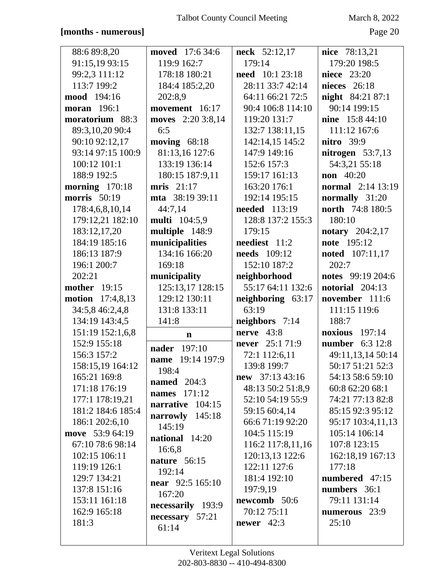## [months - numerous]

March 8, 2022

| 88:6 89:8,20            | moved 17:6 34:6         | <b>neck</b> $52:12,17$ | nice 78:13,21            |
|-------------------------|-------------------------|------------------------|--------------------------|
| 91:15,19 93:15          | 119:9 162:7             | 179:14                 | 179:20 198:5             |
| 99:2,3 111:12           | 178:18 180:21           | <b>need</b> 10:1 23:18 | <b>niece</b> 23:20       |
| 113:7 199:2             | 184:4 185:2,20          | 28:11 33:7 42:14       | nieces $26:18$           |
| mood 194:16             | 202:8,9                 | 64:11 66:21 72:5       | night 84:21 87:1         |
| moran 196:1             | movement 16:17          | 90:4 106:8 114:10      | 90:14 199:15             |
| moratorium 88:3         | moves 2:20 3:8,14       | 119:20 131:7           | nine 15:8 44:10          |
| 89:3,10,20 90:4         | 6:5                     | 132:7 138:11,15        | 111:12 167:6             |
| 90:10 92:12,17          | moving $68:18$          | 142:14,15 145:2        | <b>nitro</b> 39:9        |
| 93:14 97:15 100:9       | 81:13,16 127:6          | 147:9 149:16           | nitrogen $53:7,13$       |
| 100:12 101:1            | 133:19 136:14           | 152:6 157:3            | 54:3,21 55:18            |
| 188:9 192:5             | 180:15 187:9,11         | 159:17 161:13          | <b>non</b> 40:20         |
| morning $170:18$        | $mris$ 21:17            | 163:20 176:1           | <b>normal</b> 2:14 13:19 |
| <b>morris</b> 50:19     | mta 38:19 39:11         | 192:14 195:15          | normally 31:20           |
| 178:4,6,8,10,14         | 44:7,14                 | <b>needed</b> 113:19   | north 74:8 180:5         |
| 179:12,21 182:10        | <b>multi</b> 104:5,9    | 128:8 137:2 155:3      | 180:10                   |
| 183:12,17,20            | multiple 148:9          | 179:15                 | <b>notary</b> $204:2,17$ |
| 184:19 185:16           | municipalities          | neediest 11:2          | note 195:12              |
| 186:13 187:9            | 134:16 166:20           | <b>needs</b> 109:12    | <b>noted</b> 107:11,17   |
| 196:1 200:7             | 169:18                  | 152:10 187:2           | 202:7                    |
| 202:21                  | municipality            | neighborhood           | notes 99:19 204:6        |
| <b>mother</b> 19:15     | 125:13,17 128:15        | 55:17 64:11 132:6      | notorial 204:13          |
| <b>motion</b> 17:4,8,13 | 129:12 130:11           | neighboring 63:17      | november 111:6           |
|                         |                         |                        |                          |
|                         |                         |                        |                          |
| 34:5,8 46:2,4,8         | 131:8 133:11            | 63:19                  | 111:15 119:6             |
| 134:19 143:4,5          | 141:8                   | neighbors 7:14         | 188:7                    |
| 151:19 152:1,6,8        | $\mathbf n$             | nerve $43:8$           | noxious<br>197:14        |
| 152:9 155:18            | 197:10<br>nader         | never 25:171:9         | <b>number</b> 6:3 12:8   |
| 156:3 157:2             | 19:14 197:9<br>name     | 72:1 112:6,11          | 49:11,13,14 50:14        |
| 158:15,19 164:12        | 198:4                   | 139:8 199:7            | 50:17 51:21 52:3         |
| 165:21 169:8            | named $204:3$           | new 37:13 43:16        | 54:13 58:6 59:10         |
| 171:18 176:19           | <b>names</b> 171:12     | 48:13 50:2 51:8,9      | 60:8 62:20 68:1          |
| 177:1 178:19,21         | narrative 104:15        | 52:10 54:19 55:9       | 74:21 77:13 82:8         |
| 181:2 184:6 185:4       | narrowly 145:18         | 59:15 60:4,14          | 85:15 92:3 95:12         |
| 186:1 202:6,10          | 145:19                  | 66:6 71:19 92:20       | 95:17 103:4,11,13        |
| move 53:9 64:19         | national 14:20          | 104:5 115:19           | 105:14 106:14            |
| 67:10 78:6 98:14        | 16:6,8                  | 116:2 117:8,11,16      | 107:8 123:15             |
| 102:15 106:11           | nature $56:15$          | 120:13,13 122:6        | 162:18,19 167:13         |
| 119:19 126:1            | 192:14                  | 122:11 127:6           | 177:18                   |
| 129:7 134:21            | <b>near</b> 92:5 165:10 | 181:4 192:10           | numbered 47:15           |
| 137:8 151:16            | 167:20                  | 197:9,19               | numbers 36:1             |
| 153:11 161:18           | necessarily 193:9       | newcomb 50:6           | 79:11 131:14             |
| 162:9 165:18            | necessary $57:21$       | 70:12 75:11            | numerous 23:9            |
| 181:3                   | 61:14                   | newer $42:3$           | 25:10                    |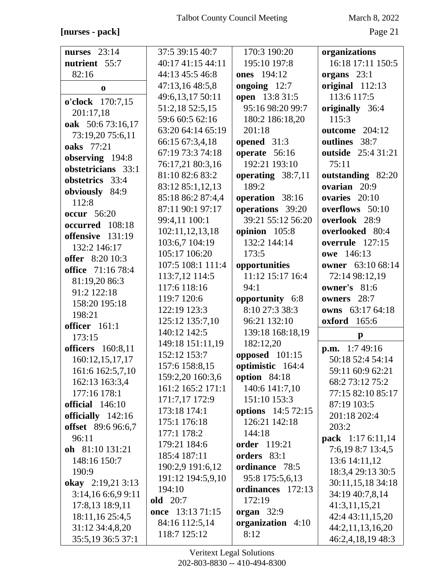[nurses - pack]

March 8, 2022

Page 21

| nurses $23:14$                     | 37:5 39:15 40:7                | 170:3 190:20                 | organizations                        |
|------------------------------------|--------------------------------|------------------------------|--------------------------------------|
| nutrient 55:7                      | 40:17 41:15 44:11              | 195:10 197:8                 | 16:18 17:11 150:5                    |
| 82:16                              | 44:13 45:5 46:8                | <b>ones</b> 194:12           | organs 23:1                          |
| $\mathbf{0}$                       | 47:13,16 48:5,8                | ongoing 12:7                 | original 112:13                      |
| o'clock 170:7,15                   | 49:6,13,17 50:11               | open 13:8 31:5               | 113:6 117:5                          |
| 201:17,18                          | 51:2,18 52:5,15                | 95:16 98:20 99:7             | originally 36:4                      |
| oak 50:673:16,17                   | 59:6 60:5 62:16                | 180:2 186:18,20              | 115:3                                |
| 73:19,20 75:6,11                   | 63:20 64:14 65:19              | 201:18                       | outcome 204:12                       |
| oaks 77:21                         | 66:15 67:3,4,18                | opened 31:3                  | outlines 38:7                        |
| observing 194:8                    | 67:19 73:3 74:18               | operate 56:16                | outside 25:4 31:21                   |
| obstetricians 33:1                 | 76:17,21 80:3,16               | 192:21 193:10                | 75:11                                |
|                                    | 81:10 82:6 83:2                | operating 38:7,11            | outstanding 82:20                    |
| obstetrics 33:4                    | 83:12 85:1,12,13               | 189:2                        | ovarian 20:9                         |
| obviously 84:9                     | 85:18 86:2 87:4,4              | operation 38:16              | ovaries 20:10                        |
| 112:8                              | 87:11 90:1 97:17               | operations 39:20             | overflows 50:10                      |
| occur $56:20$                      | 99:4,11 100:1                  | 39:21 55:12 56:20            | overlook 28:9                        |
| occurred 108:18                    | 102:11,12,13,18                | opinion 105:8                | overlooked 80:4                      |
| offensive 131:19                   | 103:6,7 104:19                 | 132:2 144:14                 | overrule 127:15                      |
| 132:2 146:17                       | 105:17 106:20                  | 173:5                        | owe 146:13                           |
| <b>offer</b> 8:20 10:3             | 107:5 108:1 111:4              | opportunities                | owner 63:10 68:14                    |
| office 71:16 78:4                  | 113:7,12 114:5                 | 11:12 15:17 16:4             | 72:14 98:12,19                       |
| 81:19,20 86:3                      | 117:6 118:16                   | 94:1                         | owner's 81:6                         |
| 91:2 122:18                        | 119:7 120:6                    | opportunity 6:8              | owners 28:7                          |
| 158:20 195:18                      | 122:19 123:3                   | 8:10 27:3 38:3               | owns 63:17 64:18                     |
| 198:21                             | 125:12 135:7,10                | 96:21 132:10                 | <b>oxford</b> 165:6                  |
| officer 161:1                      | 140:12 142:5                   | 139:18 168:18,19             |                                      |
| 173:15                             | 149:18 151:11,19               | 182:12,20                    | p                                    |
| <b>officers</b> 160:8,11           | 152:12 153:7                   | opposed 101:15               | 1:7 49:16<br>p.m.                    |
| 160:12,15,17,17                    |                                |                              |                                      |
|                                    |                                |                              | 50:18 52:4 54:14                     |
| 161:6 162:5,7,10                   | 157:6 158:8,15                 | optimistic 164:4             | 59:11 60:9 62:21                     |
| 162:13 163:3,4                     | 159:2,20 160:3,6               | option 84:18                 | 68:2 73:12 75:2                      |
| 177:16 178:1                       | 161:2 165:2 171:1              | 140:6 141:7,10               | 77:15 82:10 85:17                    |
| official 146:10                    | 171:7,17 172:9                 | 151:10 153:3                 | 87:19 103:5                          |
| officially 142:16                  | 173:18 174:1                   | options 14:5 72:15           | 201:18 202:4                         |
| offset 89:6 96:6,7                 | 175:1 176:18                   | 126:21 142:18                | 203:2                                |
| 96:11                              | 177:1 178:2                    | 144:18                       | <b>pack</b> 1:17 6:11,14             |
| oh 81:10 131:21                    | 179:21 184:6                   | <b>order</b> 119:21          | 7:6,19 8:7 13:4,5                    |
| 148:16 150:7                       | 185:4 187:11                   | orders 83:1                  | 13:6 14:11,12                        |
| 190:9                              | 190:2,9 191:6,12               | ordinance 78:5               |                                      |
| okay 2:19,21 3:13                  | 191:12 194:5,9,10              | 95:8 175:5,6,13              | 18:3,4 29:13 30:5                    |
|                                    | 194:10                         | ordinances 172:13            | 30:11,15,18 34:18<br>34:19 40:7,8,14 |
| 3:14,16 6:6,9 9:11                 | <b>old</b> 20:7                | 172:19                       |                                      |
| 17:8,13 18:9,11                    | once 13:13 71:15               | organ 32:9                   | 41:3,11,15,21                        |
| 18:11,16 25:4,5<br>31:12 34:4,8,20 | 84:16 112:5,14<br>118:7 125:12 | organization<br>4:10<br>8:12 | 42:4 43:11,15,20<br>44:2,11,13,16,20 |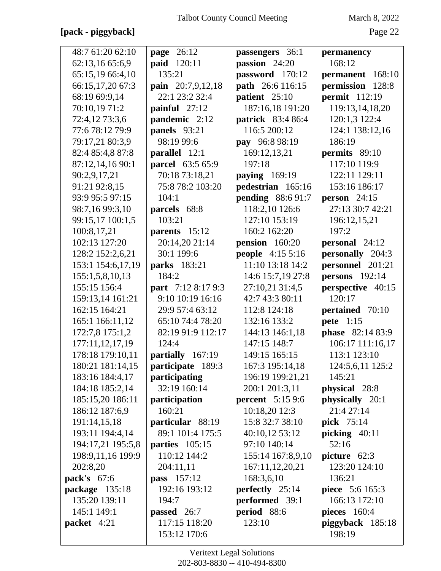## [pack - piggyback] Page 22

| 48:7 61:20 62:10  | page 26:12         | passengers 36:1          | permanency              |
|-------------------|--------------------|--------------------------|-------------------------|
| 62:13,16 65:6,9   | paid 120:11        | passion 24:20            | 168:12                  |
| 65:15,19 66:4,10  | 135:21             | password 170:12          | permanent 168:10        |
| 66:15,17,20 67:3  | pain 20:7,9,12,18  | path 26:6 116:15         | permission<br>128:8     |
| 68:19 69:9,14     | 22:1 23:2 32:4     | patient 25:10            | <b>permit</b> 112:19    |
| 70:10,19 71:2     | painful $27:12$    | 187:16,18 191:20         | 119:13,14,18,20         |
| 72:4,12 73:3,6    | pandemic 2:12      | <b>patrick</b> 83:4 86:4 | 120:1,3 122:4           |
| 77:6 78:12 79:9   | panels 93:21       | 116:5 200:12             | 124:1 138:12,16         |
| 79:17,21 80:3,9   | 98:19 99:6         | pay 96:8 98:19           | 186:19                  |
| 82:4 85:4,8 87:8  | parallel 12:1      | 169:12,13,21             | permits 89:10           |
| 87:12,14,16 90:1  | parcel 63:5 65:9   | 197:18                   | 117:10 119:9            |
| 90:2,9,17,21      | 70:18 73:18,21     | paying 169:19            | 122:11 129:11           |
| 91:21 92:8,15     | 75:8 78:2 103:20   | pedestrian 165:16        | 153:16 186:17           |
| 93:9 95:5 97:15   | 104:1              | <b>pending</b> 88:6 91:7 | person $24:15$          |
| 98:7,16 99:3,10   | parcels 68:8       | 118:2,10 126:6           | 27:13 30:7 42:21        |
| 99:15,17 100:1,5  | 103:21             | 127:10 153:19            | 196:12,15,21            |
| 100:8,17,21       | parents 15:12      | 160:2 162:20             | 197:2                   |
| 102:13 127:20     | 20:14,20 21:14     | pension $160:20$         | personal 24:12          |
| 128:2 152:2,6,21  | 30:1 199:6         | <b>people</b> 4:15 5:16  | personally 204:3        |
| 153:1 154:6,17,19 | parks 183:21       | 11:10 13:18 14:2         | personnel 201:21        |
| 155:1,5,8,10,13   | 184:2              | 14:6 15:7,19 27:8        | <b>persons</b> 192:14   |
| 155:15 156:4      | part 7:12 8:17 9:3 | 27:10,21 31:4,5          | perspective 40:15       |
| 159:13,14 161:21  | 9:10 10:19 16:16   | 42:7 43:3 80:11          | 120:17                  |
| 162:15 164:21     | 29:9 57:4 63:12    | 112:8 124:18             | pertained 70:10         |
| 165:1 166:11,12   | 65:10 74:4 78:20   | 132:16 133:2             | pete 1:15               |
| 172:7,8 175:1,2   | 82:19 91:9 112:17  | 144:13 146:1,18          | <b>phase</b> 82:14 83:9 |
| 177:11,12,17,19   | 124:4              | 147:15 148:7             | 106:17 111:16,17        |
| 178:18 179:10,11  | partially 167:19   | 149:15 165:15            | 113:1 123:10            |
| 180:21 181:14,15  | participate 189:3  | 167:3 195:14,18          | 124:5,6,11 125:2        |
| 183:16 184:4,17   | participating      | 196:19 199:21,21         | 145:21                  |
| 184:18 185:2,14   | 32:19 160:14       | 200:1 201:3,11           | physical 28:8           |
| 185:15,20 186:11  | participation      | <b>percent</b> 5:15 9:6  | physically 20:1         |
| 186:12 187:6,9    | 160:21             | 10:18,20 12:3            | 21:4 27:14              |
| 191:14,15,18      | particular 88:19   | 15:8 32:7 38:10          | pick 75:14              |
| 193:11 194:4,14   | 89:1 101:4 175:5   | 40:10,12 53:12           | picking $40:11$         |
| 194:17,21 195:5,8 | parties 105:15     | 97:10 140:14             | 52:16                   |
| 198:9,11,16 199:9 | 110:12 144:2       | 155:14 167:8,9,10        | picture 62:3            |
| 202:8,20          | 204:11,11          | 167:11,12,20,21          | 123:20 124:10           |
| pack's 67:6       | <b>pass</b> 157:12 | 168:3,6,10               | 136:21                  |
| package 135:18    | 192:16 193:12      | perfectly 25:14          | piece 5:6 165:3         |
| 135:20 139:11     | 194:7              | performed 39:1           | 166:13 172:10           |
| 145:1 149:1       | passed 26:7        | period 88:6              | pieces $160:4$          |
| packet 4:21       | 117:15 118:20      | 123:10                   | piggyback 185:18        |
|                   | 153:12 170:6       |                          | 198:19                  |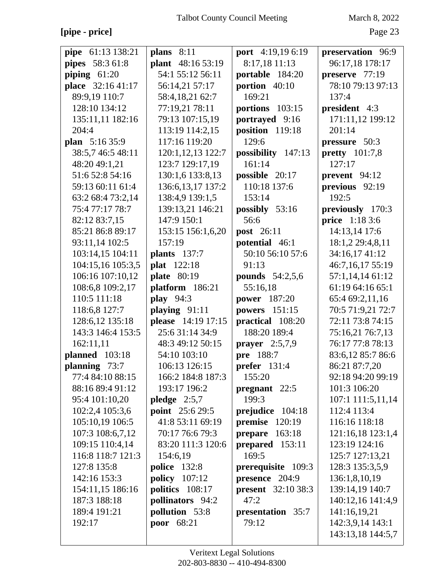**[pipe - price]** Page 23

| pipe 61:13 138:21 | plans $8:11$           | port 4:19,19 6:19         | preservation 96:9     |
|-------------------|------------------------|---------------------------|-----------------------|
| pipes 58:3 61:8   | plant 48:16 53:19      | 8:17,18 11:13             | 96:17,18 178:17       |
| piping $61:20$    | 54:1 55:12 56:11       | portable 184:20           | preserve 77:19        |
| place 32:16 41:17 | 56:14,21 57:17         | portion 40:10             | 78:10 79:13 97:13     |
| 89:9,19 110:7     | 58:4,18,21 62:7        | 169:21                    | 137:4                 |
| 128:10 134:12     | 77:19,21 78:11         | portions 103:15           | president 4:3         |
| 135:11,11 182:16  | 79:13 107:15,19        | portrayed 9:16            | 171:11,12 199:12      |
| 204:4             | 113:19 114:2,15        | position 119:18           | 201:14                |
| plan 5:16 35:9    | 117:16 119:20          | 129:6                     | pressure 50:3         |
| 38:5,7 46:5 48:11 | 120:1,12,13 122:7      | possibility 147:13        | <b>pretty</b> 101:7,8 |
| 48:20 49:1,21     | 123:7 129:17,19        | 161:14                    | 127:17                |
| 51:6 52:8 54:16   | 130:1,6 133:8,13       | possible 20:17            | prevent 94:12         |
| 59:13 60:11 61:4  | 136:6, 13, 17 137:2    | 110:18 137:6              | previous 92:19        |
| 63:2 68:4 73:2,14 | 138:4,9 139:1,5        | 153:14                    | 192:5                 |
| 75:4 77:17 78:7   | 139:13,21 146:21       | possibly $53:16$          | previously 170:3      |
| 82:12 83:7,15     | 147:9 150:1            | 56:6                      | <b>price</b> 1:18 3:6 |
| 85:21 86:8 89:17  | 153:15 156:1,6,20      | <b>post</b> 26:11         | 14:13,14 17:6         |
| 93:11,14 102:5    | 157:19                 | potential 46:1            | 18:1,2 29:4,8,11      |
| 103:14,15 104:11  | plants 137:7           | 50:10 56:10 57:6          | 34:16,17 41:12        |
| 104:15,16 105:3,5 | plat 122:18            | 91:13                     | 46:7,16,17 55:19      |
| 106:16 107:10,12  | <b>plate</b> 80:19     | <b>pounds</b> 54:2,5,6    | 57:1,14,14 61:12      |
| 108:6,8 109:2,17  | platform 186:21        | 55:16,18                  | 61:19 64:16 65:1      |
| 110:5 111:18      | <b>play</b> 94:3       | <b>power</b> 187:20       | 65:4 69:2,11,16       |
| 118:6,8 127:7     | playing 91:11          | <b>powers</b> 151:15      | 70:5 71:9,21 72:7     |
| 128:6,12 135:18   | please 14:19 17:15     | practical 108:20          | 72:11 73:8 74:15      |
| 143:3 146:4 153:5 | 25:6 31:14 34:9        | 188:20 189:4              | 75:16,21 76:7,13      |
| 162:11,11         | 48:3 49:12 50:15       | prayer $2:5,7,9$          | 76:17 77:8 78:13      |
| planned 103:18    | 54:10 103:10           | pre 188:7                 | 83:6,12 85:7 86:6     |
| planning 73:7     | 106:13 126:15          | prefer 131:4              | 86:21 87:7,20         |
| 77:4 84:10 88:15  | 166:2 184:8 187:3      | 155:20                    | 92:18 94:20 99:19     |
| 88:16 89:4 91:12  | 193:17 196:2           | pregnant $22:5$           | 101:3 106:20          |
| 95:4 101:10,20    | pledge $2:5,7$         | 199:3                     | 107:1 111:5,11,14     |
| 102:2,4 105:3,6   | <b>point</b> 25:6 29:5 | prejudice 104:18          | 112:4 113:4           |
| 105:10,19 106:5   | 41:8 53:11 69:19       | premise $120:19$          | 116:16 118:18         |
| 107:3 108:6,7,12  | 70:17 76:6 79:3        | prepare $163:18$          | 121:16,18 123:1,4     |
| 109:15 110:4,14   | 83:20 111:3 120:6      | prepared 153:11           | 123:19 124:16         |
| 116:8 118:7 121:3 | 154:6,19               | 169:5                     | 125:7 127:13,21       |
| 127:8 135:8       | <b>police</b> 132:8    | prerequisite 109:3        | 128:3 135:3,5,9       |
| 142:16 153:3      | policy $107:12$        | presence 204:9            | 136:1,8,10,19         |
| 154:11,15 186:16  | politics 108:17        | <b>present</b> 32:10 38:3 | 139:14,19 140:7       |
| 187:3 188:18      | pollinators 94:2       | 47:2                      | 140:12,16 141:4,9     |
| 189:4 191:21      | pollution 53:8         | presentation 35:7         | 141:16,19,21          |
| 192:17            | <b>poor</b> 68:21      | 79:12                     | 142:3,9,14 143:1      |
|                   |                        |                           | 143:13,18 144:5,7     |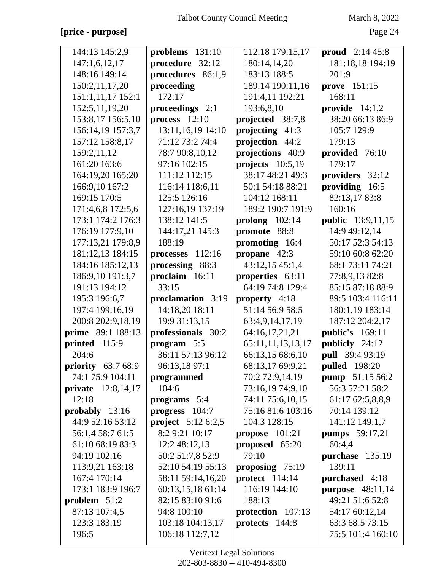### **[price - purpose]** Page 24

| 144:13 145:2,9      | problems 131:10            | 112:18 179:15,17   | <b>proud</b> $2:1445:8$  |
|---------------------|----------------------------|--------------------|--------------------------|
| 147:1,6,12,17       | procedure<br>32:12         | 180:14,14,20       | 181:18,18 194:19         |
| 148:16 149:14       | procedures<br>86:1,9       | 183:13 188:5       | 201:9                    |
| 150:2,11,17,20      | proceeding                 | 189:14 190:11,16   | prove 151:15             |
| 151:1,11,17 152:1   | 172:17                     | 191:4,11 192:21    | 168:11                   |
| 152:5, 11, 19, 20   | proceedings 2:1            | 193:6,8,10         | provide $14:1,2$         |
| 153:8,17 156:5,10   | process $12:10$            | projected 38:7,8   | 38:20 66:13 86:9         |
| 156:14,19 157:3,7   | 13:11,16,19 14:10          | projecting 41:3    | 105:7 129:9              |
| 157:12 158:8,17     | 71:12 73:2 74:4            | projection 44:2    | 179:13                   |
| 159:2,11,12         | 78:7 90:8,10,12            | projections 40:9   | provided 76:10           |
| 161:20 163:6        | 97:16 102:15               | projects $10:5,19$ | 179:17                   |
| 164:19,20 165:20    | 111:12 112:15              | 38:17 48:21 49:3   | providers 32:12          |
| 166:9,10 167:2      | 116:14 118:6,11            | 50:1 54:18 88:21   | providing 16:5           |
| 169:15 170:5        | 125:5 126:16               | 104:12 168:11      | 82:13,17 83:8            |
| 171:4,6,8 172:5,6   | 127:16,19 137:19           | 189:2 190:7 191:9  | 160:16                   |
| 173:1 174:2 176:3   | 138:12 141:5               | prolong $102:14$   | <b>public</b> 13:9,11,15 |
| 176:19 177:9,10     | 144:17,21 145:3            | promote 88:8       | 14:9 49:12,14            |
| 177:13,21 179:8,9   | 188:19                     | promoting 16:4     | 50:17 52:3 54:13         |
| 181:12,13 184:15    | processes 112:16           | propane 42:3       | 59:10 60:8 62:20         |
| 184:16 185:12,13    | processing 88:3            | 43:12,15 45:1,4    | 68:1 73:11 74:21         |
| 186:9,10 191:3,7    | proclaim 16:11             | properties 63:11   | 77:8,9,13 82:8           |
| 191:13 194:12       | 33:15                      | 64:19 74:8 129:4   | 85:15 87:18 88:9         |
| 195:3 196:6,7       | proclamation 3:19          | property 4:18      | 89:5 103:4 116:11        |
| 197:4 199:16,19     | 14:18,20 18:11             | 51:14 56:9 58:5    | 180:1,19 183:14          |
| 200:8 202:9,18,19   | 19:9 31:13,15              | 63:4,9,14,17,19    | 187:12 204:2,17          |
| prime 89:1 188:13   | professionals 30:2         | 64:16,17,21,21     | public's 169:11          |
| printed 115:9       | program 5:5                | 65:11,11,13,13,17  | publicly 24:12           |
| 204:6               | 36:11 57:13 96:12          | 66:13,15 68:6,10   | pull 39:4 93:19          |
| priority $63:768:9$ | 96:13,18 97:1              | 68:13,17 69:9,21   | <b>pulled</b> 198:20     |
| 74:1 75:9 104:11    | programmed                 | 70:2 72:9,14,19    | pump 51:15 56:2          |
| private 12:8,14,17  | 104:6                      | 73:16,19 74:9,10   | 56:3 57:21 58:2          |
| 12:18               | programs 5:4               | 74:11 75:6,10,15   | 61:17 62:5,8,8,9         |
| probably $13:16$    | progress $104:7$           | 75:16 81:6 103:16  | 70:14 139:12             |
| 44:9 52:16 53:12    | <b>project</b> $5:126:2,5$ | 104:3 128:15       | 141:12 149:1,7           |
| 56:1,4 58:7 61:5    | 8:2 9:21 10:17             | propose $101:21$   | <b>pumps</b> 59:17,21    |
| 61:10 68:19 83:3    | 12:2 48:12,13              | proposed 65:20     | 60:4,4                   |
| 94:19 102:16        | 50:2 51:7,8 52:9           | 79:10              | purchase 135:19          |
| 113:9,21 163:18     | 52:10 54:19 55:13          | proposing 75:19    | 139:11                   |
| 167:4 170:14        | 58:11 59:14,16,20          | protect 114:14     | purchased 4:18           |
| 173:1 183:9 196:7   | 60:13,15,18 61:14          | 116:19 144:10      | purpose 48:11,14         |
| problem 51:2        | 82:15 83:10 91:6           | 188:13             | 49:21 51:6 52:8          |
| 87:13 107:4,5       | 94:8 100:10                | protection 107:13  | 54:17 60:12,14           |
| 123:3 183:19        | 103:18 104:13,17           | protects 144:8     | 63:3 68:5 73:15          |
| 196:5               | 106:18 112:7,12            |                    | 75:5 101:4 160:10        |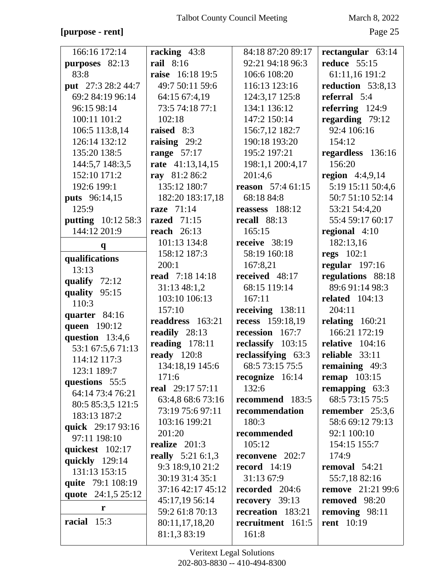### [purpose - rent]

March 8, 2022

| 166:16 172:14             | racking $43:8$                | 84:18 87:20 89:17   | rectangular 63:14        |
|---------------------------|-------------------------------|---------------------|--------------------------|
| purposes 82:13            | <b>rail</b> 8:16              | 92:21 94:18 96:3    | <b>reduce</b> 55:15      |
| 83:8                      | <b>raise</b> 16:18 19:5       | 106:6 108:20        | 61:11,16 191:2           |
| put 27:3 28:2 44:7        | 49:7 50:11 59:6               | 116:13 123:16       | reduction 53:8,13        |
| 69:2 84:19 96:14          | 64:15 67:4,19                 | 124:3,17 125:8      | referral 5:4             |
| 96:15 98:14               | 73:5 74:18 77:1               | 134:1 136:12        | referring $124:9$        |
| 100:11 101:2              | 102:18                        | 147:2 150:14        | regarding 79:12          |
| 106:5 113:8,14            | raised 8:3                    | 156:7,12 182:7      | 92:4 106:16              |
| 126:14 132:12             | raising $29:2$                | 190:18 193:20       | 154:12                   |
| 135:20 138:5              | range $57:17$                 | 195:2 197:21        | regardless 136:16        |
| 144:5,7 148:3,5           | rate 41:13,14,15              | 198:1,1 200:4,17    | 156:20                   |
| 152:10 171:2              | ray 81:2 86:2                 | 201:4,6             | <b>region</b> $4:4,9,14$ |
| 192:6 199:1               | 135:12 180:7                  | reason 57:4 61:15   | 5:19 15:11 50:4,6        |
| <b>puts</b> 96:14,15      | 182:20 183:17,18              | 68:18 84:8          | 50:7 51:10 52:14         |
| 125:9                     | raze 71:14                    | reassess 188:12     | 53:21 54:4,20            |
| <b>putting</b> 10:12 58:3 | <b>razed</b> 71:15            | <b>recall</b> 88:13 | 55:4 59:17 60:17         |
| 144:12 201:9              | <b>reach</b> 26:13            | 165:15              | regional 4:10            |
|                           | 101:13 134:8                  | receive 38:19       | 182:13,16                |
| $\mathbf{q}$              | 158:12 187:3                  | 58:19 160:18        | regs $102:1$             |
| qualifications            | 200:1                         | 167:8,21            | regular $197:16$         |
| 13:13                     | read 7:18 14:18               | received 48:17      | regulations 88:18        |
| qualify 72:12             |                               | 68:15 119:14        | 89:6 91:14 98:3          |
| quality 95:15             | 31:13 48:1,2<br>103:10 106:13 | 167:11              |                          |
| 110:3                     |                               |                     | <b>related</b> 104:13    |
| quarter 84:16             | 157:10                        | receiving 138:11    | 204:11                   |
| queen 190:12              | readdress 163:21              | recess 159:18,19    | relating $160:21$        |
| question 13:4,6           | readily 28:13                 | recession 167:7     | 166:21 172:19            |
| 53:1 67:5,6 71:13         | reading $178:11$              | reclassify 103:15   | relative $104:16$        |
| 114:12 117:3              | <b>ready</b> 120:8            | reclassifying 63:3  | reliable 33:11           |
| 123:1 189:7               | 134:18,19 145:6               | 68:5 73:15 75:5     | remaining 49:3           |
| questions 55:5            | 171:6                         | recognize 16:14     | remap $103:15$           |
| 64:14 73:4 76:21          | real 29:17 57:11              | 132:6               | remapping $63:3$         |
| 80:5 85:3,5 121:5         | 63:4,8 68:6 73:16             | recommend 183:5     | 68:5 73:15 75:5          |
| 183:13 187:2              | 73:19 75:6 97:11              | recommendation      | remember $25:3,6$        |
| quick 29:17 93:16         | 103:16 199:21                 | 180:3               | 58:6 69:12 79:13         |
| 97:11 198:10              | 201:20                        | recommended         | 92:1 100:10              |
| quickest 102:17           | realize $201:3$               | 105:12              | 154:15 155:7             |
| quickly $129:14$          | <b>really</b> 5:21 6:1,3      | reconvene 202:7     | 174:9                    |
| 131:13 153:15             | 9:3 18:9,10 21:2              | record $14:19$      | removal $54:21$          |
| quite 79:1 108:19         | 30:19 31:4 35:1               | 31:13 67:9          | 55:7,1882:16             |
| quote 24:1,5 25:12        | 37:16 42:17 45:12             | recorded 204:6      | <b>remove</b> 21:21 99:6 |
| r                         | 45:17,19 56:14                | recovery 39:13      | removed 98:20            |
| racial $15:3$             | 59:2 61:8 70:13               | recreation 183:21   | removing 98:11           |
|                           | 80:11,17,18,20                | recruitment 161:5   | <b>rent</b> 10:19        |
|                           | 81:1,3 83:19                  | 161:8               |                          |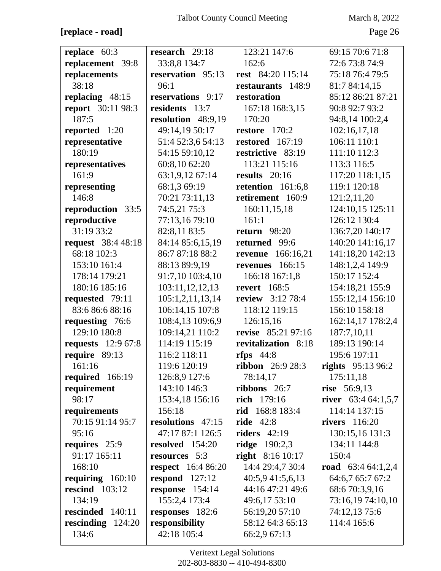# **[replace - road]** Page 26

| replace $60:3$            | research 29:18            | 123:21 147:6             | 69:15 70:6 71:8          |
|---------------------------|---------------------------|--------------------------|--------------------------|
| replacement 39:8          | 33:8,8 134:7              | 162:6                    | 72:6 73:8 74:9           |
| replacements              | reservation 95:13         | rest 84:20 115:14        | 75:18 76:4 79:5          |
| 38:18                     | 96:1                      | restaurants 148:9        | 81:7 84:14,15            |
| replacing 48:15           | reservations 9:17         | restoration              | 85:12 86:21 87:21        |
| <b>report</b> 30:11 98:3  | residents 13:7            | 167:18 168:3,15          | 90:8 92:7 93:2           |
| 187:5                     | resolution 48:9,19        | 170:20                   | 94:8,14 100:2,4          |
| reported 1:20             | 49:14,19 50:17            | restore 170:2            | 102:16,17,18             |
| representative            | 51:4 52:3,6 54:13         | restored $167:19$        | 106:11 110:1             |
| 180:19                    | 54:15 59:10,12            | restrictive 83:19        | 111:10 112:3             |
| representatives           | 60:8,10 62:20             | 113:21 115:16            | 113:3 116:5              |
| 161:9                     | 63:1,9,12 67:14           | results $20:16$          | 117:20 118:1,15          |
| representing              | 68:1,3 69:19              | retention $161:6,8$      | 119:1 120:18             |
| 146:8                     | 70:21 73:11,13            | retirement 160:9         | 121:2,11,20              |
| reproduction 33:5         | 74:5,21 75:3              | 160:11,15,18             | 124:10,15 125:11         |
| reproductive              | 77:13,16 79:10            | 161:1                    | 126:12 130:4             |
| 31:19 33:2                | 82:8,11 83:5              | return $98:20$           | 136:7,20 140:17          |
| <b>request</b> 38:4 48:18 | 84:14 85:6,15,19          | returned 99:6            | 140:20 141:16,17         |
| 68:18 102:3               | 86:7 87:18 88:2           | <b>revenue</b> 166:16,21 | 141:18,20 142:13         |
| 153:10 161:4              | 88:13 89:9,19             | revenues 166:15          | 148:1,2,4 149:9          |
| 178:14 179:21             | 91:7,10 103:4,10          | 166:18 167:1,8           | 150:17 152:4             |
| 180:16 185:16             | 103:11,12,12,13           | <b>revert</b> 168:5      | 154:18,21 155:9          |
| requested 79:11           | 105:1,2,11,13,14          | <b>review</b> 3:12 78:4  | 155:12,14 156:10         |
| 83:6 86:6 88:16           | 106:14,15 107:8           | 118:12 119:15            | 156:10 158:18            |
| requesting 76:6           | 108:4,13 109:6,9          | 126:15,16                | 162:14,17 178:2,4        |
| 129:10 180:8              | 109:14,21 110:2           | revise 85:21 97:16       | 187:7,10,11              |
| <b>requests</b> 12:9 67:8 | 114:19 115:19             | revitalization 8:18      | 189:13 190:14            |
| require 89:13             | 116:2 118:11              | rfps $44:8$              | 195:6 197:11             |
| 161:16                    | 119:6 120:19              | <b>ribbon</b> 26:9 28:3  | <b>rights</b> 95:13 96:2 |
| required 166:19           | 126:8,9 127:6             | 78:14,17                 | 175:11,18                |
| requirement               | 143:10 146:3              | ribbons 26:7             | <b>rise</b> 56:9,13      |
| 98:17                     | 153:4,18 156:16           | <b>rich</b> 179:16       | river $63:464:1,5,7$     |
| requirements              | 156:18                    | rid $168:8 183:4$        | 114:14 137:15            |
| 70:15 91:14 95:7          | resolutions 47:15         | ride $42:8$              | <b>rivers</b> 116:20     |
| 95:16                     | 47:17 87:1 126:5          | riders $42:19$           | 130:15,16 131:3          |
| requires 25:9             | resolved 154:20           | ridge $190:2,3$          | 134:11 144:8             |
| 91:17 165:11              | resources 5:3             | <b>right</b> 8:16 10:17  | 150:4                    |
| 168:10                    | <b>respect</b> 16:4 86:20 | 14:4 29:4,7 30:4         | road $63:464:1,2,4$      |
| requiring $160:10$        | respond $127:12$          | 40:5,941:5,6,13          | 64:6,7 65:7 67:2         |
| rescind $103:12$          | response $154:14$         | 44:16 47:21 49:6         | 68:6 70:3,9,16           |
| 134:19                    | 155:2,4 173:4             | 49:6,17 53:10            | 73:16,19 74:10,10        |
| rescinded 140:11          | responses 182:6           | 56:19,20 57:10           | 74:12,13 75:6            |
| rescinding $124:20$       | responsibility            | 58:12 64:3 65:13         | 114:4 165:6              |
| 134:6                     | 42:18 105:4               | 66:2,9 67:13             |                          |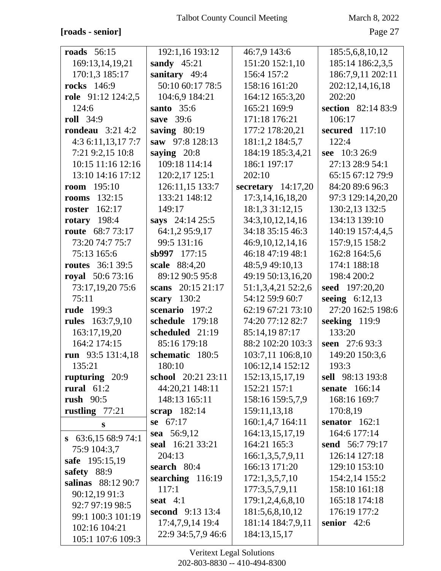# [roads - senior]

March 8, 2022

Page 27

| roads $56:15$           | 192:1,16 193:12         | 46:7,9 143:6         | 185:5,6,8,10,12      |
|-------------------------|-------------------------|----------------------|----------------------|
| 169:13,14,19,21         | sandy $45:21$           | 151:20 152:1,10      | 185:14 186:2,3,5     |
| 170:1,3 185:17          | sanitary 49:4           | 156:4 157:2          | 186:7,9,11 202:11    |
| <b>rocks</b> 146:9      | 50:10 60:17 78:5        | 158:16 161:20        | 202:12,14,16,18      |
| role 91:12 124:2,5      | 104:6,9 184:21          | 164:12 165:3,20      | 202:20               |
| 124:6                   | santo $35:6$            | 165:21 169:9         | section 82:14 83:9   |
| <b>roll</b> 34:9        | save 39:6               | 171:18 176:21        | 106:17               |
| rondeau $3:214:2$       | saving $80:19$          | 177:2 178:20,21      | secured 117:10       |
| 4:3 6:11,13,17 7:7      | saw 97:8 128:13         | 181:1,2 184:5,7      | 122:4                |
| 7:21 9:2,15 10:8        | saying 20:8             | 184:19 185:3,4,21    | see 10:3 26:9        |
| 10:15 11:16 12:16       | 109:18 114:14           | 186:1 197:17         | 27:13 28:9 54:1      |
| 13:10 14:16 17:12       | 120:2,17 125:1          | 202:10               | 65:15 67:12 79:9     |
| <b>room</b> $195:10$    | 126:11,15 133:7         | secretary $14:17,20$ | 84:20 89:6 96:3      |
| 132:15<br>rooms         | 133:21 148:12           | 17:3, 14, 16, 18, 20 | 97:3 129:14,20,20    |
| 162:17<br>roster        | 149:17                  | 18:1,3 31:12,15      | 130:2,13 132:5       |
| rotary $198:4$          | says 24:14 25:5         | 34:3, 10, 12, 14, 16 | 134:13 139:10        |
| <b>route</b> 68:7 73:17 | 64:1,2 95:9,17          | 34:18 35:15 46:3     | 140:19 157:4,4,5     |
| 73:20 74:7 75:7         | 99:5 131:16             | 46:9,10,12,14,16     | 157:9,15 158:2       |
| 75:13 165:6             | $sb997$ 177:15          | 46:18 47:19 48:1     | 162:8 164:5,6        |
| <b>routes</b> 36:1 39:5 | scale 88:4,20           | 48:5,9 49:10,13      | 174:1 188:18         |
| royal 50:6 73:16        | 89:12 90:5 95:8         | 49:19 50:13,16,20    | 198:4 200:2          |
| 73:17,19,20 75:6        | 20:15 21:17<br>scans    | 51:1,3,4,21 52:2,6   | seed 197:20,20       |
| 75:11                   | scary $130:2$           | 54:12 59:9 60:7      | seeing $6:12,13$     |
| <b>rude</b> 199:3       | scenario 197:2          | 62:19 67:21 73:10    | 27:20 162:5 198:6    |
| <b>rules</b> 163:7,9,10 | schedule 179:18         | 74:20 77:12 82:7     | seeking 119:9        |
| 163:17,19,20            | scheduled 21:19         | 85:14,19 87:17       | 133:20               |
| 164:2 174:15            | 85:16 179:18            | 88:2 102:20 103:3    | seen 27:6 93:3       |
| run 93:5 131:4,18       | schematic 180:5         | 103:7,11 106:8,10    | 149:20 150:3,6       |
| 135:21                  | 180:10                  | 106:12,14 152:12     | 193:3                |
| rupturing $20:9$        | school 20:21 23:11      | 152:13,15,17,19      | sell 98:13 193:8     |
| rural $61:2$            | 44:20,21 148:11         | 152:21 157:1         | <b>senate</b> 166:14 |
| rush $90:5$             | 148:13 165:11           | 158:16 159:5,7,9     | 168:16 169:7         |
| rustling $77:21$        | scrap $182:14$          | 159:11,13,18         | 170:8,19             |
| S                       | se 67:17                | 160:1,4,7 164:11     | senator $162:1$      |
| $\,$ 63:6,15 68:9 74:1  | sea 56:9,12             | 164:13,15,17,19      | 164:6 177:14         |
| 75:9 104:3,7            | seal 16:21 33:21        | 164:21 165:3         | send 56:7 79:17      |
| safe 195:15,19          | 204:13                  | 166:1,3,5,7,9,11     | 126:14 127:18        |
| safety 88:9             | search 80:4             | 166:13 171:20        | 129:10 153:10        |
| salinas 88:12 90:7      | searching 116:19        | 172:1,3,5,7,10       | 154:2,14 155:2       |
| 90:12,19 91:3           | 117:1                   | 177:3,5,7,9,11       | 158:10 161:18        |
| 92:7 97:19 98:5         | seat $4:1$              | 179:1,2,4,6,8,10     | 165:18 174:18        |
| 99:1 100:3 101:19       | <b>second</b> 9:13 13:4 | 181:5,6,8,10,12      | 176:19 177:2         |
| 102:16 104:21           | 17:4,7,9,14 19:4        | 181:14 184:7,9,11    | senior $42:6$        |
| 105:1 107:6 109:3       | 22:9 34:5,7,9 46:6      | 184:13,15,17         |                      |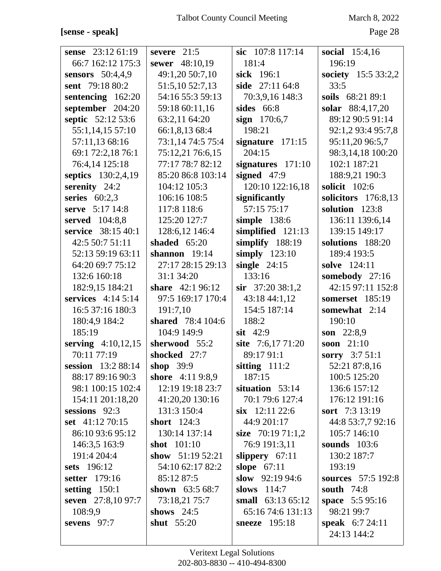**[sense - speak]** Page 28

| sense 23:12 61:19    | severe $21:5$     | sic 107:8 117:14     | social 15:4,16             |
|----------------------|-------------------|----------------------|----------------------------|
| 66:7 162:12 175:3    | 48:10,19<br>sewer | 181:4                | 196:19                     |
| sensors $50:4,4,9$   | 49:1,20 50:7,10   | sick 196:1           | <b>society</b> 15:5 33:2,2 |
| sent 79:18 80:2      | 51:5,10 52:7,13   | side 27:11 64:8      | 33:5                       |
| sentencing 162:20    | 54:16 55:3 59:13  | 70:3,9,16 148:3      | soils 68:21 89:1           |
| september 204:20     | 59:18 60:11,16    | sides 66:8           | solar 88:4,17,20           |
| septic 52:12 53:6    | 63:2,11 64:20     | sign $170:6,7$       | 89:12 90:5 91:14           |
| 55:1,14,15 57:10     | 66:1,8,13 68:4    | 198:21               | 92:1,2 93:4 95:7,8         |
| 57:11,13 68:16       | 73:1,14 74:5 75:4 | signature $171:15$   | 95:11,20 96:5,7            |
| 69:1 72:2,18 76:1    | 75:12,21 76:6,15  | 204:15               | 98:3,14,18 100:20          |
| 76:4,14 125:18       | 77:17 78:7 82:12  | signatures 171:10    | 102:1 187:21               |
| septics 130:2,4,19   | 85:20 86:8 103:14 | signed $47:9$        | 188:9,21 190:3             |
| serenity 24:2        | 104:12 105:3      | 120:10 122:16,18     | solicit 102:6              |
| series $60:2,3$      | 106:16 108:5      | significantly        | solicitors 176:8,13        |
| serve 5:17 14:8      | 117:8 118:6       | 57:15 75:17          | solution 123:8             |
| served 104:8,8       | 125:20 127:7      | simple 138:6         | 136:11 139:6,14            |
| service 38:15 40:1   | 128:6,12 146:4    | simplified 121:13    | 139:15 149:17              |
| 42:5 50:7 51:11      | shaded $65:20$    | simplify $188:19$    | solutions 188:20           |
| 52:13 59:19 63:11    | shannon $19:14$   | simply $123:10$      | 189:4 193:5                |
| 64:20 69:7 75:12     | 27:17 28:15 29:13 | single $24:15$       | solve 124:11               |
| 132:6 160:18         | 31:1 34:20        | 133:16               | somebody 27:16             |
| 182:9,15 184:21      | share 42:1 96:12  | $\sin$ 37:20 38:1,2  | 42:15 97:11 152:8          |
| services $4:145:14$  | 97:5 169:17 170:4 | 43:18 44:1,12        | somerset 185:19            |
| 16:5 37:16 180:3     | 191:7,10          | 154:5 187:14         | somewhat 2:14              |
| 180:4,9 184:2        | shared 78:4 104:6 | 188:2                | 190:10                     |
| 185:19               | 104:9 149:9       | sit $42:9$           | son $22:8.9$               |
| serving $4:10,12,15$ | sherwood 55:2     | site 7:6,17 71:20    | soon $21:10$               |
| 70:11 77:19          | shocked 27:7      | 89:17 91:1           | sorry 3:7 51:1             |
| session $13:288:14$  | shop $39:9$       | sitting $111:2$      | 52:21 87:8,16              |
| 88:17 89:16 90:3     | shore 4:11 9:8,9  | 187:15               | 100:5 125:20               |
| 98:1 100:15 102:4    | 12:19 19:18 23:7  | situation 53:14      | 136:6 157:12               |
| 154:11 201:18,20     | 41:20,20 130:16   | 70:1 79:6 127:4      | 176:12 191:16              |
| sessions 92:3        | 131:3 150:4       | $\sin$ 12:11 22:6    | sort 7:3 13:19             |
| set 41:12 70:15      | short $124:3$     | 44:9 201:17          | 44:8 53:7,7 92:16          |
| 86:10 93:6 95:12     | 130:14 137:14     | size $70:1971:1,2$   | 105:7 146:10               |
| 146:3,5 163:9        | shot 101:10       | 76:9 191:3,11        | <b>sounds</b> 103:6        |
| 191:4 204:4          | show $51:1952:21$ | slippery $67:11$     | 130:2 187:7                |
| <b>sets</b> 196:12   | 54:10 62:17 82:2  | slope $67:11$        | 193:19                     |
| setter 179:16        | 85:12 87:5        | slow 92:19 94:6      | <b>sources</b> 57:5 192:8  |
| setting $150:1$      | shown $63:568:7$  | slows 114:7          | <b>south</b> 74:8          |
| seven 27:8,10 97:7   | 73:18,21 75:7     | small 63:13 65:12    | space 5:5 95:16            |
| 108:9,9              | shows $24:5$      | 65:16 74:6 131:13    | 98:21 99:7                 |
| sevens $97:7$        | shut 55:20        | <b>sneeze</b> 195:18 | speak 6:7 24:11            |
|                      |                   |                      |                            |
|                      |                   |                      | 24:13 144:2                |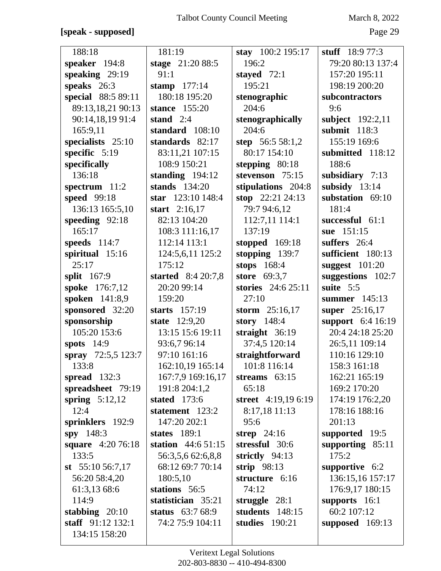### **[speak - supposed]** Page 29

| 188:18                               | 181:19               | stay 100:2 195:17   | stuff $18:977:3$   |
|--------------------------------------|----------------------|---------------------|--------------------|
| speaker $194:8$                      | stage 21:20 88:5     | 196:2               | 79:20 80:13 137:4  |
| speaking $29:19$                     | 91:1                 | stayed $72:1$       | 157:20 195:11      |
| speaks 26:3                          | stamp 177:14         | 195:21              | 198:19 200:20      |
| special 88:5 89:11                   | 180:18 195:20        | stenographic        | subcontractors     |
| 89:13,18,21 90:13                    | <b>stance</b> 155:20 | 204:6               | 9:6                |
| 90:14,18,19 91:4                     | stand $2:4$          | stenographically    | subject 192:2,11   |
| 165:9,11                             | standard 108:10      | 204:6               | submit $118:3$     |
| specialists 25:10                    | standards 82:17      | step 56:5 58:1,2    | 155:19 169:6       |
| specific $5:19$                      | 83:11,21 107:15      | 80:17 154:10        | submitted 118:12   |
| specifically                         | 108:9 150:21         | stepping 80:18      | 188:6              |
| 136:18                               | standing $194:12$    | stevenson 75:15     | subsidiary $7:13$  |
| spectrum $11:2$                      | stands $134:20$      | stipulations 204:8  | subsidy $13:14$    |
| speed 99:18                          | star $123:10$ 148:4  | stop $22:2124:13$   | substation 69:10   |
| 136:13 165:5,10                      | start $2:16,17$      | 79:7 94:6,12        | 181:4              |
| speeding $92:18$                     | 82:13 104:20         | 112:7,11 114:1      | successful 61:1    |
| 165:17                               | 108:3 111:16,17      | 137:19              | sue 151:15         |
| speeds 114:7                         | 112:14 113:1         | stopped $169:18$    | suffers 26:4       |
| spiritual 15:16                      | 124:5,6,11 125:2     | stopping $139:7$    | sufficient 180:13  |
| 25:17                                | 175:12               | stops $168:4$       | suggest $101:20$   |
| split $167:9$                        | started 8:4 20:7,8   | store 69:3,7        | suggestions 102:7  |
| spoke 176:7,12                       | 20:20 99:14          | stories 24:6 25:11  | suite 5:5          |
| spoken 141:8,9                       | 159:20               | 27:10               | summer 145:13      |
| sponsored 32:20                      | starts $157:19$      | storm $25:16,17$    | super 25:16,17     |
| sponsorship                          |                      | story $148:4$       | support 6:4 16:19  |
|                                      | state 12:9,20        |                     |                    |
| 105:20 153:6                         | 13:15 15:6 19:11     | straight $36:19$    | 20:4 24:18 25:20   |
| <b>spots</b> 14:9                    | 93:6,7 96:14         | 37:4,5 120:14       | 26:5,11 109:14     |
| spray 72:5,5 123:7                   | 97:10 161:16         | straightforward     | 110:16 129:10      |
| 133:8                                | 162:10,19 165:14     | 101:8 116:14        | 158:3 161:18       |
| spread $132:3$                       | 167:7,9 169:16,17    | streams $63:15$     | 162:21 165:19      |
| spreadsheet 79:19                    | 191:8 204:1,2        | 65:18               | 169:2 170:20       |
| spring $5:12,12$                     | stated 173:6         | street 4:19,19 6:19 | 174:19 176:2,20    |
| 12:4                                 | statement 123:2      | 8:17,18 11:13       | 178:16 188:16      |
| sprinklers 192:9                     | 147:20 202:1         | 95:6                | 201:13             |
| $spy$ 148:3                          | states $189:1$       | strep $24:16$       | supported 19:5     |
| square 4:20 76:18                    | station $44:651:15$  | stressful 30:6      | supporting $85:11$ |
| 133:5                                | 56:3,5,6 62:6,8,8    | strictly $94:13$    | 175:2              |
| st $55:1056:7,17$                    | 68:12 69:7 70:14     | strip $98:13$       | supportive 6:2     |
| 56:20 58:4,20                        | 180:5,10             | structure 6:16      | 136:15,16 157:17   |
| 61:3,13 68:6                         | stations 56:5        | 74:12               | 176:9,17 180:15    |
| 114:9                                | statistician 35:21   | struggle $28:1$     | supports 16:1      |
| stabbing $20:10$                     | status $63:768:9$    | students 148:15     | 60:2 107:12        |
| staff $91:12$ 132:1<br>134:15 158:20 | 74:2 75:9 104:11     | studies 190:21      | supposed $169:13$  |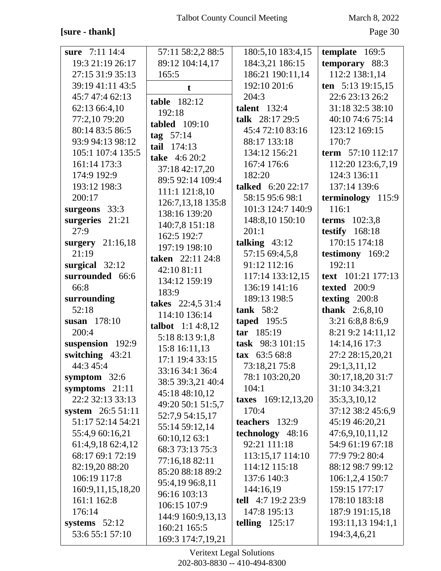# $[\mathrm{sure}$  -  $\mathrm{thank}]$

March 8, 2022

Page 30

| sure 7:11 14:4     | 57:11 58:2,2 88:5                 | 180:5,10 183:4,15        | template 169:5          |
|--------------------|-----------------------------------|--------------------------|-------------------------|
| 19:3 21:19 26:17   | 89:12 104:14,17                   | 184:3,21 186:15          | temporary 88:3          |
| 27:15 31:9 35:13   | 165:5                             | 186:21 190:11,14         | 112:2 138:1,14          |
| 39:19 41:11 43:5   | t                                 | 192:10 201:6             | ten 5:13 19:15,15       |
| 45:7 47:4 62:13    |                                   | 204:3                    | 22:6 23:13 26:2         |
| 62:13 66:4,10      | table 182:12                      | <b>talent</b> 132:4      | 31:18 32:5 38:10        |
| 77:2,10 79:20      | 192:18                            | talk 28:17 29:5          | 40:10 74:6 75:14        |
| 80:14 83:5 86:5    | <b>tabled</b> 109:10              | 45:4 72:10 83:16         | 123:12 169:15           |
| 93:9 94:13 98:12   | tag 57:14                         | 88:17 133:18             | 170:7                   |
| 105:1 107:4 135:5  | tail 174:13                       | 134:12 156:21            | term 57:10 112:17       |
| 161:14 173:3       | take 4:6 20:2                     | 167:4 176:6              | 112:20 123:6,7,19       |
| 174:9 192:9        | 37:18 42:17,20                    | 182:20                   | 124:3 136:11            |
|                    | 89:5 92:14 109:4                  | talked 6:20 22:17        | 137:14 139:6            |
| 193:12 198:3       | 111:1 121:8,10                    |                          |                         |
| 200:17             | 126:7, 13, 18 135:8               | 58:15 95:6 98:1          | terminology 115:9       |
| surgeons 33:3      | 138:16 139:20                     | 101:3 124:7 140:9        | 116:1                   |
| surgeries $21:21$  | 140:7,8 151:18                    | 148:8,10 150:10          | <b>terms</b> $102:3,8$  |
| 27:9               | 162:5 192:7                       | 201:1                    | testify $168:18$        |
| surgery $21:16,18$ | 197:19 198:10                     | talking $43:12$          | 170:15 174:18           |
| 21:19              | taken 22:11 24:8                  | 57:15 69:4,5,8           | testimony 169:2         |
| surgical $32:12$   | 42:10 81:11                       | 91:12 112:16             | 192:11                  |
| surrounded 66:6    | 134:12 159:19                     | 117:14 133:12,15         | text 101:21 177:13      |
| 66:8               | 183:9                             | 136:19 141:16            | texted 200:9            |
| surrounding        |                                   | 189:13 198:5             | texting 200:8           |
|                    |                                   |                          |                         |
| 52:18              | takes 22:4,5 31:4                 | tank $58:2$              | <b>thank</b> $2:6,8,10$ |
| susan 178:10       | 114:10 136:14                     | taped $195:5$            | 3:21 6:8,8 8:6,9        |
| 200:4              | talbot 1:1 4:8,12                 | tar 185:19               | 8:21 9:2 14:11,12       |
| suspension 192:9   | 5:18 8:13 9:1,8                   | task 98:3 101:15         | 14:14,16 17:3           |
| switching 43:21    | 15:8 16:11,13                     | $\textbf{tax}$ 63:5 68:8 | 27:2 28:15,20,21        |
| 44:3 45:4          | 17:1 19:4 33:15                   | 73:18,21 75:8            | 29:1,3,11,12            |
| symptom $32:6$     | 33:16 34:1 36:4                   | 78:1 103:20,20           | 30:17,18,20 31:7        |
| symptoms $21:11$   | 38:5 39:3,21 40:4                 | 104:1                    | 31:10 34:3,21           |
| 22:2 32:13 33:13   | 45:18 48:10,12                    | taxes 169:12,13,20       | 35:3,3,10,12            |
| system $26:551:11$ | 49:20 50:1 51:5,7                 | 170:4                    | 37:12 38:2 45:6,9       |
| 51:17 52:14 54:21  | 52:7,9 54:15,17                   | teachers 132:9           | 45:19 46:20,21          |
| 55:4,9 60:16,21    | 55:14 59:12,14                    | technology 48:16         | 47:6,9,10,11,12         |
| 61:4,9,18 62:4,12  | 60:10,12 63:1                     | 92:21 111:18             | 54:9 61:19 67:18        |
| 68:17 69:1 72:19   | 68:3 73:13 75:3                   | 113:15,17 114:10         | 77:9 79:2 80:4          |
| 82:19,20 88:20     | 77:16,18 82:11                    | 114:12 115:18            | 88:12 98:7 99:12        |
| 106:19 117:8       | 85:20 88:18 89:2                  | 137:6 140:3              | 106:1,2,4 150:7         |
| 160:9,11,15,18,20  | 95:4,19 96:8,11                   | 144:16,19                | 159:15 177:17           |
| 161:1 162:8        | 96:16 103:13                      | tell 4:7 19:2 23:9       | 178:10 183:18           |
| 176:14             | 106:15 107:9                      | 147:8 195:13             | 187:9 191:15,18         |
| systems $52:12$    | 144:9 160:9,13,13                 | telling $125:17$         | 193:11,13 194:1,1       |
| 53:6 55:1 57:10    | 160:21 165:5<br>169:3 174:7,19,21 |                          | 194:3,4,6,21            |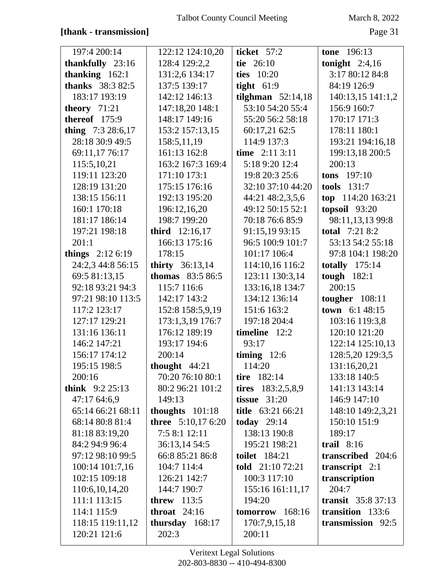### [thank - transmission]

March 8, 2022

| 197:4 200:14            | 122:12 124:10,20          | ticket 57:2          | <b>tone</b> 196:13    |
|-------------------------|---------------------------|----------------------|-----------------------|
| thankfully $23:16$      | 128:4 129:2,2             | tie 26:10            | tonight $2:4,16$      |
| thanking $162:1$        | 131:2,6 134:17            | <b>ties</b> 10:20    | 3:17 80:12 84:8       |
| <b>thanks</b> 38:3 82:5 | 137:5 139:17              | tight $61:9$         | 84:19 126:9           |
| 183:17 193:19           | 142:12 146:13             | tilghman $52:14,18$  | 140:13,15 141:1,2     |
| theory $71:21$          | 147:18,20 148:1           | 53:10 54:20 55:4     | 156:9 160:7           |
| thereof 175:9           | 148:17 149:16             | 55:20 56:2 58:18     | 170:17 171:3          |
| thing 7:3 28:6,17       | 153:2 157:13,15           | 60:17,21 62:5        | 178:11 180:1          |
| 28:18 30:9 49:5         | 158:5,11,19               | 114:9 137:3          | 193:21 194:16,18      |
| 69:11,1776:17           | 161:13 162:8              | time $2:113:11$      | 199:13,18 200:5       |
| 115:5,10,21             | 163:2 167:3 169:4         | 5:18 9:20 12:4       | 200:13                |
| 119:11 123:20           | 171:10 173:1              | 19:8 20:3 25:6       | tons 197:10           |
| 128:19 131:20           | 175:15 176:16             | 32:10 37:10 44:20    | tools $131:7$         |
| 138:15 156:11           | 192:13 195:20             | 44:21 48:2,3,5,6     | top $114:20163:21$    |
| 160:1 170:18            | 196:12,16,20              | 49:12 50:15 52:1     | topsoil 93:20         |
| 181:17 186:14           | 198:7 199:20              | 70:18 76:6 85:9      | 98:11,13,13 99:8      |
| 197:21 198:18           | <b>third</b> $12:16,17$   | 91:15,19 93:15       | <b>total</b> 7:21 8:2 |
| 201:1                   | 166:13 175:16             | 96:5 100:9 101:7     | 53:13 54:2 55:18      |
| things $2:126:19$       | 178:15                    | 101:17 106:4         | 97:8 104:1 198:20     |
| 24:2,3 44:8 56:15       | thirty 36:13,14           | 114:10,16 116:2      | totally $175:14$      |
| 69:5 81:13,15           | <b>thomas</b> 83:5 86:5   | 123:11 130:3,14      | tough $182:1$         |
| 92:18 93:21 94:3        | 115:7 116:6               | 133:16,18 134:7      | 200:15                |
| 97:21 98:10 113:5       | 142:17 143:2              | 134:12 136:14        | tougher $108:11$      |
| 117:2 123:17            | 152:8 158:5,9,19          | 151:6 163:2          | town 6:1 48:15        |
| 127:17 129:21           | 173:1,3,19 176:7          | 197:18 204:4         | 103:16 119:3,8        |
| 131:16 136:11           | 176:12 189:19             | timeline 12:2        | 120:10 121:20         |
| 146:2 147:21            | 193:17 194:6              | 93:17                | 122:14 125:10,13      |
| 156:17 174:12           | 200:14                    | timing $12:6$        | 128:5,20 129:3,5      |
| 195:15 198:5            | thought 44:21             | 114:20               | 131:16,20,21          |
| 200:16                  | 70:20 76:10 80:1          | tire 182:14          | 133:18 140:5          |
| think $9:2 25:13$       | 80:2 96:21 101:2          | tires 183:2,5,8,9    | 141:13 143:14         |
| 47:17 64:6,9            | 149:13                    | tissue $31:20$       | 146:9 147:10          |
| 65:14 66:21 68:11       | thoughts $101:18$         | title 63:21 66:21    | 148:10 149:2,3,21     |
| 68:14 80:8 81:4         | <b>three</b> 5:10,17 6:20 | today $29:14$        | 150:10 151:9          |
| 81:18 83:19,20          | 7:5 8:1 12:11             | 138:13 190:8         | 189:17                |
| 84:2 94:9 96:4          | 36:13,14 54:5             | 195:21 198:21        | trail $8:16$          |
| 97:12 98:10 99:5        | 66:8 85:21 86:8           | <b>toilet</b> 184:21 | transcribed 204:6     |
| 100:14 101:7,16         | 104:7 114:4               | told $21:1072:21$    | transcript $2:1$      |
| 102:15 109:18           | 126:21 142:7              | 100:3 117:10         | transcription         |
| 110:6,10,14,20          | 144:7 190:7               | 155:16 161:11,17     | 204:7                 |
| 111:1 113:15            | <b>threw</b> 113:5        | 194:20               | transit $35:837:13$   |
| 114:1 115:9             | throat $24:16$            | tomorrow 168:16      | transition 133:6      |
| 118:15 119:11,12        | thursday 168:17           | 170:7,9,15,18        | transmission 92:5     |
| 120:21 121:6            | 202:3                     | 200:11               |                       |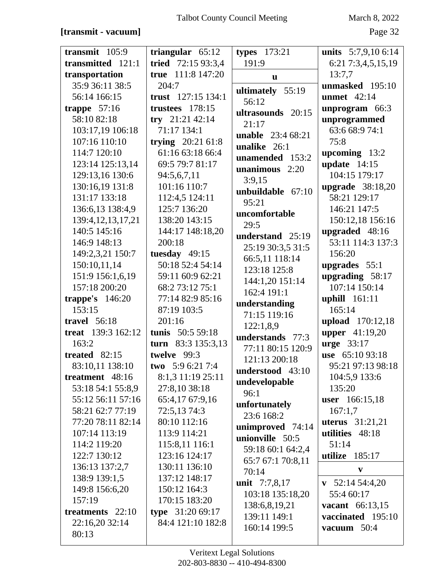### [transmit - vacuum]

March 8, 2022

Page 32

| transmit 105:9<br>transmitted 121:1 | triangular $65:12$<br>tried 72:15 93:3,4 | types $173:21$<br>191:9           | units $5:7,9,106:14$<br>6:21 7:3,4,5,15,19 |
|-------------------------------------|------------------------------------------|-----------------------------------|--------------------------------------------|
| transportation                      | true 111:8 147:20                        | $\mathbf{u}$                      | 13:7,7                                     |
| 35:9 36:11 38:5                     | 204:7                                    |                                   | unmasked 195:10                            |
| 56:14 166:15                        | trust $127:15$ 134:1                     | ultimately 55:19                  | <b>unmet</b> 42:14                         |
| trappe $57:16$                      | trustees $178:15$                        | 56:12                             | unprogram $66:3$                           |
| 58:10 82:18                         | try $21:21\,42:14$                       | ultrasounds 20:15                 | unprogrammed                               |
| 103:17,19 106:18                    | 71:17 134:1                              | 21:17<br><b>unable</b> 23:4 68:21 | 63:6 68:9 74:1                             |
| 107:16 110:10                       | trying 20:21 61:8                        |                                   | 75:8                                       |
| 114:7 120:10                        | 61:16 63:18 66:4                         | unalike 26:1<br>unamended 153:2   | upcoming $13:2$                            |
| 123:14 125:13,14                    | 69:5 79:7 81:17                          |                                   | update $14:15$                             |
| 129:13,16 130:6                     | 94:5,6,7,11                              | unanimous $2:20$                  | 104:15 179:17                              |
| 130:16,19 131:8                     | 101:16 110:7                             | 3:9,15<br>unbuildable $67:10$     | upgrade $38:18,20$                         |
| 131:17 133:18                       | 112:4,5 124:11                           | 95:21                             | 58:21 129:17                               |
| 136:6,13 138:4,9                    | 125:7 136:20                             |                                   | 146:21 147:5                               |
| 139:4, 12, 13, 17, 21               | 138:20 143:15                            | uncomfortable<br>29:5             | 150:12,18 156:16                           |
| 140:5 145:16                        | 144:17 148:18,20                         | understand 25:19                  | upgraded 48:16                             |
| 146:9 148:13                        | 200:18                                   | 25:19 30:3,5 31:5                 | 53:11 114:3 137:3                          |
| 149:2,3,21 150:7                    | tuesday $49:15$                          | 66:5,11 118:14                    | 156:20                                     |
| 150:10,11,14                        | 50:18 52:4 54:14                         | 123:18 125:8                      | upgrades 55:1                              |
| 151:9 156:1,6,19                    | 59:11 60:9 62:21                         | 144:1,20 151:14                   | upgrading 58:17                            |
| 157:18 200:20                       | 68:2 73:12 75:1                          | 162:4 191:1                       | 107:14 150:14                              |
| trappe's $146:20$                   | 77:14 82:9 85:16                         | understanding                     | uphill 161:11                              |
| 153:15                              | 87:19 103:5                              | 71:15 119:16                      | 165:14                                     |
| travel $56:18$                      | 201:16                                   | 122:1,8,9                         | upload 170:12,18                           |
| treat 139:3 162:12                  | tunis 50:5 59:18                         | understands 77:3                  | <b>upper</b> 41:19,20                      |
| 163:2                               | turn 83:3 135:3,13                       | 77:11 80:15 120:9                 | <b>urge</b> 33:17                          |
| treated $82:15$                     | twelve 99:3                              | 121:13 200:18                     | use 65:10 93:18                            |
| 83:10,11 138:10                     | two $5:96:217:4$                         | understood 43:10                  | 95:21 97:13 98:18                          |
| treatment 48:16                     | 8:1,3 11:19 25:11                        | undevelopable                     | 104:5,9 133:6                              |
| 53:18 54:1 55:8,9                   | 27:8,10 38:18                            | 96:1                              | 135:20                                     |
| 55:12 56:11 57:16                   | 65:4,17 67:9,16                          | unfortunately                     | user 166:15,18                             |
| 58:21 62:7 77:19                    | 72:5,13 74:3                             | 23:6 168:2                        | 167:1,7                                    |
| 77:20 78:11 82:14                   | 80:10 112:16                             | unimproved 74:14                  | <b>uterus</b> 31:21,21                     |
| 107:14 113:19                       | 113:9 114:21                             | unionville 50:5                   | utilities 48:18                            |
| 114:2 119:20                        | 115:8,11 116:1                           | 59:18 60:1 64:2,4                 | 51:14                                      |
| 122:7 130:12                        | 123:16 124:17                            | 65:7 67:1 70:8,11                 | utilize $185:17$                           |
| 136:13 137:2,7                      | 130:11 136:10                            | 70:14                             | V                                          |
| 138:9 139:1,5                       | 137:12 148:17                            | unit 7:7,8,17                     | $\mathbf{v}$ 52:14 54:4,20                 |
| 149:8 156:6,20                      | 150:12 164:3                             | 103:18 135:18,20                  | 55:4 60:17                                 |
| 157:19                              | 170:15 183:20                            | 138:6,8,19,21                     | vacant 66:13,15                            |
| treatments 22:10                    | type 31:20 69:17                         | 139:11 149:1                      | vaccinated 195:10                          |
| 22:16,20 32:14                      | 84:4 121:10 182:8                        | 160:14 199:5                      | vacuum 50:4                                |
| 80:13                               |                                          |                                   |                                            |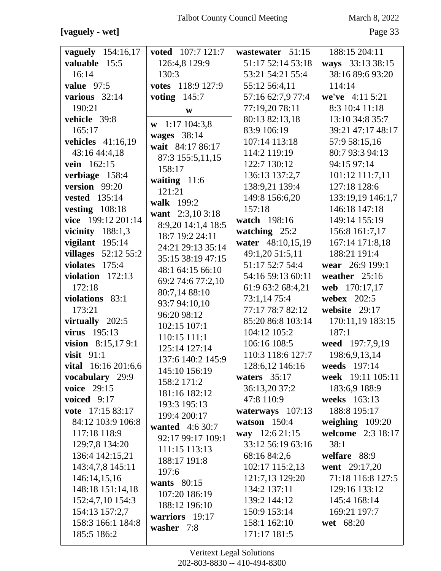**[vaguely - wet]** Page 33

| vaguely 154:16,17          | voted 107:7 121:7      | wastewater 51:15   | 188:15 204:11     |
|----------------------------|------------------------|--------------------|-------------------|
|                            |                        |                    |                   |
| valuable 15:5              | 126:4,8 129:9          | 51:17 52:14 53:18  | ways 33:13 38:15  |
| 16:14                      | 130:3                  | 53:21 54:21 55:4   | 38:16 89:6 93:20  |
| value 97:5                 | votes 118:9 127:9      | 55:12 56:4,11      | 114:14            |
| various 32:14              | voting $145:7$         | 57:16 62:7,9 77:4  | we've 4:11 5:21   |
| 190:21                     | W                      | 77:19,20 78:11     | 8:3 10:4 11:18    |
| vehicle 39:8               | $1:17$ 104:3,8<br>W    | 80:13 82:13,18     | 13:10 34:8 35:7   |
| 165:17                     | wages 38:14            | 83:9 106:19        | 39:21 47:17 48:17 |
| vehicles 41:16,19          | wait 84:17 86:17       | 107:14 113:18      | 57:9 58:15,16     |
| 43:16 44:4,18              |                        | 114:2 119:19       | 80:7 93:3 94:13   |
| vein 162:15                | 87:3 155:5,11,15       | 122:7 130:12       | 94:15 97:14       |
| verbiage 158:4             | 158:17                 | 136:13 137:2,7     | 101:12 111:7,11   |
| version 99:20              | waiting $11:6$         | 138:9,21 139:4     | 127:18 128:6      |
| <b>vested</b> 135:14       | 121:21                 | 149:8 156:6,20     | 133:19,19 146:1,7 |
| vesting $108:18$           | walk 199:2             | 157:18             | 146:18 147:18     |
| vice 199:12 201:14         | want 2:3,10 3:18       | watch 198:16       | 149:14 155:19     |
| vicinity $188:1,3$         | 8:9,20 14:1,4 18:5     | watching $25:2$    | 156:8 161:7,17    |
| vigilant $195:14$          | 18:7 19:2 24:11        | water 48:10,15,19  |                   |
|                            | 24:21 29:13 35:14      |                    | 167:14 171:8,18   |
| villages<br>52:12 55:2     | 35:15 38:19 47:15      | 49:1,20 51:5,11    | 188:21 191:4      |
| violates $175:4$           | 48:1 64:15 66:10       | 51:17 52:7 54:4    | wear 26:9 199:1   |
| violation $172:13$         | 69:2 74:6 77:2,10      | 54:16 59:13 60:11  | weather 25:16     |
| 172:18                     | 80:7,14 88:10          | 61:9 63:2 68:4,21  | web 170:17,17     |
| violations 83:1            | 93:7 94:10,10          | 73:1,14 75:4       | webex $202:5$     |
| 173:21                     | 96:20 98:12            | 77:17 78:7 82:12   | website $29:17$   |
| virtually $202:5$          | 102:15 107:1           | 85:20 86:8 103:14  | 170:11,19 183:15  |
| virus 195:13               | 110:15 111:1           | 104:12 105:2       | 187:1             |
| vision $8:15,179:1$        | 125:14 127:14          | 106:16 108:5       | weed 197:7,9,19   |
| visit $91:1$               | 137:6 140:2 145:9      | 110:3 118:6 127:7  | 198:6,9,13,14     |
| <b>vital</b> 16:16 201:6,6 | 145:10 156:19          | 128:6,12 146:16    | weeds 197:14      |
| vocabulary 29:9            | 158:2 171:2            | waters $35:17$     | week 19:11 105:11 |
| voice 29:15                | 181:16 182:12          | 36:13,20 37:2      | 183:6,9 188:9     |
| voiced 9:17                | 193:3 195:13           | 47:8 110:9         | weeks 163:13      |
| vote 17:15 83:17           | 199:4 200:17           | waterways $107:13$ | 188:8 195:17      |
| 84:12 103:9 106:8          | <b>wanted</b> 4:6 30:7 | watson $150:4$     | weighing $109:20$ |
| 117:18 118:9               | 92:17 99:17 109:1      | way 12:6 21:15     | welcome 2:3 18:17 |
| 129:7,8 134:20             | 111:15 113:13          | 33:12 56:19 63:16  | 38:1              |
| 136:4 142:15,21            | 188:17 191:8           | 68:16 84:2,6       | welfare 88:9      |
| 143:4,7,8 145:11           | 197:6                  | 102:17 115:2,13    | went 29:17,20     |
| 146:14,15,16               | wants $80:15$          | 121:7,13 129:20    | 71:18 116:8 127:5 |
| 148:18 151:14,18           | 107:20 186:19          | 134:2 137:11       | 129:16 133:12     |
| 152:4,7,10 154:3           | 188:12 196:10          | 139:2 144:12       | 145:4 168:14      |
| 154:13 157:2,7             | warriors 19:17         | 150:9 153:14       | 169:21 197:7      |
| 158:3 166:1 184:8          | washer 7:8             | 158:1 162:10       | wet 68:20         |
| 185:5 186:2                |                        | 171:17 181:5       |                   |